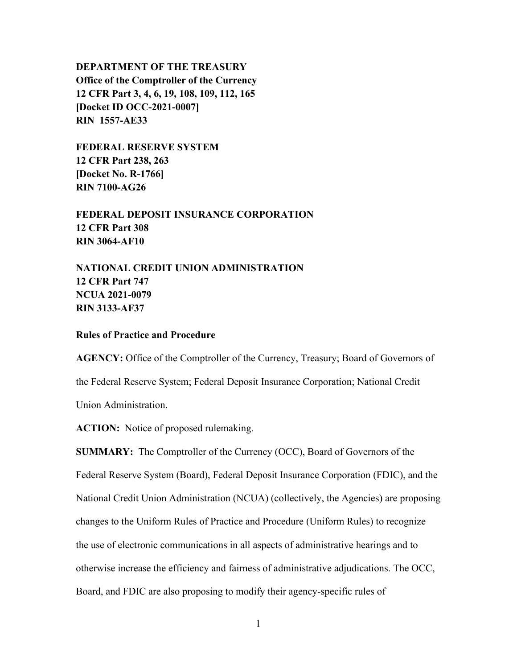## **DEPARTMENT OF THE TREASURY Office of the Comptroller of the Currency 12 CFR Part 3, 4, 6, 19, 108, 109, 112, 165 [Docket ID OCC-2021-0007] RIN 1557-AE33**

**FEDERAL RESERVE SYSTEM 12 CFR Part 238, 263 [Docket No. R-1766] RIN 7100-AG26**

**FEDERAL DEPOSIT INSURANCE CORPORATION 12 CFR Part 308 RIN 3064-AF10**

**NATIONAL CREDIT UNION ADMINISTRATION 12 CFR Part 747 NCUA 2021-0079 RIN 3133-AF37**

## **Rules of Practice and Procedure**

**AGENCY:** Office of the Comptroller of the Currency, Treasury; Board of Governors of the Federal Reserve System; Federal Deposit Insurance Corporation; National Credit Union Administration.

**ACTION:** Notice of proposed rulemaking.

**SUMMARY:** The Comptroller of the Currency (OCC), Board of Governors of the Federal Reserve System (Board), Federal Deposit Insurance Corporation (FDIC), and the National Credit Union Administration (NCUA) (collectively, the Agencies) are proposing changes to the Uniform Rules of Practice and Procedure (Uniform Rules) to recognize the use of electronic communications in all aspects of administrative hearings and to otherwise increase the efficiency and fairness of administrative adjudications. The OCC, Board, and FDIC are also proposing to modify their agency-specific rules of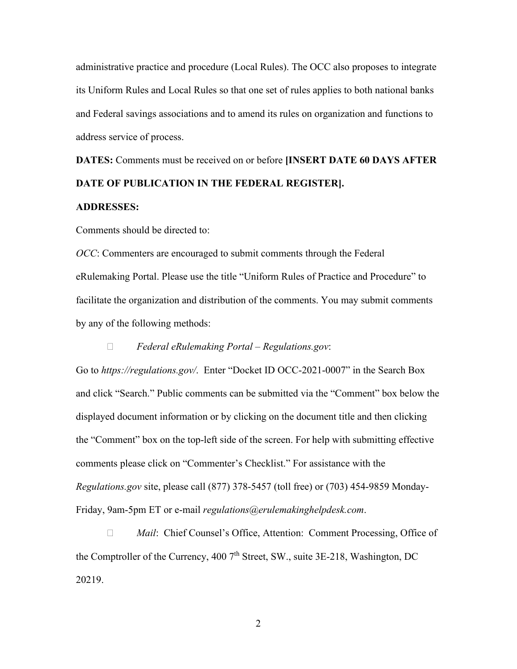administrative practice and procedure (Local Rules). The OCC also proposes to integrate its Uniform Rules and Local Rules so that one set of rules applies to both national banks and Federal savings associations and to amend its rules on organization and functions to address service of process.

**DATES:** Comments must be received on or before **[INSERT DATE 60 DAYS AFTER DATE OF PUBLICATION IN THE FEDERAL REGISTER].**

## **ADDRESSES:**

Comments should be directed to:

*OCC*: Commenters are encouraged to submit comments through the Federal eRulemaking Portal. Please use the title "Uniform Rules of Practice and Procedure" to facilitate the organization and distribution of the comments. You may submit comments by any of the following methods:

## *Federal eRulemaking Portal – Regulations.gov*:

Go to *https://regulations.gov/*. Enter "Docket ID OCC-2021-0007" in the Search Box and click "Search." Public comments can be submitted via the "Comment" box below the displayed document information or by clicking on the document title and then clicking the "Comment" box on the top-left side of the screen. For help with submitting effective comments please click on "Commenter's Checklist." For assistance with the *Regulations.gov* site, please call (877) 378-5457 (toll free) or (703) 454-9859 Monday-Friday, 9am-5pm ET or e-mail *regulations@erulemakinghelpdesk.com*.

□ *Mail*: Chief Counsel's Office, Attention: Comment Processing, Office of the Comptroller of the Currency, 400 7<sup>th</sup> Street, SW., suite 3E-218, Washington, DC 20219.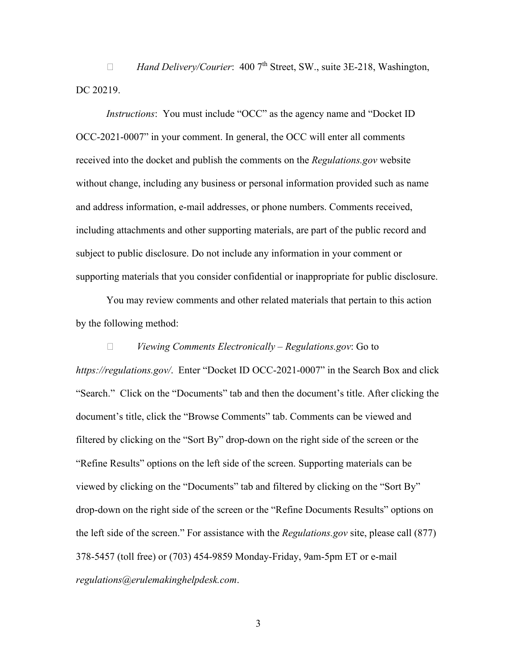*Hand Delivery/Courier*: 400 7th Street, SW., suite 3E-218, Washington, DC 20219.

*Instructions*: You must include "OCC" as the agency name and "Docket ID OCC-2021-0007" in your comment. In general, the OCC will enter all comments received into the docket and publish the comments on the *Regulations.gov* website without change, including any business or personal information provided such as name and address information, e-mail addresses, or phone numbers. Comments received, including attachments and other supporting materials, are part of the public record and subject to public disclosure. Do not include any information in your comment or supporting materials that you consider confidential or inappropriate for public disclosure.

You may review comments and other related materials that pertain to this action by the following method:

## *Viewing Comments Electronically – Regulations.gov*: Go to

*https://regulations.gov/*. Enter "Docket ID OCC-2021-0007" in the Search Box and click "Search." Click on the "Documents" tab and then the document's title. After clicking the document's title, click the "Browse Comments" tab. Comments can be viewed and filtered by clicking on the "Sort By" drop-down on the right side of the screen or the "Refine Results" options on the left side of the screen. Supporting materials can be viewed by clicking on the "Documents" tab and filtered by clicking on the "Sort By" drop-down on the right side of the screen or the "Refine Documents Results" options on the left side of the screen." For assistance with the *Regulations.gov* site, please call (877) 378-5457 (toll free) or (703) 454-9859 Monday-Friday, 9am-5pm ET or e-mail *regulations@erulemakinghelpdesk.com*.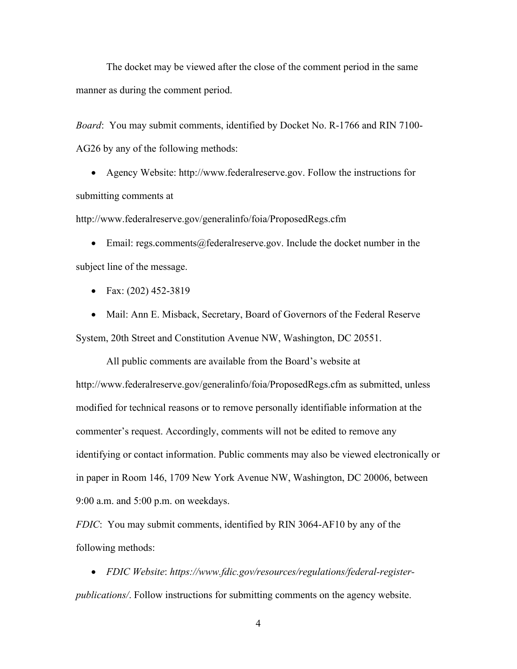The docket may be viewed after the close of the comment period in the same manner as during the comment period.

*Board*: You may submit comments, identified by Docket No. R-1766 and RIN 7100- AG26 by any of the following methods:

• Agency Website: http://www.federalreserve.gov. Follow the instructions for submitting comments at

http://www.federalreserve.gov/generalinfo/foia/ProposedRegs.cfm

• Email: regs.comments@federalreserve.gov. Include the docket number in the subject line of the message.

- Fax: (202) 452-3819
- Mail: Ann E. Misback, Secretary, Board of Governors of the Federal Reserve System, 20th Street and Constitution Avenue NW, Washington, DC 20551.

All public comments are available from the Board's website at http://www.federalreserve.gov/generalinfo/foia/ProposedRegs.cfm as submitted, unless modified for technical reasons or to remove personally identifiable information at the commenter's request. Accordingly, comments will not be edited to remove any identifying or contact information. Public comments may also be viewed electronically or in paper in Room 146, 1709 New York Avenue NW, Washington, DC 20006, between 9:00 a.m. and 5:00 p.m. on weekdays.

*FDIC*:You may submit comments, identified by RIN 3064-AF10 by any of the following methods:

• *FDIC Website*: *https://www.fdic.gov/resources/regulations/federal-registerpublications/*. Follow instructions for submitting comments on the agency website.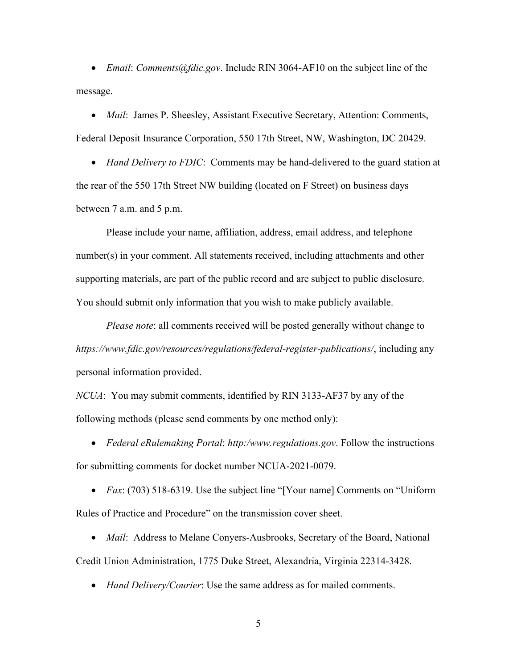• *Email*: *Comments@fdic.gov*. Include RIN 3064-AF10 on the subject line of the message.

• *Mail*: James P. Sheesley, Assistant Executive Secretary, Attention: Comments, Federal Deposit Insurance Corporation, 550 17th Street, NW, Washington, DC 20429.

• *Hand Delivery to FDIC*: Comments may be hand-delivered to the guard station at the rear of the 550 17th Street NW building (located on F Street) on business days between 7 a.m. and 5 p.m.

Please include your name, affiliation, address, email address, and telephone number(s) in your comment. All statements received, including attachments and other supporting materials, are part of the public record and are subject to public disclosure. You should submit only information that you wish to make publicly available.

*Please note*: all comments received will be posted generally without change to *https://www.fdic.gov/resources/regulations/federal-register-publications/*, including any personal information provided.

*NCUA*: You may submit comments, identified by RIN 3133-AF37 by any of the following methods (please send comments by one method only):

• *Federal eRulemaking Portal*: *http:/www.regulations.gov*. Follow the instructions for submitting comments for docket number NCUA-2021-0079.

• *Fax*: (703) 518-6319. Use the subject line "[Your name] Comments on "Uniform Rules of Practice and Procedure" on the transmission cover sheet.

• *Mail*: Address to Melane Conyers-Ausbrooks, Secretary of the Board, National Credit Union Administration, 1775 Duke Street, Alexandria, Virginia 22314-3428.

• *Hand Delivery/Courier*: Use the same address as for mailed comments.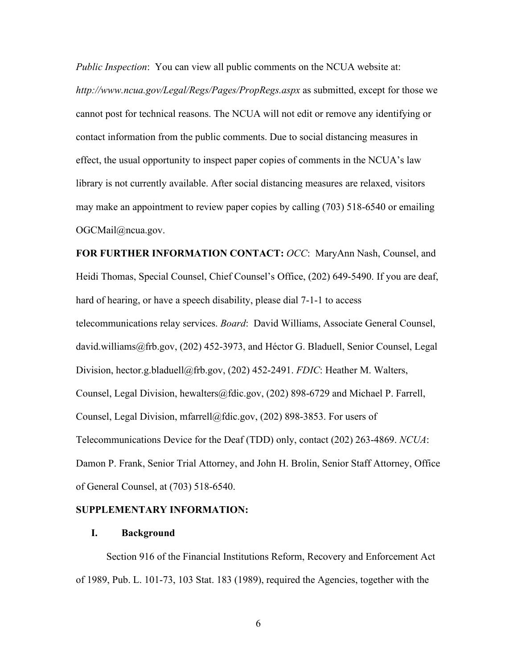*Public Inspection*: You can view all public comments on the NCUA website at: *http://www.ncua.gov/Legal/Regs/Pages/PropRegs.aspx* as submitted, except for those we cannot post for technical reasons. The NCUA will not edit or remove any identifying or contact information from the public comments. Due to social distancing measures in effect, the usual opportunity to inspect paper copies of comments in the NCUA's law library is not currently available. After social distancing measures are relaxed, visitors may make an appointment to review paper copies by calling (703) 518-6540 or emailing OGCMail@ncua.gov.

**FOR FURTHER INFORMATION CONTACT:** *OCC*:MaryAnn Nash, Counsel, and Heidi Thomas, Special Counsel, Chief Counsel's Office, (202) 649-5490. If you are deaf, hard of hearing, or have a speech disability, please dial 7-1-1 to access telecommunications relay services. *Board*:David Williams, Associate General Counsel, david.williams@frb.gov, (202) 452-3973, and Héctor G. Bladuell, Senior Counsel, Legal Division, hector.g.bladuell@frb.gov, (202) 452-2491. *FDIC*: Heather M. Walters, Counsel, Legal Division, hewalters@fdic.gov, (202) 898-6729 and Michael P. Farrell, Counsel, Legal Division, mfarrell@fdic.gov,  $(202)$  898-3853. For users of Telecommunications Device for the Deaf (TDD) only, contact (202) 263-4869. *NCUA*: Damon P. Frank, Senior Trial Attorney, and John H. Brolin, Senior Staff Attorney, Office of General Counsel, at (703) 518-6540.

#### **SUPPLEMENTARY INFORMATION:**

## **I. Background**

Section 916 of the Financial Institutions Reform, Recovery and Enforcement Act of 1989, Pub. L. 101-73, 103 Stat. 183 (1989), required the Agencies, together with the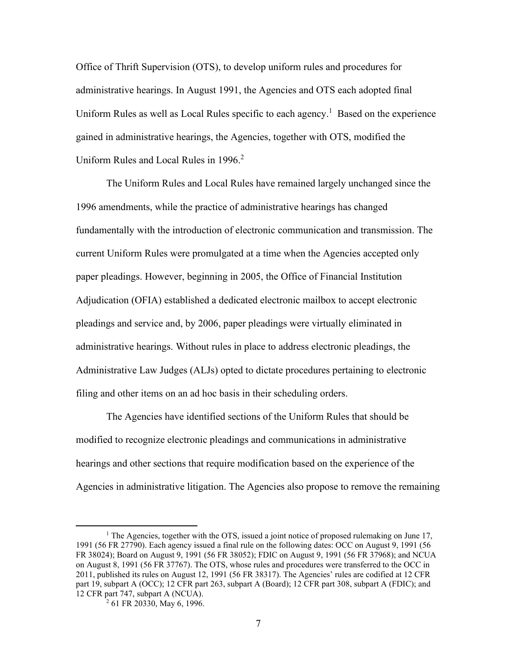Office of Thrift Supervision (OTS), to develop uniform rules and procedures for administrative hearings. In August 1991, the Agencies and OTS each adopted final Uniform Rules as well as Local Rules specific to each agency.<sup>1</sup> Based on the experience gained in administrative hearings, the Agencies, together with OTS, modified the Uniform Rules and Local Rules in 1996.<sup>2</sup>

The Uniform Rules and Local Rules have remained largely unchanged since the 1996 amendments, while the practice of administrative hearings has changed fundamentally with the introduction of electronic communication and transmission. The current Uniform Rules were promulgated at a time when the Agencies accepted only paper pleadings. However, beginning in 2005, the Office of Financial Institution Adjudication (OFIA) established a dedicated electronic mailbox to accept electronic pleadings and service and, by 2006, paper pleadings were virtually eliminated in administrative hearings. Without rules in place to address electronic pleadings, the Administrative Law Judges (ALJs) opted to dictate procedures pertaining to electronic filing and other items on an ad hoc basis in their scheduling orders.

The Agencies have identified sections of the Uniform Rules that should be modified to recognize electronic pleadings and communications in administrative hearings and other sections that require modification based on the experience of the Agencies in administrative litigation. The Agencies also propose to remove the remaining

<sup>&</sup>lt;sup>1</sup> The Agencies, together with the OTS, issued a joint notice of proposed rulemaking on June 17, 1991 (56 FR 27790). Each agency issued a final rule on the following dates: OCC on August 9, 1991 (56 FR 38024); Board on August 9, 1991 (56 FR 38052); FDIC on August 9, 1991 (56 FR 37968); and NCUA on August 8, 1991 (56 FR 37767). The OTS, whose rules and procedures were transferred to the OCC in 2011, published its rules on August 12, 1991 (56 FR 38317). The Agencies' rules are codified at 12 CFR part 19, subpart A (OCC); 12 CFR part 263, subpart A (Board); 12 CFR part 308, subpart A (FDIC); and 12 CFR part 747, subpart A (NCUA).

 $^{2}$  61 FR 20330, May 6, 1996.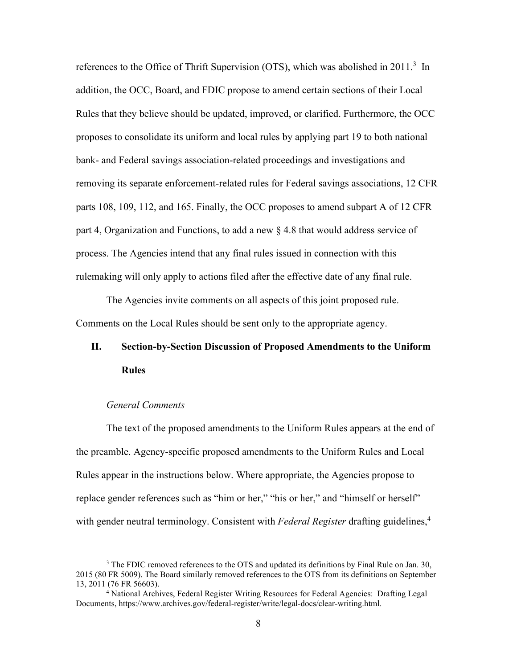references to the Office of Thrift Supervision (OTS), which was abolished in 2011.<sup>3</sup> In addition, the OCC, Board, and FDIC propose to amend certain sections of their Local Rules that they believe should be updated, improved, or clarified. Furthermore, the OCC proposes to consolidate its uniform and local rules by applying part 19 to both national bank- and Federal savings association-related proceedings and investigations and removing its separate enforcement-related rules for Federal savings associations, 12 CFR parts 108, 109, 112, and 165. Finally, the OCC proposes to amend subpart A of 12 CFR part 4, Organization and Functions, to add a new § 4.8 that would address service of process. The Agencies intend that any final rules issued in connection with this rulemaking will only apply to actions filed after the effective date of any final rule.

The Agencies invite comments on all aspects of this joint proposed rule. Comments on the Local Rules should be sent only to the appropriate agency.

# **II. Section-by-Section Discussion of Proposed Amendments to the Uniform Rules**

### *General Comments*

The text of the proposed amendments to the Uniform Rules appears at the end of the preamble. Agency-specific proposed amendments to the Uniform Rules and Local Rules appear in the instructions below. Where appropriate, the Agencies propose to replace gender references such as "him or her," "his or her," and "himself or herself" with gender neutral terminology. Consistent with *Federal Register* drafting guidelines, 4

 $3$  The FDIC removed references to the OTS and updated its definitions by Final Rule on Jan. 30, 2015 (80 FR 5009). The Board similarly removed references to the OTS from its definitions on September 13, 2011 (76 FR 56603).

<sup>&</sup>lt;sup>4</sup> National Archives, Federal Register Writing Resources for Federal Agencies: Drafting Legal Documents, https://www.archives.gov/federal-register/write/legal-docs/clear-writing.html.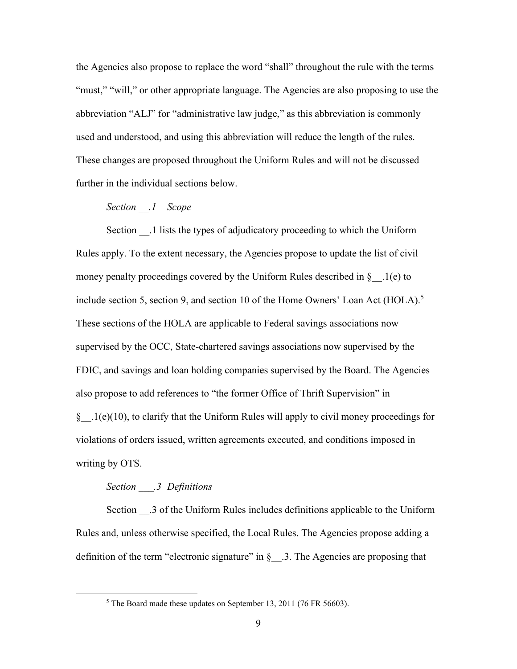the Agencies also propose to replace the word "shall" throughout the rule with the terms "must," "will," or other appropriate language. The Agencies are also proposing to use the abbreviation "ALJ" for "administrative law judge," as this abbreviation is commonly used and understood, and using this abbreviation will reduce the length of the rules. These changes are proposed throughout the Uniform Rules and will not be discussed further in the individual sections below.

## *Section \_\_.1 Scope*

Section .1 lists the types of adjudicatory proceeding to which the Uniform Rules apply. To the extent necessary, the Agencies propose to update the list of civil money penalty proceedings covered by the Uniform Rules described in  $\S$ . 1(e) to include section 5, section 9, and section 10 of the Home Owners' Loan Act (HOLA). 5 These sections of the HOLA are applicable to Federal savings associations now supervised by the OCC, State-chartered savings associations now supervised by the FDIC, and savings and loan holding companies supervised by the Board. The Agencies also propose to add references to "the former Office of Thrift Supervision" in § .1(e)(10), to clarify that the Uniform Rules will apply to civil money proceedings for violations of orders issued, written agreements executed, and conditions imposed in writing by OTS.

#### *Section \_\_\_.3 Definitions*

Section \_\_.3 of the Uniform Rules includes definitions applicable to the Uniform Rules and, unless otherwise specified, the Local Rules. The Agencies propose adding a definition of the term "electronic signature" in  $\S$  . 3. The Agencies are proposing that

<sup>5</sup> The Board made these updates on September 13, 2011 (76 FR 56603).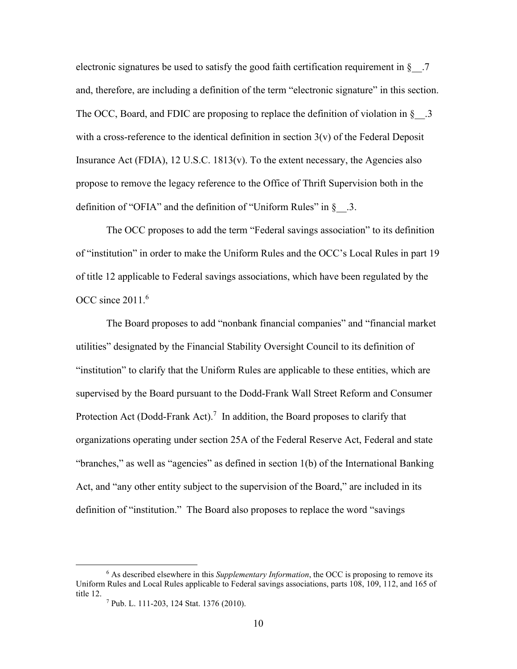electronic signatures be used to satisfy the good faith certification requirement in  $\S$ . and, therefore, are including a definition of the term "electronic signature" in this section. The OCC, Board, and FDIC are proposing to replace the definition of violation in  $\S$  . 3 with a cross-reference to the identical definition in section  $3(v)$  of the Federal Deposit Insurance Act (FDIA), 12 U.S.C. 1813(v). To the extent necessary, the Agencies also propose to remove the legacy reference to the Office of Thrift Supervision both in the definition of "OFIA" and the definition of "Uniform Rules" in  $\S$ . 3.

The OCC proposes to add the term "Federal savings association" to its definition of "institution" in order to make the Uniform Rules and the OCC's Local Rules in part 19 of title 12 applicable to Federal savings associations, which have been regulated by the OCC since  $2011<sup>6</sup>$ 

The Board proposes to add "nonbank financial companies" and "financial market utilities" designated by the Financial Stability Oversight Council to its definition of "institution" to clarify that the Uniform Rules are applicable to these entities, which are supervised by the Board pursuant to the Dodd-Frank Wall Street Reform and Consumer Protection Act (Dodd-Frank Act).<sup>7</sup> In addition, the Board proposes to clarify that organizations operating under section 25A of the Federal Reserve Act, Federal and state "branches," as well as "agencies" as defined in section 1(b) of the International Banking Act, and "any other entity subject to the supervision of the Board," are included in its definition of "institution." The Board also proposes to replace the word "savings

<sup>6</sup> As described elsewhere in this *Supplementary Information*, the OCC is proposing to remove its Uniform Rules and Local Rules applicable to Federal savings associations, parts 108, 109, 112, and 165 of

 $\frac{7}{7}$  Pub. L. 111-203, 124 Stat. 1376 (2010).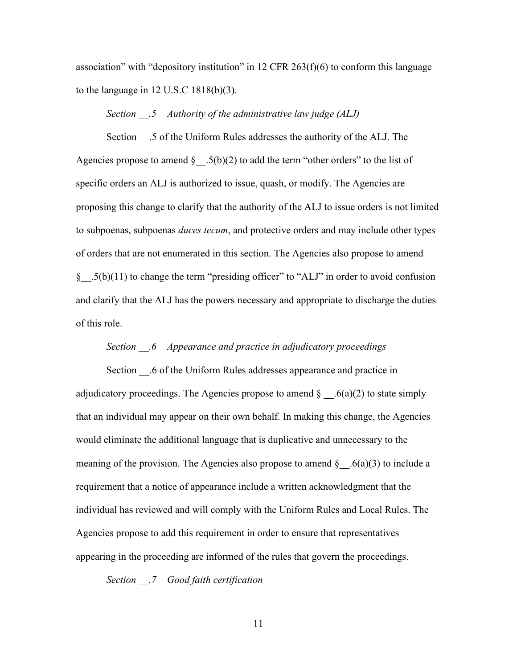association" with "depository institution" in 12 CFR 263(f)(6) to conform this language to the language in 12 U.S.C 1818(b)(3).

## *Section \_\_.5 Authority of the administrative law judge (ALJ)*

Section .5 of the Uniform Rules addresses the authority of the ALJ. The Agencies propose to amend  $\S$  .5(b)(2) to add the term "other orders" to the list of specific orders an ALJ is authorized to issue, quash, or modify. The Agencies are proposing this change to clarify that the authority of the ALJ to issue orders is not limited to subpoenas, subpoenas *duces tecum*, and protective orders and may include other types of orders that are not enumerated in this section. The Agencies also propose to amend § .5(b)(11) to change the term "presiding officer" to "ALJ" in order to avoid confusion and clarify that the ALJ has the powers necessary and appropriate to discharge the duties of this role.

## *Section \_\_.6 Appearance and practice in adjudicatory proceedings*

Section .6 of the Uniform Rules addresses appearance and practice in adjudicatory proceedings. The Agencies propose to amend  $\S$  6(a)(2) to state simply that an individual may appear on their own behalf. In making this change, the Agencies would eliminate the additional language that is duplicative and unnecessary to the meaning of the provision. The Agencies also propose to amend  $\S$  .  $6(a)(3)$  to include a requirement that a notice of appearance include a written acknowledgment that the individual has reviewed and will comply with the Uniform Rules and Local Rules. The Agencies propose to add this requirement in order to ensure that representatives appearing in the proceeding are informed of the rules that govern the proceedings.

*Section \_\_.7 Good faith certification*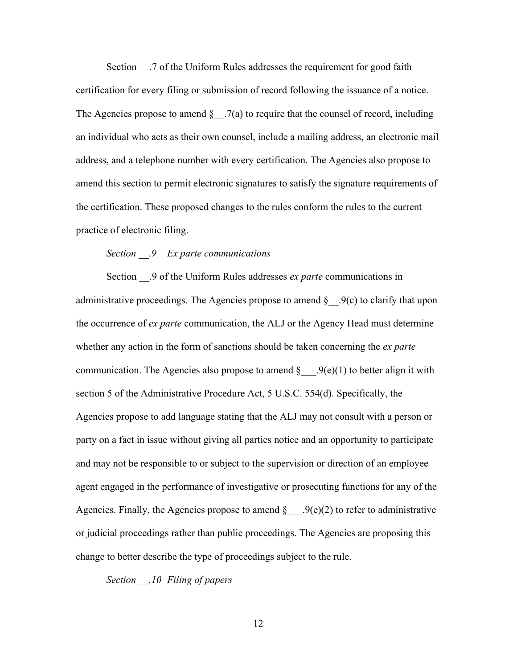Section \_\_.7 of the Uniform Rules addresses the requirement for good faith certification for every filing or submission of record following the issuance of a notice. The Agencies propose to amend  $\S$  . 7(a) to require that the counsel of record, including an individual who acts as their own counsel, include a mailing address, an electronic mail address, and a telephone number with every certification. The Agencies also propose to amend this section to permit electronic signatures to satisfy the signature requirements of the certification. These proposed changes to the rules conform the rules to the current practice of electronic filing.

## *Section \_\_.9 Ex parte communications*

Section \_\_.9 of the Uniform Rules addresses *ex parte* communications in administrative proceedings. The Agencies propose to amend  $\S$  .9(c) to clarify that upon the occurrence of *ex parte* communication, the ALJ or the Agency Head must determine whether any action in the form of sanctions should be taken concerning the *ex parte* communication. The Agencies also propose to amend  $\S$  ....  $9(e)(1)$  to better align it with section 5 of the Administrative Procedure Act, 5 U.S.C. 554(d). Specifically, the Agencies propose to add language stating that the ALJ may not consult with a person or party on a fact in issue without giving all parties notice and an opportunity to participate and may not be responsible to or subject to the supervision or direction of an employee agent engaged in the performance of investigative or prosecuting functions for any of the Agencies. Finally, the Agencies propose to amend  $\S$  . 9(e)(2) to refer to administrative or judicial proceedings rather than public proceedings. The Agencies are proposing this change to better describe the type of proceedings subject to the rule.

*Section \_\_.10 Filing of papers*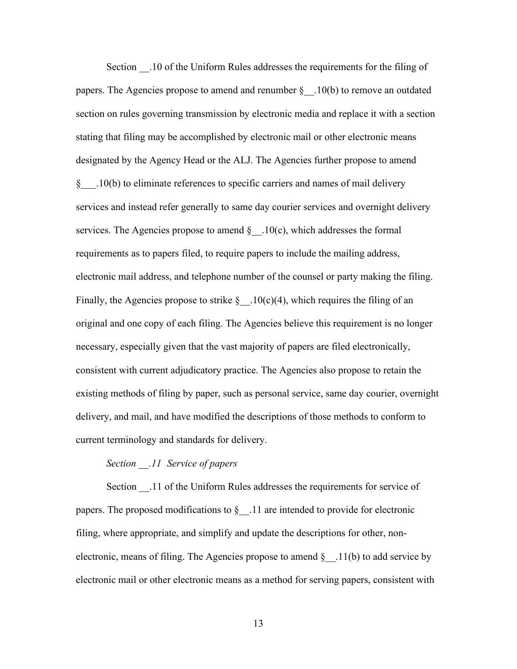Section \_\_.10 of the Uniform Rules addresses the requirements for the filing of papers. The Agencies propose to amend and renumber  $\S$  . 10(b) to remove an outdated section on rules governing transmission by electronic media and replace it with a section stating that filing may be accomplished by electronic mail or other electronic means designated by the Agency Head or the ALJ. The Agencies further propose to amend §\_\_\_\_.10(b) to eliminate references to specific carriers and names of mail delivery services and instead refer generally to same day courier services and overnight delivery services. The Agencies propose to amend  $\S$  .10(c), which addresses the formal requirements as to papers filed, to require papers to include the mailing address, electronic mail address, and telephone number of the counsel or party making the filing. Finally, the Agencies propose to strike  $\S$  .10(c)(4), which requires the filing of an original and one copy of each filing. The Agencies believe this requirement is no longer necessary, especially given that the vast majority of papers are filed electronically, consistent with current adjudicatory practice. The Agencies also propose to retain the existing methods of filing by paper, such as personal service, same day courier, overnight delivery, and mail, and have modified the descriptions of those methods to conform to current terminology and standards for delivery.

## *Section \_\_.11 Service of papers*

Section .11 of the Uniform Rules addresses the requirements for service of papers. The proposed modifications to  $\S$  11 are intended to provide for electronic filing, where appropriate, and simplify and update the descriptions for other, nonelectronic, means of filing. The Agencies propose to amend  $\S$  .11(b) to add service by electronic mail or other electronic means as a method for serving papers, consistent with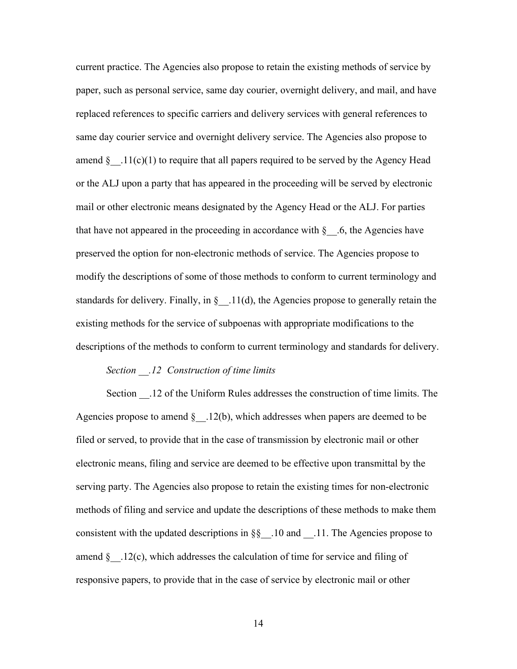current practice. The Agencies also propose to retain the existing methods of service by paper, such as personal service, same day courier, overnight delivery, and mail, and have replaced references to specific carriers and delivery services with general references to same day courier service and overnight delivery service. The Agencies also propose to amend  $\S$  .11(c)(1) to require that all papers required to be served by the Agency Head or the ALJ upon a party that has appeared in the proceeding will be served by electronic mail or other electronic means designated by the Agency Head or the ALJ. For parties that have not appeared in the proceeding in accordance with  $\S$ . 6, the Agencies have preserved the option for non-electronic methods of service. The Agencies propose to modify the descriptions of some of those methods to conform to current terminology and standards for delivery. Finally, in  $\S$  .11(d), the Agencies propose to generally retain the existing methods for the service of subpoenas with appropriate modifications to the descriptions of the methods to conform to current terminology and standards for delivery.

#### *Section \_\_.12 Construction of time limits*

Section \_\_.12 of the Uniform Rules addresses the construction of time limits. The Agencies propose to amend  $\S$  .12(b), which addresses when papers are deemed to be filed or served, to provide that in the case of transmission by electronic mail or other electronic means, filing and service are deemed to be effective upon transmittal by the serving party. The Agencies also propose to retain the existing times for non-electronic methods of filing and service and update the descriptions of these methods to make them consistent with the updated descriptions in §§\_\_.10 and \_\_.11. The Agencies propose to amend  $\S$  .12(c), which addresses the calculation of time for service and filing of responsive papers, to provide that in the case of service by electronic mail or other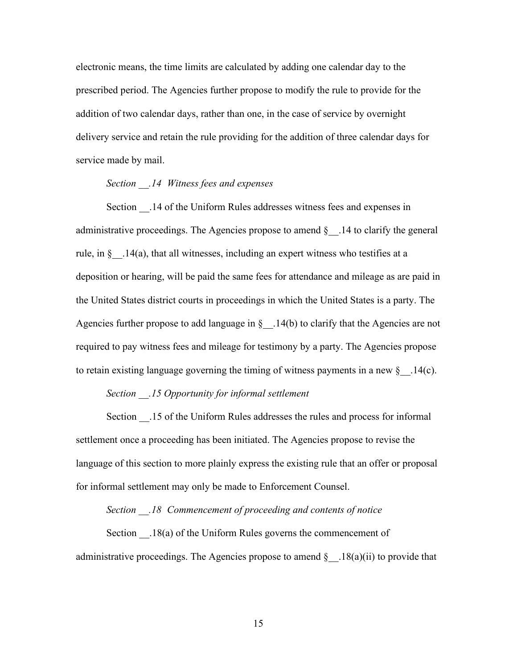electronic means, the time limits are calculated by adding one calendar day to the prescribed period. The Agencies further propose to modify the rule to provide for the addition of two calendar days, rather than one, in the case of service by overnight delivery service and retain the rule providing for the addition of three calendar days for service made by mail.

## *Section \_\_.14 Witness fees and expenses*

Section .14 of the Uniform Rules addresses witness fees and expenses in administrative proceedings. The Agencies propose to amend  $\S$  . 14 to clarify the general rule, in §\_\_.14(a), that all witnesses, including an expert witness who testifies at a deposition or hearing, will be paid the same fees for attendance and mileage as are paid in the United States district courts in proceedings in which the United States is a party. The Agencies further propose to add language in  $\S$  . 14(b) to clarify that the Agencies are not required to pay witness fees and mileage for testimony by a party. The Agencies propose to retain existing language governing the timing of witness payments in a new  $\S$  .14(c).

## *Section \_\_.15 Opportunity for informal settlement*

Section \_\_.15 of the Uniform Rules addresses the rules and process for informal settlement once a proceeding has been initiated. The Agencies propose to revise the language of this section to more plainly express the existing rule that an offer or proposal for informal settlement may only be made to Enforcement Counsel.

## *Section \_\_.18 Commencement of proceeding and contents of notice*

Section  $.18(a)$  of the Uniform Rules governs the commencement of administrative proceedings. The Agencies propose to amend  $\S$  . 18(a)(ii) to provide that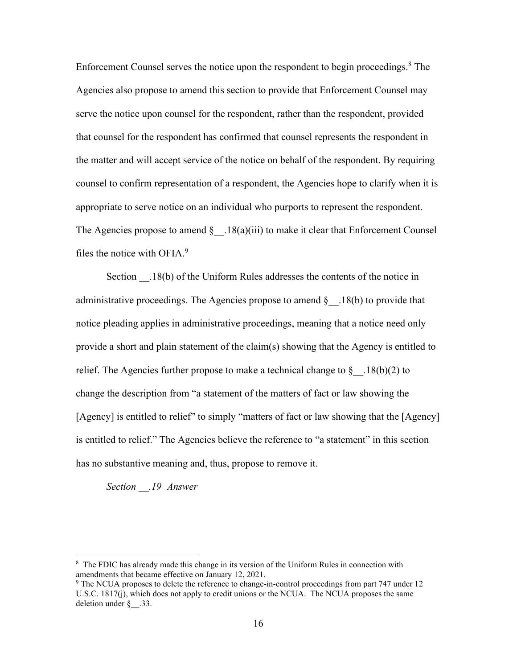Enforcement Counsel serves the notice upon the respondent to begin proceedings.<sup>8</sup> The Agencies also propose to amend this section to provide that Enforcement Counsel may serve the notice upon counsel for the respondent, rather than the respondent, provided that counsel for the respondent has confirmed that counsel represents the respondent in the matter and will accept service of the notice on behalf of the respondent. By requiring counsel to confirm representation of a respondent, the Agencies hope to clarify when it is appropriate to serve notice on an individual who purports to represent the respondent. The Agencies propose to amend  $\S$  .18(a)(iii) to make it clear that Enforcement Counsel files the notice with OFIA. $9$ 

Section .18(b) of the Uniform Rules addresses the contents of the notice in administrative proceedings. The Agencies propose to amend  $\S$  . 18(b) to provide that notice pleading applies in administrative proceedings, meaning that a notice need only provide a short and plain statement of the claim(s) showing that the Agency is entitled to relief. The Agencies further propose to make a technical change to  $\S$  . 18(b)(2) to change the description from "a statement of the matters of fact or law showing the [Agency] is entitled to relief" to simply "matters of fact or law showing that the [Agency] is entitled to relief." The Agencies believe the reference to "a statement" in this section has no substantive meaning and, thus, propose to remove it.

*Section \_\_.19 Answer*

<sup>&</sup>lt;sup>8</sup> The FDIC has already made this change in its version of the Uniform Rules in connection with amendments that became effective on January 12, 2021.

<sup>&</sup>lt;sup>9</sup> The NCUA proposes to delete the reference to change-in-control proceedings from part 747 under 12 U.S.C. 1817(j), which does not apply to credit unions or the NCUA. The NCUA proposes the same deletion under  $\S$  .33.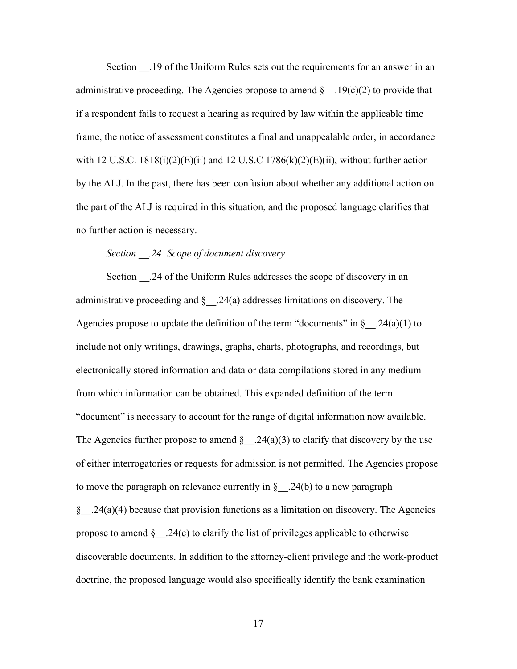Section \_\_.19 of the Uniform Rules sets out the requirements for an answer in an administrative proceeding. The Agencies propose to amend  $\S$  . 19(c)(2) to provide that if a respondent fails to request a hearing as required by law within the applicable time frame, the notice of assessment constitutes a final and unappealable order, in accordance with 12 U.S.C.  $1818(i)(2)(E)(ii)$  and 12 U.S.C  $1786(k)(2)(E)(ii)$ , without further action by the ALJ. In the past, there has been confusion about whether any additional action on the part of the ALJ is required in this situation, and the proposed language clarifies that no further action is necessary.

## *Section \_\_.24 Scope of document discovery*

Section \_\_.24 of the Uniform Rules addresses the scope of discovery in an administrative proceeding and  $\S$  .24(a) addresses limitations on discovery. The Agencies propose to update the definition of the term "documents" in  $\S$  . 24(a)(1) to include not only writings, drawings, graphs, charts, photographs, and recordings, but electronically stored information and data or data compilations stored in any medium from which information can be obtained. This expanded definition of the term "document" is necessary to account for the range of digital information now available. The Agencies further propose to amend  $\S$  . 24(a)(3) to clarify that discovery by the use of either interrogatories or requests for admission is not permitted. The Agencies propose to move the paragraph on relevance currently in  $\S$  . 24(b) to a new paragraph  $\S$  . 24(a)(4) because that provision functions as a limitation on discovery. The Agencies propose to amend  $\S$  . 24(c) to clarify the list of privileges applicable to otherwise discoverable documents. In addition to the attorney-client privilege and the work-product doctrine, the proposed language would also specifically identify the bank examination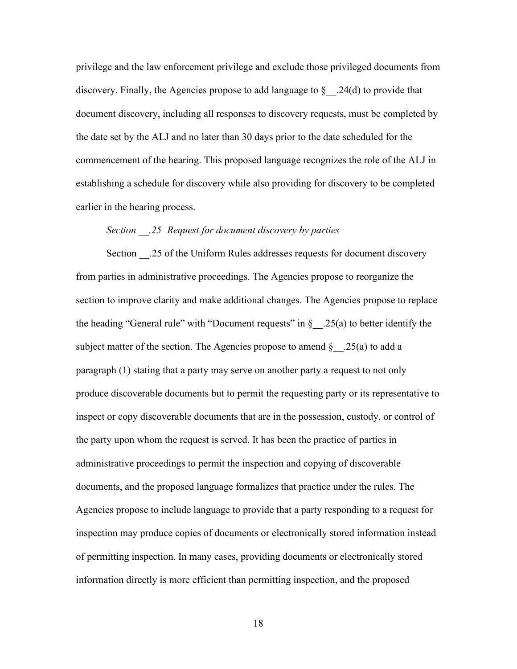privilege and the law enforcement privilege and exclude those privileged documents from discovery. Finally, the Agencies propose to add language to  $\S$  . 24(d) to provide that document discovery, including all responses to discovery requests, must be completed by the date set by the ALJ and no later than 30 days prior to the date scheduled for the commencement of the hearing. This proposed language recognizes the role of the ALJ in establishing a schedule for discovery while also providing for discovery to be completed earlier in the hearing process.

## *Section \_\_.25 Request for document discovery by parties*

Section \_\_.25 of the Uniform Rules addresses requests for document discovery from parties in administrative proceedings. The Agencies propose to reorganize the section to improve clarity and make additional changes. The Agencies propose to replace the heading "General rule" with "Document requests" in  $\S$  . 25(a) to better identify the subject matter of the section. The Agencies propose to amend  $\S$  . 25(a) to add a paragraph (1) stating that a party may serve on another party a request to not only produce discoverable documents but to permit the requesting party or its representative to inspect or copy discoverable documents that are in the possession, custody, or control of the party upon whom the request is served. It has been the practice of parties in administrative proceedings to permit the inspection and copying of discoverable documents, and the proposed language formalizes that practice under the rules. The Agencies propose to include language to provide that a party responding to a request for inspection may produce copies of documents or electronically stored information instead of permitting inspection. In many cases, providing documents or electronically stored information directly is more efficient than permitting inspection, and the proposed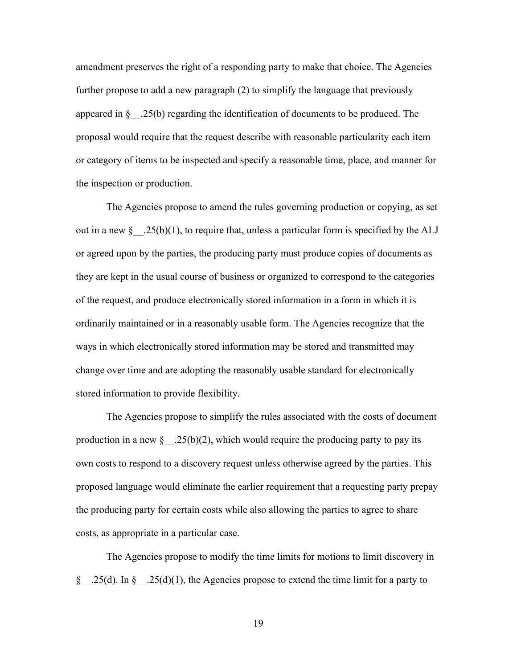amendment preserves the right of a responding party to make that choice. The Agencies further propose to add a new paragraph (2) to simplify the language that previously appeared in  $\S$  .25(b) regarding the identification of documents to be produced. The proposal would require that the request describe with reasonable particularity each item or category of items to be inspected and specify a reasonable time, place, and manner for the inspection or production.

The Agencies propose to amend the rules governing production or copying, as set out in a new  $\S$  . 25(b)(1), to require that, unless a particular form is specified by the ALJ or agreed upon by the parties, the producing party must produce copies of documents as they are kept in the usual course of business or organized to correspond to the categories of the request, and produce electronically stored information in a form in which it is ordinarily maintained or in a reasonably usable form. The Agencies recognize that the ways in which electronically stored information may be stored and transmitted may change over time and are adopting the reasonably usable standard for electronically stored information to provide flexibility.

The Agencies propose to simplify the rules associated with the costs of document production in a new  $\S$  .25(b)(2), which would require the producing party to pay its own costs to respond to a discovery request unless otherwise agreed by the parties. This proposed language would eliminate the earlier requirement that a requesting party prepay the producing party for certain costs while also allowing the parties to agree to share costs, as appropriate in a particular case.

The Agencies propose to modify the time limits for motions to limit discovery in § .25(d). In § .25(d)(1), the Agencies propose to extend the time limit for a party to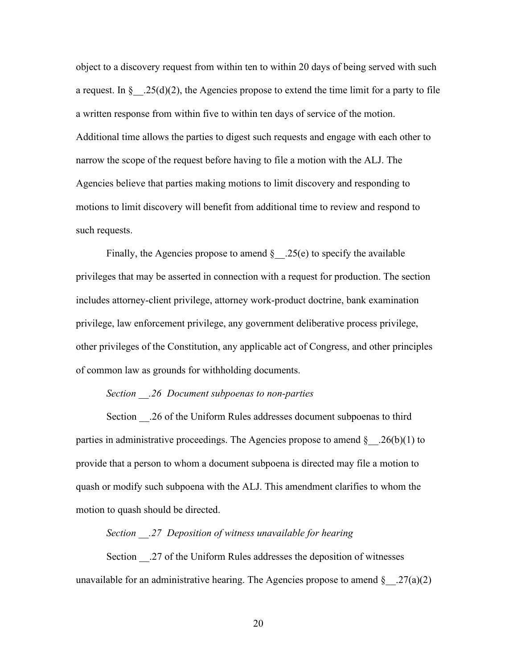object to a discovery request from within ten to within 20 days of being served with such a request. In § $.25(d)(2)$ , the Agencies propose to extend the time limit for a party to file a written response from within five to within ten days of service of the motion. Additional time allows the parties to digest such requests and engage with each other to narrow the scope of the request before having to file a motion with the ALJ. The Agencies believe that parties making motions to limit discovery and responding to motions to limit discovery will benefit from additional time to review and respond to such requests.

Finally, the Agencies propose to amend  $\S$  .25(e) to specify the available privileges that may be asserted in connection with a request for production. The section includes attorney-client privilege, attorney work-product doctrine, bank examination privilege, law enforcement privilege, any government deliberative process privilege, other privileges of the Constitution, any applicable act of Congress, and other principles of common law as grounds for withholding documents.

#### *Section \_\_.26 Document subpoenas to non-parties*

Section \_\_.26 of the Uniform Rules addresses document subpoenas to third parties in administrative proceedings. The Agencies propose to amend  $\S$  . 26(b)(1) to provide that a person to whom a document subpoena is directed may file a motion to quash or modify such subpoena with the ALJ. This amendment clarifies to whom the motion to quash should be directed.

#### *Section \_\_.27 Deposition of witness unavailable for hearing*

Section .27 of the Uniform Rules addresses the deposition of witnesses unavailable for an administrative hearing. The Agencies propose to amend  $\S$  . 27(a)(2)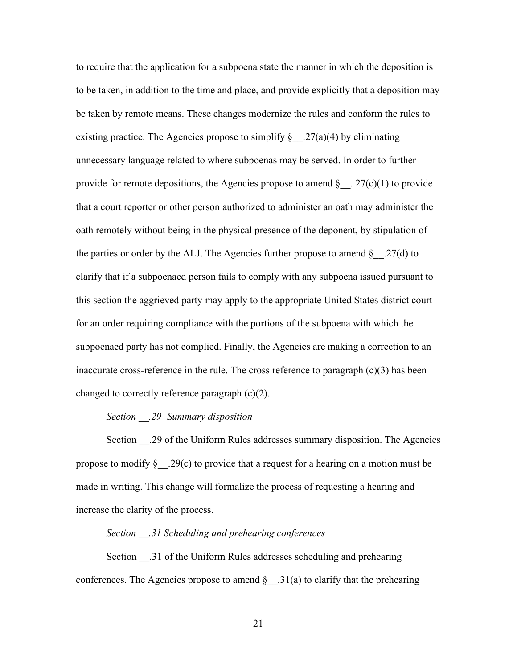to require that the application for a subpoena state the manner in which the deposition is to be taken, in addition to the time and place, and provide explicitly that a deposition may be taken by remote means. These changes modernize the rules and conform the rules to existing practice. The Agencies propose to simplify  $\S$  . 27(a)(4) by eliminating unnecessary language related to where subpoenas may be served. In order to further provide for remote depositions, the Agencies propose to amend  $\S$  . 27(c)(1) to provide that a court reporter or other person authorized to administer an oath may administer the oath remotely without being in the physical presence of the deponent, by stipulation of the parties or order by the ALJ. The Agencies further propose to amend  $\S$  .27(d) to clarify that if a subpoenaed person fails to comply with any subpoena issued pursuant to this section the aggrieved party may apply to the appropriate United States district court for an order requiring compliance with the portions of the subpoena with which the subpoenaed party has not complied. Finally, the Agencies are making a correction to an inaccurate cross-reference in the rule. The cross reference to paragraph  $(c)(3)$  has been changed to correctly reference paragraph (c)(2).

## *Section \_\_.29 Summary disposition*

Section .29 of the Uniform Rules addresses summary disposition. The Agencies propose to modify  $\S$  . 29(c) to provide that a request for a hearing on a motion must be made in writing. This change will formalize the process of requesting a hearing and increase the clarity of the process.

#### *Section \_\_.31 Scheduling and prehearing conferences*

Section .31 of the Uniform Rules addresses scheduling and prehearing conferences. The Agencies propose to amend  $\S$  .31(a) to clarify that the prehearing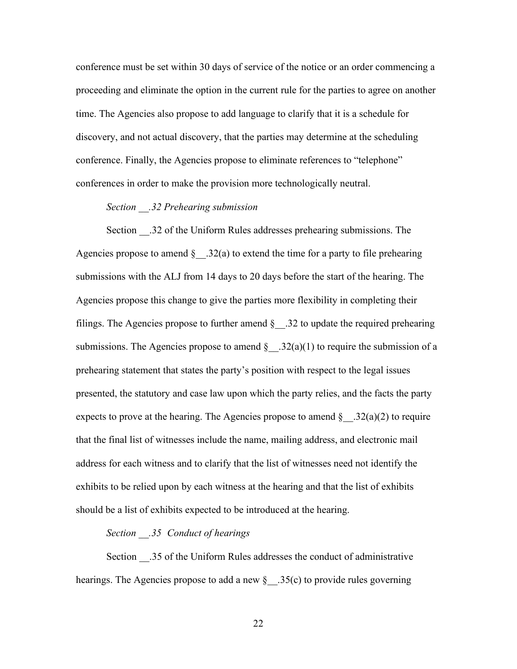conference must be set within 30 days of service of the notice or an order commencing a proceeding and eliminate the option in the current rule for the parties to agree on another time. The Agencies also propose to add language to clarify that it is a schedule for discovery, and not actual discovery, that the parties may determine at the scheduling conference. Finally, the Agencies propose to eliminate references to "telephone" conferences in order to make the provision more technologically neutral.

## *Section \_\_.32 Prehearing submission*

Section .32 of the Uniform Rules addresses prehearing submissions. The Agencies propose to amend  $\S$  .32(a) to extend the time for a party to file prehearing submissions with the ALJ from 14 days to 20 days before the start of the hearing. The Agencies propose this change to give the parties more flexibility in completing their filings. The Agencies propose to further amend  $\S$  .32 to update the required prehearing submissions. The Agencies propose to amend  $\S$  . 32(a)(1) to require the submission of a prehearing statement that states the party's position with respect to the legal issues presented, the statutory and case law upon which the party relies, and the facts the party expects to prove at the hearing. The Agencies propose to amend  $\S$  . 32(a)(2) to require that the final list of witnesses include the name, mailing address, and electronic mail address for each witness and to clarify that the list of witnesses need not identify the exhibits to be relied upon by each witness at the hearing and that the list of exhibits should be a list of exhibits expected to be introduced at the hearing.

## *Section \_\_.35 Conduct of hearings*

Section .35 of the Uniform Rules addresses the conduct of administrative hearings. The Agencies propose to add a new  $\S$  .35(c) to provide rules governing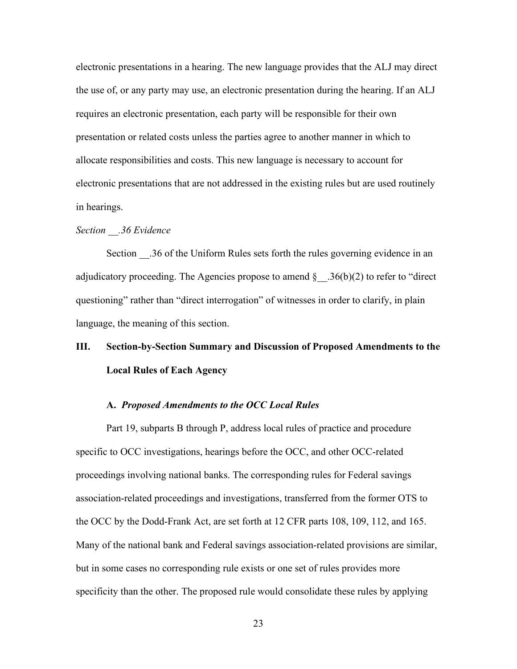electronic presentations in a hearing. The new language provides that the ALJ may direct the use of, or any party may use, an electronic presentation during the hearing. If an ALJ requires an electronic presentation, each party will be responsible for their own presentation or related costs unless the parties agree to another manner in which to allocate responsibilities and costs. This new language is necessary to account for electronic presentations that are not addressed in the existing rules but are used routinely in hearings.

#### *Section \_\_.36 Evidence*

Section .36 of the Uniform Rules sets forth the rules governing evidence in an adjudicatory proceeding. The Agencies propose to amend  $\S$  .36(b)(2) to refer to "direct questioning" rather than "direct interrogation" of witnesses in order to clarify, in plain language, the meaning of this section.

# **III. Section-by-Section Summary and Discussion of Proposed Amendments to the Local Rules of Each Agency**

#### **A.** *Proposed Amendments to the OCC Local Rules*

Part 19, subparts B through P, address local rules of practice and procedure specific to OCC investigations, hearings before the OCC, and other OCC-related proceedings involving national banks. The corresponding rules for Federal savings association-related proceedings and investigations, transferred from the former OTS to the OCC by the Dodd-Frank Act, are set forth at 12 CFR parts 108, 109, 112, and 165. Many of the national bank and Federal savings association-related provisions are similar, but in some cases no corresponding rule exists or one set of rules provides more specificity than the other. The proposed rule would consolidate these rules by applying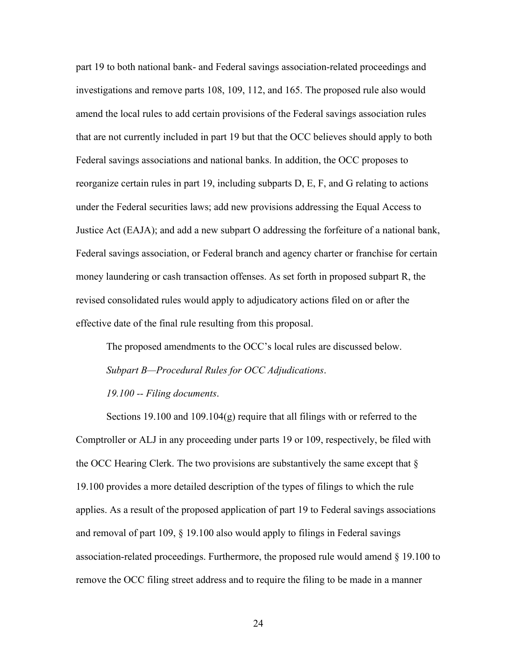part 19 to both national bank- and Federal savings association-related proceedings and investigations and remove parts 108, 109, 112, and 165. The proposed rule also would amend the local rules to add certain provisions of the Federal savings association rules that are not currently included in part 19 but that the OCC believes should apply to both Federal savings associations and national banks. In addition, the OCC proposes to reorganize certain rules in part 19, including subparts D, E, F, and G relating to actions under the Federal securities laws; add new provisions addressing the Equal Access to Justice Act (EAJA); and add a new subpart O addressing the forfeiture of a national bank, Federal savings association, or Federal branch and agency charter or franchise for certain money laundering or cash transaction offenses. As set forth in proposed subpart R, the revised consolidated rules would apply to adjudicatory actions filed on or after the effective date of the final rule resulting from this proposal.

The proposed amendments to the OCC's local rules are discussed below. *Subpart B—Procedural Rules for OCC Adjudications*. *19.100 -- Filing documents*.

Sections 19.100 and 109.104 $(g)$  require that all filings with or referred to the Comptroller or ALJ in any proceeding under parts 19 or 109, respectively, be filed with the OCC Hearing Clerk. The two provisions are substantively the same except that  $\S$ 19.100 provides a more detailed description of the types of filings to which the rule applies. As a result of the proposed application of part 19 to Federal savings associations and removal of part 109, § 19.100 also would apply to filings in Federal savings association-related proceedings. Furthermore, the proposed rule would amend  $\S$  19.100 to remove the OCC filing street address and to require the filing to be made in a manner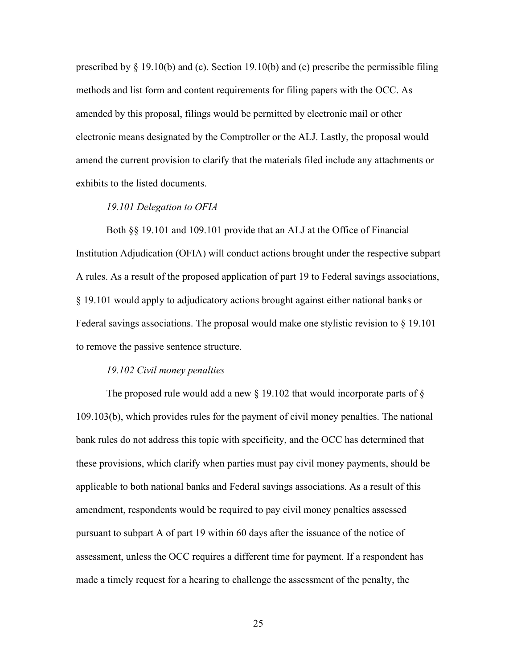prescribed by  $\S 19.10(b)$  and (c). Section 19.10(b) and (c) prescribe the permissible filing methods and list form and content requirements for filing papers with the OCC. As amended by this proposal, filings would be permitted by electronic mail or other electronic means designated by the Comptroller or the ALJ. Lastly, the proposal would amend the current provision to clarify that the materials filed include any attachments or exhibits to the listed documents.

#### *19.101 Delegation to OFIA*

Both §§ 19.101 and 109.101 provide that an ALJ at the Office of Financial Institution Adjudication (OFIA) will conduct actions brought under the respective subpart A rules. As a result of the proposed application of part 19 to Federal savings associations, § 19.101 would apply to adjudicatory actions brought against either national banks or Federal savings associations. The proposal would make one stylistic revision to § 19.101 to remove the passive sentence structure.

#### *19.102 Civil money penalties*

The proposed rule would add a new  $\S$  19.102 that would incorporate parts of  $\S$ 109.103(b), which provides rules for the payment of civil money penalties. The national bank rules do not address this topic with specificity, and the OCC has determined that these provisions, which clarify when parties must pay civil money payments, should be applicable to both national banks and Federal savings associations. As a result of this amendment, respondents would be required to pay civil money penalties assessed pursuant to subpart A of part 19 within 60 days after the issuance of the notice of assessment, unless the OCC requires a different time for payment. If a respondent has made a timely request for a hearing to challenge the assessment of the penalty, the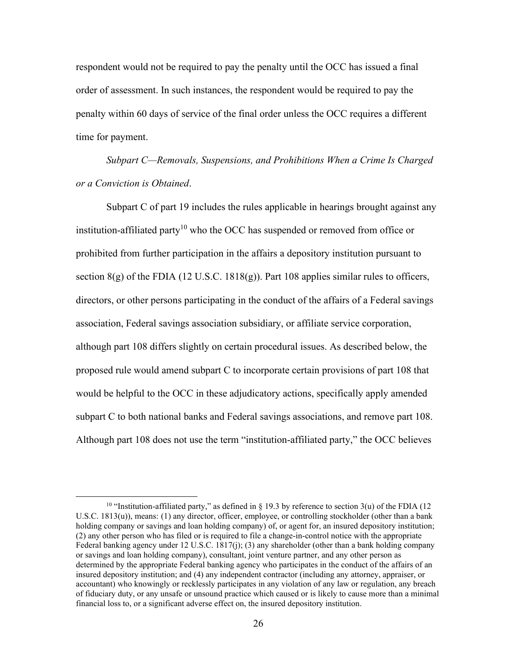respondent would not be required to pay the penalty until the OCC has issued a final order of assessment. In such instances, the respondent would be required to pay the penalty within 60 days of service of the final order unless the OCC requires a different time for payment.

*Subpart C—Removals, Suspensions, and Prohibitions When a Crime Is Charged or a Conviction is Obtained*.

Subpart C of part 19 includes the rules applicable in hearings brought against any institution-affiliated party<sup>10</sup> who the OCC has suspended or removed from office or prohibited from further participation in the affairs a depository institution pursuant to section  $8(g)$  of the FDIA (12 U.S.C. 1818 $(g)$ ). Part 108 applies similar rules to officers, directors, or other persons participating in the conduct of the affairs of a Federal savings association, Federal savings association subsidiary, or affiliate service corporation, although part 108 differs slightly on certain procedural issues. As described below, the proposed rule would amend subpart C to incorporate certain provisions of part 108 that would be helpful to the OCC in these adjudicatory actions, specifically apply amended subpart C to both national banks and Federal savings associations, and remove part 108. Although part 108 does not use the term "institution-affiliated party," the OCC believes

<sup>&</sup>lt;sup>10</sup> "Institution-affiliated party," as defined in § 19.3 by reference to section 3(u) of the FDIA (12 U.S.C. 1813(u)), means: (1) any director, officer, employee, or controlling stockholder (other than a bank holding company or savings and loan holding company) of, or agent for, an insured depository institution; (2) any other person who has filed or is required to file a change-in-control notice with the appropriate Federal banking agency under 12 U.S.C. 1817(j); (3) any shareholder (other than a bank holding company or savings and loan holding company), consultant, joint venture partner, and any other person as determined by the appropriate Federal banking agency who participates in the conduct of the affairs of an insured depository institution; and (4) any independent contractor (including any attorney, appraiser, or accountant) who knowingly or recklessly participates in any violation of any law or regulation, any breach of fiduciary duty, or any unsafe or unsound practice which caused or is likely to cause more than a minimal financial loss to, or a significant adverse effect on, the insured depository institution.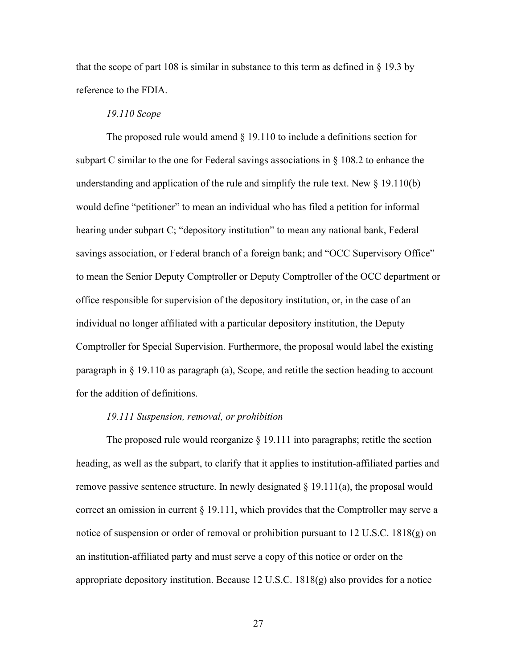that the scope of part 108 is similar in substance to this term as defined in  $\S$  19.3 by reference to the FDIA.

## *19.110 Scope*

The proposed rule would amend  $\S$  19.110 to include a definitions section for subpart C similar to the one for Federal savings associations in  $\S$  108.2 to enhance the understanding and application of the rule and simplify the rule text. New  $\S$  19.110(b) would define "petitioner" to mean an individual who has filed a petition for informal hearing under subpart C; "depository institution" to mean any national bank, Federal savings association, or Federal branch of a foreign bank; and "OCC Supervisory Office" to mean the Senior Deputy Comptroller or Deputy Comptroller of the OCC department or office responsible for supervision of the depository institution, or, in the case of an individual no longer affiliated with a particular depository institution, the Deputy Comptroller for Special Supervision. Furthermore, the proposal would label the existing paragraph in § 19.110 as paragraph (a), Scope, and retitle the section heading to account for the addition of definitions.

#### *19.111 Suspension, removal, or prohibition*

The proposed rule would reorganize § 19.111 into paragraphs; retitle the section heading, as well as the subpart, to clarify that it applies to institution-affiliated parties and remove passive sentence structure. In newly designated  $\S$  19.111(a), the proposal would correct an omission in current § 19.111, which provides that the Comptroller may serve a notice of suspension or order of removal or prohibition pursuant to 12 U.S.C. 1818(g) on an institution-affiliated party and must serve a copy of this notice or order on the appropriate depository institution. Because 12 U.S.C. 1818(g) also provides for a notice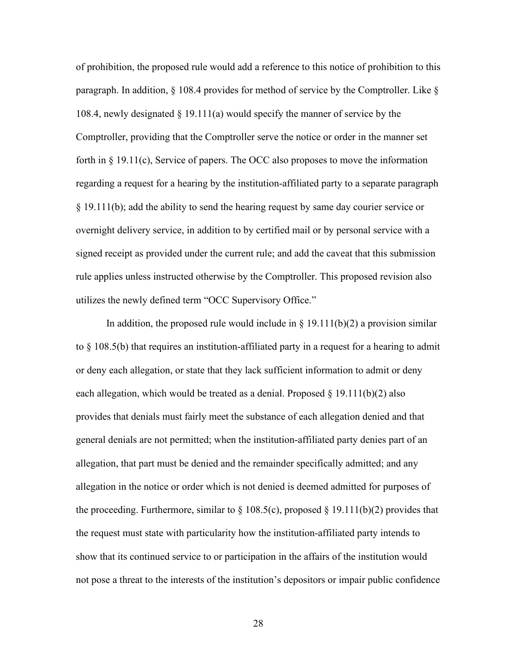of prohibition, the proposed rule would add a reference to this notice of prohibition to this paragraph. In addition,  $\S$  108.4 provides for method of service by the Comptroller. Like  $\S$ 108.4, newly designated § 19.111(a) would specify the manner of service by the Comptroller, providing that the Comptroller serve the notice or order in the manner set forth in  $\S$  19.11(c), Service of papers. The OCC also proposes to move the information regarding a request for a hearing by the institution-affiliated party to a separate paragraph § 19.111(b); add the ability to send the hearing request by same day courier service or overnight delivery service, in addition to by certified mail or by personal service with a signed receipt as provided under the current rule; and add the caveat that this submission rule applies unless instructed otherwise by the Comptroller. This proposed revision also utilizes the newly defined term "OCC Supervisory Office."

In addition, the proposed rule would include in  $\S$  19.111(b)(2) a provision similar to § 108.5(b) that requires an institution-affiliated party in a request for a hearing to admit or deny each allegation, or state that they lack sufficient information to admit or deny each allegation, which would be treated as a denial. Proposed  $\S$  19.111(b)(2) also provides that denials must fairly meet the substance of each allegation denied and that general denials are not permitted; when the institution-affiliated party denies part of an allegation, that part must be denied and the remainder specifically admitted; and any allegation in the notice or order which is not denied is deemed admitted for purposes of the proceeding. Furthermore, similar to  $\S 108.5(c)$ , proposed  $\S 19.111(b)(2)$  provides that the request must state with particularity how the institution-affiliated party intends to show that its continued service to or participation in the affairs of the institution would not pose a threat to the interests of the institution's depositors or impair public confidence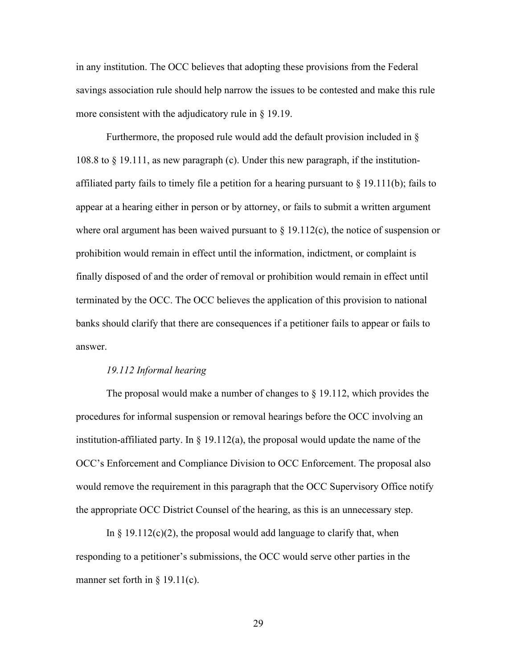in any institution. The OCC believes that adopting these provisions from the Federal savings association rule should help narrow the issues to be contested and make this rule more consistent with the adjudicatory rule in § 19.19.

Furthermore, the proposed rule would add the default provision included in § 108.8 to § 19.111, as new paragraph (c). Under this new paragraph, if the institutionaffiliated party fails to timely file a petition for a hearing pursuant to  $\S$  19.111(b); fails to appear at a hearing either in person or by attorney, or fails to submit a written argument where oral argument has been waived pursuant to  $\S 19.112(c)$ , the notice of suspension or prohibition would remain in effect until the information, indictment, or complaint is finally disposed of and the order of removal or prohibition would remain in effect until terminated by the OCC. The OCC believes the application of this provision to national banks should clarify that there are consequences if a petitioner fails to appear or fails to answer.

#### *19.112 Informal hearing*

The proposal would make a number of changes to § 19.112, which provides the procedures for informal suspension or removal hearings before the OCC involving an institution-affiliated party. In  $\S$  19.112(a), the proposal would update the name of the OCC's Enforcement and Compliance Division to OCC Enforcement. The proposal also would remove the requirement in this paragraph that the OCC Supervisory Office notify the appropriate OCC District Counsel of the hearing, as this is an unnecessary step.

In  $\S 19.112(c)(2)$ , the proposal would add language to clarify that, when responding to a petitioner's submissions, the OCC would serve other parties in the manner set forth in  $\S$  19.11(c).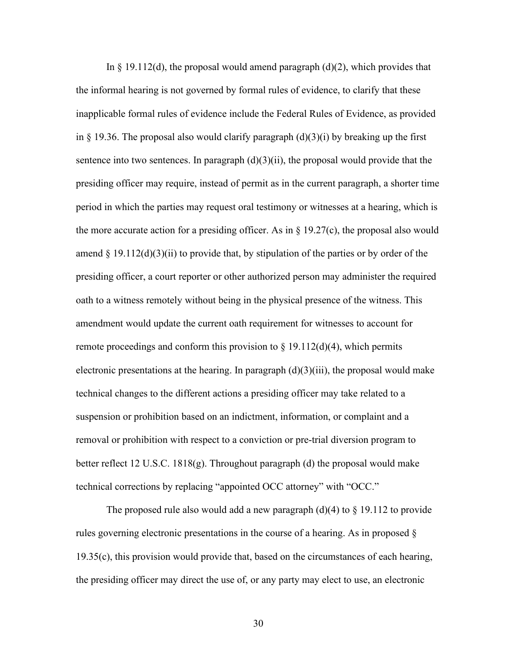In  $\S$  19.112(d), the proposal would amend paragraph (d)(2), which provides that the informal hearing is not governed by formal rules of evidence, to clarify that these inapplicable formal rules of evidence include the Federal Rules of Evidence, as provided in § 19.36. The proposal also would clarify paragraph  $(d)(3)(i)$  by breaking up the first sentence into two sentences. In paragraph  $(d)(3)(ii)$ , the proposal would provide that the presiding officer may require, instead of permit as in the current paragraph, a shorter time period in which the parties may request oral testimony or witnesses at a hearing, which is the more accurate action for a presiding officer. As in  $\S 19.27(c)$ , the proposal also would amend  $\S 19.112(d)(3)(ii)$  to provide that, by stipulation of the parties or by order of the presiding officer, a court reporter or other authorized person may administer the required oath to a witness remotely without being in the physical presence of the witness. This amendment would update the current oath requirement for witnesses to account for remote proceedings and conform this provision to  $\S 19.112(d)(4)$ , which permits electronic presentations at the hearing. In paragraph  $(d)(3)(iii)$ , the proposal would make technical changes to the different actions a presiding officer may take related to a suspension or prohibition based on an indictment, information, or complaint and a removal or prohibition with respect to a conviction or pre-trial diversion program to better reflect 12 U.S.C. 1818(g). Throughout paragraph (d) the proposal would make technical corrections by replacing "appointed OCC attorney" with "OCC."

The proposed rule also would add a new paragraph (d)(4) to  $\S$  19.112 to provide rules governing electronic presentations in the course of a hearing. As in proposed § 19.35(c), this provision would provide that, based on the circumstances of each hearing, the presiding officer may direct the use of, or any party may elect to use, an electronic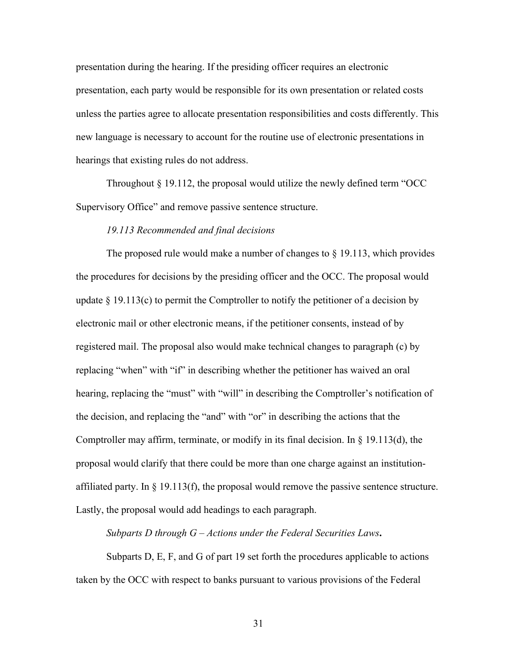presentation during the hearing. If the presiding officer requires an electronic presentation, each party would be responsible for its own presentation or related costs unless the parties agree to allocate presentation responsibilities and costs differently. This new language is necessary to account for the routine use of electronic presentations in hearings that existing rules do not address.

Throughout  $\S$  19.112, the proposal would utilize the newly defined term "OCC" Supervisory Office" and remove passive sentence structure.

#### *19.113 Recommended and final decisions*

The proposed rule would make a number of changes to  $\S$  19.113, which provides the procedures for decisions by the presiding officer and the OCC. The proposal would update  $\S 19.113(c)$  to permit the Comptroller to notify the petitioner of a decision by electronic mail or other electronic means, if the petitioner consents, instead of by registered mail. The proposal also would make technical changes to paragraph (c) by replacing "when" with "if" in describing whether the petitioner has waived an oral hearing, replacing the "must" with "will" in describing the Comptroller's notification of the decision, and replacing the "and" with "or" in describing the actions that the Comptroller may affirm, terminate, or modify in its final decision. In  $\S$  19.113(d), the proposal would clarify that there could be more than one charge against an institutionaffiliated party. In  $\S$  19.113(f), the proposal would remove the passive sentence structure. Lastly, the proposal would add headings to each paragraph.

*Subparts D through G – Actions under the Federal Securities Laws***.**

Subparts D, E, F, and G of part 19 set forth the procedures applicable to actions taken by the OCC with respect to banks pursuant to various provisions of the Federal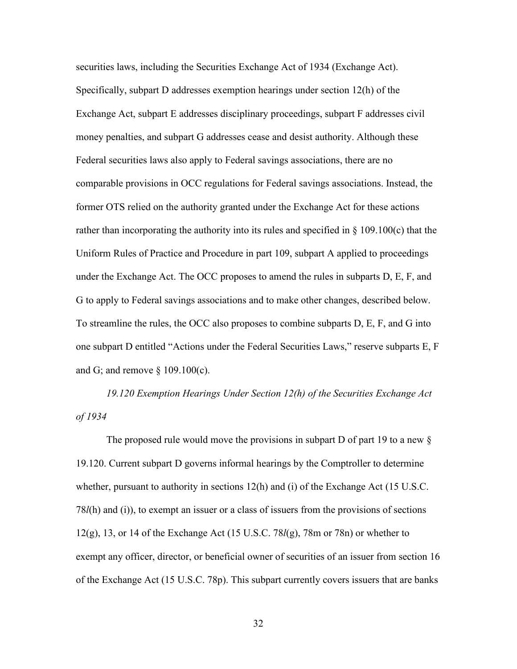securities laws, including the Securities Exchange Act of 1934 (Exchange Act). Specifically, subpart D addresses exemption hearings under section 12(h) of the Exchange Act, subpart E addresses disciplinary proceedings, subpart F addresses civil money penalties, and subpart G addresses cease and desist authority. Although these Federal securities laws also apply to Federal savings associations, there are no comparable provisions in OCC regulations for Federal savings associations. Instead, the former OTS relied on the authority granted under the Exchange Act for these actions rather than incorporating the authority into its rules and specified in  $\S$  109.100(c) that the Uniform Rules of Practice and Procedure in part 109, subpart A applied to proceedings under the Exchange Act. The OCC proposes to amend the rules in subparts D, E, F, and G to apply to Federal savings associations and to make other changes, described below. To streamline the rules, the OCC also proposes to combine subparts D, E, F, and G into one subpart D entitled "Actions under the Federal Securities Laws," reserve subparts E, F and G; and remove § 109.100(c).

*19.120 Exemption Hearings Under Section 12(h) of the Securities Exchange Act of 1934*

The proposed rule would move the provisions in subpart D of part 19 to a new § 19.120. Current subpart D governs informal hearings by the Comptroller to determine whether, pursuant to authority in sections 12(h) and (i) of the Exchange Act (15 U.S.C. 78*l*(h) and (i)), to exempt an issuer or a class of issuers from the provisions of sections 12(g), 13, or 14 of the Exchange Act (15 U.S.C. 78*l*(g), 78m or 78n) or whether to exempt any officer, director, or beneficial owner of securities of an issuer from section 16 of the Exchange Act (15 U.S.C. 78p). This subpart currently covers issuers that are banks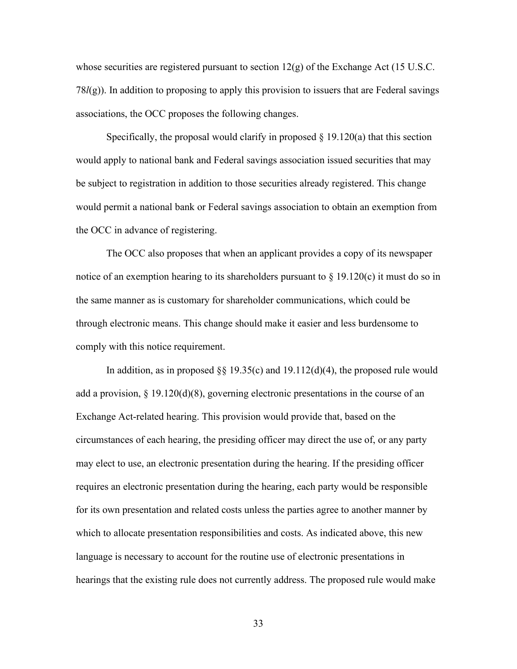whose securities are registered pursuant to section  $12(g)$  of the Exchange Act (15 U.S.C. 78*l*(g)). In addition to proposing to apply this provision to issuers that are Federal savings associations, the OCC proposes the following changes.

Specifically, the proposal would clarify in proposed  $\S$  19.120(a) that this section would apply to national bank and Federal savings association issued securities that may be subject to registration in addition to those securities already registered. This change would permit a national bank or Federal savings association to obtain an exemption from the OCC in advance of registering.

The OCC also proposes that when an applicant provides a copy of its newspaper notice of an exemption hearing to its shareholders pursuant to  $\S$  19.120(c) it must do so in the same manner as is customary for shareholder communications, which could be through electronic means. This change should make it easier and less burdensome to comply with this notice requirement.

In addition, as in proposed  $\S$  19.35(c) and 19.112(d)(4), the proposed rule would add a provision,  $\S 19.120(d)(8)$ , governing electronic presentations in the course of an Exchange Act-related hearing. This provision would provide that, based on the circumstances of each hearing, the presiding officer may direct the use of, or any party may elect to use, an electronic presentation during the hearing. If the presiding officer requires an electronic presentation during the hearing, each party would be responsible for its own presentation and related costs unless the parties agree to another manner by which to allocate presentation responsibilities and costs. As indicated above, this new language is necessary to account for the routine use of electronic presentations in hearings that the existing rule does not currently address. The proposed rule would make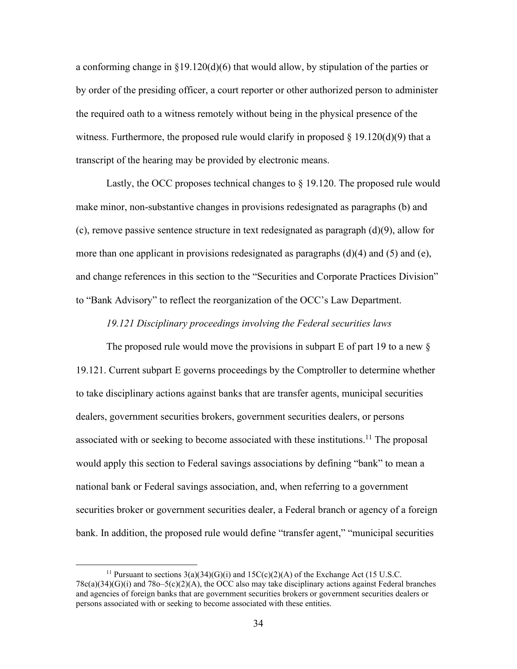a conforming change in  $\S19.120(d)(6)$  that would allow, by stipulation of the parties or by order of the presiding officer, a court reporter or other authorized person to administer the required oath to a witness remotely without being in the physical presence of the witness. Furthermore, the proposed rule would clarify in proposed  $\S$  19.120(d)(9) that a transcript of the hearing may be provided by electronic means.

Lastly, the OCC proposes technical changes to § 19.120. The proposed rule would make minor, non-substantive changes in provisions redesignated as paragraphs (b) and (c), remove passive sentence structure in text redesignated as paragraph  $(d)(9)$ , allow for more than one applicant in provisions redesignated as paragraphs  $(d)(4)$  and  $(5)$  and  $(e)$ , and change references in this section to the "Securities and Corporate Practices Division" to "Bank Advisory" to reflect the reorganization of the OCC's Law Department.

## *19.121 Disciplinary proceedings involving the Federal securities laws*

The proposed rule would move the provisions in subpart  $E$  of part 19 to a new  $\S$ 19.121. Current subpart E governs proceedings by the Comptroller to determine whether to take disciplinary actions against banks that are transfer agents, municipal securities dealers, government securities brokers, government securities dealers, or persons associated with or seeking to become associated with these institutions.<sup>11</sup> The proposal would apply this section to Federal savings associations by defining "bank" to mean a national bank or Federal savings association, and, when referring to a government securities broker or government securities dealer, a Federal branch or agency of a foreign bank. In addition, the proposed rule would define "transfer agent," "municipal securities

<sup>&</sup>lt;sup>11</sup> Pursuant to sections  $3(a)(34)(G)(i)$  and  $15C(c)(2)(A)$  of the Exchange Act (15 U.S.C.  $78c(a)(34)(G)(i)$  and  $78o-5(c)(2)(A)$ , the OCC also may take disciplinary actions against Federal branches and agencies of foreign banks that are government securities brokers or government securities dealers or persons associated with or seeking to become associated with these entities.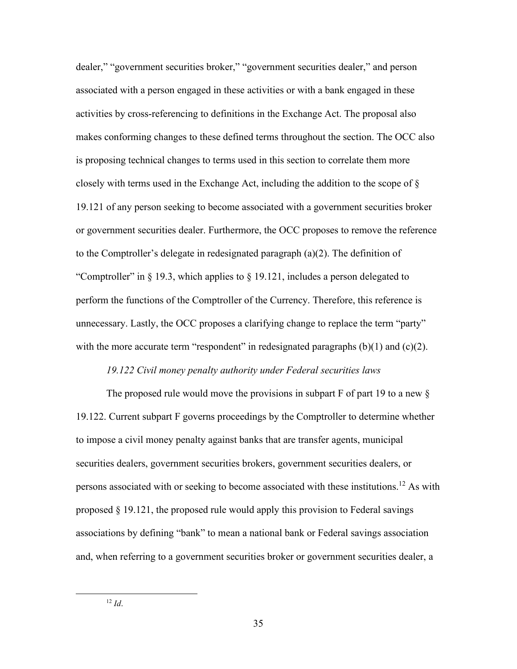dealer," "government securities broker," "government securities dealer," and person associated with a person engaged in these activities or with a bank engaged in these activities by cross-referencing to definitions in the Exchange Act. The proposal also makes conforming changes to these defined terms throughout the section. The OCC also is proposing technical changes to terms used in this section to correlate them more closely with terms used in the Exchange Act, including the addition to the scope of  $\S$ 19.121 of any person seeking to become associated with a government securities broker or government securities dealer. Furthermore, the OCC proposes to remove the reference to the Comptroller's delegate in redesignated paragraph  $(a)(2)$ . The definition of "Comptroller" in § 19.3, which applies to § 19.121, includes a person delegated to perform the functions of the Comptroller of the Currency. Therefore, this reference is unnecessary. Lastly, the OCC proposes a clarifying change to replace the term "party" with the more accurate term "respondent" in redesignated paragraphs  $(b)(1)$  and  $(c)(2)$ .

#### *19.122 Civil money penalty authority under Federal securities laws*

The proposed rule would move the provisions in subpart  $F$  of part 19 to a new  $\S$ 19.122. Current subpart F governs proceedings by the Comptroller to determine whether to impose a civil money penalty against banks that are transfer agents, municipal securities dealers, government securities brokers, government securities dealers, or persons associated with or seeking to become associated with these institutions.<sup>12</sup> As with proposed § 19.121, the proposed rule would apply this provision to Federal savings associations by defining "bank" to mean a national bank or Federal savings association and, when referring to a government securities broker or government securities dealer, a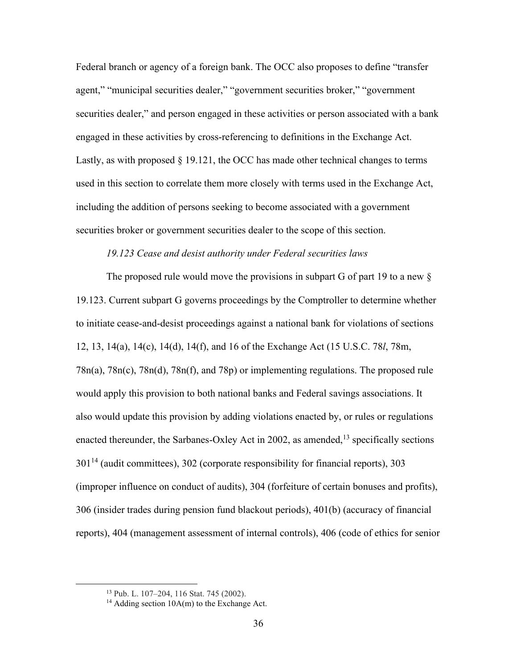Federal branch or agency of a foreign bank. The OCC also proposes to define "transfer agent," "municipal securities dealer," "government securities broker," "government securities dealer," and person engaged in these activities or person associated with a bank engaged in these activities by cross-referencing to definitions in the Exchange Act. Lastly, as with proposed  $\S$  19.121, the OCC has made other technical changes to terms used in this section to correlate them more closely with terms used in the Exchange Act, including the addition of persons seeking to become associated with a government securities broker or government securities dealer to the scope of this section.

## *19.123 Cease and desist authority under Federal securities laws*

The proposed rule would move the provisions in subpart G of part 19 to a new § 19.123. Current subpart G governs proceedings by the Comptroller to determine whether to initiate cease-and-desist proceedings against a national bank for violations of sections 12, 13, 14(a), 14(c), 14(d), 14(f), and 16 of the Exchange Act (15 U.S.C. 78*l*, 78m, 78n(a), 78n(c), 78n(d), 78n(f), and 78p) or implementing regulations. The proposed rule would apply this provision to both national banks and Federal savings associations. It also would update this provision by adding violations enacted by, or rules or regulations enacted thereunder, the Sarbanes-Oxley Act in 2002, as amended,  $^{13}$  specifically sections 301<sup>14</sup> (audit committees), 302 (corporate responsibility for financial reports), 303 (improper influence on conduct of audits), 304 (forfeiture of certain bonuses and profits), 306 (insider trades during pension fund blackout periods), 401(b) (accuracy of financial reports), 404 (management assessment of internal controls), 406 (code of ethics for senior

<sup>13</sup> Pub. L. 107–204, 116 Stat. 745 (2002).

<sup>&</sup>lt;sup>14</sup> Adding section  $10A(m)$  to the Exchange Act.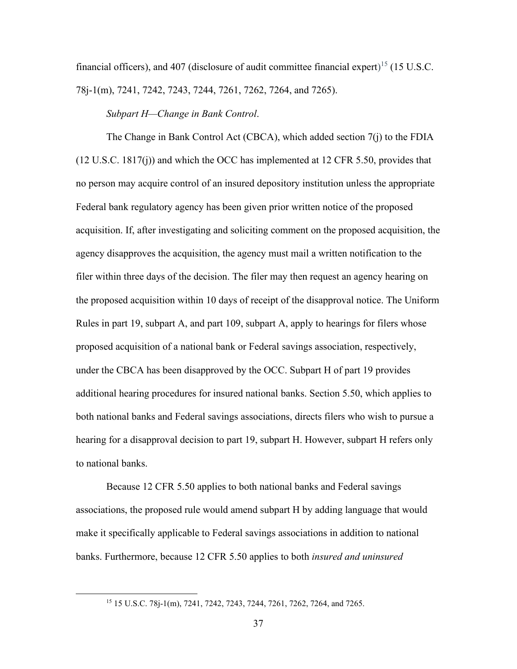financial officers), and 407 (disclosure of audit committee financial expert)<sup>15</sup> (15 U.S.C. 78j-1(m), 7241, 7242, 7243, 7244, 7261, 7262, 7264, and 7265).

*Subpart H—Change in Bank Control*.

The Change in Bank Control Act (CBCA), which added section 7(j) to the FDIA (12 U.S.C. 1817(j)) and which the OCC has implemented at 12 CFR 5.50, provides that no person may acquire control of an insured depository institution unless the appropriate Federal bank regulatory agency has been given prior written notice of the proposed acquisition. If, after investigating and soliciting comment on the proposed acquisition, the agency disapproves the acquisition, the agency must mail a written notification to the filer within three days of the decision. The filer may then request an agency hearing on the proposed acquisition within 10 days of receipt of the disapproval notice. The Uniform Rules in part 19, subpart A, and part 109, subpart A, apply to hearings for filers whose proposed acquisition of a national bank or Federal savings association, respectively, under the CBCA has been disapproved by the OCC. Subpart H of part 19 provides additional hearing procedures for insured national banks. Section 5.50, which applies to both national banks and Federal savings associations, directs filers who wish to pursue a hearing for a disapproval decision to part 19, subpart H. However, subpart H refers only to national banks.

Because 12 CFR 5.50 applies to both national banks and Federal savings associations, the proposed rule would amend subpart H by adding language that would make it specifically applicable to Federal savings associations in addition to national banks. Furthermore, because 12 CFR 5.50 applies to both *insured and uninsured*

<sup>15</sup> 15 U.S.C. 78j-1(m), 7241, 7242, 7243, 7244, 7261, 7262, 7264, and 7265.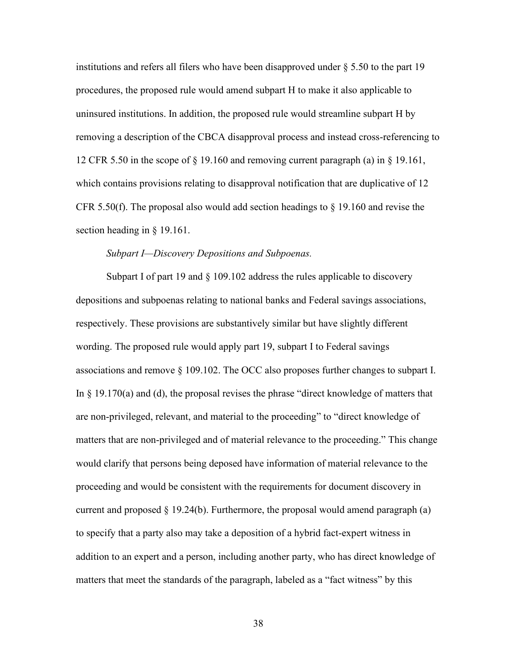institutions and refers all filers who have been disapproved under  $\S 5.50$  to the part 19 procedures, the proposed rule would amend subpart H to make it also applicable to uninsured institutions. In addition, the proposed rule would streamline subpart H by removing a description of the CBCA disapproval process and instead cross-referencing to 12 CFR 5.50 in the scope of  $\S$  19.160 and removing current paragraph (a) in  $\S$  19.161, which contains provisions relating to disapproval notification that are duplicative of 12 CFR 5.50(f). The proposal also would add section headings to  $\S$  19.160 and revise the section heading in § 19.161.

#### *Subpart I—Discovery Depositions and Subpoenas.*

Subpart I of part 19 and § 109.102 address the rules applicable to discovery depositions and subpoenas relating to national banks and Federal savings associations, respectively. These provisions are substantively similar but have slightly different wording. The proposed rule would apply part 19, subpart I to Federal savings associations and remove § 109.102. The OCC also proposes further changes to subpart I. In § 19.170(a) and (d), the proposal revises the phrase "direct knowledge of matters that are non-privileged, relevant, and material to the proceeding" to "direct knowledge of matters that are non-privileged and of material relevance to the proceeding." This change would clarify that persons being deposed have information of material relevance to the proceeding and would be consistent with the requirements for document discovery in current and proposed  $\S 19.24(b)$ . Furthermore, the proposal would amend paragraph (a) to specify that a party also may take a deposition of a hybrid fact-expert witness in addition to an expert and a person, including another party, who has direct knowledge of matters that meet the standards of the paragraph, labeled as a "fact witness" by this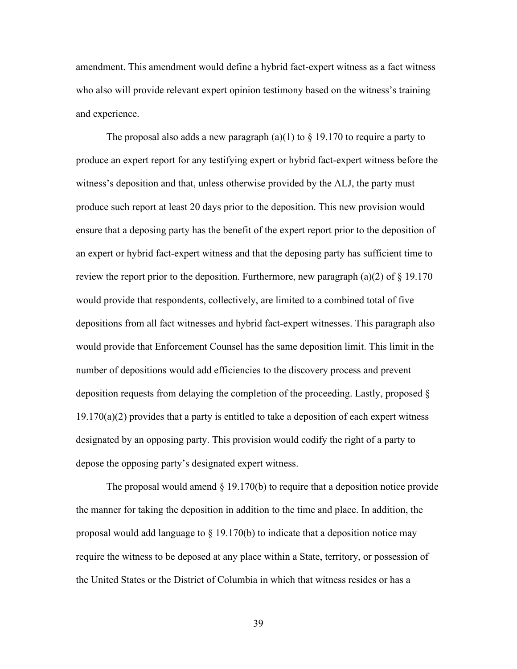amendment. This amendment would define a hybrid fact-expert witness as a fact witness who also will provide relevant expert opinion testimony based on the witness's training and experience.

The proposal also adds a new paragraph (a)(1) to  $\S$  19.170 to require a party to produce an expert report for any testifying expert or hybrid fact-expert witness before the witness's deposition and that, unless otherwise provided by the ALJ, the party must produce such report at least 20 days prior to the deposition. This new provision would ensure that a deposing party has the benefit of the expert report prior to the deposition of an expert or hybrid fact-expert witness and that the deposing party has sufficient time to review the report prior to the deposition. Furthermore, new paragraph (a)(2) of  $\S$  19.170 would provide that respondents, collectively, are limited to a combined total of five depositions from all fact witnesses and hybrid fact-expert witnesses. This paragraph also would provide that Enforcement Counsel has the same deposition limit. This limit in the number of depositions would add efficiencies to the discovery process and prevent deposition requests from delaying the completion of the proceeding. Lastly, proposed §  $19.170(a)(2)$  provides that a party is entitled to take a deposition of each expert witness designated by an opposing party. This provision would codify the right of a party to depose the opposing party's designated expert witness.

The proposal would amend  $\S$  19.170(b) to require that a deposition notice provide the manner for taking the deposition in addition to the time and place. In addition, the proposal would add language to  $\S$  19.170(b) to indicate that a deposition notice may require the witness to be deposed at any place within a State, territory, or possession of the United States or the District of Columbia in which that witness resides or has a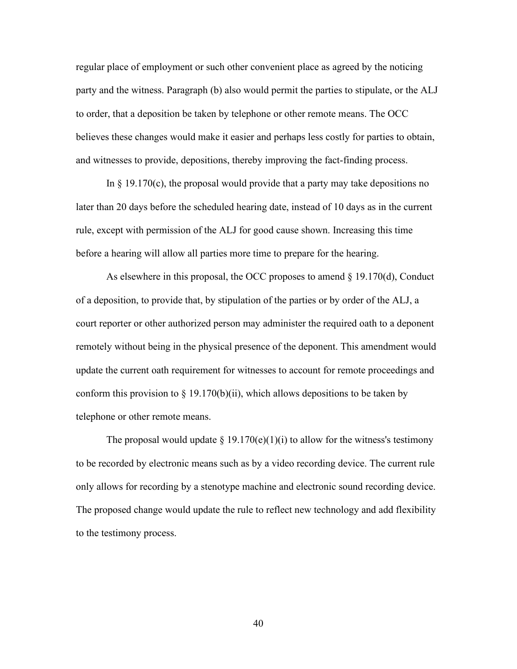regular place of employment or such other convenient place as agreed by the noticing party and the witness. Paragraph (b) also would permit the parties to stipulate, or the ALJ to order, that a deposition be taken by telephone or other remote means. The OCC believes these changes would make it easier and perhaps less costly for parties to obtain, and witnesses to provide, depositions, thereby improving the fact-finding process.

In  $\S$  19.170(c), the proposal would provide that a party may take depositions no later than 20 days before the scheduled hearing date, instead of 10 days as in the current rule, except with permission of the ALJ for good cause shown. Increasing this time before a hearing will allow all parties more time to prepare for the hearing.

As elsewhere in this proposal, the OCC proposes to amend  $\S$  19.170(d), Conduct of a deposition, to provide that, by stipulation of the parties or by order of the ALJ, a court reporter or other authorized person may administer the required oath to a deponent remotely without being in the physical presence of the deponent. This amendment would update the current oath requirement for witnesses to account for remote proceedings and conform this provision to  $\S 19.170(b)(ii)$ , which allows depositions to be taken by telephone or other remote means.

The proposal would update  $\S 19.170(e)(1)(i)$  to allow for the witness's testimony to be recorded by electronic means such as by a video recording device. The current rule only allows for recording by a stenotype machine and electronic sound recording device. The proposed change would update the rule to reflect new technology and add flexibility to the testimony process.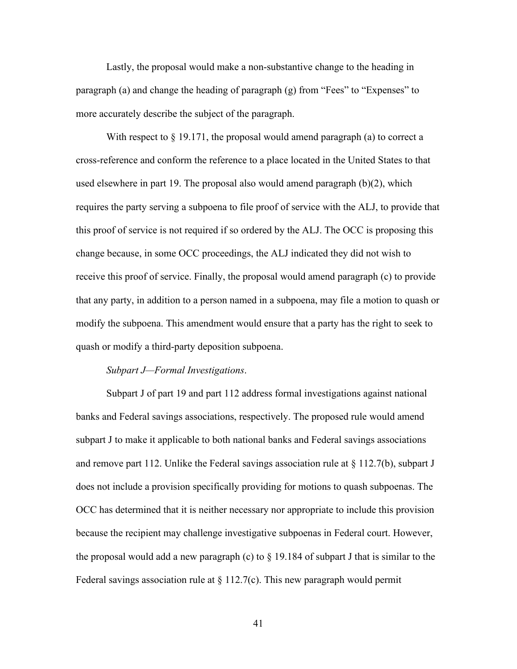Lastly, the proposal would make a non-substantive change to the heading in paragraph (a) and change the heading of paragraph (g) from "Fees" to "Expenses" to more accurately describe the subject of the paragraph.

With respect to § 19.171, the proposal would amend paragraph (a) to correct a cross-reference and conform the reference to a place located in the United States to that used elsewhere in part 19. The proposal also would amend paragraph (b)(2), which requires the party serving a subpoena to file proof of service with the ALJ, to provide that this proof of service is not required if so ordered by the ALJ. The OCC is proposing this change because, in some OCC proceedings, the ALJ indicated they did not wish to receive this proof of service. Finally, the proposal would amend paragraph (c) to provide that any party, in addition to a person named in a subpoena, may file a motion to quash or modify the subpoena. This amendment would ensure that a party has the right to seek to quash or modify a third-party deposition subpoena.

### *Subpart J—Formal Investigations*.

Subpart J of part 19 and part 112 address formal investigations against national banks and Federal savings associations, respectively. The proposed rule would amend subpart J to make it applicable to both national banks and Federal savings associations and remove part 112. Unlike the Federal savings association rule at  $\S 112.7(b)$ , subpart J does not include a provision specifically providing for motions to quash subpoenas. The OCC has determined that it is neither necessary nor appropriate to include this provision because the recipient may challenge investigative subpoenas in Federal court. However, the proposal would add a new paragraph (c) to  $\S$  19.184 of subpart J that is similar to the Federal savings association rule at  $\S 112.7(c)$ . This new paragraph would permit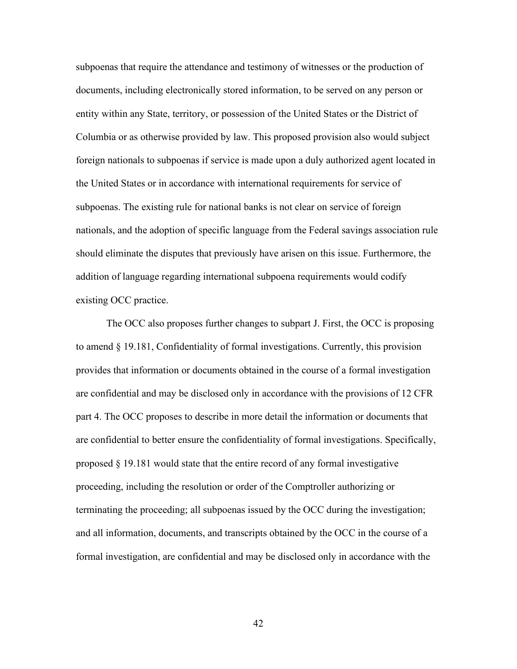subpoenas that require the attendance and testimony of witnesses or the production of documents, including electronically stored information, to be served on any person or entity within any State, territory, or possession of the United States or the District of Columbia or as otherwise provided by law. This proposed provision also would subject foreign nationals to subpoenas if service is made upon a duly authorized agent located in the United States or in accordance with international requirements for service of subpoenas. The existing rule for national banks is not clear on service of foreign nationals, and the adoption of specific language from the Federal savings association rule should eliminate the disputes that previously have arisen on this issue. Furthermore, the addition of language regarding international subpoena requirements would codify existing OCC practice.

The OCC also proposes further changes to subpart J. First, the OCC is proposing to amend § 19.181, Confidentiality of formal investigations. Currently, this provision provides that information or documents obtained in the course of a formal investigation are confidential and may be disclosed only in accordance with the provisions of 12 CFR part 4. The OCC proposes to describe in more detail the information or documents that are confidential to better ensure the confidentiality of formal investigations. Specifically, proposed § 19.181 would state that the entire record of any formal investigative proceeding, including the resolution or order of the Comptroller authorizing or terminating the proceeding; all subpoenas issued by the OCC during the investigation; and all information, documents, and transcripts obtained by the OCC in the course of a formal investigation, are confidential and may be disclosed only in accordance with the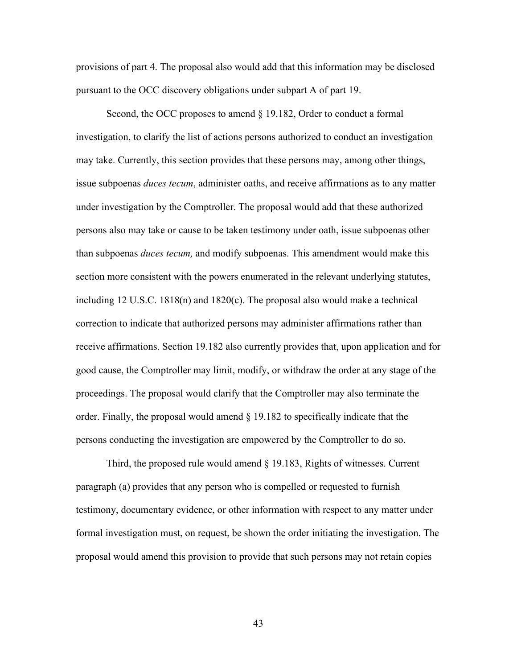provisions of part 4. The proposal also would add that this information may be disclosed pursuant to the OCC discovery obligations under subpart A of part 19.

Second, the OCC proposes to amend § 19.182, Order to conduct a formal investigation, to clarify the list of actions persons authorized to conduct an investigation may take. Currently, this section provides that these persons may, among other things, issue subpoenas *duces tecum*, administer oaths, and receive affirmations as to any matter under investigation by the Comptroller. The proposal would add that these authorized persons also may take or cause to be taken testimony under oath, issue subpoenas other than subpoenas *duces tecum,* and modify subpoenas. This amendment would make this section more consistent with the powers enumerated in the relevant underlying statutes, including 12 U.S.C. 1818(n) and 1820(c). The proposal also would make a technical correction to indicate that authorized persons may administer affirmations rather than receive affirmations. Section 19.182 also currently provides that, upon application and for good cause, the Comptroller may limit, modify, or withdraw the order at any stage of the proceedings. The proposal would clarify that the Comptroller may also terminate the order. Finally, the proposal would amend § 19.182 to specifically indicate that the persons conducting the investigation are empowered by the Comptroller to do so.

Third, the proposed rule would amend § 19.183, Rights of witnesses. Current paragraph (a) provides that any person who is compelled or requested to furnish testimony, documentary evidence, or other information with respect to any matter under formal investigation must, on request, be shown the order initiating the investigation. The proposal would amend this provision to provide that such persons may not retain copies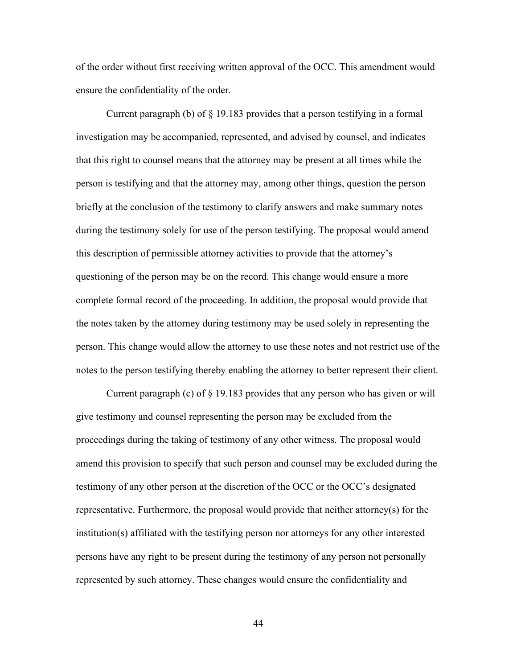of the order without first receiving written approval of the OCC. This amendment would ensure the confidentiality of the order.

Current paragraph (b) of  $\S$  19.183 provides that a person testifying in a formal investigation may be accompanied, represented, and advised by counsel, and indicates that this right to counsel means that the attorney may be present at all times while the person is testifying and that the attorney may, among other things, question the person briefly at the conclusion of the testimony to clarify answers and make summary notes during the testimony solely for use of the person testifying. The proposal would amend this description of permissible attorney activities to provide that the attorney's questioning of the person may be on the record. This change would ensure a more complete formal record of the proceeding. In addition, the proposal would provide that the notes taken by the attorney during testimony may be used solely in representing the person. This change would allow the attorney to use these notes and not restrict use of the notes to the person testifying thereby enabling the attorney to better represent their client.

Current paragraph (c) of  $\S$  19.183 provides that any person who has given or will give testimony and counsel representing the person may be excluded from the proceedings during the taking of testimony of any other witness. The proposal would amend this provision to specify that such person and counsel may be excluded during the testimony of any other person at the discretion of the OCC or the OCC's designated representative. Furthermore, the proposal would provide that neither attorney(s) for the institution(s) affiliated with the testifying person nor attorneys for any other interested persons have any right to be present during the testimony of any person not personally represented by such attorney. These changes would ensure the confidentiality and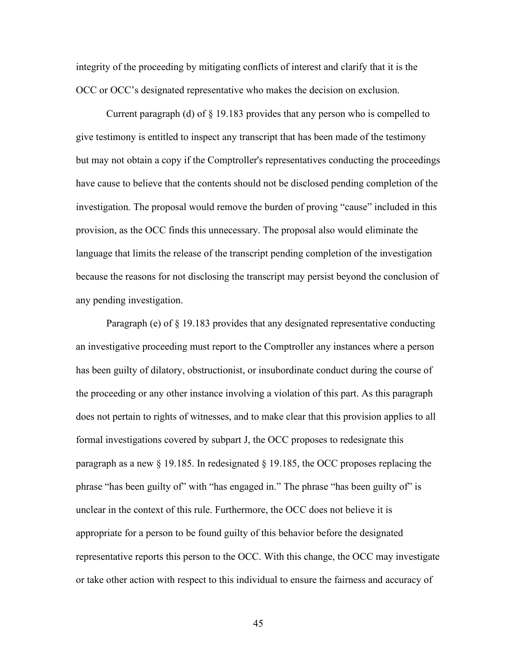integrity of the proceeding by mitigating conflicts of interest and clarify that it is the OCC or OCC's designated representative who makes the decision on exclusion.

Current paragraph (d) of § 19.183 provides that any person who is compelled to give testimony is entitled to inspect any transcript that has been made of the testimony but may not obtain a copy if the Comptroller's representatives conducting the proceedings have cause to believe that the contents should not be disclosed pending completion of the investigation. The proposal would remove the burden of proving "cause" included in this provision, as the OCC finds this unnecessary. The proposal also would eliminate the language that limits the release of the transcript pending completion of the investigation because the reasons for not disclosing the transcript may persist beyond the conclusion of any pending investigation.

Paragraph (e) of § 19.183 provides that any designated representative conducting an investigative proceeding must report to the Comptroller any instances where a person has been guilty of dilatory, obstructionist, or insubordinate conduct during the course of the proceeding or any other instance involving a violation of this part. As this paragraph does not pertain to rights of witnesses, and to make clear that this provision applies to all formal investigations covered by subpart J, the OCC proposes to redesignate this paragraph as a new § 19.185. In redesignated § 19.185, the OCC proposes replacing the phrase "has been guilty of" with "has engaged in." The phrase "has been guilty of" is unclear in the context of this rule. Furthermore, the OCC does not believe it is appropriate for a person to be found guilty of this behavior before the designated representative reports this person to the OCC. With this change, the OCC may investigate or take other action with respect to this individual to ensure the fairness and accuracy of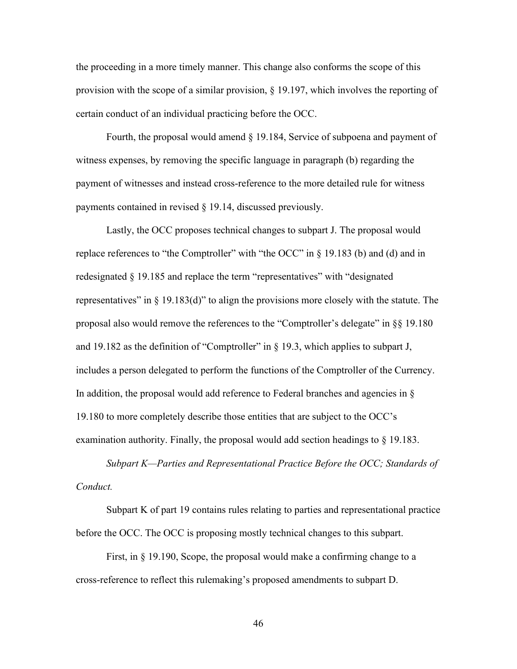the proceeding in a more timely manner. This change also conforms the scope of this provision with the scope of a similar provision, § 19.197, which involves the reporting of certain conduct of an individual practicing before the OCC.

Fourth, the proposal would amend § 19.184, Service of subpoena and payment of witness expenses, by removing the specific language in paragraph (b) regarding the payment of witnesses and instead cross-reference to the more detailed rule for witness payments contained in revised § 19.14, discussed previously.

Lastly, the OCC proposes technical changes to subpart J. The proposal would replace references to "the Comptroller" with "the OCC" in § 19.183 (b) and (d) and in redesignated § 19.185 and replace the term "representatives" with "designated representatives" in  $\S$  19.183(d)" to align the provisions more closely with the statute. The proposal also would remove the references to the "Comptroller's delegate" in §§ 19.180 and 19.182 as the definition of "Comptroller" in § 19.3, which applies to subpart J, includes a person delegated to perform the functions of the Comptroller of the Currency. In addition, the proposal would add reference to Federal branches and agencies in  $\S$ 19.180 to more completely describe those entities that are subject to the OCC's examination authority. Finally, the proposal would add section headings to § 19.183.

*Subpart K—Parties and Representational Practice Before the OCC; Standards of Conduct.*

Subpart K of part 19 contains rules relating to parties and representational practice before the OCC. The OCC is proposing mostly technical changes to this subpart.

First, in § 19.190, Scope, the proposal would make a confirming change to a cross-reference to reflect this rulemaking's proposed amendments to subpart D.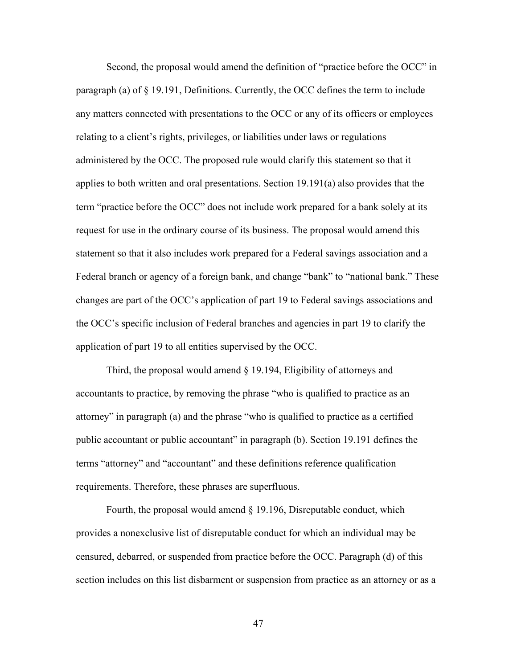Second, the proposal would amend the definition of "practice before the OCC" in paragraph (a) of  $\S$  19.191, Definitions. Currently, the OCC defines the term to include any matters connected with presentations to the OCC or any of its officers or employees relating to a client's rights, privileges, or liabilities under laws or regulations administered by the OCC. The proposed rule would clarify this statement so that it applies to both written and oral presentations. Section 19.191(a) also provides that the term "practice before the OCC" does not include work prepared for a bank solely at its request for use in the ordinary course of its business. The proposal would amend this statement so that it also includes work prepared for a Federal savings association and a Federal branch or agency of a foreign bank, and change "bank" to "national bank." These changes are part of the OCC's application of part 19 to Federal savings associations and the OCC's specific inclusion of Federal branches and agencies in part 19 to clarify the application of part 19 to all entities supervised by the OCC.

Third, the proposal would amend § 19.194, Eligibility of attorneys and accountants to practice, by removing the phrase "who is qualified to practice as an attorney" in paragraph (a) and the phrase "who is qualified to practice as a certified public accountant or public accountant" in paragraph (b). Section 19.191 defines the terms "attorney" and "accountant" and these definitions reference qualification requirements. Therefore, these phrases are superfluous.

Fourth, the proposal would amend § 19.196, Disreputable conduct, which provides a nonexclusive list of disreputable conduct for which an individual may be censured, debarred, or suspended from practice before the OCC. Paragraph (d) of this section includes on this list disbarment or suspension from practice as an attorney or as a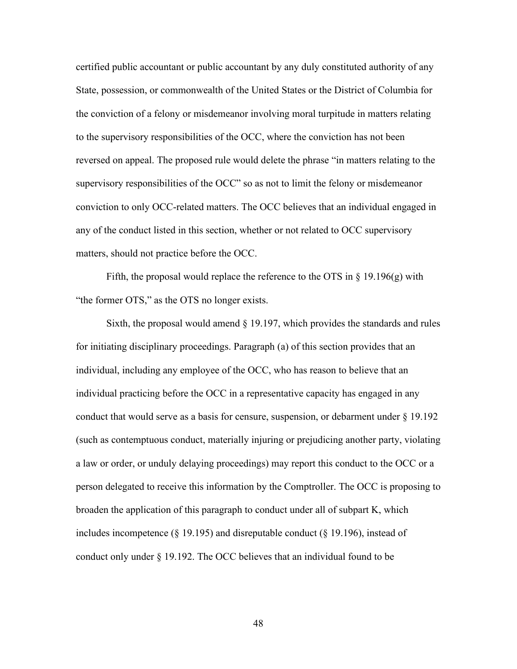certified public accountant or public accountant by any duly constituted authority of any State, possession, or commonwealth of the United States or the District of Columbia for the conviction of a felony or misdemeanor involving moral turpitude in matters relating to the supervisory responsibilities of the OCC, where the conviction has not been reversed on appeal. The proposed rule would delete the phrase "in matters relating to the supervisory responsibilities of the OCC" so as not to limit the felony or misdemeanor conviction to only OCC-related matters. The OCC believes that an individual engaged in any of the conduct listed in this section, whether or not related to OCC supervisory matters, should not practice before the OCC.

Fifth, the proposal would replace the reference to the OTS in  $\S$  19.196(g) with "the former OTS," as the OTS no longer exists.

Sixth, the proposal would amend § 19.197, which provides the standards and rules for initiating disciplinary proceedings. Paragraph (a) of this section provides that an individual, including any employee of the OCC, who has reason to believe that an individual practicing before the OCC in a representative capacity has engaged in any conduct that would serve as a basis for censure, suspension, or debarment under § 19.192 (such as contemptuous conduct, materially injuring or prejudicing another party, violating a law or order, or unduly delaying proceedings) may report this conduct to the OCC or a person delegated to receive this information by the Comptroller. The OCC is proposing to broaden the application of this paragraph to conduct under all of subpart K, which includes incompetence (§ 19.195) and disreputable conduct (§ 19.196), instead of conduct only under § 19.192. The OCC believes that an individual found to be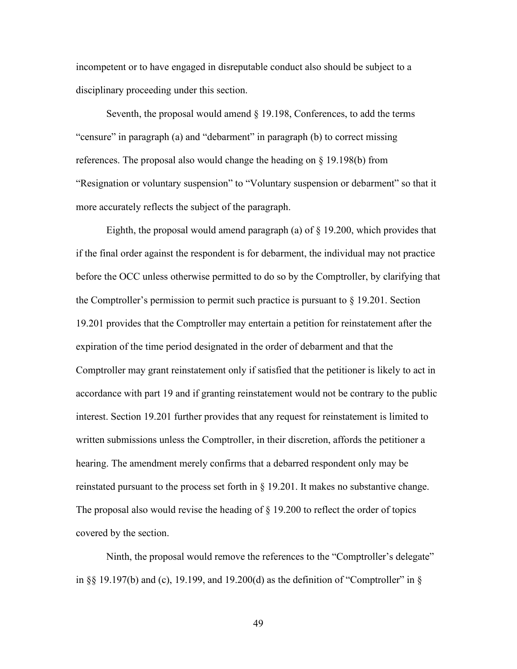incompetent or to have engaged in disreputable conduct also should be subject to a disciplinary proceeding under this section.

Seventh, the proposal would amend § 19.198, Conferences, to add the terms "censure" in paragraph (a) and "debarment" in paragraph (b) to correct missing references. The proposal also would change the heading on § 19.198(b) from "Resignation or voluntary suspension" to "Voluntary suspension or debarment" so that it more accurately reflects the subject of the paragraph.

Eighth, the proposal would amend paragraph (a) of § 19.200, which provides that if the final order against the respondent is for debarment, the individual may not practice before the OCC unless otherwise permitted to do so by the Comptroller, by clarifying that the Comptroller's permission to permit such practice is pursuant to  $\S$  19.201. Section 19.201 provides that the Comptroller may entertain a petition for reinstatement after the expiration of the time period designated in the order of debarment and that the Comptroller may grant reinstatement only if satisfied that the petitioner is likely to act in accordance with part 19 and if granting reinstatement would not be contrary to the public interest. Section 19.201 further provides that any request for reinstatement is limited to written submissions unless the Comptroller, in their discretion, affords the petitioner a hearing. The amendment merely confirms that a debarred respondent only may be reinstated pursuant to the process set forth in § 19.201. It makes no substantive change. The proposal also would revise the heading of § 19.200 to reflect the order of topics covered by the section.

Ninth, the proposal would remove the references to the "Comptroller's delegate" in §§ 19.197(b) and (c), 19.199, and 19.200(d) as the definition of "Comptroller" in §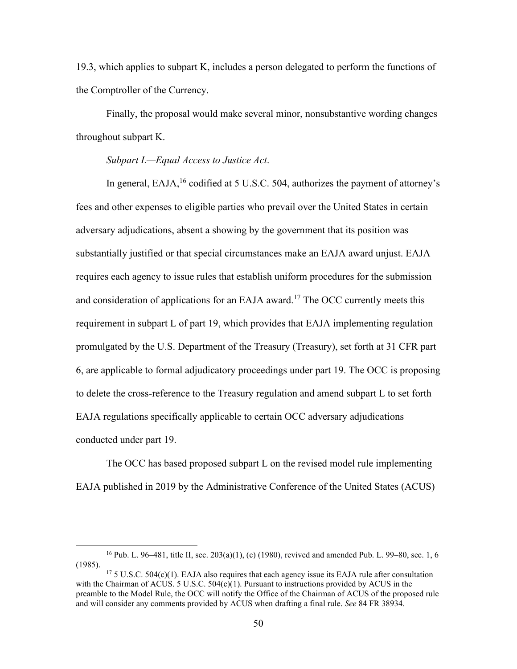19.3, which applies to subpart K, includes a person delegated to perform the functions of the Comptroller of the Currency.

Finally, the proposal would make several minor, nonsubstantive wording changes throughout subpart K.

### *Subpart L—Equal Access to Justice Act*.

In general,  $E A J A$ , <sup>16</sup> codified at 5 U.S.C. 504, authorizes the payment of attorney's fees and other expenses to eligible parties who prevail over the United States in certain adversary adjudications, absent a showing by the government that its position was substantially justified or that special circumstances make an EAJA award unjust. EAJA requires each agency to issue rules that establish uniform procedures for the submission and consideration of applications for an EAJA award.<sup>17</sup> The OCC currently meets this requirement in subpart L of part 19, which provides that EAJA implementing regulation promulgated by the U.S. Department of the Treasury (Treasury), set forth at 31 CFR part 6, are applicable to formal adjudicatory proceedings under part 19. The OCC is proposing to delete the cross-reference to the Treasury regulation and amend subpart L to set forth EAJA regulations specifically applicable to certain OCC adversary adjudications conducted under part 19.

The OCC has based proposed subpart L on the revised model rule implementing EAJA published in 2019 by the Administrative Conference of the United States (ACUS)

<sup>&</sup>lt;sup>16</sup> Pub. L. 96–481, title II, sec. 203(a)(1), (c) (1980), revived and amended Pub. L. 99–80, sec. 1, 6 (1985).

 $17\,5$  U.S.C. 504(c)(1). EAJA also requires that each agency issue its EAJA rule after consultation with the Chairman of ACUS.  $5 \text{ U.S. C. } 504 \text{ (c)}(1)$ . Pursuant to instructions provided by ACUS in the preamble to the Model Rule, the OCC will notify the Office of the Chairman of ACUS of the proposed rule and will consider any comments provided by ACUS when drafting a final rule. *See* 84 FR 38934.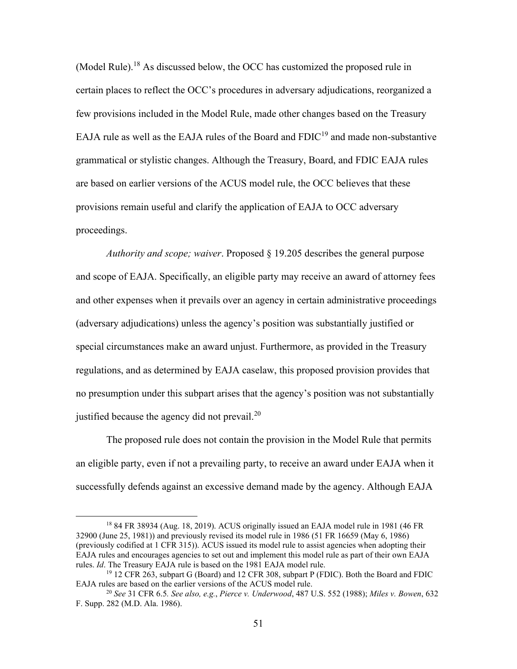(Model Rule).<sup>18</sup> As discussed below, the OCC has customized the proposed rule in certain places to reflect the OCC's procedures in adversary adjudications, reorganized a few provisions included in the Model Rule, made other changes based on the Treasury EAJA rule as well as the EAJA rules of the Board and  $FDIC<sup>19</sup>$  and made non-substantive grammatical or stylistic changes. Although the Treasury, Board, and FDIC EAJA rules are based on earlier versions of the ACUS model rule, the OCC believes that these provisions remain useful and clarify the application of EAJA to OCC adversary proceedings.

*Authority and scope; waiver*. Proposed § 19.205 describes the general purpose and scope of EAJA. Specifically, an eligible party may receive an award of attorney fees and other expenses when it prevails over an agency in certain administrative proceedings (adversary adjudications) unless the agency's position was substantially justified or special circumstances make an award unjust. Furthermore, as provided in the Treasury regulations, and as determined by EAJA caselaw, this proposed provision provides that no presumption under this subpart arises that the agency's position was not substantially justified because the agency did not prevail.<sup>20</sup>

The proposed rule does not contain the provision in the Model Rule that permits an eligible party, even if not a prevailing party, to receive an award under EAJA when it successfully defends against an excessive demand made by the agency. Although EAJA

<sup>18</sup> 84 FR 38934 (Aug. 18, 2019). ACUS originally issued an EAJA model rule in 1981 (46 FR 32900 (June 25, 1981)) and previously revised its model rule in 1986 (51 FR 16659 (May 6, 1986) (previously codified at 1 CFR 315)). ACUS issued its model rule to assist agencies when adopting their EAJA rules and encourages agencies to set out and implement this model rule as part of their own EAJA rules. *Id*. The Treasury EAJA rule is based on the 1981 EAJA model rule.

<sup>19</sup> 12 CFR 263, subpart G (Board) and 12 CFR 308, subpart P (FDIC). Both the Board and FDIC EAJA rules are based on the earlier versions of the ACUS model rule.

<sup>20</sup> *See* 31 CFR 6.5*. See also, e.g.*, *Pierce v. Underwood*, 487 U.S. 552 (1988); *Miles v. Bowen*, 632 F. Supp. 282 (M.D. Ala. 1986).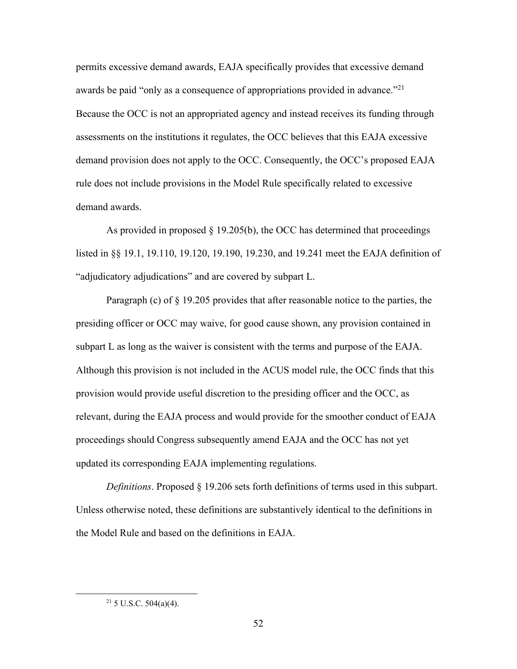permits excessive demand awards, EAJA specifically provides that excessive demand awards be paid "only as a consequence of appropriations provided in advance."<sup>21</sup> Because the OCC is not an appropriated agency and instead receives its funding through assessments on the institutions it regulates, the OCC believes that this EAJA excessive demand provision does not apply to the OCC. Consequently, the OCC's proposed EAJA rule does not include provisions in the Model Rule specifically related to excessive demand awards.

As provided in proposed  $\S$  19.205(b), the OCC has determined that proceedings listed in §§ 19.1, 19.110, 19.120, 19.190, 19.230, and 19.241 meet the EAJA definition of "adjudicatory adjudications" and are covered by subpart L.

Paragraph (c) of § 19.205 provides that after reasonable notice to the parties, the presiding officer or OCC may waive, for good cause shown, any provision contained in subpart L as long as the waiver is consistent with the terms and purpose of the EAJA. Although this provision is not included in the ACUS model rule, the OCC finds that this provision would provide useful discretion to the presiding officer and the OCC, as relevant, during the EAJA process and would provide for the smoother conduct of EAJA proceedings should Congress subsequently amend EAJA and the OCC has not yet updated its corresponding EAJA implementing regulations.

*Definitions*. Proposed § 19.206 sets forth definitions of terms used in this subpart. Unless otherwise noted, these definitions are substantively identical to the definitions in the Model Rule and based on the definitions in EAJA.

 $21$  5 U.S.C. 504(a)(4).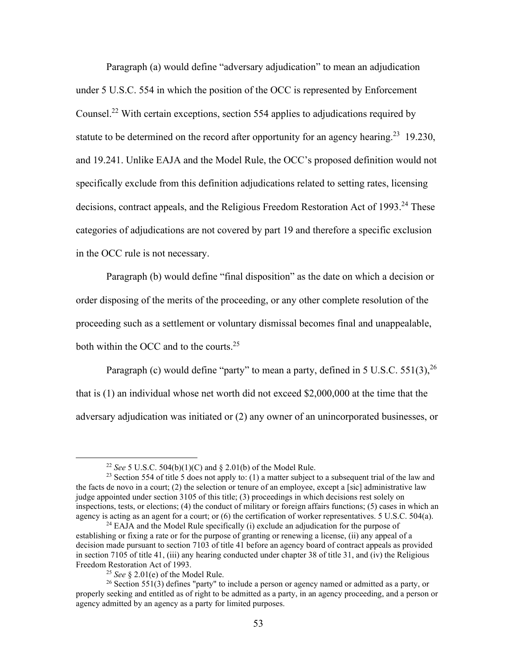Paragraph (a) would define "adversary adjudication" to mean an adjudication under 5 U.S.C. 554 in which the position of the OCC is represented by Enforcement Counsel.<sup>22</sup> With certain exceptions, section 554 applies to adjudications required by statute to be determined on the record after opportunity for an agency hearing.<sup>23</sup> 19.230, and 19.241. Unlike EAJA and the Model Rule, the OCC's proposed definition would not specifically exclude from this definition adjudications related to setting rates, licensing decisions, contract appeals, and the Religious Freedom Restoration Act of 1993.<sup>24</sup> These categories of adjudications are not covered by part 19 and therefore a specific exclusion in the OCC rule is not necessary.

Paragraph (b) would define "final disposition" as the date on which a decision or order disposing of the merits of the proceeding, or any other complete resolution of the proceeding such as a settlement or voluntary dismissal becomes final and unappealable, both within the OCC and to the courts.<sup>25</sup>

Paragraph (c) would define "party" to mean a party, defined in 5 U.S.C. 551(3),  $^{26}$ that is (1) an individual whose net worth did not exceed \$2,000,000 at the time that the adversary adjudication was initiated or (2) any owner of an unincorporated businesses, or

<sup>22</sup> *See* 5 U.S.C. 504(b)(1)(C) and § 2.01(b) of the Model Rule.

<sup>&</sup>lt;sup>23</sup> Section 554 of title 5 does not apply to: (1) a matter subject to a subsequent trial of the law and the facts de novo in a court; (2) the selection or tenure of an employee, except a [sic] administrative law judge appointed under section 3105 of this title; (3) proceedings in which decisions rest solely on inspections, tests, or elections; (4) the conduct of military or foreign affairs functions; (5) cases in which an agency is acting as an agent for a court; or (6) the certification of worker representatives. 5 U.S.C. 504(a).

<sup>&</sup>lt;sup>24</sup> EAJA and the Model Rule specifically (i) exclude an adjudication for the purpose of establishing or fixing a rate or for the purpose of granting or renewing a license, (ii) any appeal of a decision made pursuant to section 7103 of title 41 before an agency board of contract appeals as provided in section 7105 of title 41, (iii) any hearing conducted under chapter 38 of title 31, and (iv) the Religious Freedom Restoration Act of 1993.

<sup>25</sup> *See* § 2.01(e) of the Model Rule.

<sup>&</sup>lt;sup>26</sup> Section 551(3) defines "party" to include a person or agency named or admitted as a party, or properly seeking and entitled as of right to be admitted as a party, in an agency proceeding, and a person or agency admitted by an agency as a party for limited purposes.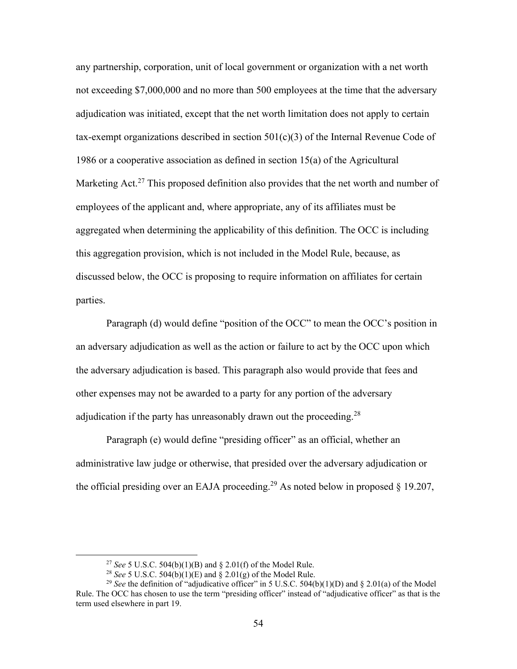any partnership, corporation, unit of local government or organization with a net worth not exceeding \$7,000,000 and no more than 500 employees at the time that the adversary adjudication was initiated, except that the net worth limitation does not apply to certain tax-exempt organizations described in section  $501(c)(3)$  of the Internal Revenue Code of 1986 or a cooperative association as defined in section 15(a) of the Agricultural Marketing Act.<sup>27</sup> This proposed definition also provides that the net worth and number of employees of the applicant and, where appropriate, any of its affiliates must be aggregated when determining the applicability of this definition. The OCC is including this aggregation provision, which is not included in the Model Rule, because, as discussed below, the OCC is proposing to require information on affiliates for certain parties.

Paragraph (d) would define "position of the OCC" to mean the OCC's position in an adversary adjudication as well as the action or failure to act by the OCC upon which the adversary adjudication is based. This paragraph also would provide that fees and other expenses may not be awarded to a party for any portion of the adversary adjudication if the party has unreasonably drawn out the proceeding.<sup>28</sup>

Paragraph (e) would define "presiding officer" as an official, whether an administrative law judge or otherwise, that presided over the adversary adjudication or the official presiding over an EAJA proceeding.<sup>29</sup> As noted below in proposed  $\S$  19.207,

<sup>27</sup> *See* 5 U.S.C. 504(b)(1)(B) and § 2.01(f) of the Model Rule.

<sup>28</sup> *See* 5 U.S.C. 504(b)(1)(E) and § 2.01(g) of the Model Rule.

<sup>&</sup>lt;sup>29</sup> *See* the definition of "adjudicative officer" in 5 U.S.C. 504(b)(1)(D) and § 2.01(a) of the Model Rule. The OCC has chosen to use the term "presiding officer" instead of "adjudicative officer" as that is the term used elsewhere in part 19.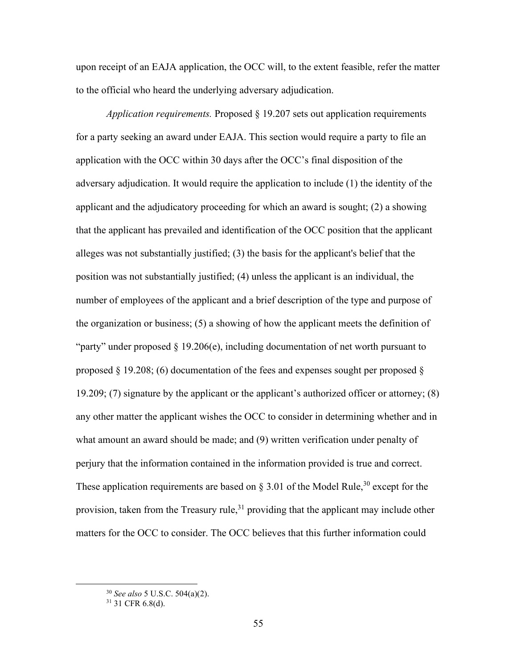upon receipt of an EAJA application, the OCC will, to the extent feasible, refer the matter to the official who heard the underlying adversary adjudication.

*Application requirements.* Proposed § 19.207 sets out application requirements for a party seeking an award under EAJA. This section would require a party to file an application with the OCC within 30 days after the OCC's final disposition of the adversary adjudication. It would require the application to include (1) the identity of the applicant and the adjudicatory proceeding for which an award is sought; (2) a showing that the applicant has prevailed and identification of the OCC position that the applicant alleges was not substantially justified; (3) the basis for the applicant's belief that the position was not substantially justified; (4) unless the applicant is an individual, the number of employees of the applicant and a brief description of the type and purpose of the organization or business; (5) a showing of how the applicant meets the definition of "party" under proposed § 19.206(e), including documentation of net worth pursuant to proposed  $\S$  19.208; (6) documentation of the fees and expenses sought per proposed  $\S$ 19.209; (7) signature by the applicant or the applicant's authorized officer or attorney; (8) any other matter the applicant wishes the OCC to consider in determining whether and in what amount an award should be made; and (9) written verification under penalty of perjury that the information contained in the information provided is true and correct. These application requirements are based on  $\S 3.01$  of the Model Rule,<sup>30</sup> except for the provision, taken from the Treasury rule,  $31$  providing that the applicant may include other matters for the OCC to consider. The OCC believes that this further information could

<sup>30</sup> *See also* 5 U.S.C. 504(a)(2).

<sup>31</sup> 31 CFR 6.8(d).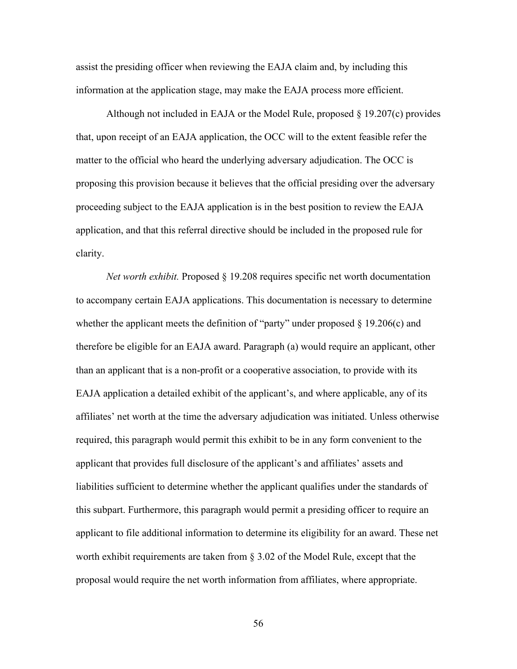assist the presiding officer when reviewing the EAJA claim and, by including this information at the application stage, may make the EAJA process more efficient.

Although not included in EAJA or the Model Rule, proposed § 19.207(c) provides that, upon receipt of an EAJA application, the OCC will to the extent feasible refer the matter to the official who heard the underlying adversary adjudication. The OCC is proposing this provision because it believes that the official presiding over the adversary proceeding subject to the EAJA application is in the best position to review the EAJA application, and that this referral directive should be included in the proposed rule for clarity.

*Net worth exhibit.* Proposed § 19.208 requires specific net worth documentation to accompany certain EAJA applications. This documentation is necessary to determine whether the applicant meets the definition of "party" under proposed  $\S$  19.206(c) and therefore be eligible for an EAJA award. Paragraph (a) would require an applicant, other than an applicant that is a non-profit or a cooperative association, to provide with its EAJA application a detailed exhibit of the applicant's, and where applicable, any of its affiliates' net worth at the time the adversary adjudication was initiated. Unless otherwise required, this paragraph would permit this exhibit to be in any form convenient to the applicant that provides full disclosure of the applicant's and affiliates' assets and liabilities sufficient to determine whether the applicant qualifies under the standards of this subpart. Furthermore, this paragraph would permit a presiding officer to require an applicant to file additional information to determine its eligibility for an award. These net worth exhibit requirements are taken from § 3.02 of the Model Rule, except that the proposal would require the net worth information from affiliates, where appropriate.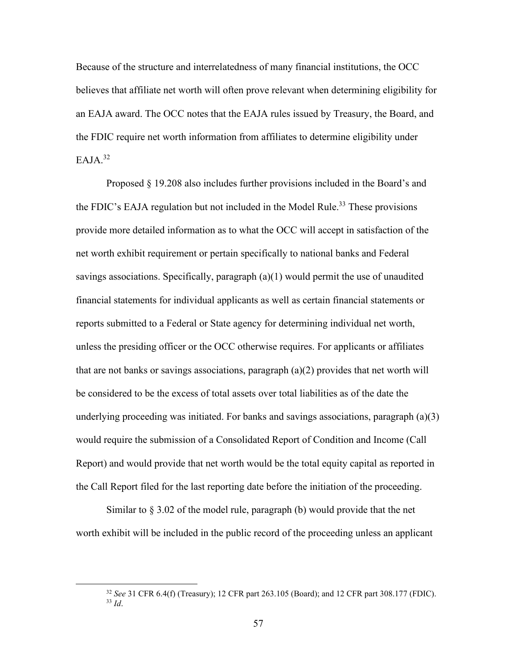Because of the structure and interrelatedness of many financial institutions, the OCC believes that affiliate net worth will often prove relevant when determining eligibility for an EAJA award. The OCC notes that the EAJA rules issued by Treasury, the Board, and the FDIC require net worth information from affiliates to determine eligibility under  $EAJA.<sup>32</sup>$ 

Proposed § 19.208 also includes further provisions included in the Board's and the FDIC's EAJA regulation but not included in the Model Rule.<sup>33</sup> These provisions provide more detailed information as to what the OCC will accept in satisfaction of the net worth exhibit requirement or pertain specifically to national banks and Federal savings associations. Specifically, paragraph (a)(1) would permit the use of unaudited financial statements for individual applicants as well as certain financial statements or reports submitted to a Federal or State agency for determining individual net worth, unless the presiding officer or the OCC otherwise requires. For applicants or affiliates that are not banks or savings associations, paragraph  $(a)(2)$  provides that net worth will be considered to be the excess of total assets over total liabilities as of the date the underlying proceeding was initiated. For banks and savings associations, paragraph  $(a)(3)$ would require the submission of a Consolidated Report of Condition and Income (Call Report) and would provide that net worth would be the total equity capital as reported in the Call Report filed for the last reporting date before the initiation of the proceeding.

Similar to § 3.02 of the model rule, paragraph (b) would provide that the net worth exhibit will be included in the public record of the proceeding unless an applicant

<sup>32</sup> *See* 31 CFR 6.4(f) (Treasury); 12 CFR part 263.105 (Board); and 12 CFR part 308.177 (FDIC). <sup>33</sup> *Id*.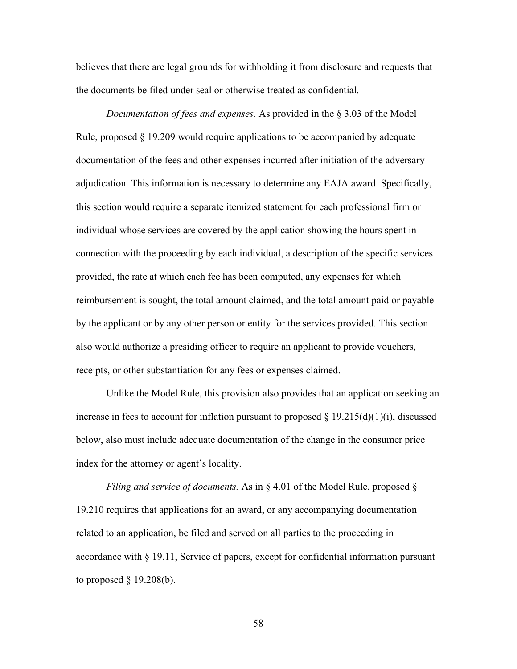believes that there are legal grounds for withholding it from disclosure and requests that the documents be filed under seal or otherwise treated as confidential.

*Documentation of fees and expenses.* As provided in the § 3.03 of the Model Rule, proposed § 19.209 would require applications to be accompanied by adequate documentation of the fees and other expenses incurred after initiation of the adversary adjudication. This information is necessary to determine any EAJA award. Specifically, this section would require a separate itemized statement for each professional firm or individual whose services are covered by the application showing the hours spent in connection with the proceeding by each individual, a description of the specific services provided, the rate at which each fee has been computed, any expenses for which reimbursement is sought, the total amount claimed, and the total amount paid or payable by the applicant or by any other person or entity for the services provided. This section also would authorize a presiding officer to require an applicant to provide vouchers, receipts, or other substantiation for any fees or expenses claimed.

Unlike the Model Rule, this provision also provides that an application seeking an increase in fees to account for inflation pursuant to proposed  $\S 19.215(d)(1)(i)$ , discussed below, also must include adequate documentation of the change in the consumer price index for the attorney or agent's locality.

*Filing and service of documents.* As in § 4.01 of the Model Rule, proposed § 19.210 requires that applications for an award, or any accompanying documentation related to an application, be filed and served on all parties to the proceeding in accordance with § 19.11, Service of papers, except for confidential information pursuant to proposed  $\S$  19.208(b).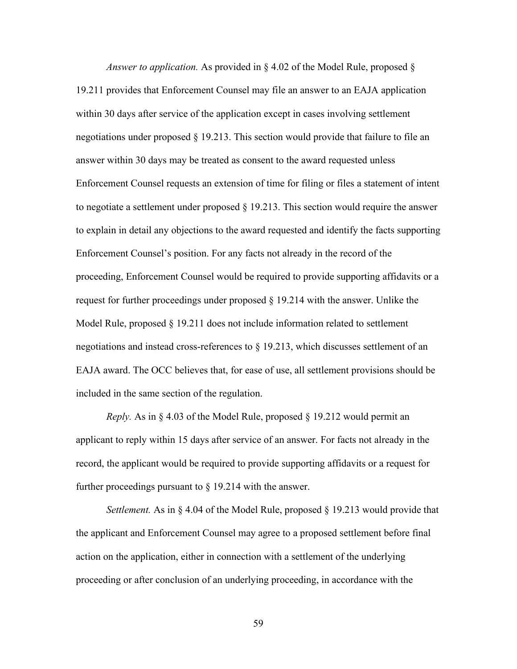*Answer to application.* As provided in § 4.02 of the Model Rule, proposed § 19.211 provides that Enforcement Counsel may file an answer to an EAJA application within 30 days after service of the application except in cases involving settlement negotiations under proposed § 19.213. This section would provide that failure to file an answer within 30 days may be treated as consent to the award requested unless Enforcement Counsel requests an extension of time for filing or files a statement of intent to negotiate a settlement under proposed  $\S$  19.213. This section would require the answer to explain in detail any objections to the award requested and identify the facts supporting Enforcement Counsel's position. For any facts not already in the record of the proceeding, Enforcement Counsel would be required to provide supporting affidavits or a request for further proceedings under proposed § 19.214 with the answer. Unlike the Model Rule, proposed  $\S 19.211$  does not include information related to settlement negotiations and instead cross-references to § 19.213, which discusses settlement of an EAJA award. The OCC believes that, for ease of use, all settlement provisions should be included in the same section of the regulation.

*Reply.* As in § 4.03 of the Model Rule, proposed § 19.212 would permit an applicant to reply within 15 days after service of an answer. For facts not already in the record, the applicant would be required to provide supporting affidavits or a request for further proceedings pursuant to  $\S 19.214$  with the answer.

*Settlement.* As in § 4.04 of the Model Rule, proposed § 19.213 would provide that the applicant and Enforcement Counsel may agree to a proposed settlement before final action on the application, either in connection with a settlement of the underlying proceeding or after conclusion of an underlying proceeding, in accordance with the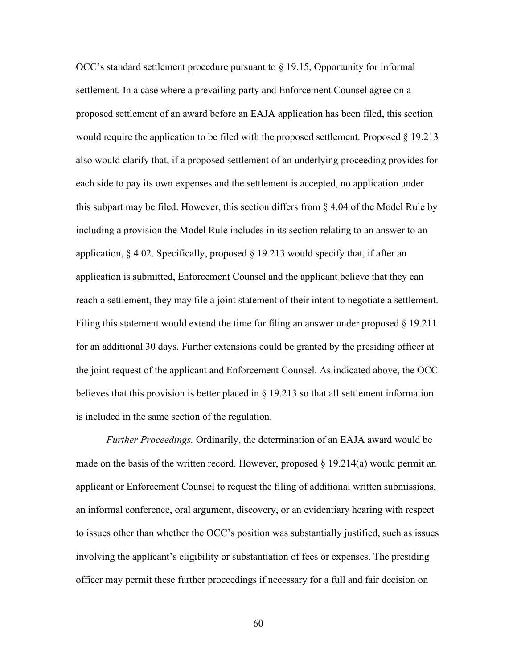OCC's standard settlement procedure pursuant to § 19.15, Opportunity for informal settlement. In a case where a prevailing party and Enforcement Counsel agree on a proposed settlement of an award before an EAJA application has been filed, this section would require the application to be filed with the proposed settlement. Proposed § 19.213 also would clarify that, if a proposed settlement of an underlying proceeding provides for each side to pay its own expenses and the settlement is accepted, no application under this subpart may be filed. However, this section differs from  $\S 4.04$  of the Model Rule by including a provision the Model Rule includes in its section relating to an answer to an application,  $\S 4.02$ . Specifically, proposed  $\S 19.213$  would specify that, if after an application is submitted, Enforcement Counsel and the applicant believe that they can reach a settlement, they may file a joint statement of their intent to negotiate a settlement. Filing this statement would extend the time for filing an answer under proposed § 19.211 for an additional 30 days. Further extensions could be granted by the presiding officer at the joint request of the applicant and Enforcement Counsel. As indicated above, the OCC believes that this provision is better placed in § 19.213 so that all settlement information is included in the same section of the regulation.

*Further Proceedings.* Ordinarily, the determination of an EAJA award would be made on the basis of the written record. However, proposed  $\S$  19.214(a) would permit an applicant or Enforcement Counsel to request the filing of additional written submissions, an informal conference, oral argument, discovery, or an evidentiary hearing with respect to issues other than whether the OCC's position was substantially justified, such as issues involving the applicant's eligibility or substantiation of fees or expenses. The presiding officer may permit these further proceedings if necessary for a full and fair decision on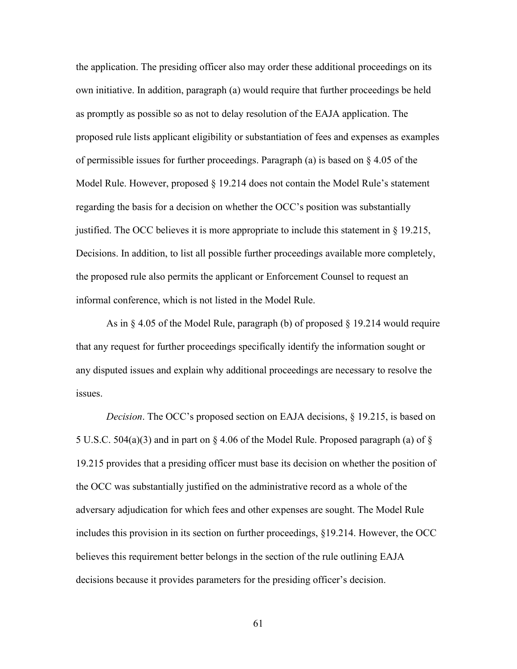the application. The presiding officer also may order these additional proceedings on its own initiative. In addition, paragraph (a) would require that further proceedings be held as promptly as possible so as not to delay resolution of the EAJA application. The proposed rule lists applicant eligibility or substantiation of fees and expenses as examples of permissible issues for further proceedings. Paragraph (a) is based on § 4.05 of the Model Rule. However, proposed § 19.214 does not contain the Model Rule's statement regarding the basis for a decision on whether the OCC's position was substantially justified. The OCC believes it is more appropriate to include this statement in § 19.215, Decisions. In addition, to list all possible further proceedings available more completely, the proposed rule also permits the applicant or Enforcement Counsel to request an informal conference, which is not listed in the Model Rule.

As in  $\S 4.05$  of the Model Rule, paragraph (b) of proposed  $\S 19.214$  would require that any request for further proceedings specifically identify the information sought or any disputed issues and explain why additional proceedings are necessary to resolve the issues.

*Decision*. The OCC's proposed section on EAJA decisions, § 19.215, is based on 5 U.S.C. 504(a)(3) and in part on § 4.06 of the Model Rule. Proposed paragraph (a) of § 19.215 provides that a presiding officer must base its decision on whether the position of the OCC was substantially justified on the administrative record as a whole of the adversary adjudication for which fees and other expenses are sought. The Model Rule includes this provision in its section on further proceedings, §19.214. However, the OCC believes this requirement better belongs in the section of the rule outlining EAJA decisions because it provides parameters for the presiding officer's decision.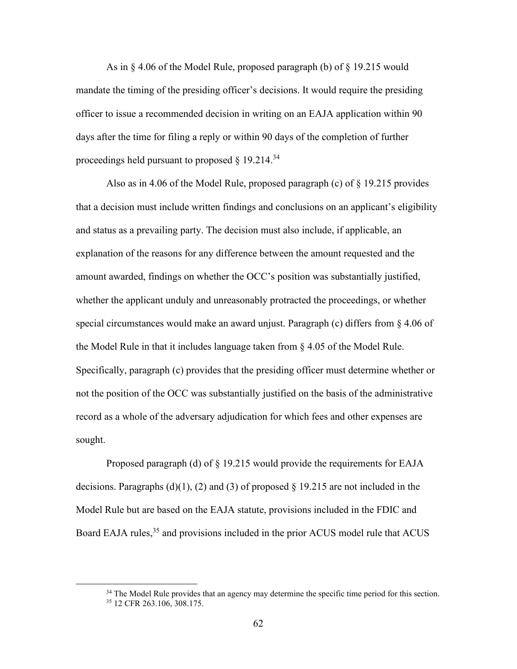As in § 4.06 of the Model Rule, proposed paragraph (b) of § 19.215 would mandate the timing of the presiding officer's decisions. It would require the presiding officer to issue a recommended decision in writing on an EAJA application within 90 days after the time for filing a reply or within 90 days of the completion of further proceedings held pursuant to proposed  $\S$  19.214.<sup>34</sup>

Also as in 4.06 of the Model Rule, proposed paragraph (c) of § 19.215 provides that a decision must include written findings and conclusions on an applicant's eligibility and status as a prevailing party. The decision must also include, if applicable, an explanation of the reasons for any difference between the amount requested and the amount awarded, findings on whether the OCC's position was substantially justified, whether the applicant unduly and unreasonably protracted the proceedings, or whether special circumstances would make an award unjust. Paragraph (c) differs from  $\S 4.06$  of the Model Rule in that it includes language taken from § 4.05 of the Model Rule. Specifically, paragraph (c) provides that the presiding officer must determine whether or not the position of the OCC was substantially justified on the basis of the administrative record as a whole of the adversary adjudication for which fees and other expenses are sought.

Proposed paragraph (d) of § 19.215 would provide the requirements for EAJA decisions. Paragraphs (d)(1), (2) and (3) of proposed  $\S$  19.215 are not included in the Model Rule but are based on the EAJA statute, provisions included in the FDIC and Board EAJA rules,<sup>35</sup> and provisions included in the prior ACUS model rule that ACUS

 $34$  The Model Rule provides that an agency may determine the specific time period for this section.  $35$  12 CFR 263.106, 308.175.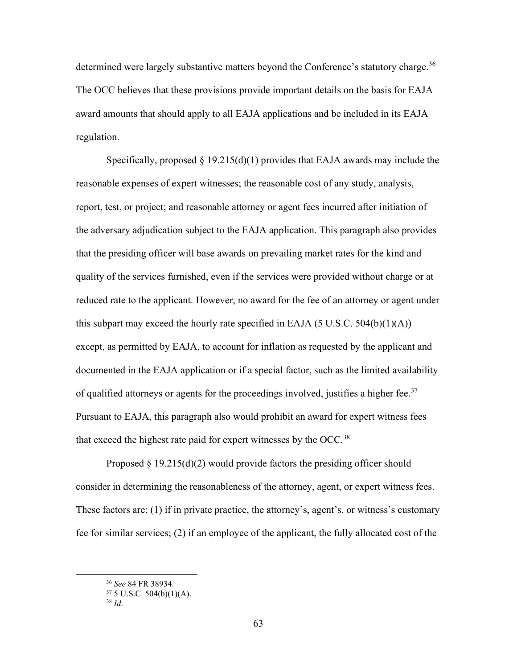determined were largely substantive matters beyond the Conference's statutory charge.<sup>36</sup> The OCC believes that these provisions provide important details on the basis for EAJA award amounts that should apply to all EAJA applications and be included in its EAJA regulation.

Specifically, proposed  $\S 19.215(d)(1)$  provides that EAJA awards may include the reasonable expenses of expert witnesses; the reasonable cost of any study, analysis, report, test, or project; and reasonable attorney or agent fees incurred after initiation of the adversary adjudication subject to the EAJA application. This paragraph also provides that the presiding officer will base awards on prevailing market rates for the kind and quality of the services furnished, even if the services were provided without charge or at reduced rate to the applicant. However, no award for the fee of an attorney or agent under this subpart may exceed the hourly rate specified in EAJA (5 U.S.C. 504(b)(1)(A)) except, as permitted by EAJA, to account for inflation as requested by the applicant and documented in the EAJA application or if a special factor, such as the limited availability of qualified attorneys or agents for the proceedings involved, justifies a higher fee.<sup>37</sup> Pursuant to EAJA, this paragraph also would prohibit an award for expert witness fees that exceed the highest rate paid for expert witnesses by the OCC.<sup>38</sup>

Proposed  $\S 19.215(d)(2)$  would provide factors the presiding officer should consider in determining the reasonableness of the attorney, agent, or expert witness fees. These factors are: (1) if in private practice, the attorney's, agent's, or witness's customary fee for similar services; (2) if an employee of the applicant, the fully allocated cost of the

<sup>36</sup> *See* 84 FR 38934.

 $37 5$  U.S.C.  $504(b)(1)(A)$ .

<sup>38</sup> *Id*.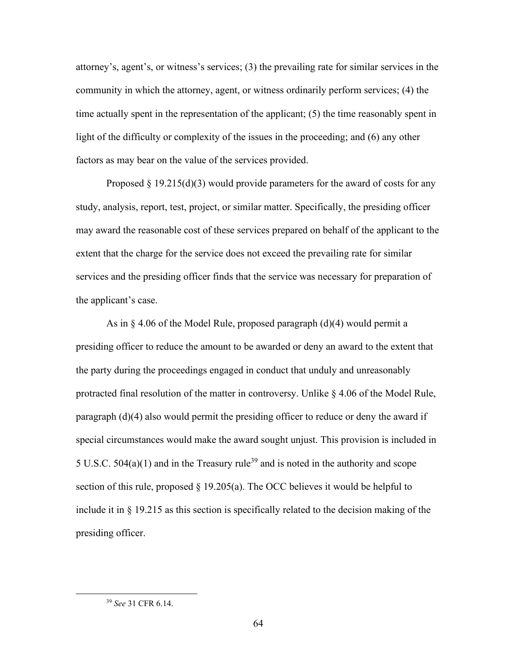attorney's, agent's, or witness's services; (3) the prevailing rate for similar services in the community in which the attorney, agent, or witness ordinarily perform services; (4) the time actually spent in the representation of the applicant; (5) the time reasonably spent in light of the difficulty or complexity of the issues in the proceeding; and (6) any other factors as may bear on the value of the services provided.

Proposed  $\S 19.215(d)(3)$  would provide parameters for the award of costs for any study, analysis, report, test, project, or similar matter. Specifically, the presiding officer may award the reasonable cost of these services prepared on behalf of the applicant to the extent that the charge for the service does not exceed the prevailing rate for similar services and the presiding officer finds that the service was necessary for preparation of the applicant's case.

As in § 4.06 of the Model Rule, proposed paragraph (d)(4) would permit a presiding officer to reduce the amount to be awarded or deny an award to the extent that the party during the proceedings engaged in conduct that unduly and unreasonably protracted final resolution of the matter in controversy. Unlike § 4.06 of the Model Rule, paragraph (d)(4) also would permit the presiding officer to reduce or deny the award if special circumstances would make the award sought unjust. This provision is included in 5 U.S.C.  $504(a)(1)$  and in the Treasury rule<sup>39</sup> and is noted in the authority and scope section of this rule, proposed  $\S$  19.205(a). The OCC believes it would be helpful to include it in § 19.215 as this section is specifically related to the decision making of the presiding officer.

<sup>39</sup> *See* 31 CFR 6.14.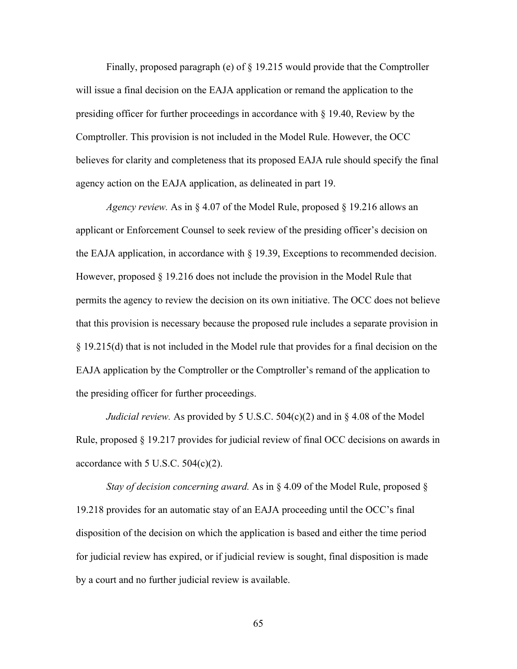Finally, proposed paragraph (e) of § 19.215 would provide that the Comptroller will issue a final decision on the EAJA application or remand the application to the presiding officer for further proceedings in accordance with § 19.40, Review by the Comptroller. This provision is not included in the Model Rule. However, the OCC believes for clarity and completeness that its proposed EAJA rule should specify the final agency action on the EAJA application, as delineated in part 19.

*Agency review.* As in § 4.07 of the Model Rule, proposed § 19.216 allows an applicant or Enforcement Counsel to seek review of the presiding officer's decision on the EAJA application, in accordance with  $\S$  19.39, Exceptions to recommended decision. However, proposed § 19.216 does not include the provision in the Model Rule that permits the agency to review the decision on its own initiative. The OCC does not believe that this provision is necessary because the proposed rule includes a separate provision in § 19.215(d) that is not included in the Model rule that provides for a final decision on the EAJA application by the Comptroller or the Comptroller's remand of the application to the presiding officer for further proceedings.

*Judicial review.* As provided by 5 U.S.C. 504(c)(2) and in § 4.08 of the Model Rule, proposed § 19.217 provides for judicial review of final OCC decisions on awards in accordance with  $5$  U.S.C.  $504(c)(2)$ .

*Stay of decision concerning award.* As in § 4.09 of the Model Rule, proposed § 19.218 provides for an automatic stay of an EAJA proceeding until the OCC's final disposition of the decision on which the application is based and either the time period for judicial review has expired, or if judicial review is sought, final disposition is made by a court and no further judicial review is available.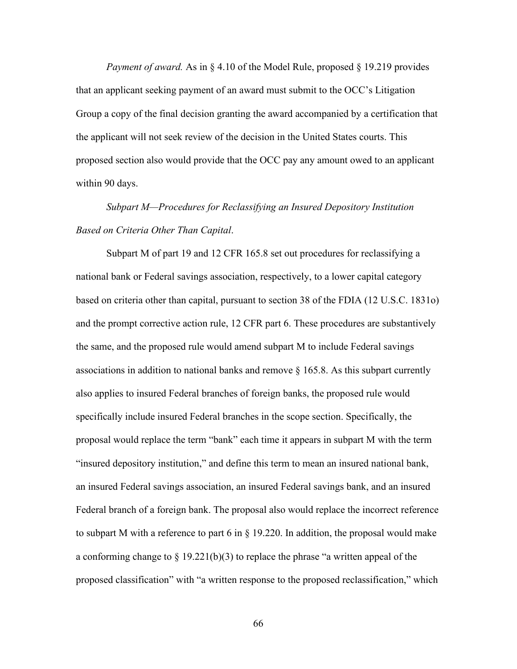*Payment of award.* As in § 4.10 of the Model Rule, proposed § 19.219 provides that an applicant seeking payment of an award must submit to the OCC's Litigation Group a copy of the final decision granting the award accompanied by a certification that the applicant will not seek review of the decision in the United States courts. This proposed section also would provide that the OCC pay any amount owed to an applicant within 90 days.

# *Subpart M—Procedures for Reclassifying an Insured Depository Institution Based on Criteria Other Than Capital*.

Subpart M of part 19 and 12 CFR 165.8 set out procedures for reclassifying a national bank or Federal savings association, respectively, to a lower capital category based on criteria other than capital, pursuant to section 38 of the FDIA (12 U.S.C. 1831o) and the prompt corrective action rule, 12 CFR part 6. These procedures are substantively the same, and the proposed rule would amend subpart M to include Federal savings associations in addition to national banks and remove  $\S$  165.8. As this subpart currently also applies to insured Federal branches of foreign banks, the proposed rule would specifically include insured Federal branches in the scope section. Specifically, the proposal would replace the term "bank" each time it appears in subpart M with the term "insured depository institution," and define this term to mean an insured national bank, an insured Federal savings association, an insured Federal savings bank, and an insured Federal branch of a foreign bank. The proposal also would replace the incorrect reference to subpart M with a reference to part 6 in  $\S$  19.220. In addition, the proposal would make a conforming change to  $\S 19.221(b)(3)$  to replace the phrase "a written appeal of the proposed classification" with "a written response to the proposed reclassification," which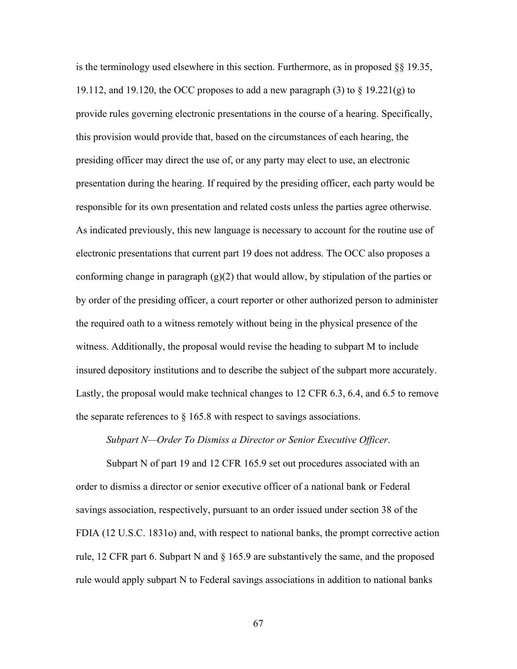is the terminology used elsewhere in this section. Furthermore, as in proposed  $\S$  19.35, 19.112, and 19.120, the OCC proposes to add a new paragraph  $(3)$  to  $\S$  19.221(g) to provide rules governing electronic presentations in the course of a hearing. Specifically, this provision would provide that, based on the circumstances of each hearing, the presiding officer may direct the use of, or any party may elect to use, an electronic presentation during the hearing. If required by the presiding officer, each party would be responsible for its own presentation and related costs unless the parties agree otherwise. As indicated previously, this new language is necessary to account for the routine use of electronic presentations that current part 19 does not address. The OCC also proposes a conforming change in paragraph  $(g)(2)$  that would allow, by stipulation of the parties or by order of the presiding officer, a court reporter or other authorized person to administer the required oath to a witness remotely without being in the physical presence of the witness. Additionally, the proposal would revise the heading to subpart M to include insured depository institutions and to describe the subject of the subpart more accurately. Lastly, the proposal would make technical changes to 12 CFR 6.3, 6.4, and 6.5 to remove the separate references to  $\S$  165.8 with respect to savings associations.

## *Subpart N—Order To Dismiss a Director or Senior Executive Officer*.

Subpart N of part 19 and 12 CFR 165.9 set out procedures associated with an order to dismiss a director or senior executive officer of a national bank or Federal savings association, respectively, pursuant to an order issued under section 38 of the FDIA (12 U.S.C. 1831o) and, with respect to national banks, the prompt corrective action rule, 12 CFR part 6. Subpart N and  $\S$  165.9 are substantively the same, and the proposed rule would apply subpart N to Federal savings associations in addition to national banks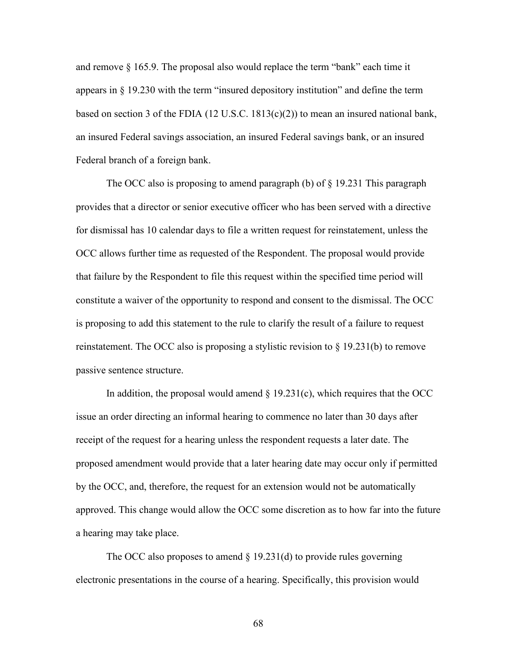and remove § 165.9. The proposal also would replace the term "bank" each time it appears in § 19.230 with the term "insured depository institution" and define the term based on section 3 of the FDIA (12 U.S.C. 1813(c)(2)) to mean an insured national bank, an insured Federal savings association, an insured Federal savings bank, or an insured Federal branch of a foreign bank.

The OCC also is proposing to amend paragraph (b) of  $\S$  19.231 This paragraph provides that a director or senior executive officer who has been served with a directive for dismissal has 10 calendar days to file a written request for reinstatement, unless the OCC allows further time as requested of the Respondent. The proposal would provide that failure by the Respondent to file this request within the specified time period will constitute a waiver of the opportunity to respond and consent to the dismissal. The OCC is proposing to add this statement to the rule to clarify the result of a failure to request reinstatement. The OCC also is proposing a stylistic revision to § 19.231(b) to remove passive sentence structure.

In addition, the proposal would amend  $\S$  19.231(c), which requires that the OCC issue an order directing an informal hearing to commence no later than 30 days after receipt of the request for a hearing unless the respondent requests a later date. The proposed amendment would provide that a later hearing date may occur only if permitted by the OCC, and, therefore, the request for an extension would not be automatically approved. This change would allow the OCC some discretion as to how far into the future a hearing may take place.

The OCC also proposes to amend  $\S$  19.231(d) to provide rules governing electronic presentations in the course of a hearing. Specifically, this provision would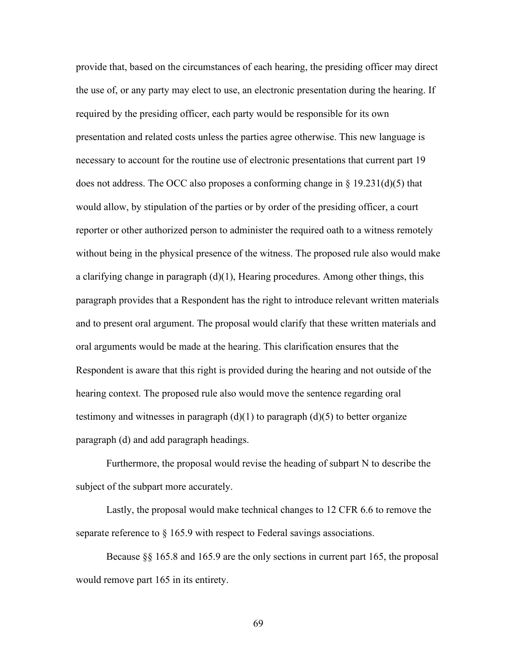provide that, based on the circumstances of each hearing, the presiding officer may direct the use of, or any party may elect to use, an electronic presentation during the hearing. If required by the presiding officer, each party would be responsible for its own presentation and related costs unless the parties agree otherwise. This new language is necessary to account for the routine use of electronic presentations that current part 19 does not address. The OCC also proposes a conforming change in  $\S$  19.231(d)(5) that would allow, by stipulation of the parties or by order of the presiding officer, a court reporter or other authorized person to administer the required oath to a witness remotely without being in the physical presence of the witness. The proposed rule also would make a clarifying change in paragraph (d)(1), Hearing procedures. Among other things, this paragraph provides that a Respondent has the right to introduce relevant written materials and to present oral argument. The proposal would clarify that these written materials and oral arguments would be made at the hearing. This clarification ensures that the Respondent is aware that this right is provided during the hearing and not outside of the hearing context. The proposed rule also would move the sentence regarding oral testimony and witnesses in paragraph  $(d)(1)$  to paragraph  $(d)(5)$  to better organize paragraph (d) and add paragraph headings.

Furthermore, the proposal would revise the heading of subpart N to describe the subject of the subpart more accurately.

Lastly, the proposal would make technical changes to 12 CFR 6.6 to remove the separate reference to § 165.9 with respect to Federal savings associations.

Because §§ 165.8 and 165.9 are the only sections in current part 165, the proposal would remove part 165 in its entirety.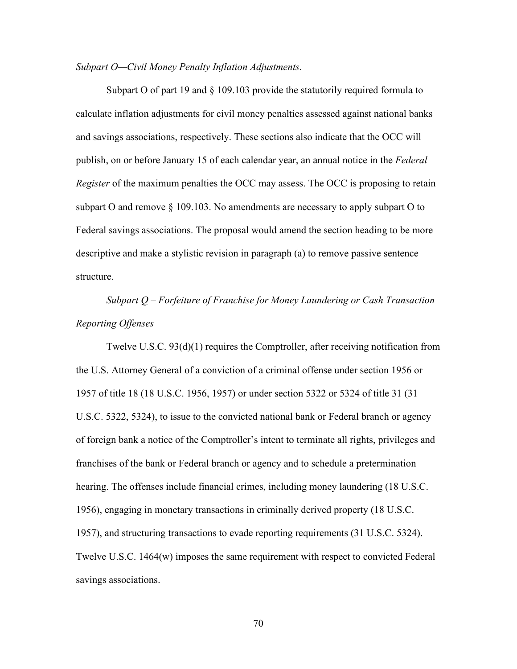### *Subpart O—Civil Money Penalty Inflation Adjustments.*

Subpart O of part 19 and § 109.103 provide the statutorily required formula to calculate inflation adjustments for civil money penalties assessed against national banks and savings associations, respectively. These sections also indicate that the OCC will publish, on or before January 15 of each calendar year, an annual notice in the *Federal Register* of the maximum penalties the OCC may assess. The OCC is proposing to retain subpart O and remove  $\S$  109.103. No amendments are necessary to apply subpart O to Federal savings associations. The proposal would amend the section heading to be more descriptive and make a stylistic revision in paragraph (a) to remove passive sentence structure.

*Subpart Q – Forfeiture of Franchise for Money Laundering or Cash Transaction Reporting Offenses*

Twelve U.S.C. 93(d)(1) requires the Comptroller, after receiving notification from the U.S. Attorney General of a conviction of a criminal offense under section 1956 or 1957 of title 18 (18 U.S.C. 1956, 1957) or under section 5322 or 5324 of title 31 (31 U.S.C. 5322, 5324), to issue to the convicted national bank or Federal branch or agency of foreign bank a notice of the Comptroller's intent to terminate all rights, privileges and franchises of the bank or Federal branch or agency and to schedule a pretermination hearing. The offenses include financial crimes, including money laundering (18 U.S.C. 1956), engaging in monetary transactions in criminally derived property (18 U.S.C. 1957), and structuring transactions to evade reporting requirements (31 U.S.C. 5324). Twelve U.S.C. 1464(w) imposes the same requirement with respect to convicted Federal savings associations.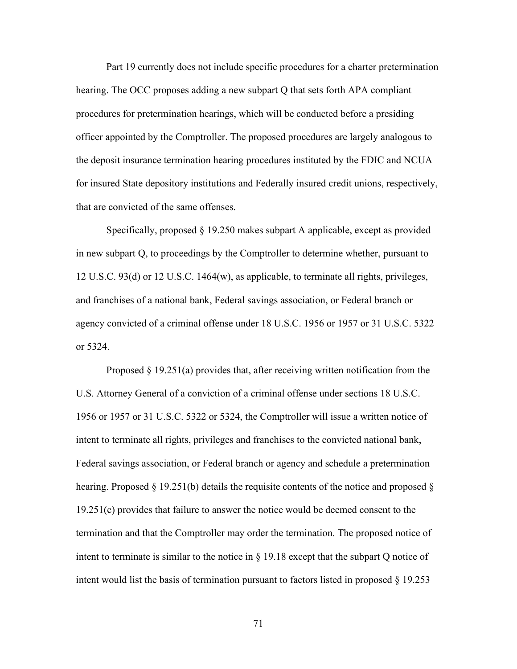Part 19 currently does not include specific procedures for a charter pretermination hearing. The OCC proposes adding a new subpart Q that sets forth APA compliant procedures for pretermination hearings, which will be conducted before a presiding officer appointed by the Comptroller. The proposed procedures are largely analogous to the deposit insurance termination hearing procedures instituted by the FDIC and NCUA for insured State depository institutions and Federally insured credit unions, respectively, that are convicted of the same offenses.

Specifically, proposed § 19.250 makes subpart A applicable, except as provided in new subpart Q, to proceedings by the Comptroller to determine whether, pursuant to 12 U.S.C. 93(d) or 12 U.S.C. 1464(w), as applicable, to terminate all rights, privileges, and franchises of a national bank, Federal savings association, or Federal branch or agency convicted of a criminal offense under 18 U.S.C. 1956 or 1957 or 31 U.S.C. 5322 or 5324.

Proposed § 19.251(a) provides that, after receiving written notification from the U.S. Attorney General of a conviction of a criminal offense under sections 18 U.S.C. 1956 or 1957 or 31 U.S.C. 5322 or 5324, the Comptroller will issue a written notice of intent to terminate all rights, privileges and franchises to the convicted national bank, Federal savings association, or Federal branch or agency and schedule a pretermination hearing. Proposed § 19.251(b) details the requisite contents of the notice and proposed § 19.251(c) provides that failure to answer the notice would be deemed consent to the termination and that the Comptroller may order the termination. The proposed notice of intent to terminate is similar to the notice in § 19.18 except that the subpart Q notice of intent would list the basis of termination pursuant to factors listed in proposed § 19.253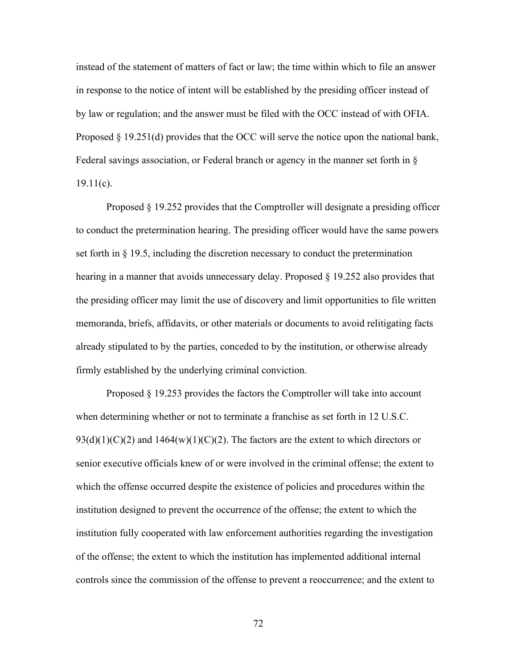instead of the statement of matters of fact or law; the time within which to file an answer in response to the notice of intent will be established by the presiding officer instead of by law or regulation; and the answer must be filed with the OCC instead of with OFIA. Proposed § 19.251(d) provides that the OCC will serve the notice upon the national bank, Federal savings association, or Federal branch or agency in the manner set forth in §  $19.11(c)$ .

Proposed § 19.252 provides that the Comptroller will designate a presiding officer to conduct the pretermination hearing. The presiding officer would have the same powers set forth in  $\S$  19.5, including the discretion necessary to conduct the pretermination hearing in a manner that avoids unnecessary delay. Proposed § 19.252 also provides that the presiding officer may limit the use of discovery and limit opportunities to file written memoranda, briefs, affidavits, or other materials or documents to avoid relitigating facts already stipulated to by the parties, conceded to by the institution, or otherwise already firmly established by the underlying criminal conviction.

Proposed § 19.253 provides the factors the Comptroller will take into account when determining whether or not to terminate a franchise as set forth in 12 U.S.C.  $93(d)(1)(C)(2)$  and  $1464(w)(1)(C)(2)$ . The factors are the extent to which directors or senior executive officials knew of or were involved in the criminal offense; the extent to which the offense occurred despite the existence of policies and procedures within the institution designed to prevent the occurrence of the offense; the extent to which the institution fully cooperated with law enforcement authorities regarding the investigation of the offense; the extent to which the institution has implemented additional internal controls since the commission of the offense to prevent a reoccurrence; and the extent to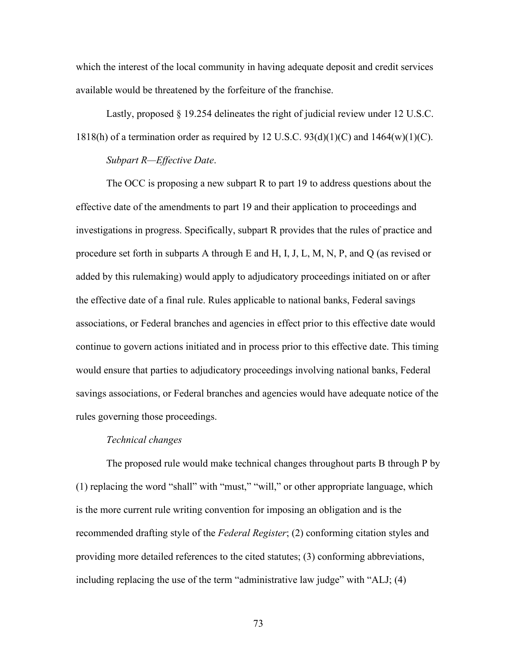which the interest of the local community in having adequate deposit and credit services available would be threatened by the forfeiture of the franchise.

Lastly, proposed § 19.254 delineates the right of judicial review under 12 U.S.C. 1818(h) of a termination order as required by 12 U.S.C.  $93(d)(1)(C)$  and  $1464(w)(1)(C)$ .

#### *Subpart R—Effective Date*.

The OCC is proposing a new subpart R to part 19 to address questions about the effective date of the amendments to part 19 and their application to proceedings and investigations in progress. Specifically, subpart R provides that the rules of practice and procedure set forth in subparts A through E and H, I, J, L, M, N, P, and Q (as revised or added by this rulemaking) would apply to adjudicatory proceedings initiated on or after the effective date of a final rule. Rules applicable to national banks, Federal savings associations, or Federal branches and agencies in effect prior to this effective date would continue to govern actions initiated and in process prior to this effective date. This timing would ensure that parties to adjudicatory proceedings involving national banks, Federal savings associations, or Federal branches and agencies would have adequate notice of the rules governing those proceedings.

#### *Technical changes*

The proposed rule would make technical changes throughout parts B through P by (1) replacing the word "shall" with "must," "will," or other appropriate language, which is the more current rule writing convention for imposing an obligation and is the recommended drafting style of the *Federal Register*; (2) conforming citation styles and providing more detailed references to the cited statutes; (3) conforming abbreviations, including replacing the use of the term "administrative law judge" with "ALJ; (4)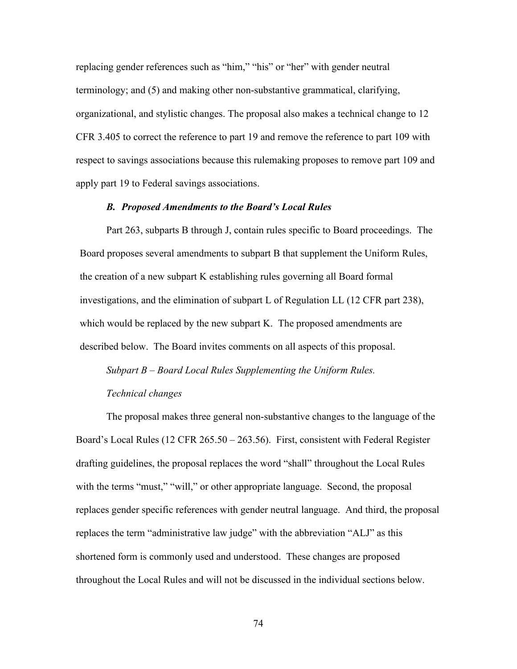replacing gender references such as "him," "his" or "her" with gender neutral terminology; and (5) and making other non-substantive grammatical, clarifying, organizational, and stylistic changes. The proposal also makes a technical change to 12 CFR 3.405 to correct the reference to part 19 and remove the reference to part 109 with respect to savings associations because this rulemaking proposes to remove part 109 and apply part 19 to Federal savings associations.

#### *B. Proposed Amendments to the Board's Local Rules*

Part 263, subparts B through J, contain rules specific to Board proceedings. The Board proposes several amendments to subpart B that supplement the Uniform Rules, the creation of a new subpart K establishing rules governing all Board formal investigations, and the elimination of subpart L of Regulation LL (12 CFR part 238), which would be replaced by the new subpart K. The proposed amendments are described below. The Board invites comments on all aspects of this proposal.

# *Subpart B – Board Local Rules Supplementing the Uniform Rules. Technical changes*

The proposal makes three general non-substantive changes to the language of the Board's Local Rules (12 CFR 265.50 – 263.56). First, consistent with Federal Register drafting guidelines, the proposal replaces the word "shall" throughout the Local Rules with the terms "must," "will," or other appropriate language. Second, the proposal replaces gender specific references with gender neutral language. And third, the proposal replaces the term "administrative law judge" with the abbreviation "ALJ" as this shortened form is commonly used and understood. These changes are proposed throughout the Local Rules and will not be discussed in the individual sections below.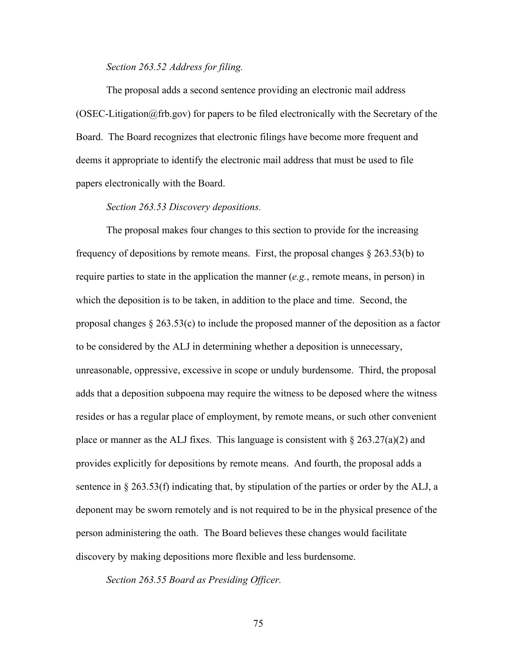# *Section 263.52 Address for filing.*

The proposal adds a second sentence providing an electronic mail address  $(OSEC-Litigation@frb.gov)$  for papers to be filed electronically with the Secretary of the Board. The Board recognizes that electronic filings have become more frequent and deems it appropriate to identify the electronic mail address that must be used to file papers electronically with the Board.

# *Section 263.53 Discovery depositions.*

The proposal makes four changes to this section to provide for the increasing frequency of depositions by remote means. First, the proposal changes  $\S 263.53(b)$  to require parties to state in the application the manner (*e.g.*, remote means, in person) in which the deposition is to be taken, in addition to the place and time. Second, the proposal changes  $\S 263.53(c)$  to include the proposed manner of the deposition as a factor to be considered by the ALJ in determining whether a deposition is unnecessary, unreasonable, oppressive, excessive in scope or unduly burdensome. Third, the proposal adds that a deposition subpoena may require the witness to be deposed where the witness resides or has a regular place of employment, by remote means, or such other convenient place or manner as the ALJ fixes. This language is consistent with  $\S 263.27(a)(2)$  and provides explicitly for depositions by remote means. And fourth, the proposal adds a sentence in  $\S 263.53(f)$  indicating that, by stipulation of the parties or order by the ALJ, a deponent may be sworn remotely and is not required to be in the physical presence of the person administering the oath. The Board believes these changes would facilitate discovery by making depositions more flexible and less burdensome.

*Section 263.55 Board as Presiding Officer.*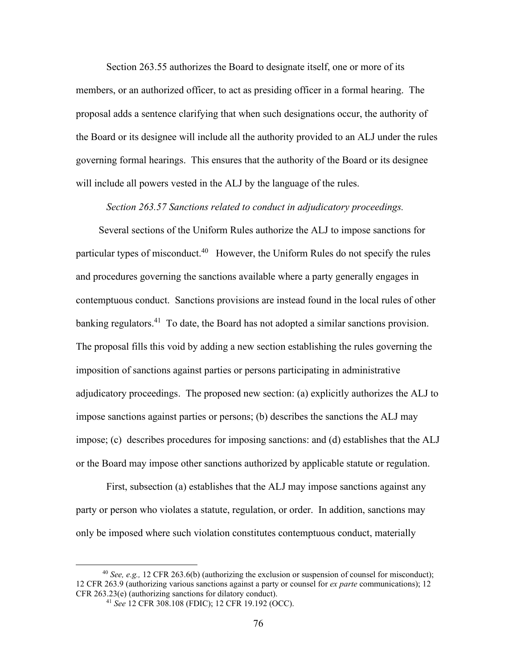Section 263.55 authorizes the Board to designate itself, one or more of its members, or an authorized officer, to act as presiding officer in a formal hearing. The proposal adds a sentence clarifying that when such designations occur, the authority of the Board or its designee will include all the authority provided to an ALJ under the rules governing formal hearings. This ensures that the authority of the Board or its designee will include all powers vested in the ALJ by the language of the rules.

# *Section 263.57 Sanctions related to conduct in adjudicatory proceedings.*

Several sections of the Uniform Rules authorize the ALJ to impose sanctions for particular types of misconduct.<sup>40</sup> However, the Uniform Rules do not specify the rules and procedures governing the sanctions available where a party generally engages in contemptuous conduct. Sanctions provisions are instead found in the local rules of other banking regulators.<sup>41</sup> To date, the Board has not adopted a similar sanctions provision. The proposal fills this void by adding a new section establishing the rules governing the imposition of sanctions against parties or persons participating in administrative adjudicatory proceedings. The proposed new section: (a) explicitly authorizes the ALJ to impose sanctions against parties or persons; (b) describes the sanctions the ALJ may impose; (c) describes procedures for imposing sanctions: and (d) establishes that the ALJ or the Board may impose other sanctions authorized by applicable statute or regulation.

First, subsection (a) establishes that the ALJ may impose sanctions against any party or person who violates a statute, regulation, or order. In addition, sanctions may only be imposed where such violation constitutes contemptuous conduct, materially

<sup>40</sup> *See, e.g.,* 12 CFR 263.6(b) (authorizing the exclusion or suspension of counsel for misconduct); 12 CFR 263.9 (authorizing various sanctions against a party or counsel for *ex parte* communications); 12 CFR 263.23(e) (authorizing sanctions for dilatory conduct).

<sup>41</sup> *See* 12 CFR 308.108 (FDIC); 12 CFR 19.192 (OCC).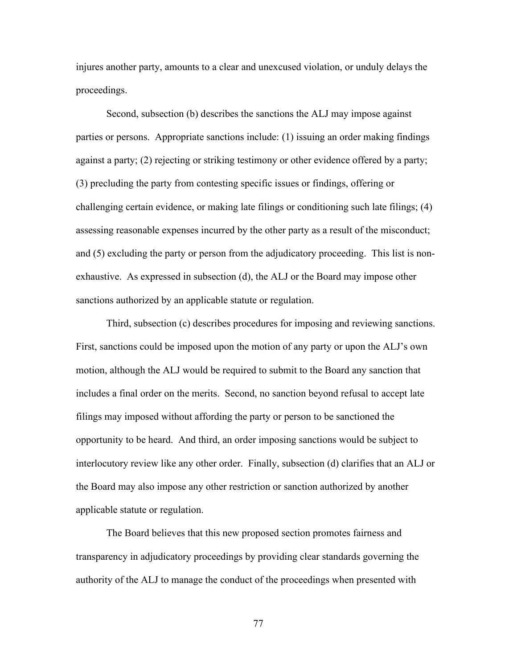injures another party, amounts to a clear and unexcused violation, or unduly delays the proceedings.

Second, subsection (b) describes the sanctions the ALJ may impose against parties or persons. Appropriate sanctions include: (1) issuing an order making findings against a party; (2) rejecting or striking testimony or other evidence offered by a party; (3) precluding the party from contesting specific issues or findings, offering or challenging certain evidence, or making late filings or conditioning such late filings; (4) assessing reasonable expenses incurred by the other party as a result of the misconduct; and (5) excluding the party or person from the adjudicatory proceeding. This list is nonexhaustive. As expressed in subsection (d), the ALJ or the Board may impose other sanctions authorized by an applicable statute or regulation.

Third, subsection (c) describes procedures for imposing and reviewing sanctions. First, sanctions could be imposed upon the motion of any party or upon the ALJ's own motion, although the ALJ would be required to submit to the Board any sanction that includes a final order on the merits. Second, no sanction beyond refusal to accept late filings may imposed without affording the party or person to be sanctioned the opportunity to be heard. And third, an order imposing sanctions would be subject to interlocutory review like any other order. Finally, subsection (d) clarifies that an ALJ or the Board may also impose any other restriction or sanction authorized by another applicable statute or regulation.

The Board believes that this new proposed section promotes fairness and transparency in adjudicatory proceedings by providing clear standards governing the authority of the ALJ to manage the conduct of the proceedings when presented with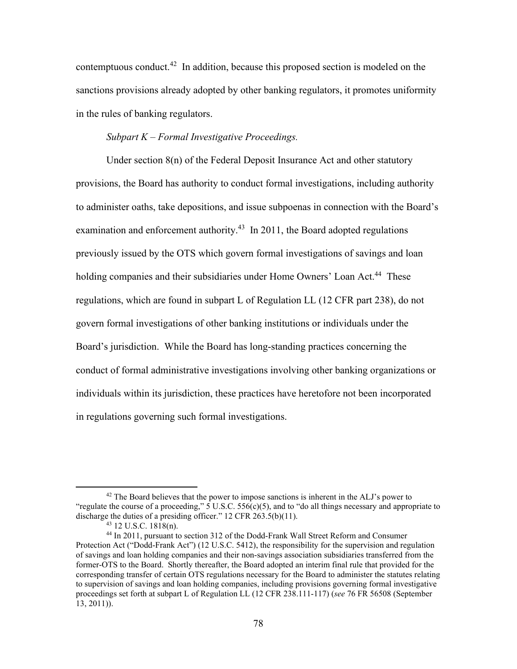contemptuous conduct.42 In addition, because this proposed section is modeled on the sanctions provisions already adopted by other banking regulators, it promotes uniformity in the rules of banking regulators.

# *Subpart K – Formal Investigative Proceedings.*

Under section 8(n) of the Federal Deposit Insurance Act and other statutory provisions, the Board has authority to conduct formal investigations, including authority to administer oaths, take depositions, and issue subpoenas in connection with the Board's examination and enforcement authority.<sup>43</sup> In 2011, the Board adopted regulations previously issued by the OTS which govern formal investigations of savings and loan holding companies and their subsidiaries under Home Owners' Loan Act.<sup>44</sup> These regulations, which are found in subpart L of Regulation LL (12 CFR part 238), do not govern formal investigations of other banking institutions or individuals under the Board's jurisdiction. While the Board has long-standing practices concerning the conduct of formal administrative investigations involving other banking organizations or individuals within its jurisdiction, these practices have heretofore not been incorporated in regulations governing such formal investigations.

 $42$  The Board believes that the power to impose sanctions is inherent in the ALJ's power to "regulate the course of a proceeding,"  $\overline{5}$  U.S.C.  $\overline{556(c)(5)}$ , and to "do all things necessary and appropriate to discharge the duties of a presiding officer." 12 CFR 263.5(b)(11).

 $43$  12 U.S.C. 1818(n).

<sup>44</sup> In 2011, pursuant to section 312 of the Dodd-Frank Wall Street Reform and Consumer Protection Act ("Dodd-Frank Act") (12 U.S.C. 5412), the responsibility for the supervision and regulation of savings and loan holding companies and their non-savings association subsidiaries transferred from the former-OTS to the Board. Shortly thereafter, the Board adopted an interim final rule that provided for the corresponding transfer of certain OTS regulations necessary for the Board to administer the statutes relating to supervision of savings and loan holding companies, including provisions governing formal investigative proceedings set forth at subpart L of Regulation LL (12 CFR 238.111-117) (*see* 76 FR 56508 (September 13, 2011)).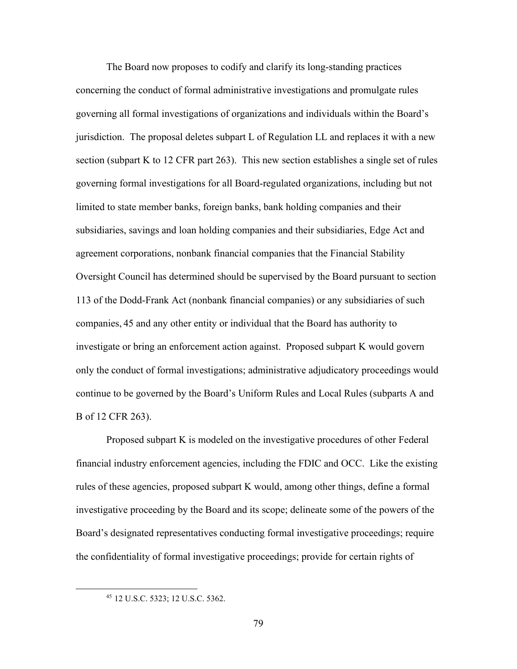The Board now proposes to codify and clarify its long-standing practices concerning the conduct of formal administrative investigations and promulgate rules governing all formal investigations of organizations and individuals within the Board's jurisdiction. The proposal deletes subpart L of Regulation LL and replaces it with a new section (subpart K to 12 CFR part 263). This new section establishes a single set of rules governing formal investigations for all Board-regulated organizations, including but not limited to state member banks, foreign banks, bank holding companies and their subsidiaries, savings and loan holding companies and their subsidiaries, Edge Act and agreement corporations, nonbank financial companies that the Financial Stability Oversight Council has determined should be supervised by the Board pursuant to section 113 of the Dodd-Frank Act (nonbank financial companies) or any subsidiaries of such companies, 45 and any other entity or individual that the Board has authority to investigate or bring an enforcement action against. Proposed subpart K would govern only the conduct of formal investigations; administrative adjudicatory proceedings would continue to be governed by the Board's Uniform Rules and Local Rules (subparts A and B of 12 CFR 263).

Proposed subpart K is modeled on the investigative procedures of other Federal financial industry enforcement agencies, including the FDIC and OCC. Like the existing rules of these agencies, proposed subpart K would, among other things, define a formal investigative proceeding by the Board and its scope; delineate some of the powers of the Board's designated representatives conducting formal investigative proceedings; require the confidentiality of formal investigative proceedings; provide for certain rights of

<sup>45</sup> 12 U.S.C. 5323; 12 U.S.C. 5362.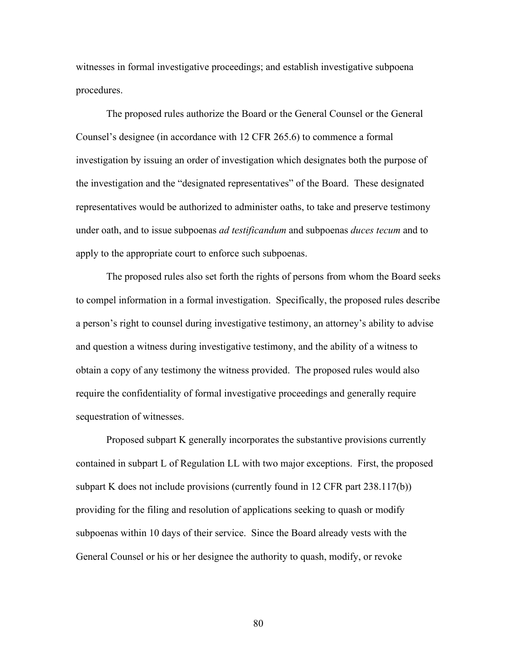witnesses in formal investigative proceedings; and establish investigative subpoena procedures.

The proposed rules authorize the Board or the General Counsel or the General Counsel's designee (in accordance with 12 CFR 265.6) to commence a formal investigation by issuing an order of investigation which designates both the purpose of the investigation and the "designated representatives" of the Board. These designated representatives would be authorized to administer oaths, to take and preserve testimony under oath, and to issue subpoenas *ad testificandum* and subpoenas *duces tecum* and to apply to the appropriate court to enforce such subpoenas.

The proposed rules also set forth the rights of persons from whom the Board seeks to compel information in a formal investigation. Specifically, the proposed rules describe a person's right to counsel during investigative testimony, an attorney's ability to advise and question a witness during investigative testimony, and the ability of a witness to obtain a copy of any testimony the witness provided. The proposed rules would also require the confidentiality of formal investigative proceedings and generally require sequestration of witnesses.

Proposed subpart K generally incorporates the substantive provisions currently contained in subpart L of Regulation LL with two major exceptions. First, the proposed subpart K does not include provisions (currently found in 12 CFR part 238.117(b)) providing for the filing and resolution of applications seeking to quash or modify subpoenas within 10 days of their service. Since the Board already vests with the General Counsel or his or her designee the authority to quash, modify, or revoke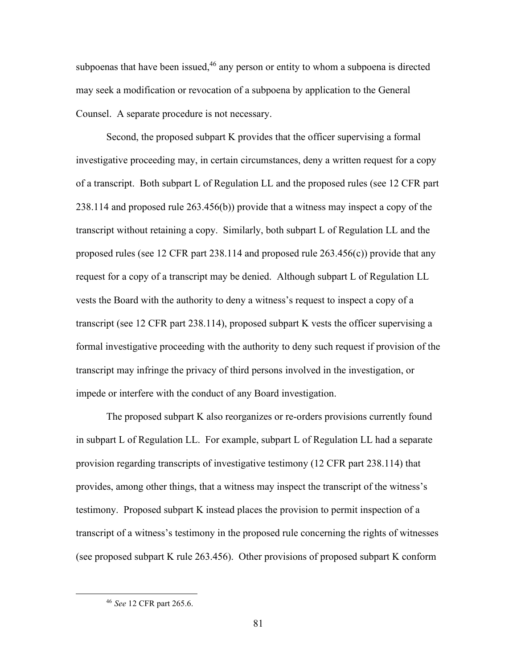subpoenas that have been issued,  $46$  any person or entity to whom a subpoena is directed may seek a modification or revocation of a subpoena by application to the General Counsel. A separate procedure is not necessary.

Second, the proposed subpart K provides that the officer supervising a formal investigative proceeding may, in certain circumstances, deny a written request for a copy of a transcript. Both subpart L of Regulation LL and the proposed rules (see 12 CFR part 238.114 and proposed rule 263.456(b)) provide that a witness may inspect a copy of the transcript without retaining a copy. Similarly, both subpart L of Regulation LL and the proposed rules (see 12 CFR part 238.114 and proposed rule 263.456(c)) provide that any request for a copy of a transcript may be denied. Although subpart L of Regulation LL vests the Board with the authority to deny a witness's request to inspect a copy of a transcript (see 12 CFR part 238.114), proposed subpart K vests the officer supervising a formal investigative proceeding with the authority to deny such request if provision of the transcript may infringe the privacy of third persons involved in the investigation, or impede or interfere with the conduct of any Board investigation.

The proposed subpart K also reorganizes or re-orders provisions currently found in subpart L of Regulation LL. For example, subpart L of Regulation LL had a separate provision regarding transcripts of investigative testimony (12 CFR part 238.114) that provides, among other things, that a witness may inspect the transcript of the witness's testimony. Proposed subpart K instead places the provision to permit inspection of a transcript of a witness's testimony in the proposed rule concerning the rights of witnesses (see proposed subpart K rule 263.456). Other provisions of proposed subpart K conform

<sup>46</sup> *See* 12 CFR part 265.6.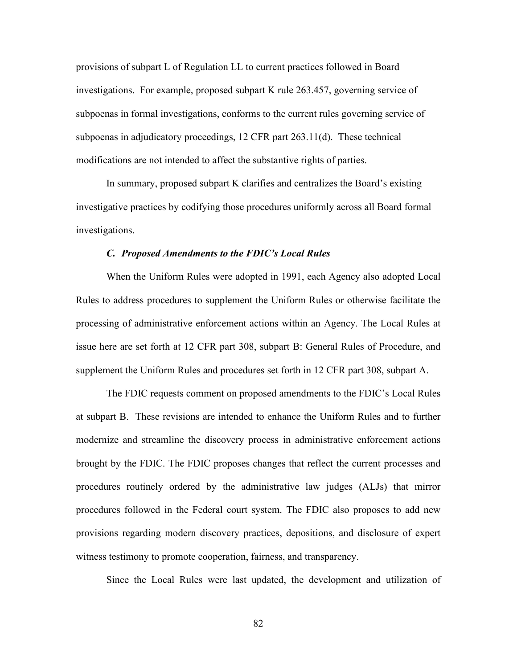provisions of subpart L of Regulation LL to current practices followed in Board investigations. For example, proposed subpart K rule 263.457, governing service of subpoenas in formal investigations, conforms to the current rules governing service of subpoenas in adjudicatory proceedings, 12 CFR part 263.11(d). These technical modifications are not intended to affect the substantive rights of parties.

In summary, proposed subpart K clarifies and centralizes the Board's existing investigative practices by codifying those procedures uniformly across all Board formal investigations.

#### *C. Proposed Amendments to the FDIC's Local Rules*

When the Uniform Rules were adopted in 1991, each Agency also adopted Local Rules to address procedures to supplement the Uniform Rules or otherwise facilitate the processing of administrative enforcement actions within an Agency. The Local Rules at issue here are set forth at 12 CFR part 308, subpart B: General Rules of Procedure, and supplement the Uniform Rules and procedures set forth in 12 CFR part 308, subpart A.

The FDIC requests comment on proposed amendments to the FDIC's Local Rules at subpart B. These revisions are intended to enhance the Uniform Rules and to further modernize and streamline the discovery process in administrative enforcement actions brought by the FDIC. The FDIC proposes changes that reflect the current processes and procedures routinely ordered by the administrative law judges (ALJs) that mirror procedures followed in the Federal court system. The FDIC also proposes to add new provisions regarding modern discovery practices, depositions, and disclosure of expert witness testimony to promote cooperation, fairness, and transparency.

Since the Local Rules were last updated, the development and utilization of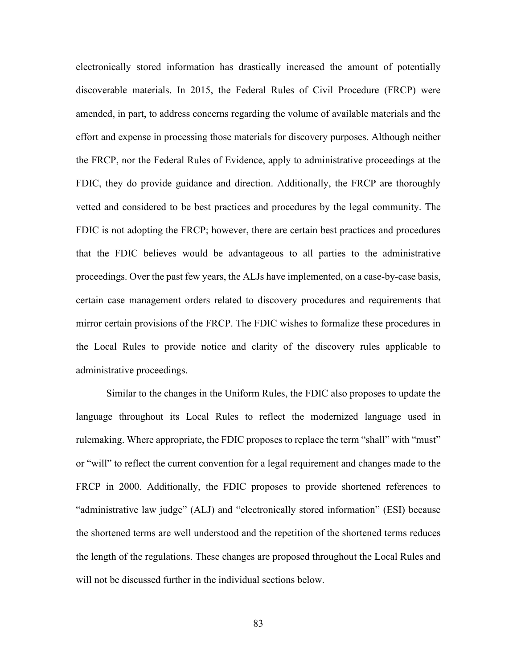electronically stored information has drastically increased the amount of potentially discoverable materials. In 2015, the Federal Rules of Civil Procedure (FRCP) were amended, in part, to address concerns regarding the volume of available materials and the effort and expense in processing those materials for discovery purposes. Although neither the FRCP, nor the Federal Rules of Evidence, apply to administrative proceedings at the FDIC, they do provide guidance and direction. Additionally, the FRCP are thoroughly vetted and considered to be best practices and procedures by the legal community. The FDIC is not adopting the FRCP; however, there are certain best practices and procedures that the FDIC believes would be advantageous to all parties to the administrative proceedings. Over the past few years, the ALJs have implemented, on a case-by-case basis, certain case management orders related to discovery procedures and requirements that mirror certain provisions of the FRCP. The FDIC wishes to formalize these procedures in the Local Rules to provide notice and clarity of the discovery rules applicable to administrative proceedings.

Similar to the changes in the Uniform Rules, the FDIC also proposes to update the language throughout its Local Rules to reflect the modernized language used in rulemaking. Where appropriate, the FDIC proposes to replace the term "shall" with "must" or "will" to reflect the current convention for a legal requirement and changes made to the FRCP in 2000. Additionally, the FDIC proposes to provide shortened references to "administrative law judge" (ALJ) and "electronically stored information" (ESI) because the shortened terms are well understood and the repetition of the shortened terms reduces the length of the regulations. These changes are proposed throughout the Local Rules and will not be discussed further in the individual sections below.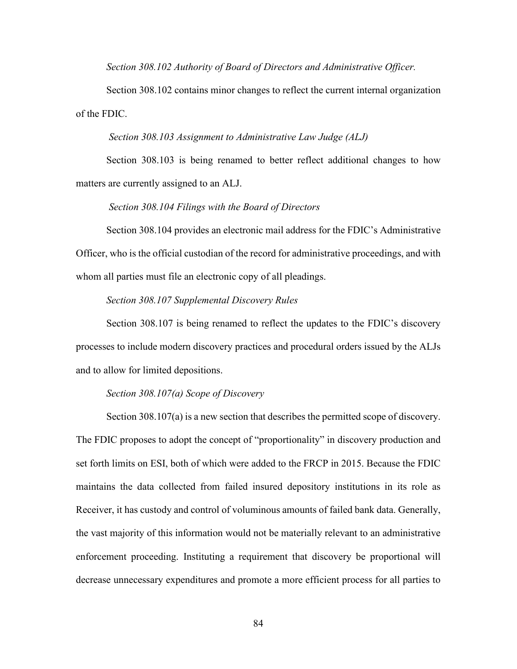*Section 308.102 Authority of Board of Directors and Administrative Officer.*

Section 308.102 contains minor changes to reflect the current internal organization of the FDIC.

#### *Section 308.103 Assignment to Administrative Law Judge (ALJ)*

Section 308.103 is being renamed to better reflect additional changes to how matters are currently assigned to an ALJ.

# *Section 308.104 Filings with the Board of Directors*

Section 308.104 provides an electronic mail address for the FDIC's Administrative Officer, who is the official custodian of the record for administrative proceedings, and with whom all parties must file an electronic copy of all pleadings.

#### *Section 308.107 Supplemental Discovery Rules*

Section 308.107 is being renamed to reflect the updates to the FDIC's discovery processes to include modern discovery practices and procedural orders issued by the ALJs and to allow for limited depositions.

#### *Section 308.107(a) Scope of Discovery*

Section 308.107(a) is a new section that describes the permitted scope of discovery. The FDIC proposes to adopt the concept of "proportionality" in discovery production and set forth limits on ESI, both of which were added to the FRCP in 2015. Because the FDIC maintains the data collected from failed insured depository institutions in its role as Receiver, it has custody and control of voluminous amounts of failed bank data. Generally, the vast majority of this information would not be materially relevant to an administrative enforcement proceeding. Instituting a requirement that discovery be proportional will decrease unnecessary expenditures and promote a more efficient process for all parties to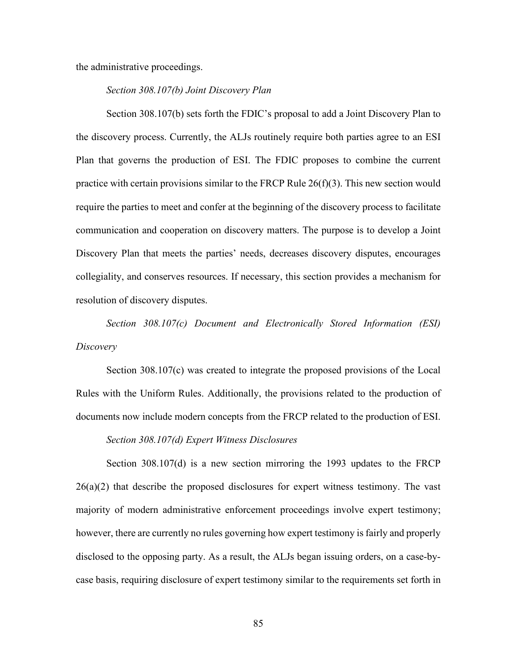the administrative proceedings.

#### *Section 308.107(b) Joint Discovery Plan*

Section 308.107(b) sets forth the FDIC's proposal to add a Joint Discovery Plan to the discovery process. Currently, the ALJs routinely require both parties agree to an ESI Plan that governs the production of ESI. The FDIC proposes to combine the current practice with certain provisions similar to the FRCP Rule 26(f)(3). This new section would require the parties to meet and confer at the beginning of the discovery process to facilitate communication and cooperation on discovery matters. The purpose is to develop a Joint Discovery Plan that meets the parties' needs, decreases discovery disputes, encourages collegiality, and conserves resources. If necessary, this section provides a mechanism for resolution of discovery disputes.

*Section 308.107(c) Document and Electronically Stored Information (ESI) Discovery*

Section 308.107(c) was created to integrate the proposed provisions of the Local Rules with the Uniform Rules. Additionally, the provisions related to the production of documents now include modern concepts from the FRCP related to the production of ESI.

#### *Section 308.107(d) Expert Witness Disclosures*

Section 308.107(d) is a new section mirroring the 1993 updates to the FRCP  $26(a)(2)$  that describe the proposed disclosures for expert witness testimony. The vast majority of modern administrative enforcement proceedings involve expert testimony; however, there are currently no rules governing how expert testimony is fairly and properly disclosed to the opposing party. As a result, the ALJs began issuing orders, on a case-bycase basis, requiring disclosure of expert testimony similar to the requirements set forth in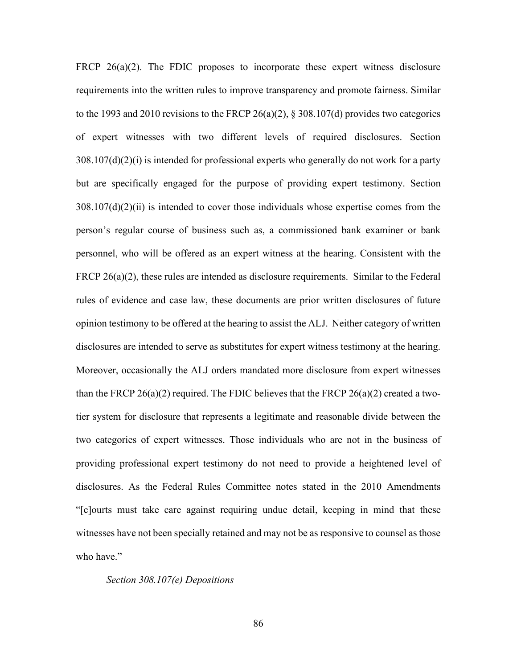FRCP  $26(a)(2)$ . The FDIC proposes to incorporate these expert witness disclosure requirements into the written rules to improve transparency and promote fairness. Similar to the 1993 and 2010 revisions to the FRCP 26(a)(2),  $\S 308.107(d)$  provides two categories of expert witnesses with two different levels of required disclosures. Section  $308.107(d)(2)(i)$  is intended for professional experts who generally do not work for a party but are specifically engaged for the purpose of providing expert testimony. Section  $308.107(d)(2)(ii)$  is intended to cover those individuals whose expertise comes from the person's regular course of business such as, a commissioned bank examiner or bank personnel, who will be offered as an expert witness at the hearing. Consistent with the FRCP 26(a)(2), these rules are intended as disclosure requirements. Similar to the Federal rules of evidence and case law, these documents are prior written disclosures of future opinion testimony to be offered at the hearing to assist the ALJ. Neither category of written disclosures are intended to serve as substitutes for expert witness testimony at the hearing. Moreover, occasionally the ALJ orders mandated more disclosure from expert witnesses than the FRCP 26(a)(2) required. The FDIC believes that the FRCP 26(a)(2) created a twotier system for disclosure that represents a legitimate and reasonable divide between the two categories of expert witnesses. Those individuals who are not in the business of providing professional expert testimony do not need to provide a heightened level of disclosures. As the Federal Rules Committee notes stated in the 2010 Amendments "[c]ourts must take care against requiring undue detail, keeping in mind that these witnesses have not been specially retained and may not be as responsive to counsel as those who have."

#### *Section 308.107(e) Depositions*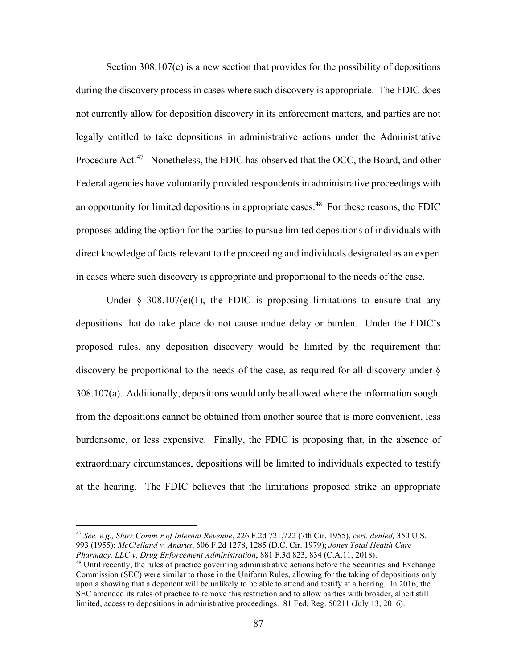Section 308.107(e) is a new section that provides for the possibility of depositions during the discovery process in cases where such discovery is appropriate. The FDIC does not currently allow for deposition discovery in its enforcement matters, and parties are not legally entitled to take depositions in administrative actions under the Administrative Procedure Act.<sup>47</sup> Nonetheless, the FDIC has observed that the OCC, the Board, and other Federal agencies have voluntarily provided respondents in administrative proceedings with an opportunity for limited depositions in appropriate cases.<sup>48</sup> For these reasons, the FDIC proposes adding the option for the parties to pursue limited depositions of individuals with direct knowledge of facts relevant to the proceeding and individuals designated as an expert in cases where such discovery is appropriate and proportional to the needs of the case.

Under  $\S$  308.107(e)(1), the FDIC is proposing limitations to ensure that any depositions that do take place do not cause undue delay or burden. Under the FDIC's proposed rules, any deposition discovery would be limited by the requirement that discovery be proportional to the needs of the case, as required for all discovery under § 308.107(a). Additionally, depositions would only be allowed where the information sought from the depositions cannot be obtained from another source that is more convenient, less burdensome, or less expensive. Finally, the FDIC is proposing that, in the absence of extraordinary circumstances, depositions will be limited to individuals expected to testify at the hearing. The FDIC believes that the limitations proposed strike an appropriate

<sup>47</sup> *See, e.g., Starr Comm'r of Internal Revenue*, 226 F.2d 721,722 (7th Cir. 1955), *cert. denied,* 350 U.S. 993 (1955); *McClelland v. Andrus*, 606 F.2d 1278, 1285 (D.C. Cir. 1979); *Jones Total Health Care Pharmacy, LLC v. Drug Enforcement Administration*, 881 F.3d 823, 834 (C.A.11, 2018).

<sup>&</sup>lt;sup>48</sup> Until recently, the rules of practice governing administrative actions before the Securities and Exchange Commission (SEC) were similar to those in the Uniform Rules, allowing for the taking of depositions only upon a showing that a deponent will be unlikely to be able to attend and testify at a hearing. In 2016, the SEC amended its rules of practice to remove this restriction and to allow parties with broader, albeit still limited, access to depositions in administrative proceedings. 81 Fed. Reg. 50211 (July 13, 2016).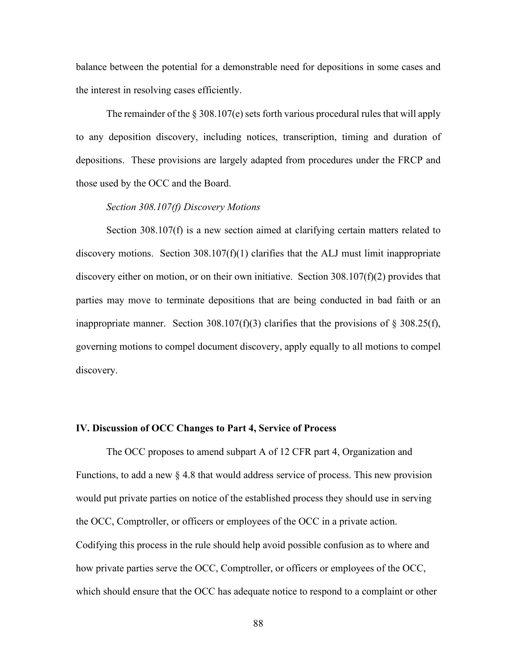balance between the potential for a demonstrable need for depositions in some cases and the interest in resolving cases efficiently.

The remainder of the § 308.107(e) sets forth various procedural rules that will apply to any deposition discovery, including notices, transcription, timing and duration of depositions. These provisions are largely adapted from procedures under the FRCP and those used by the OCC and the Board.

# *Section 308.107(f) Discovery Motions*

Section 308.107(f) is a new section aimed at clarifying certain matters related to discovery motions. Section  $308.107(f)(1)$  clarifies that the ALJ must limit inappropriate discovery either on motion, or on their own initiative. Section 308.107(f)(2) provides that parties may move to terminate depositions that are being conducted in bad faith or an inappropriate manner. Section 308.107(f)(3) clarifies that the provisions of § 308.25(f), governing motions to compel document discovery, apply equally to all motions to compel discovery.

#### **IV. Discussion of OCC Changes to Part 4, Service of Process**

The OCC proposes to amend subpart A of 12 CFR part 4, Organization and Functions, to add a new  $\S 4.8$  that would address service of process. This new provision would put private parties on notice of the established process they should use in serving the OCC, Comptroller, or officers or employees of the OCC in a private action. Codifying this process in the rule should help avoid possible confusion as to where and how private parties serve the OCC, Comptroller, or officers or employees of the OCC, which should ensure that the OCC has adequate notice to respond to a complaint or other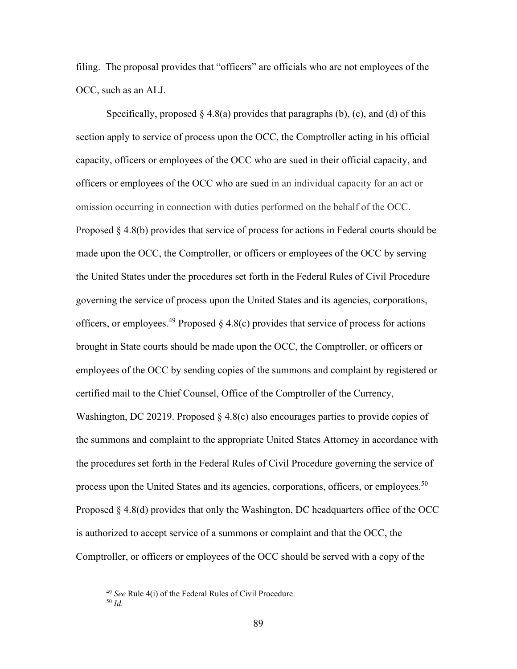filing. The proposal provides that "officers" are officials who are not employees of the OCC, such as an ALJ.

Specifically, proposed  $\S 4.8(a)$  provides that paragraphs (b), (c), and (d) of this section apply to service of process upon the OCC, the Comptroller acting in his official capacity, officers or employees of the OCC who are sued in their official capacity, and officers or employees of the OCC who are sued in an individual capacity for an act or omission occurring in connection with duties performed on the behalf of the OCC. Proposed § 4.8(b) provides that service of process for actions in Federal courts should be made upon the OCC, the Comptroller, or officers or employees of the OCC by serving the United States under the procedures set forth in the Federal Rules of Civil Procedure governing the service of process upon the United States and its agencies, co**r**porat**i**ons, officers, or employees.<sup>49</sup> Proposed § 4.8(c) provides that service of process for actions brought in State courts should be made upon the OCC, the Comptroller, or officers or employees of the OCC by sending copies of the summons and complaint by registered or certified mail to the Chief Counsel, Office of the Comptroller of the Currency, Washington, DC 20219. Proposed  $\S 4.8(c)$  also encourages parties to provide copies of the summons and complaint to the appropriate United States Attorney in accordance with the procedures set forth in the Federal Rules of Civil Procedure governing the service of process upon the United States and its agencies, corporations, officers, or employees.<sup>50</sup> Proposed § 4.8(d) provides that only the Washington, DC headquarters office of the OCC is authorized to accept service of a summons or complaint and that the OCC, the Comptroller, or officers or employees of the OCC should be served with a copy of the

<sup>49</sup> *See* Rule 4(i) of the Federal Rules of Civil Procedure. <sup>50</sup> *Id.*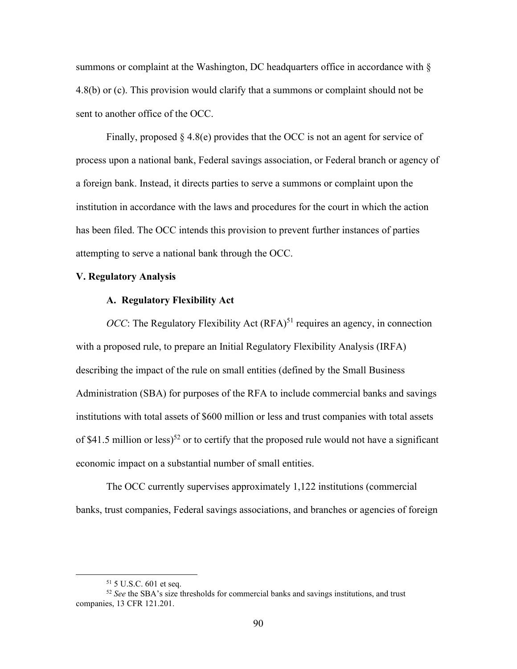summons or complaint at the Washington, DC headquarters office in accordance with § 4.8(b) or (c). This provision would clarify that a summons or complaint should not be sent to another office of the OCC.

Finally, proposed  $\S$  4.8(e) provides that the OCC is not an agent for service of process upon a national bank, Federal savings association, or Federal branch or agency of a foreign bank. Instead, it directs parties to serve a summons or complaint upon the institution in accordance with the laws and procedures for the court in which the action has been filed. The OCC intends this provision to prevent further instances of parties attempting to serve a national bank through the OCC.

# **V. Regulatory Analysis**

#### **A. Regulatory Flexibility Act**

*OCC*: The Regulatory Flexibility Act  $(RFA)^{51}$  requires an agency, in connection with a proposed rule, to prepare an Initial Regulatory Flexibility Analysis (IRFA) describing the impact of the rule on small entities (defined by the Small Business Administration (SBA) for purposes of the RFA to include commercial banks and savings institutions with total assets of \$600 million or less and trust companies with total assets of \$41.5 million or less)<sup>52</sup> or to certify that the proposed rule would not have a significant economic impact on a substantial number of small entities.

The OCC currently supervises approximately 1,122 institutions (commercial banks, trust companies, Federal savings associations, and branches or agencies of foreign

<sup>51</sup> 5 U.S.C. 601 et seq.

<sup>&</sup>lt;sup>52</sup> See the SBA's size thresholds for commercial banks and savings institutions, and trust companies, 13 CFR 121.201.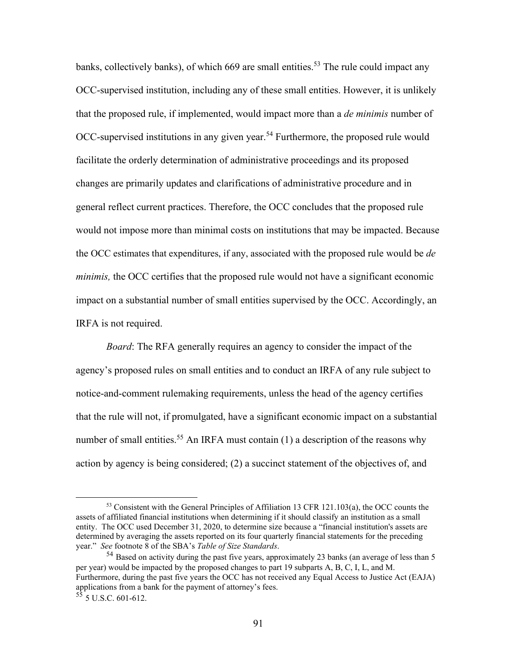banks, collectively banks), of which  $669$  are small entities.<sup>53</sup> The rule could impact any OCC-supervised institution, including any of these small entities. However, it is unlikely that the proposed rule, if implemented, would impact more than a *de minimis* number of OCC-supervised institutions in any given year.<sup>54</sup> Furthermore, the proposed rule would facilitate the orderly determination of administrative proceedings and its proposed changes are primarily updates and clarifications of administrative procedure and in general reflect current practices. Therefore, the OCC concludes that the proposed rule would not impose more than minimal costs on institutions that may be impacted. Because the OCC estimates that expenditures, if any, associated with the proposed rule would be *de minimis,* the OCC certifies that the proposed rule would not have a significant economic impact on a substantial number of small entities supervised by the OCC. Accordingly, an IRFA is not required.

*Board*: The RFA generally requires an agency to consider the impact of the agency's proposed rules on small entities and to conduct an IRFA of any rule subject to notice-and-comment rulemaking requirements, unless the head of the agency certifies that the rule will not, if promulgated, have a significant economic impact on a substantial number of small entities.<sup>55</sup> An IRFA must contain  $(1)$  a description of the reasons why action by agency is being considered; (2) a succinct statement of the objectives of, and

<sup>53</sup> Consistent with the General Principles of Affiliation 13 CFR 121.103(a), the OCC counts the assets of affiliated financial institutions when determining if it should classify an institution as a small entity. The OCC used December 31, 2020, to determine size because a "financial institution's assets are determined by averaging the assets reported on its four quarterly financial statements for the preceding year." *See* footnote 8 of the SBA's *Table of Size Standards*.

 $54$  Based on activity during the past five years, approximately 23 banks (an average of less than 5 per year) would be impacted by the proposed changes to part 19 subparts A, B, C, I, L, and M. Furthermore, during the past five years the OCC has not received any Equal Access to Justice Act (EAJA) applications from a bank for the payment of attorney's fees.

 $5\overline{5}$  5 U.S.C. 601-612.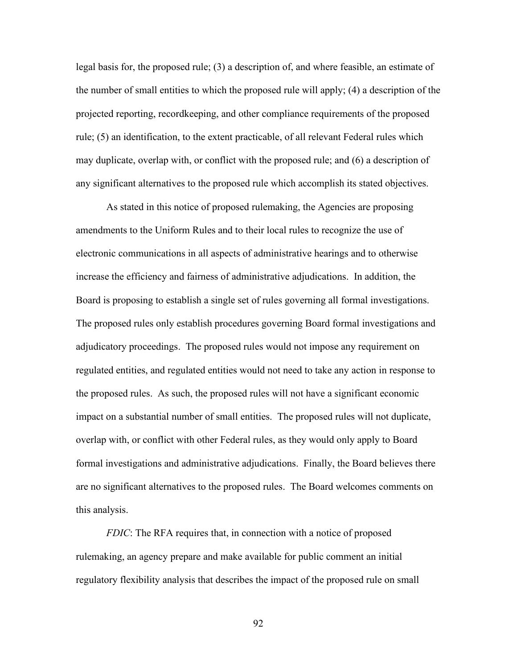legal basis for, the proposed rule; (3) a description of, and where feasible, an estimate of the number of small entities to which the proposed rule will apply; (4) a description of the projected reporting, recordkeeping, and other compliance requirements of the proposed rule; (5) an identification, to the extent practicable, of all relevant Federal rules which may duplicate, overlap with, or conflict with the proposed rule; and (6) a description of any significant alternatives to the proposed rule which accomplish its stated objectives.

As stated in this notice of proposed rulemaking, the Agencies are proposing amendments to the Uniform Rules and to their local rules to recognize the use of electronic communications in all aspects of administrative hearings and to otherwise increase the efficiency and fairness of administrative adjudications. In addition, the Board is proposing to establish a single set of rules governing all formal investigations. The proposed rules only establish procedures governing Board formal investigations and adjudicatory proceedings. The proposed rules would not impose any requirement on regulated entities, and regulated entities would not need to take any action in response to the proposed rules. As such, the proposed rules will not have a significant economic impact on a substantial number of small entities. The proposed rules will not duplicate, overlap with, or conflict with other Federal rules, as they would only apply to Board formal investigations and administrative adjudications. Finally, the Board believes there are no significant alternatives to the proposed rules. The Board welcomes comments on this analysis.

*FDIC*: The RFA requires that, in connection with a notice of proposed rulemaking, an agency prepare and make available for public comment an initial regulatory flexibility analysis that describes the impact of the proposed rule on small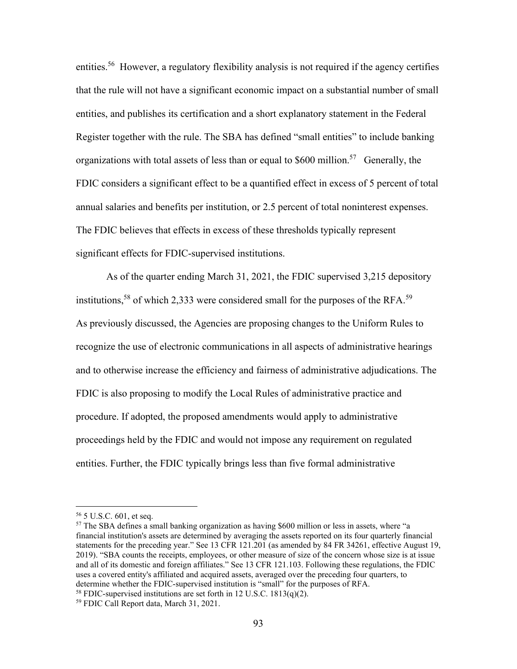entities.<sup>56</sup> However, a regulatory flexibility analysis is not required if the agency certifies that the rule will not have a significant economic impact on a substantial number of small entities, and publishes its certification and a short explanatory statement in the Federal Register together with the rule. The SBA has defined "small entities" to include banking organizations with total assets of less than or equal to  $$600$  million.<sup>57</sup> Generally, the FDIC considers a significant effect to be a quantified effect in excess of 5 percent of total annual salaries and benefits per institution, or 2.5 percent of total noninterest expenses. The FDIC believes that effects in excess of these thresholds typically represent significant effects for FDIC-supervised institutions.

As of the quarter ending March 31, 2021, the FDIC supervised 3,215 depository institutions,<sup>58</sup> of which 2,333 were considered small for the purposes of the RFA.<sup>59</sup> As previously discussed, the Agencies are proposing changes to the Uniform Rules to recognize the use of electronic communications in all aspects of administrative hearings and to otherwise increase the efficiency and fairness of administrative adjudications. The FDIC is also proposing to modify the Local Rules of administrative practice and procedure. If adopted, the proposed amendments would apply to administrative proceedings held by the FDIC and would not impose any requirement on regulated entities. Further, the FDIC typically brings less than five formal administrative

<sup>56</sup> 5 U.S.C. 601, et seq.

<sup>&</sup>lt;sup>57</sup> The SBA defines a small banking organization as having \$600 million or less in assets, where "a financial institution's assets are determined by averaging the assets reported on its four quarterly financial statements for the preceding year." See 13 CFR 121.201 (as amended by 84 FR 34261, effective August 19, 2019). "SBA counts the receipts, employees, or other measure of size of the concern whose size is at issue and all of its domestic and foreign affiliates." See 13 CFR 121.103. Following these regulations, the FDIC uses a covered entity's affiliated and acquired assets, averaged over the preceding four quarters, to determine whether the FDIC-supervised institution is "small" for the purposes of RFA.

<sup>&</sup>lt;sup>58</sup> FDIC-supervised institutions are set forth in 12 U.S.C.  $1813(q)(2)$ .

<sup>59</sup> FDIC Call Report data, March 31, 2021.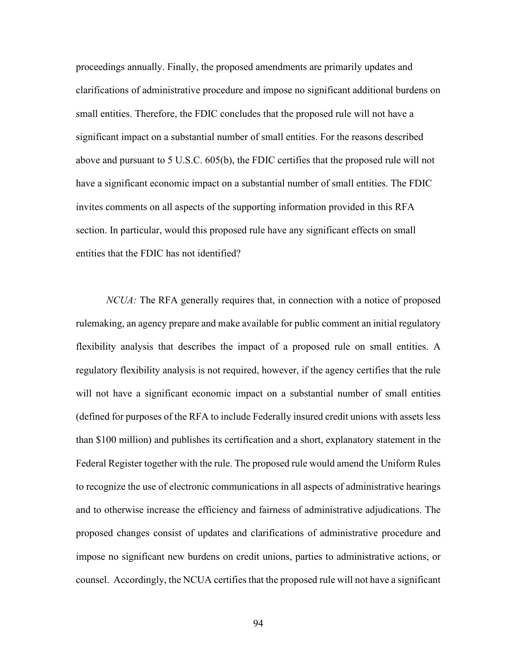proceedings annually. Finally, the proposed amendments are primarily updates and clarifications of administrative procedure and impose no significant additional burdens on small entities. Therefore, the FDIC concludes that the proposed rule will not have a significant impact on a substantial number of small entities. For the reasons described above and pursuant to 5 U.S.C. 605(b), the FDIC certifies that the proposed rule will not have a significant economic impact on a substantial number of small entities. The FDIC invites comments on all aspects of the supporting information provided in this RFA section. In particular, would this proposed rule have any significant effects on small entities that the FDIC has not identified?

*NCUA*: The RFA generally requires that, in connection with a notice of proposed rulemaking, an agency prepare and make available for public comment an initial regulatory flexibility analysis that describes the impact of a proposed rule on small entities. A regulatory flexibility analysis is not required, however, if the agency certifies that the rule will not have a significant economic impact on a substantial number of small entities (defined for purposes of the RFA to include Federally insured credit unions with assets less than \$100 million) and publishes its certification and a short, explanatory statement in the Federal Register together with the rule. The proposed rule would amend the Uniform Rules to recognize the use of electronic communications in all aspects of administrative hearings and to otherwise increase the efficiency and fairness of administrative adjudications. The proposed changes consist of updates and clarifications of administrative procedure and impose no significant new burdens on credit unions, parties to administrative actions, or counsel. Accordingly, the NCUA certifies that the proposed rule will not have a significant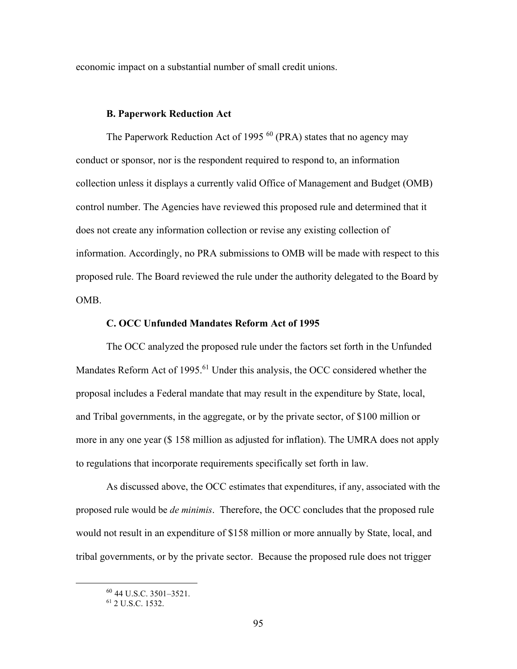economic impact on a substantial number of small credit unions.

# **B. Paperwork Reduction Act**

The Paperwork Reduction Act of 1995<sup>60</sup> (PRA) states that no agency may conduct or sponsor, nor is the respondent required to respond to, an information collection unless it displays a currently valid Office of Management and Budget (OMB) control number. The Agencies have reviewed this proposed rule and determined that it does not create any information collection or revise any existing collection of information. Accordingly, no PRA submissions to OMB will be made with respect to this proposed rule. The Board reviewed the rule under the authority delegated to the Board by OMB.

#### **C. OCC Unfunded Mandates Reform Act of 1995**

The OCC analyzed the proposed rule under the factors set forth in the Unfunded Mandates Reform Act of 1995.<sup>61</sup> Under this analysis, the OCC considered whether the proposal includes a Federal mandate that may result in the expenditure by State, local, and Tribal governments, in the aggregate, or by the private sector, of \$100 million or more in any one year (\$ 158 million as adjusted for inflation). The UMRA does not apply to regulations that incorporate requirements specifically set forth in law.

As discussed above, the OCC estimates that expenditures, if any, associated with the proposed rule would be *de minimis*. Therefore, the OCC concludes that the proposed rule would not result in an expenditure of \$158 million or more annually by State, local, and tribal governments, or by the private sector. Because the proposed rule does not trigger

<sup>60</sup> 44 U.S.C. 3501–3521.

<sup>61</sup> 2 U.S.C. 1532.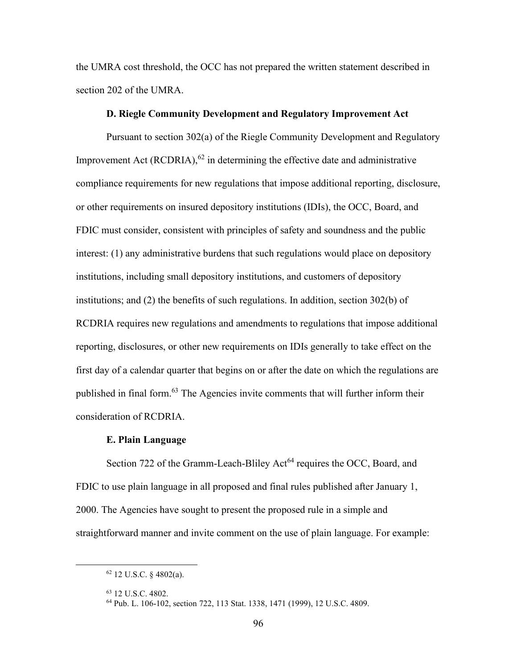the UMRA cost threshold, the OCC has not prepared the written statement described in section 202 of the UMRA.

#### **D. Riegle Community Development and Regulatory Improvement Act**

Pursuant to section 302(a) of the Riegle Community Development and Regulatory Improvement Act (RCDRIA), $^{62}$  in determining the effective date and administrative compliance requirements for new regulations that impose additional reporting, disclosure, or other requirements on insured depository institutions (IDIs), the OCC, Board, and FDIC must consider, consistent with principles of safety and soundness and the public interest: (1) any administrative burdens that such regulations would place on depository institutions, including small depository institutions, and customers of depository institutions; and (2) the benefits of such regulations. In addition, section 302(b) of RCDRIA requires new regulations and amendments to regulations that impose additional reporting, disclosures, or other new requirements on IDIs generally to take effect on the first day of a calendar quarter that begins on or after the date on which the regulations are published in final form.<sup>63</sup> The Agencies invite comments that will further inform their consideration of RCDRIA.

#### **E. Plain Language**

Section 722 of the Gramm-Leach-Bliley Act<sup>64</sup> requires the OCC, Board, and FDIC to use plain language in all proposed and final rules published after January 1, 2000. The Agencies have sought to present the proposed rule in a simple and straightforward manner and invite comment on the use of plain language. For example:

 $62$  12 U.S.C. § 4802(a).

<sup>63</sup> 12 U.S.C. 4802.

<sup>64</sup> Pub. L. 106-102, section 722, 113 Stat. 1338, 1471 (1999), 12 U.S.C. 4809.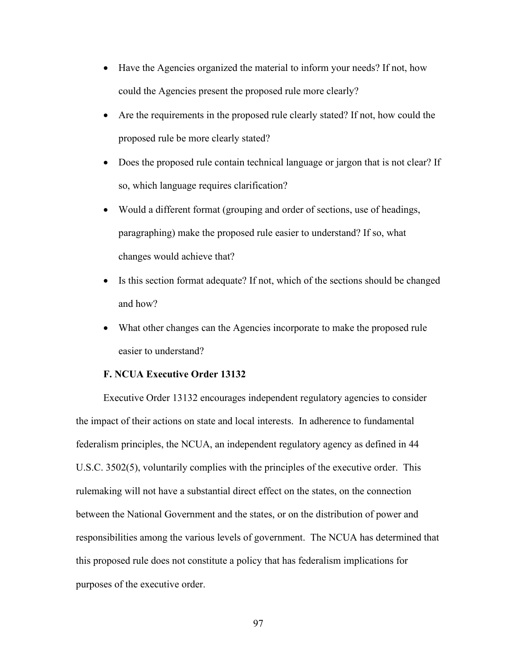- Have the Agencies organized the material to inform your needs? If not, how could the Agencies present the proposed rule more clearly?
- Are the requirements in the proposed rule clearly stated? If not, how could the proposed rule be more clearly stated?
- Does the proposed rule contain technical language or jargon that is not clear? If so, which language requires clarification?
- Would a different format (grouping and order of sections, use of headings, paragraphing) make the proposed rule easier to understand? If so, what changes would achieve that?
- Is this section format adequate? If not, which of the sections should be changed and how?
- What other changes can the Agencies incorporate to make the proposed rule easier to understand?

# **F. NCUA Executive Order 13132**

Executive Order 13132 encourages independent regulatory agencies to consider the impact of their actions on state and local interests. In adherence to fundamental federalism principles, the NCUA, an independent regulatory agency as defined in 44 U.S.C. 3502(5), voluntarily complies with the principles of the executive order. This rulemaking will not have a substantial direct effect on the states, on the connection between the National Government and the states, or on the distribution of power and responsibilities among the various levels of government. The NCUA has determined that this proposed rule does not constitute a policy that has federalism implications for purposes of the executive order.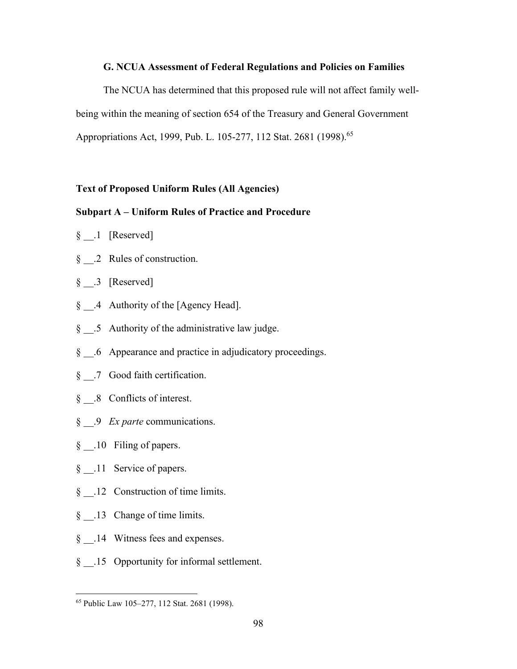# **G. NCUA Assessment of Federal Regulations and Policies on Families**

The NCUA has determined that this proposed rule will not affect family wellbeing within the meaning of section 654 of the Treasury and General Government Appropriations Act, 1999, Pub. L. 105-277, 112 Stat. 2681 (1998).<sup>65</sup>

#### **Text of Proposed Uniform Rules (All Agencies)**

# **Subpart A – Uniform Rules of Practice and Procedure**

- § .1 [Reserved]
- § .2 Rules of construction.
- § .3 [Reserved]
- § .4 Authority of the [Agency Head].
- § .5 Authority of the administrative law judge.
- § .6 Appearance and practice in adjudicatory proceedings.
- § .7 Good faith certification.
- § .8 Conflicts of interest.
- § \_\_.9 *Ex parte* communications.
- § .10 Filing of papers.
- § \_\_.11 Service of papers.
- § .12 Construction of time limits.
- § .13 Change of time limits.
- § .14 Witness fees and expenses.
- § .15 Opportunity for informal settlement.

<sup>65</sup> Public Law 105–277, 112 Stat. 2681 (1998).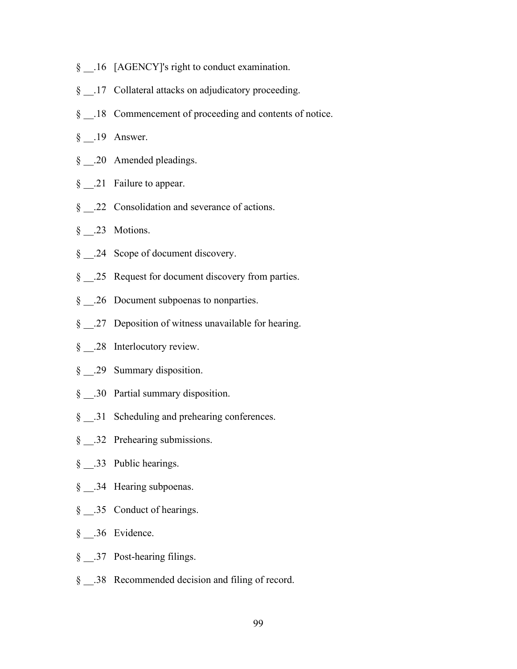- § \_\_.16 [AGENCY]'s right to conduct examination.
- § 17 Collateral attacks on adjudicatory proceeding.
- § .18 Commencement of proceeding and contents of notice.
- § .19 Answer.
- § \_\_.20 Amended pleadings.
- § \_\_\_.21 Failure to appear.
- § \_\_.22 Consolidation and severance of actions.
- § .23 Motions.
- § .24 Scope of document discovery.
- § \_\_.25 Request for document discovery from parties.
- § \_\_.26 Document subpoenas to nonparties.
- § 27 Deposition of witness unavailable for hearing.
- § .28 Interlocutory review.
- § \_\_.29 Summary disposition.
- § .30 Partial summary disposition.
- § .31 Scheduling and prehearing conferences.
- § \_\_.32 Prehearing submissions.
- § .33 Public hearings.
- § .34 Hearing subpoenas.
- § \_\_\_.35 Conduct of hearings.
- § \_\_.36 Evidence.
- § \_\_.37 Post-hearing filings.
- § .38 Recommended decision and filing of record.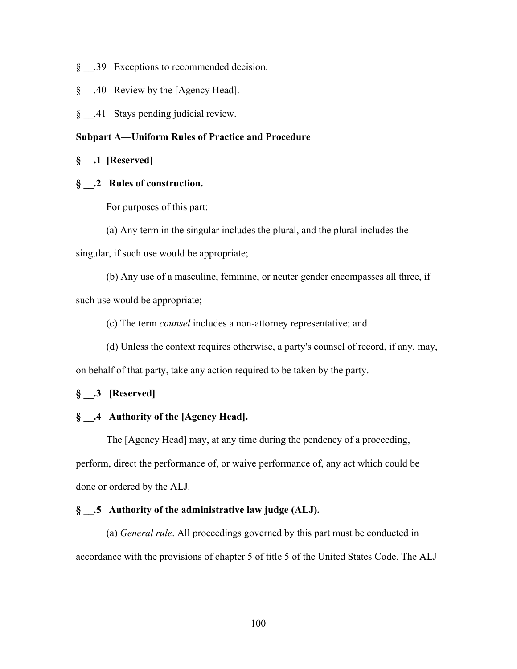- § .39 Exceptions to recommended decision.
- § .40 Review by the [Agency Head].
- § .41 Stays pending judicial review.

# **Subpart A—Uniform Rules of Practice and Procedure**

# **§ \_\_.1 [Reserved]**

# **§ \_\_.2 Rules of construction.**

For purposes of this part:

(a) Any term in the singular includes the plural, and the plural includes the singular, if such use would be appropriate;

(b) Any use of a masculine, feminine, or neuter gender encompasses all three, if such use would be appropriate;

(c) The term *counsel* includes a non-attorney representative; and

(d) Unless the context requires otherwise, a party's counsel of record, if any, may, on behalf of that party, take any action required to be taken by the party.

# **§ \_\_.3 [Reserved]**

# **§ \_\_.4 Authority of the [Agency Head].**

The [Agency Head] may, at any time during the pendency of a proceeding, perform, direct the performance of, or waive performance of, any act which could be done or ordered by the ALJ.

# **§ \_\_.5 Authority of the administrative law judge (ALJ).**

(a) *General rule*. All proceedings governed by this part must be conducted in accordance with the provisions of chapter 5 of title 5 of the United States Code. The ALJ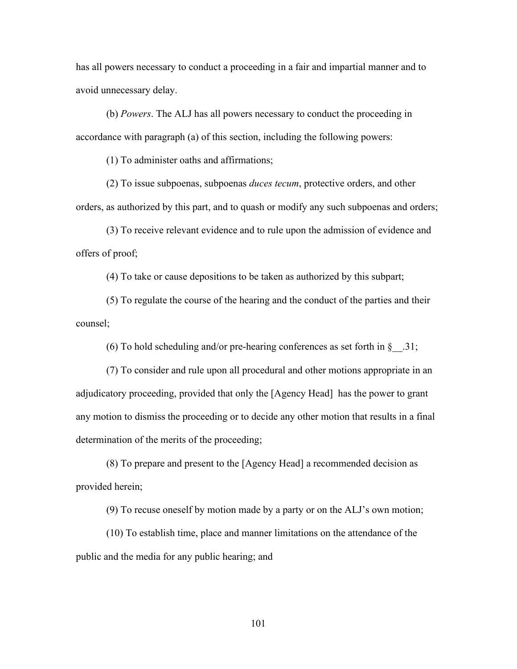has all powers necessary to conduct a proceeding in a fair and impartial manner and to avoid unnecessary delay.

(b) *Powers*. The ALJ has all powers necessary to conduct the proceeding in accordance with paragraph (a) of this section, including the following powers:

(1) To administer oaths and affirmations;

(2) To issue subpoenas, subpoenas *duces tecum*, protective orders, and other orders, as authorized by this part, and to quash or modify any such subpoenas and orders;

(3) To receive relevant evidence and to rule upon the admission of evidence and offers of proof;

(4) To take or cause depositions to be taken as authorized by this subpart;

(5) To regulate the course of the hearing and the conduct of the parties and their counsel;

(6) To hold scheduling and/or pre-hearing conferences as set forth in  $\S$  .31;

(7) To consider and rule upon all procedural and other motions appropriate in an adjudicatory proceeding, provided that only the [Agency Head] has the power to grant any motion to dismiss the proceeding or to decide any other motion that results in a final determination of the merits of the proceeding;

(8) To prepare and present to the [Agency Head] a recommended decision as provided herein;

(9) To recuse oneself by motion made by a party or on the ALJ's own motion;

(10) To establish time, place and manner limitations on the attendance of the public and the media for any public hearing; and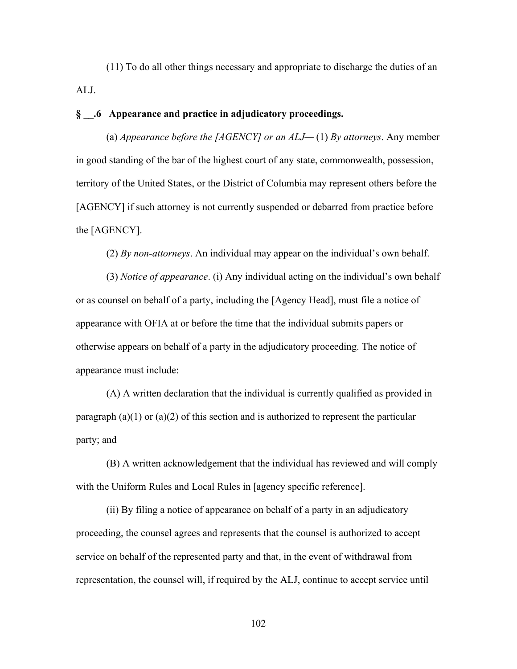(11) To do all other things necessary and appropriate to discharge the duties of an ALJ.

# **§ \_\_.6 Appearance and practice in adjudicatory proceedings.**

(a) *Appearance before the [AGENCY] or an ALJ—* (1) *By attorneys*. Any member in good standing of the bar of the highest court of any state, commonwealth, possession, territory of the United States, or the District of Columbia may represent others before the [AGENCY] if such attorney is not currently suspended or debarred from practice before the [AGENCY].

(2) *By non-attorneys*. An individual may appear on the individual's own behalf.

(3) *Notice of appearance*. (i) Any individual acting on the individual's own behalf or as counsel on behalf of a party, including the [Agency Head], must file a notice of appearance with OFIA at or before the time that the individual submits papers or otherwise appears on behalf of a party in the adjudicatory proceeding. The notice of appearance must include:

(A) A written declaration that the individual is currently qualified as provided in paragraph  $(a)(1)$  or  $(a)(2)$  of this section and is authorized to represent the particular party; and

(B) A written acknowledgement that the individual has reviewed and will comply with the Uniform Rules and Local Rules in [agency specific reference].

(ii) By filing a notice of appearance on behalf of a party in an adjudicatory proceeding, the counsel agrees and represents that the counsel is authorized to accept service on behalf of the represented party and that, in the event of withdrawal from representation, the counsel will, if required by the ALJ, continue to accept service until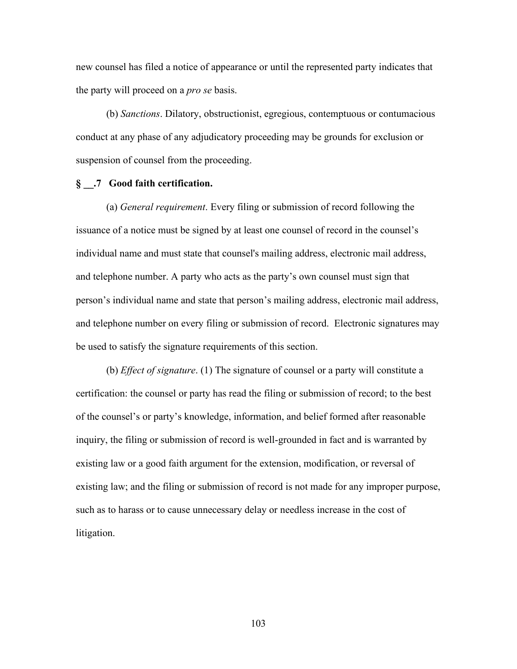new counsel has filed a notice of appearance or until the represented party indicates that the party will proceed on a *pro se* basis.

(b) *Sanctions*. Dilatory, obstructionist, egregious, contemptuous or contumacious conduct at any phase of any adjudicatory proceeding may be grounds for exclusion or suspension of counsel from the proceeding.

# **§ \_\_.7 Good faith certification.**

(a) *General requirement*. Every filing or submission of record following the issuance of a notice must be signed by at least one counsel of record in the counsel's individual name and must state that counsel's mailing address, electronic mail address, and telephone number. A party who acts as the party's own counsel must sign that person's individual name and state that person's mailing address, electronic mail address, and telephone number on every filing or submission of record. Electronic signatures may be used to satisfy the signature requirements of this section.

(b) *Effect of signature*. (1) The signature of counsel or a party will constitute a certification: the counsel or party has read the filing or submission of record; to the best of the counsel's or party's knowledge, information, and belief formed after reasonable inquiry, the filing or submission of record is well-grounded in fact and is warranted by existing law or a good faith argument for the extension, modification, or reversal of existing law; and the filing or submission of record is not made for any improper purpose, such as to harass or to cause unnecessary delay or needless increase in the cost of litigation.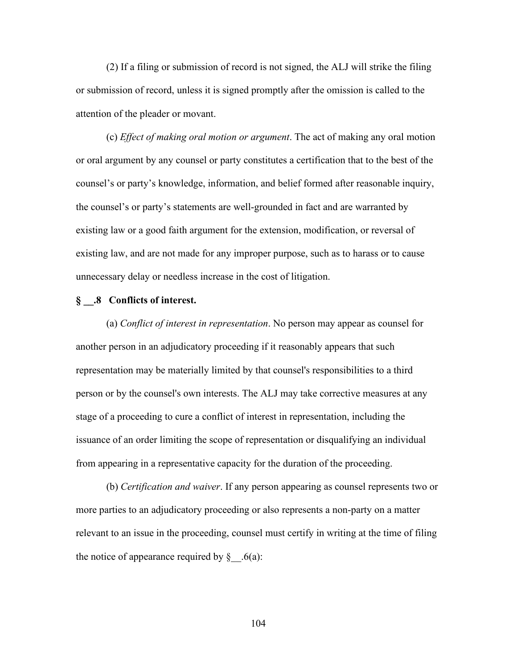(2) If a filing or submission of record is not signed, the ALJ will strike the filing or submission of record, unless it is signed promptly after the omission is called to the attention of the pleader or movant.

(c) *Effect of making oral motion or argument*. The act of making any oral motion or oral argument by any counsel or party constitutes a certification that to the best of the counsel's or party's knowledge, information, and belief formed after reasonable inquiry, the counsel's or party's statements are well-grounded in fact and are warranted by existing law or a good faith argument for the extension, modification, or reversal of existing law, and are not made for any improper purpose, such as to harass or to cause unnecessary delay or needless increase in the cost of litigation.

#### **§ \_\_.8 Conflicts of interest.**

(a) *Conflict of interest in representation*. No person may appear as counsel for another person in an adjudicatory proceeding if it reasonably appears that such representation may be materially limited by that counsel's responsibilities to a third person or by the counsel's own interests. The ALJ may take corrective measures at any stage of a proceeding to cure a conflict of interest in representation, including the issuance of an order limiting the scope of representation or disqualifying an individual from appearing in a representative capacity for the duration of the proceeding.

(b) *Certification and waiver*. If any person appearing as counsel represents two or more parties to an adjudicatory proceeding or also represents a non-party on a matter relevant to an issue in the proceeding, counsel must certify in writing at the time of filing the notice of appearance required by  $\S$  . 6(a):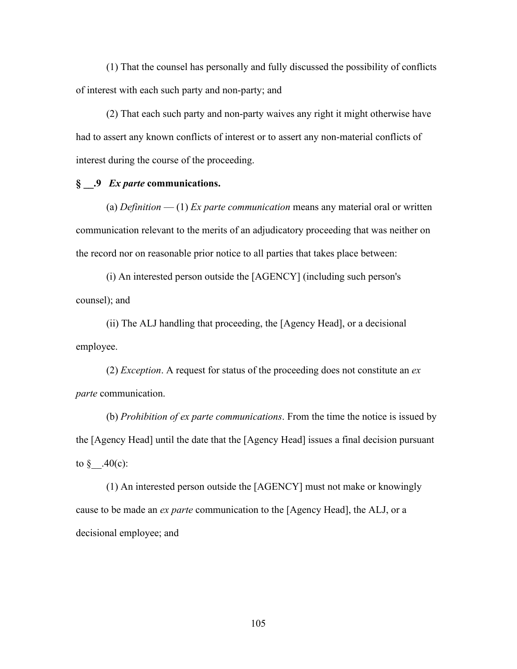(1) That the counsel has personally and fully discussed the possibility of conflicts of interest with each such party and non-party; and

(2) That each such party and non-party waives any right it might otherwise have had to assert any known conflicts of interest or to assert any non-material conflicts of interest during the course of the proceeding.

# **§ \_\_.9** *Ex parte* **communications.**

(a) *Definition* — (1) *Ex parte communication* means any material oral or written communication relevant to the merits of an adjudicatory proceeding that was neither on the record nor on reasonable prior notice to all parties that takes place between:

(i) An interested person outside the [AGENCY] (including such person's counsel); and

(ii) The ALJ handling that proceeding, the [Agency Head], or a decisional employee.

(2) *Exception*. A request for status of the proceeding does not constitute an *ex parte* communication.

(b) *Prohibition of ex parte communications*. From the time the notice is issued by the [Agency Head] until the date that the [Agency Head] issues a final decision pursuant to  $\S$  .40(c):

(1) An interested person outside the [AGENCY] must not make or knowingly cause to be made an *ex parte* communication to the [Agency Head], the ALJ, or a decisional employee; and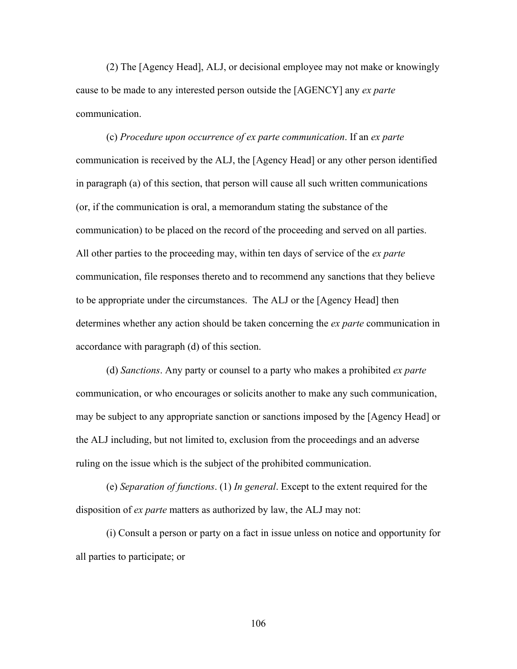(2) The [Agency Head], ALJ, or decisional employee may not make or knowingly cause to be made to any interested person outside the [AGENCY] any *ex parte* communication.

(c) *Procedure upon occurrence of ex parte communication*. If an *ex parte* communication is received by the ALJ, the [Agency Head] or any other person identified in paragraph (a) of this section, that person will cause all such written communications (or, if the communication is oral, a memorandum stating the substance of the communication) to be placed on the record of the proceeding and served on all parties. All other parties to the proceeding may, within ten days of service of the *ex parte* communication, file responses thereto and to recommend any sanctions that they believe to be appropriate under the circumstances. The ALJ or the [Agency Head] then determines whether any action should be taken concerning the *ex parte* communication in accordance with paragraph (d) of this section.

(d) *Sanctions*. Any party or counsel to a party who makes a prohibited *ex parte* communication, or who encourages or solicits another to make any such communication, may be subject to any appropriate sanction or sanctions imposed by the [Agency Head] or the ALJ including, but not limited to, exclusion from the proceedings and an adverse ruling on the issue which is the subject of the prohibited communication.

(e) *Separation of functions*. (1) *In general*. Except to the extent required for the disposition of *ex parte* matters as authorized by law, the ALJ may not:

(i) Consult a person or party on a fact in issue unless on notice and opportunity for all parties to participate; or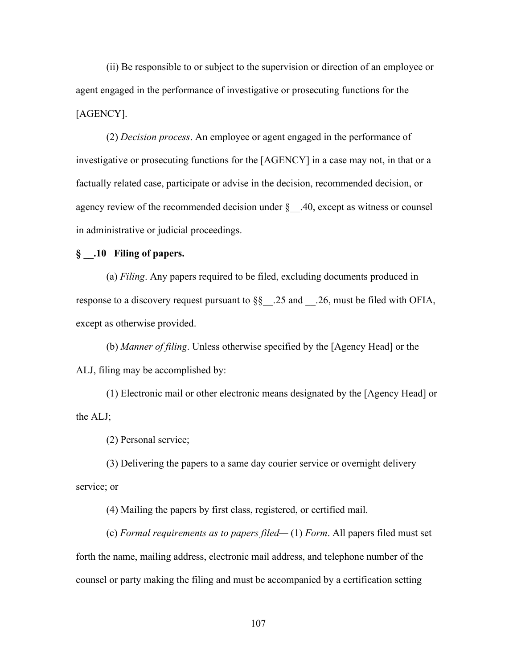(ii) Be responsible to or subject to the supervision or direction of an employee or agent engaged in the performance of investigative or prosecuting functions for the [AGENCY].

(2) *Decision process*. An employee or agent engaged in the performance of investigative or prosecuting functions for the [AGENCY] in a case may not, in that or a factually related case, participate or advise in the decision, recommended decision, or agency review of the recommended decision under §\_\_.40, except as witness or counsel in administrative or judicial proceedings.

# **§ \_\_.10 Filing of papers.**

(a) *Filing*. Any papers required to be filed, excluding documents produced in response to a discovery request pursuant to  $\S$ § .25 and .26, must be filed with OFIA, except as otherwise provided.

(b) *Manner of filing*. Unless otherwise specified by the [Agency Head] or the ALJ, filing may be accomplished by:

(1) Electronic mail or other electronic means designated by the [Agency Head] or the ALJ;

(2) Personal service;

(3) Delivering the papers to a same day courier service or overnight delivery service; or

(4) Mailing the papers by first class, registered, or certified mail.

(c) *Formal requirements as to papers filed—* (1) *Form*. All papers filed must set forth the name, mailing address, electronic mail address, and telephone number of the counsel or party making the filing and must be accompanied by a certification setting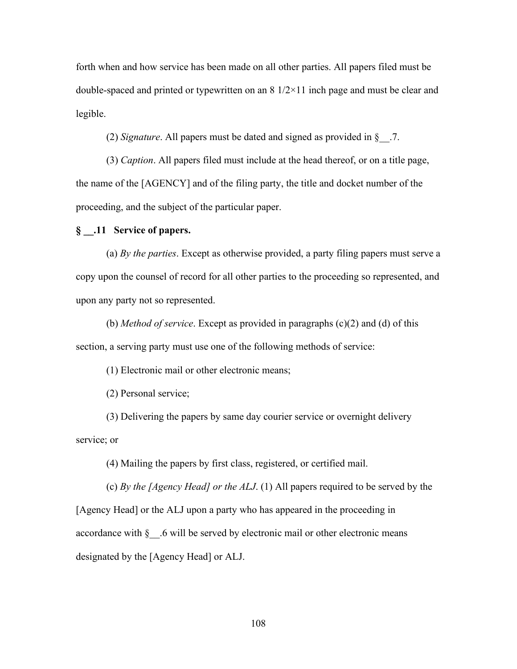forth when and how service has been made on all other parties. All papers filed must be double-spaced and printed or typewritten on an  $8 \frac{1}{2} \times 11$  inch page and must be clear and legible.

(2) *Signature*. All papers must be dated and signed as provided in §\_\_.7.

(3) *Caption*. All papers filed must include at the head thereof, or on a title page, the name of the [AGENCY] and of the filing party, the title and docket number of the proceeding, and the subject of the particular paper.

# **§ \_\_.11 Service of papers.**

(a) *By the parties*. Except as otherwise provided, a party filing papers must serve a copy upon the counsel of record for all other parties to the proceeding so represented, and upon any party not so represented.

(b) *Method of service*. Except as provided in paragraphs (c)(2) and (d) of this section, a serving party must use one of the following methods of service:

(1) Electronic mail or other electronic means;

(2) Personal service;

(3) Delivering the papers by same day courier service or overnight delivery service; or

(4) Mailing the papers by first class, registered, or certified mail.

(c) *By the [Agency Head] or the ALJ*. (1) All papers required to be served by the [Agency Head] or the ALJ upon a party who has appeared in the proceeding in accordance with §\_\_.6 will be served by electronic mail or other electronic means designated by the [Agency Head] or ALJ.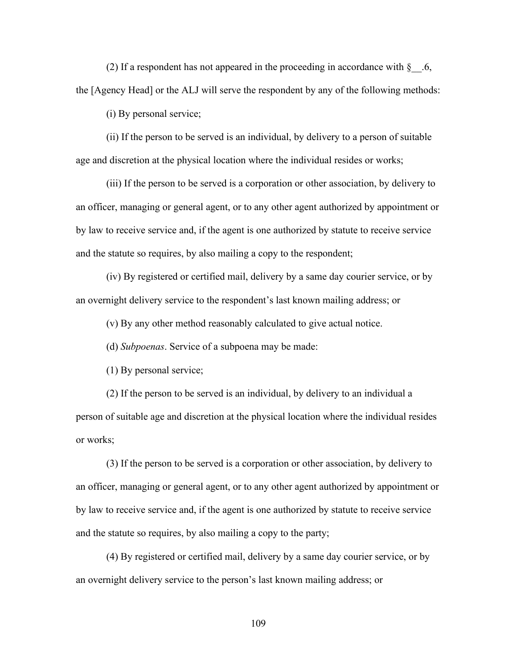(2) If a respondent has not appeared in the proceeding in accordance with  $\S$  .6, the [Agency Head] or the ALJ will serve the respondent by any of the following methods:

(i) By personal service;

(ii) If the person to be served is an individual, by delivery to a person of suitable age and discretion at the physical location where the individual resides or works;

(iii) If the person to be served is a corporation or other association, by delivery to an officer, managing or general agent, or to any other agent authorized by appointment or by law to receive service and, if the agent is one authorized by statute to receive service and the statute so requires, by also mailing a copy to the respondent;

(iv) By registered or certified mail, delivery by a same day courier service, or by an overnight delivery service to the respondent's last known mailing address; or

(v) By any other method reasonably calculated to give actual notice.

(d) *Subpoenas*. Service of a subpoena may be made:

(1) By personal service;

(2) If the person to be served is an individual, by delivery to an individual a person of suitable age and discretion at the physical location where the individual resides or works;

(3) If the person to be served is a corporation or other association, by delivery to an officer, managing or general agent, or to any other agent authorized by appointment or by law to receive service and, if the agent is one authorized by statute to receive service and the statute so requires, by also mailing a copy to the party;

(4) By registered or certified mail, delivery by a same day courier service, or by an overnight delivery service to the person's last known mailing address; or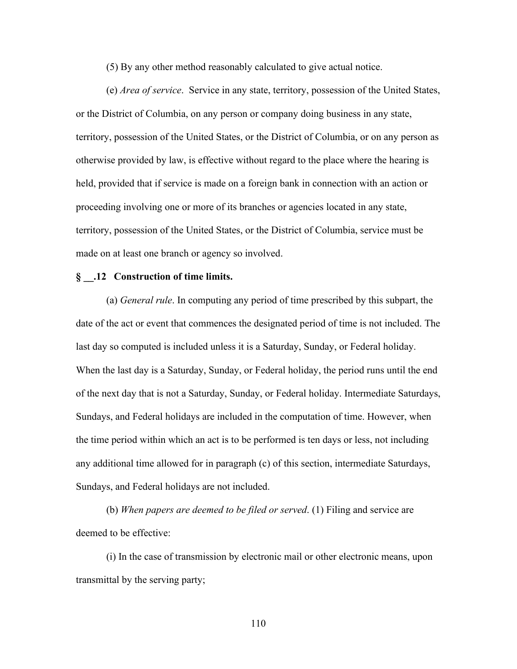(5) By any other method reasonably calculated to give actual notice.

(e) *Area of service*.Service in any state, territory, possession of the United States, or the District of Columbia, on any person or company doing business in any state, territory, possession of the United States, or the District of Columbia, or on any person as otherwise provided by law, is effective without regard to the place where the hearing is held, provided that if service is made on a foreign bank in connection with an action or proceeding involving one or more of its branches or agencies located in any state, territory, possession of the United States, or the District of Columbia, service must be made on at least one branch or agency so involved.

#### **§ \_\_.12 Construction of time limits.**

(a) *General rule*. In computing any period of time prescribed by this subpart, the date of the act or event that commences the designated period of time is not included. The last day so computed is included unless it is a Saturday, Sunday, or Federal holiday. When the last day is a Saturday, Sunday, or Federal holiday, the period runs until the end of the next day that is not a Saturday, Sunday, or Federal holiday. Intermediate Saturdays, Sundays, and Federal holidays are included in the computation of time. However, when the time period within which an act is to be performed is ten days or less, not including any additional time allowed for in paragraph (c) of this section, intermediate Saturdays, Sundays, and Federal holidays are not included.

(b) *When papers are deemed to be filed or served*. (1) Filing and service are deemed to be effective:

(i) In the case of transmission by electronic mail or other electronic means, upon transmittal by the serving party;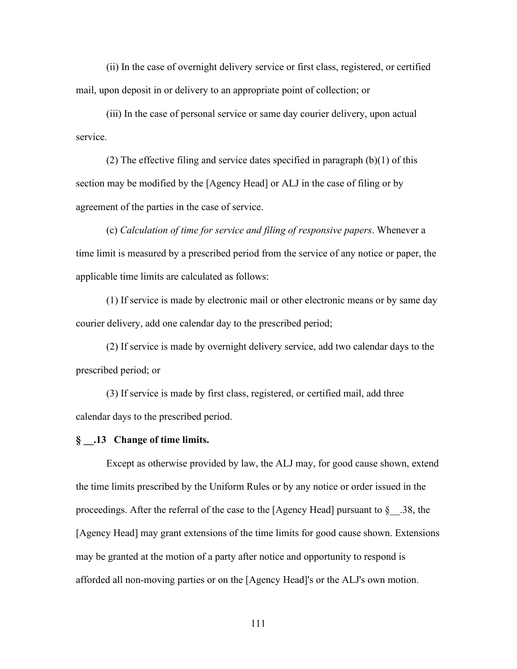(ii) In the case of overnight delivery service or first class, registered, or certified mail, upon deposit in or delivery to an appropriate point of collection; or

(iii) In the case of personal service or same day courier delivery, upon actual service.

(2) The effective filing and service dates specified in paragraph  $(b)(1)$  of this section may be modified by the [Agency Head] or ALJ in the case of filing or by agreement of the parties in the case of service.

(c) *Calculation of time for service and filing of responsive papers*. Whenever a time limit is measured by a prescribed period from the service of any notice or paper, the applicable time limits are calculated as follows:

(1) If service is made by electronic mail or other electronic means or by same day courier delivery, add one calendar day to the prescribed period;

(2) If service is made by overnight delivery service, add two calendar days to the prescribed period; or

(3) If service is made by first class, registered, or certified mail, add three calendar days to the prescribed period.

#### **§ \_\_.13 Change of time limits.**

Except as otherwise provided by law, the ALJ may, for good cause shown, extend the time limits prescribed by the Uniform Rules or by any notice or order issued in the proceedings. After the referral of the case to the [Agency Head] pursuant to  $\S$  . 38, the [Agency Head] may grant extensions of the time limits for good cause shown. Extensions may be granted at the motion of a party after notice and opportunity to respond is afforded all non-moving parties or on the [Agency Head]'s or the ALJ's own motion.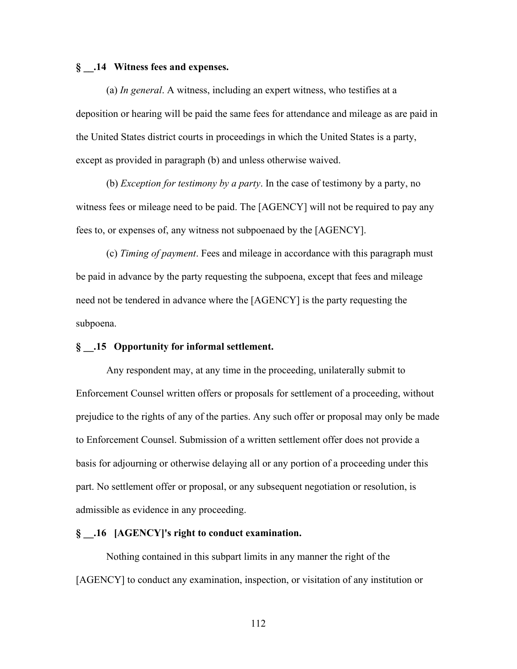# **§ \_\_.14 Witness fees and expenses.**

(a) *In general*. A witness, including an expert witness, who testifies at a deposition or hearing will be paid the same fees for attendance and mileage as are paid in the United States district courts in proceedings in which the United States is a party, except as provided in paragraph (b) and unless otherwise waived.

(b) *Exception for testimony by a party*. In the case of testimony by a party, no witness fees or mileage need to be paid. The [AGENCY] will not be required to pay any fees to, or expenses of, any witness not subpoenaed by the [AGENCY].

(c) *Timing of payment*. Fees and mileage in accordance with this paragraph must be paid in advance by the party requesting the subpoena, except that fees and mileage need not be tendered in advance where the [AGENCY] is the party requesting the subpoena.

# **§ \_\_.15 Opportunity for informal settlement.**

Any respondent may, at any time in the proceeding, unilaterally submit to Enforcement Counsel written offers or proposals for settlement of a proceeding, without prejudice to the rights of any of the parties. Any such offer or proposal may only be made to Enforcement Counsel. Submission of a written settlement offer does not provide a basis for adjourning or otherwise delaying all or any portion of a proceeding under this part. No settlement offer or proposal, or any subsequent negotiation or resolution, is admissible as evidence in any proceeding.

# **§ \_\_.16 [AGENCY]'s right to conduct examination.**

Nothing contained in this subpart limits in any manner the right of the [AGENCY] to conduct any examination, inspection, or visitation of any institution or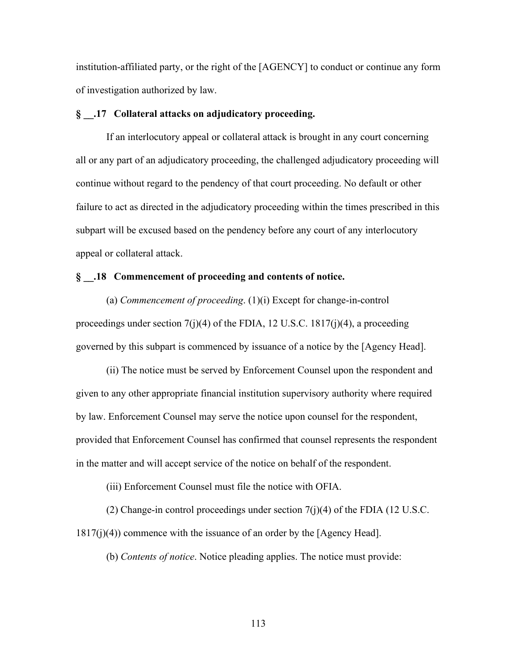institution-affiliated party, or the right of the [AGENCY] to conduct or continue any form of investigation authorized by law.

# **§ \_\_.17 Collateral attacks on adjudicatory proceeding.**

If an interlocutory appeal or collateral attack is brought in any court concerning all or any part of an adjudicatory proceeding, the challenged adjudicatory proceeding will continue without regard to the pendency of that court proceeding. No default or other failure to act as directed in the adjudicatory proceeding within the times prescribed in this subpart will be excused based on the pendency before any court of any interlocutory appeal or collateral attack.

# **§ \_\_.18 Commencement of proceeding and contents of notice.**

(a) *Commencement of proceeding*. (1)(i) Except for change-in-control proceedings under section  $7(j)(4)$  of the FDIA, 12 U.S.C. 1817 $(j)(4)$ , a proceeding governed by this subpart is commenced by issuance of a notice by the [Agency Head].

(ii) The notice must be served by Enforcement Counsel upon the respondent and given to any other appropriate financial institution supervisory authority where required by law. Enforcement Counsel may serve the notice upon counsel for the respondent, provided that Enforcement Counsel has confirmed that counsel represents the respondent in the matter and will accept service of the notice on behalf of the respondent.

(iii) Enforcement Counsel must file the notice with OFIA.

(2) Change-in control proceedings under section  $7(j)(4)$  of the FDIA (12 U.S.C. 1817(j)(4)) commence with the issuance of an order by the [Agency Head].

(b) *Contents of notice*. Notice pleading applies. The notice must provide: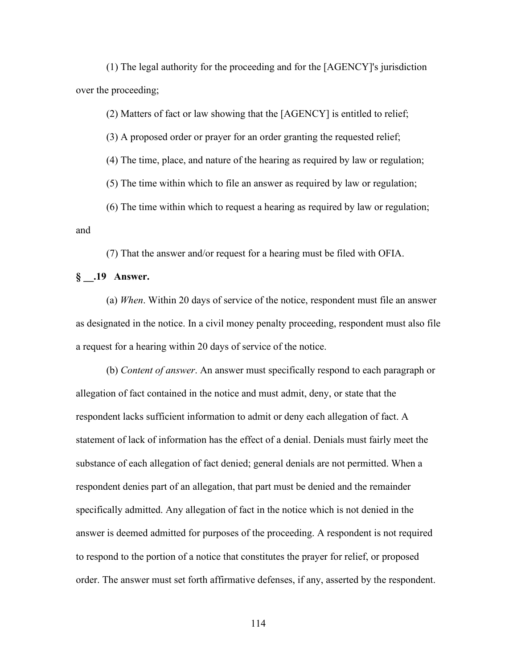(1) The legal authority for the proceeding and for the [AGENCY]'s jurisdiction over the proceeding;

(2) Matters of fact or law showing that the [AGENCY] is entitled to relief;

(3) A proposed order or prayer for an order granting the requested relief;

(4) The time, place, and nature of the hearing as required by law or regulation;

(5) The time within which to file an answer as required by law or regulation;

(6) The time within which to request a hearing as required by law or regulation; and

(7) That the answer and/or request for a hearing must be filed with OFIA.

# **§ \_\_.19 Answer.**

(a) *When*. Within 20 days of service of the notice, respondent must file an answer as designated in the notice. In a civil money penalty proceeding, respondent must also file a request for a hearing within 20 days of service of the notice.

(b) *Content of answer*. An answer must specifically respond to each paragraph or allegation of fact contained in the notice and must admit, deny, or state that the respondent lacks sufficient information to admit or deny each allegation of fact. A statement of lack of information has the effect of a denial. Denials must fairly meet the substance of each allegation of fact denied; general denials are not permitted. When a respondent denies part of an allegation, that part must be denied and the remainder specifically admitted. Any allegation of fact in the notice which is not denied in the answer is deemed admitted for purposes of the proceeding. A respondent is not required to respond to the portion of a notice that constitutes the prayer for relief, or proposed order. The answer must set forth affirmative defenses, if any, asserted by the respondent.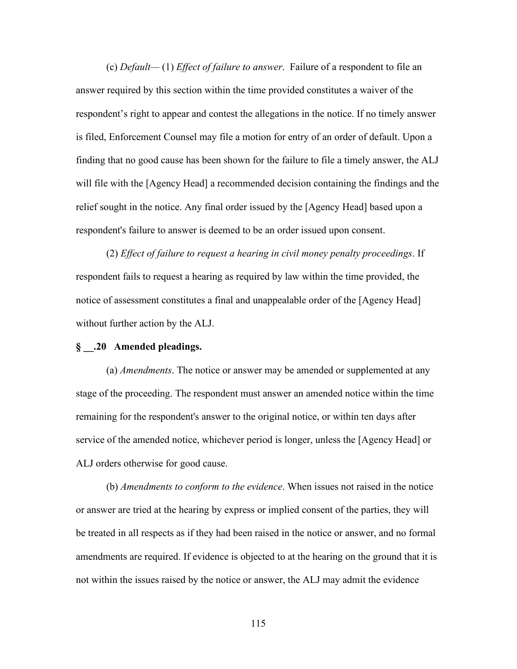(c) *Default—* (1) *Effect of failure to answer*.Failure of a respondent to file an answer required by this section within the time provided constitutes a waiver of the respondent's right to appear and contest the allegations in the notice. If no timely answer is filed, Enforcement Counsel may file a motion for entry of an order of default. Upon a finding that no good cause has been shown for the failure to file a timely answer, the ALJ will file with the [Agency Head] a recommended decision containing the findings and the relief sought in the notice. Any final order issued by the [Agency Head] based upon a respondent's failure to answer is deemed to be an order issued upon consent.

(2) *Effect of failure to request a hearing in civil money penalty proceedings*. If respondent fails to request a hearing as required by law within the time provided, the notice of assessment constitutes a final and unappealable order of the [Agency Head] without further action by the ALJ.

#### **§ \_\_.20 Amended pleadings.**

(a) *Amendments*. The notice or answer may be amended or supplemented at any stage of the proceeding. The respondent must answer an amended notice within the time remaining for the respondent's answer to the original notice, or within ten days after service of the amended notice, whichever period is longer, unless the [Agency Head] or ALJ orders otherwise for good cause.

(b) *Amendments to conform to the evidence*. When issues not raised in the notice or answer are tried at the hearing by express or implied consent of the parties, they will be treated in all respects as if they had been raised in the notice or answer, and no formal amendments are required. If evidence is objected to at the hearing on the ground that it is not within the issues raised by the notice or answer, the ALJ may admit the evidence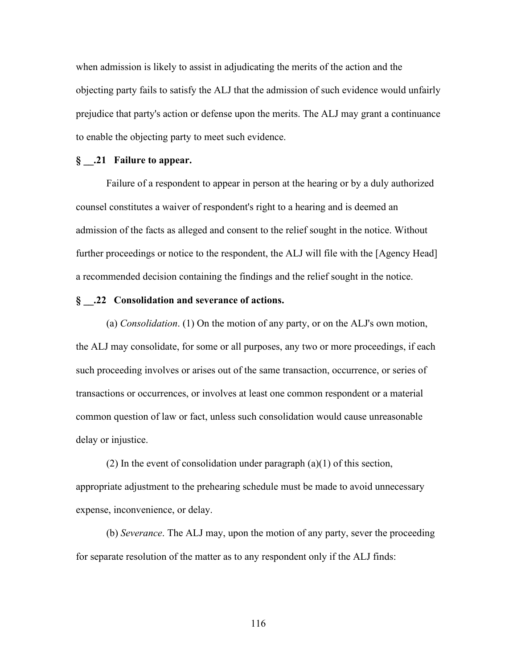when admission is likely to assist in adjudicating the merits of the action and the objecting party fails to satisfy the ALJ that the admission of such evidence would unfairly prejudice that party's action or defense upon the merits. The ALJ may grant a continuance to enable the objecting party to meet such evidence.

#### **§ \_\_.21 Failure to appear.**

Failure of a respondent to appear in person at the hearing or by a duly authorized counsel constitutes a waiver of respondent's right to a hearing and is deemed an admission of the facts as alleged and consent to the relief sought in the notice. Without further proceedings or notice to the respondent, the ALJ will file with the [Agency Head] a recommended decision containing the findings and the relief sought in the notice.

# **§ \_\_.22 Consolidation and severance of actions.**

(a) *Consolidation*. (1) On the motion of any party, or on the ALJ's own motion, the ALJ may consolidate, for some or all purposes, any two or more proceedings, if each such proceeding involves or arises out of the same transaction, occurrence, or series of transactions or occurrences, or involves at least one common respondent or a material common question of law or fact, unless such consolidation would cause unreasonable delay or injustice.

(2) In the event of consolidation under paragraph  $(a)(1)$  of this section, appropriate adjustment to the prehearing schedule must be made to avoid unnecessary expense, inconvenience, or delay.

(b) *Severance*. The ALJ may, upon the motion of any party, sever the proceeding for separate resolution of the matter as to any respondent only if the ALJ finds: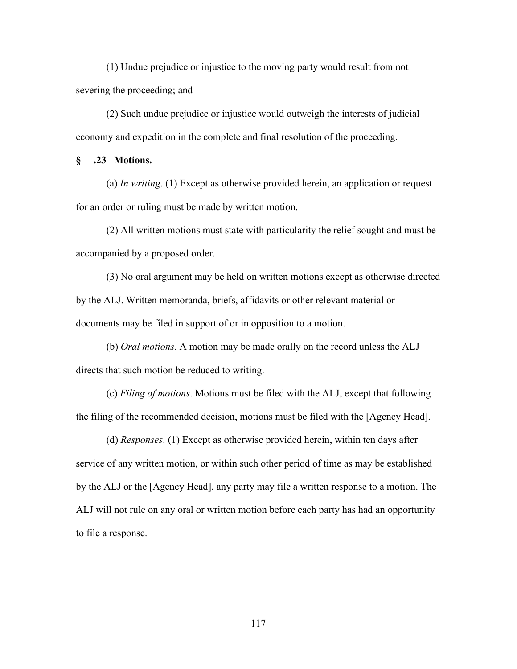(1) Undue prejudice or injustice to the moving party would result from not severing the proceeding; and

(2) Such undue prejudice or injustice would outweigh the interests of judicial economy and expedition in the complete and final resolution of the proceeding.

# **§ \_\_.23 Motions.**

(a) *In writing*. (1) Except as otherwise provided herein, an application or request for an order or ruling must be made by written motion.

(2) All written motions must state with particularity the relief sought and must be accompanied by a proposed order.

(3) No oral argument may be held on written motions except as otherwise directed by the ALJ. Written memoranda, briefs, affidavits or other relevant material or documents may be filed in support of or in opposition to a motion.

(b) *Oral motions*. A motion may be made orally on the record unless the ALJ directs that such motion be reduced to writing.

(c) *Filing of motions*. Motions must be filed with the ALJ, except that following the filing of the recommended decision, motions must be filed with the [Agency Head].

(d) *Responses*. (1) Except as otherwise provided herein, within ten days after service of any written motion, or within such other period of time as may be established by the ALJ or the [Agency Head], any party may file a written response to a motion. The ALJ will not rule on any oral or written motion before each party has had an opportunity to file a response.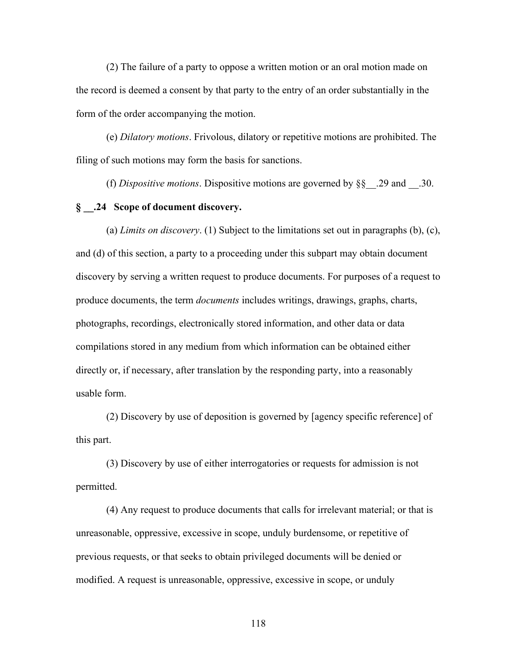(2) The failure of a party to oppose a written motion or an oral motion made on the record is deemed a consent by that party to the entry of an order substantially in the form of the order accompanying the motion.

(e) *Dilatory motions*. Frivolous, dilatory or repetitive motions are prohibited. The filing of such motions may form the basis for sanctions.

(f) *Dispositive motions*. Dispositive motions are governed by §§\_\_.29 and \_\_.30.

# **§ \_\_.24 Scope of document discovery.**

(a) *Limits on discovery*. (1) Subject to the limitations set out in paragraphs (b), (c), and (d) of this section, a party to a proceeding under this subpart may obtain document discovery by serving a written request to produce documents. For purposes of a request to produce documents, the term *documents* includes writings, drawings, graphs, charts, photographs, recordings, electronically stored information, and other data or data compilations stored in any medium from which information can be obtained either directly or, if necessary, after translation by the responding party, into a reasonably usable form.

(2) Discovery by use of deposition is governed by [agency specific reference] of this part.

(3) Discovery by use of either interrogatories or requests for admission is not permitted.

(4) Any request to produce documents that calls for irrelevant material; or that is unreasonable, oppressive, excessive in scope, unduly burdensome, or repetitive of previous requests, or that seeks to obtain privileged documents will be denied or modified. A request is unreasonable, oppressive, excessive in scope, or unduly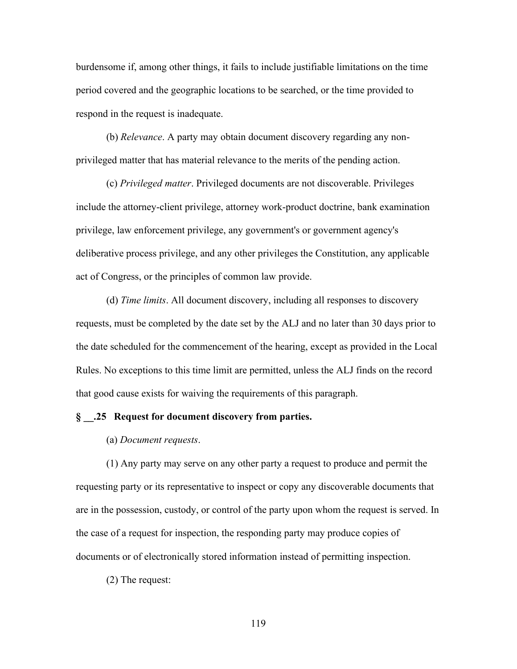burdensome if, among other things, it fails to include justifiable limitations on the time period covered and the geographic locations to be searched, or the time provided to respond in the request is inadequate.

(b) *Relevance*. A party may obtain document discovery regarding any nonprivileged matter that has material relevance to the merits of the pending action.

(c) *Privileged matter*. Privileged documents are not discoverable. Privileges include the attorney-client privilege, attorney work-product doctrine, bank examination privilege, law enforcement privilege, any government's or government agency's deliberative process privilege, and any other privileges the Constitution, any applicable act of Congress, or the principles of common law provide.

(d) *Time limits*. All document discovery, including all responses to discovery requests, must be completed by the date set by the ALJ and no later than 30 days prior to the date scheduled for the commencement of the hearing, except as provided in the Local Rules. No exceptions to this time limit are permitted, unless the ALJ finds on the record that good cause exists for waiving the requirements of this paragraph.

# **§ \_\_.25 Request for document discovery from parties.**

#### (a) *Document requests*.

(1) Any party may serve on any other party a request to produce and permit the requesting party or its representative to inspect or copy any discoverable documents that are in the possession, custody, or control of the party upon whom the request is served. In the case of a request for inspection, the responding party may produce copies of documents or of electronically stored information instead of permitting inspection.

(2) The request: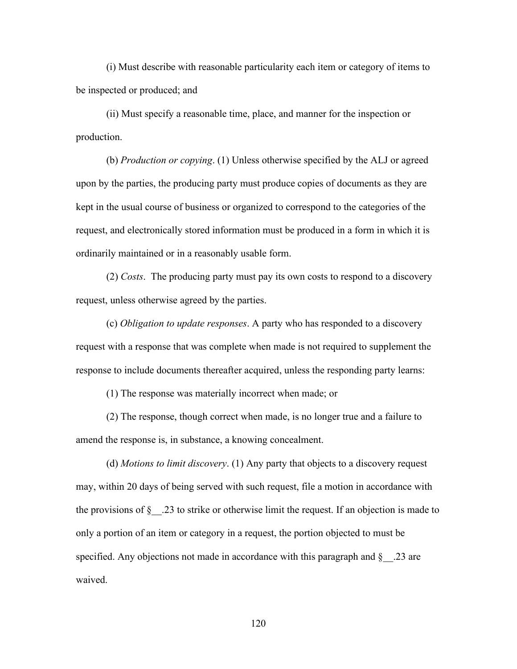(i) Must describe with reasonable particularity each item or category of items to be inspected or produced; and

(ii) Must specify a reasonable time, place, and manner for the inspection or production.

(b) *Production or copying*. (1) Unless otherwise specified by the ALJ or agreed upon by the parties, the producing party must produce copies of documents as they are kept in the usual course of business or organized to correspond to the categories of the request, and electronically stored information must be produced in a form in which it is ordinarily maintained or in a reasonably usable form.

(2) *Costs*. The producing party must pay its own costs to respond to a discovery request, unless otherwise agreed by the parties.

(c) *Obligation to update responses*. A party who has responded to a discovery request with a response that was complete when made is not required to supplement the response to include documents thereafter acquired, unless the responding party learns:

(1) The response was materially incorrect when made; or

(2) The response, though correct when made, is no longer true and a failure to amend the response is, in substance, a knowing concealment.

(d) *Motions to limit discovery*. (1) Any party that objects to a discovery request may, within 20 days of being served with such request, file a motion in accordance with the provisions of  $\S$  . 23 to strike or otherwise limit the request. If an objection is made to only a portion of an item or category in a request, the portion objected to must be specified. Any objections not made in accordance with this paragraph and  $\S$  . 23 are waived.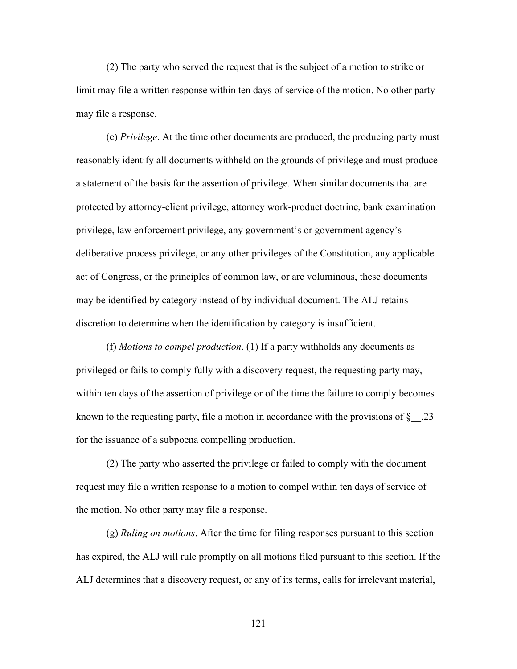(2) The party who served the request that is the subject of a motion to strike or limit may file a written response within ten days of service of the motion. No other party may file a response.

(e) *Privilege*. At the time other documents are produced, the producing party must reasonably identify all documents withheld on the grounds of privilege and must produce a statement of the basis for the assertion of privilege. When similar documents that are protected by attorney-client privilege, attorney work-product doctrine, bank examination privilege, law enforcement privilege, any government's or government agency's deliberative process privilege, or any other privileges of the Constitution, any applicable act of Congress, or the principles of common law, or are voluminous, these documents may be identified by category instead of by individual document. The ALJ retains discretion to determine when the identification by category is insufficient.

(f) *Motions to compel production*. (1) If a party withholds any documents as privileged or fails to comply fully with a discovery request, the requesting party may, within ten days of the assertion of privilege or of the time the failure to comply becomes known to the requesting party, file a motion in accordance with the provisions of  $\S$  .23 for the issuance of a subpoena compelling production.

(2) The party who asserted the privilege or failed to comply with the document request may file a written response to a motion to compel within ten days of service of the motion. No other party may file a response.

(g) *Ruling on motions*. After the time for filing responses pursuant to this section has expired, the ALJ will rule promptly on all motions filed pursuant to this section. If the ALJ determines that a discovery request, or any of its terms, calls for irrelevant material,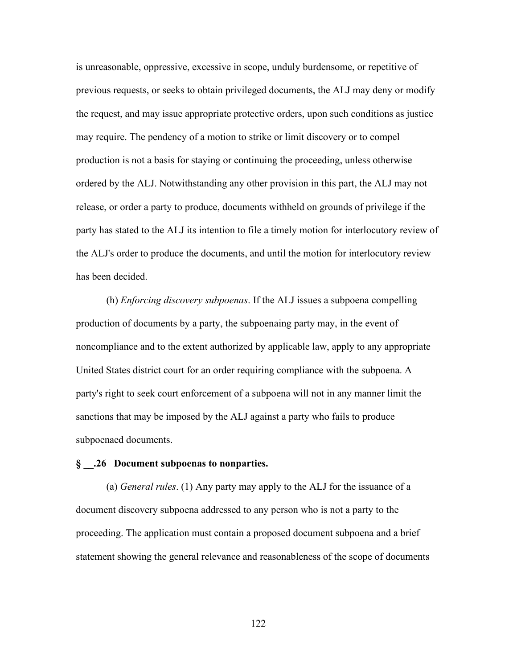is unreasonable, oppressive, excessive in scope, unduly burdensome, or repetitive of previous requests, or seeks to obtain privileged documents, the ALJ may deny or modify the request, and may issue appropriate protective orders, upon such conditions as justice may require. The pendency of a motion to strike or limit discovery or to compel production is not a basis for staying or continuing the proceeding, unless otherwise ordered by the ALJ. Notwithstanding any other provision in this part, the ALJ may not release, or order a party to produce, documents withheld on grounds of privilege if the party has stated to the ALJ its intention to file a timely motion for interlocutory review of the ALJ's order to produce the documents, and until the motion for interlocutory review has been decided.

(h) *Enforcing discovery subpoenas*. If the ALJ issues a subpoena compelling production of documents by a party, the subpoenaing party may, in the event of noncompliance and to the extent authorized by applicable law, apply to any appropriate United States district court for an order requiring compliance with the subpoena. A party's right to seek court enforcement of a subpoena will not in any manner limit the sanctions that may be imposed by the ALJ against a party who fails to produce subpoenaed documents.

#### **§ \_\_.26 Document subpoenas to nonparties.**

(a) *General rules*. (1) Any party may apply to the ALJ for the issuance of a document discovery subpoena addressed to any person who is not a party to the proceeding. The application must contain a proposed document subpoena and a brief statement showing the general relevance and reasonableness of the scope of documents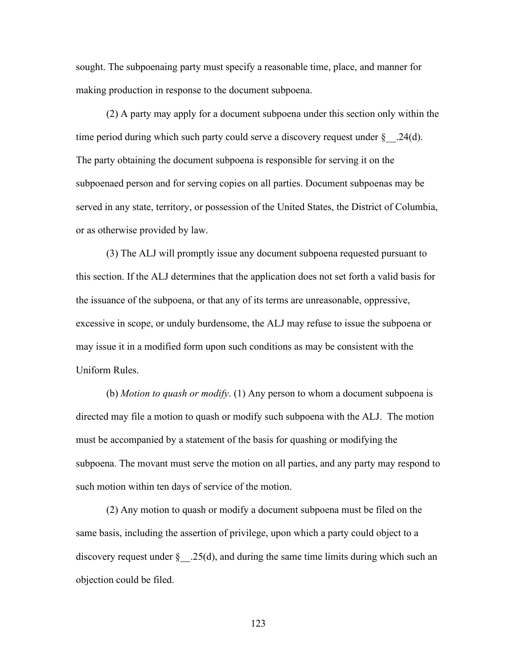sought. The subpoenaing party must specify a reasonable time, place, and manner for making production in response to the document subpoena.

(2) A party may apply for a document subpoena under this section only within the time period during which such party could serve a discovery request under  $\S$  .24(d). The party obtaining the document subpoena is responsible for serving it on the subpoenaed person and for serving copies on all parties. Document subpoenas may be served in any state, territory, or possession of the United States, the District of Columbia, or as otherwise provided by law.

(3) The ALJ will promptly issue any document subpoena requested pursuant to this section. If the ALJ determines that the application does not set forth a valid basis for the issuance of the subpoena, or that any of its terms are unreasonable, oppressive, excessive in scope, or unduly burdensome, the ALJ may refuse to issue the subpoena or may issue it in a modified form upon such conditions as may be consistent with the Uniform Rules.

(b) *Motion to quash or modify*. (1) Any person to whom a document subpoena is directed may file a motion to quash or modify such subpoena with the ALJ. The motion must be accompanied by a statement of the basis for quashing or modifying the subpoena. The movant must serve the motion on all parties, and any party may respond to such motion within ten days of service of the motion.

(2) Any motion to quash or modify a document subpoena must be filed on the same basis, including the assertion of privilege, upon which a party could object to a discovery request under  $\S$  .25(d), and during the same time limits during which such an objection could be filed.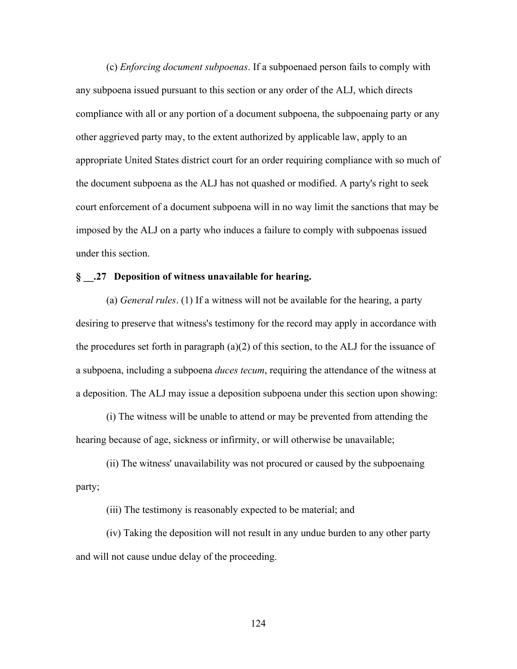(c) *Enforcing document subpoenas*. If a subpoenaed person fails to comply with any subpoena issued pursuant to this section or any order of the ALJ, which directs compliance with all or any portion of a document subpoena, the subpoenaing party or any other aggrieved party may, to the extent authorized by applicable law, apply to an appropriate United States district court for an order requiring compliance with so much of the document subpoena as the ALJ has not quashed or modified. A party's right to seek court enforcement of a document subpoena will in no way limit the sanctions that may be imposed by the ALJ on a party who induces a failure to comply with subpoenas issued under this section.

### **§ \_\_.27 Deposition of witness unavailable for hearing.**

(a) *General rules*. (1) If a witness will not be available for the hearing, a party desiring to preserve that witness's testimony for the record may apply in accordance with the procedures set forth in paragraph (a)(2) of this section, to the ALJ for the issuance of a subpoena, including a subpoena *duces tecum*, requiring the attendance of the witness at a deposition. The ALJ may issue a deposition subpoena under this section upon showing:

(i) The witness will be unable to attend or may be prevented from attending the hearing because of age, sickness or infirmity, or will otherwise be unavailable;

(ii) The witness' unavailability was not procured or caused by the subpoenaing party;

(iii) The testimony is reasonably expected to be material; and

(iv) Taking the deposition will not result in any undue burden to any other party and will not cause undue delay of the proceeding.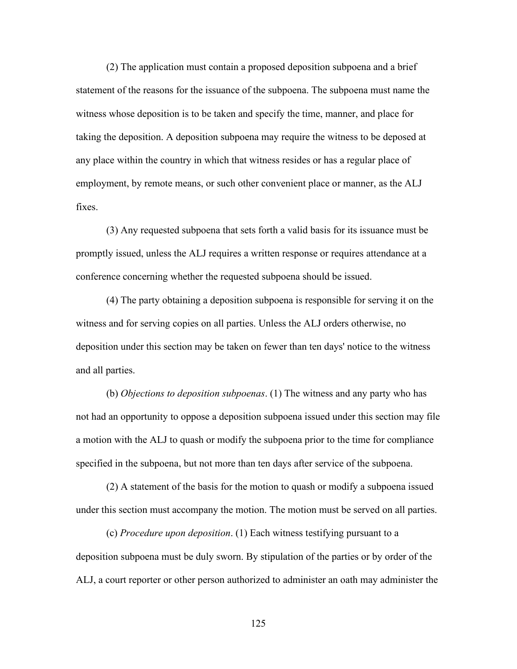(2) The application must contain a proposed deposition subpoena and a brief statement of the reasons for the issuance of the subpoena. The subpoena must name the witness whose deposition is to be taken and specify the time, manner, and place for taking the deposition. A deposition subpoena may require the witness to be deposed at any place within the country in which that witness resides or has a regular place of employment, by remote means, or such other convenient place or manner, as the ALJ fixes.

(3) Any requested subpoena that sets forth a valid basis for its issuance must be promptly issued, unless the ALJ requires a written response or requires attendance at a conference concerning whether the requested subpoena should be issued.

(4) The party obtaining a deposition subpoena is responsible for serving it on the witness and for serving copies on all parties. Unless the ALJ orders otherwise, no deposition under this section may be taken on fewer than ten days' notice to the witness and all parties.

(b) *Objections to deposition subpoenas*. (1) The witness and any party who has not had an opportunity to oppose a deposition subpoena issued under this section may file a motion with the ALJ to quash or modify the subpoena prior to the time for compliance specified in the subpoena, but not more than ten days after service of the subpoena.

(2) A statement of the basis for the motion to quash or modify a subpoena issued under this section must accompany the motion. The motion must be served on all parties.

(c) *Procedure upon deposition*. (1) Each witness testifying pursuant to a deposition subpoena must be duly sworn. By stipulation of the parties or by order of the ALJ, a court reporter or other person authorized to administer an oath may administer the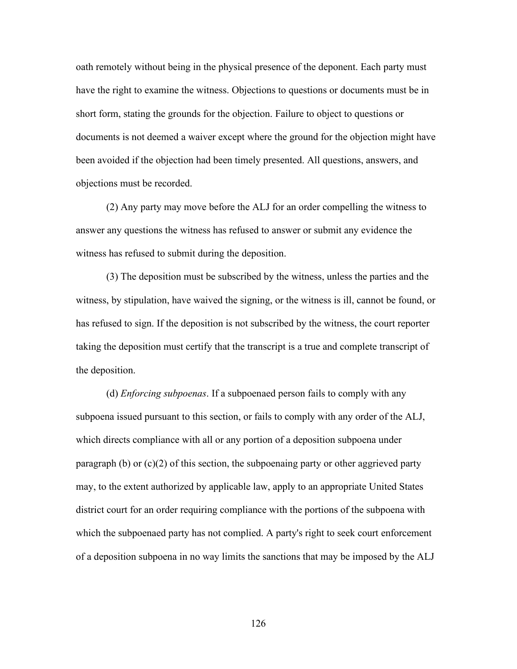oath remotely without being in the physical presence of the deponent. Each party must have the right to examine the witness. Objections to questions or documents must be in short form, stating the grounds for the objection. Failure to object to questions or documents is not deemed a waiver except where the ground for the objection might have been avoided if the objection had been timely presented. All questions, answers, and objections must be recorded.

(2) Any party may move before the ALJ for an order compelling the witness to answer any questions the witness has refused to answer or submit any evidence the witness has refused to submit during the deposition.

(3) The deposition must be subscribed by the witness, unless the parties and the witness, by stipulation, have waived the signing, or the witness is ill, cannot be found, or has refused to sign. If the deposition is not subscribed by the witness, the court reporter taking the deposition must certify that the transcript is a true and complete transcript of the deposition.

(d) *Enforcing subpoenas*. If a subpoenaed person fails to comply with any subpoena issued pursuant to this section, or fails to comply with any order of the ALJ, which directs compliance with all or any portion of a deposition subpoena under paragraph (b) or  $(c)(2)$  of this section, the subpoenaing party or other aggrieved party may, to the extent authorized by applicable law, apply to an appropriate United States district court for an order requiring compliance with the portions of the subpoena with which the subpoenaed party has not complied. A party's right to seek court enforcement of a deposition subpoena in no way limits the sanctions that may be imposed by the ALJ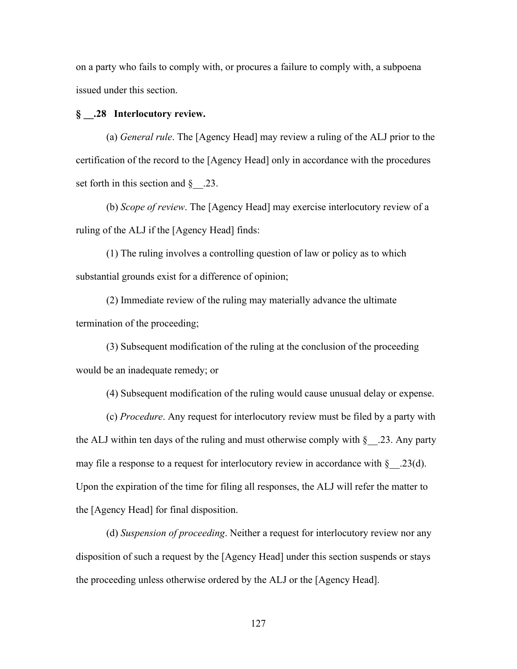on a party who fails to comply with, or procures a failure to comply with, a subpoena issued under this section.

# **§ \_\_.28 Interlocutory review.**

(a) *General rule*. The [Agency Head] may review a ruling of the ALJ prior to the certification of the record to the [Agency Head] only in accordance with the procedures set forth in this section and  $\S$  .23.

(b) *Scope of review*. The [Agency Head] may exercise interlocutory review of a ruling of the ALJ if the [Agency Head] finds:

(1) The ruling involves a controlling question of law or policy as to which substantial grounds exist for a difference of opinion;

(2) Immediate review of the ruling may materially advance the ultimate termination of the proceeding;

(3) Subsequent modification of the ruling at the conclusion of the proceeding would be an inadequate remedy; or

(4) Subsequent modification of the ruling would cause unusual delay or expense.

(c) *Procedure*. Any request for interlocutory review must be filed by a party with the ALJ within ten days of the ruling and must otherwise comply with  $\S$  . 23. Any party may file a response to a request for interlocutory review in accordance with  $\S$  .23(d). Upon the expiration of the time for filing all responses, the ALJ will refer the matter to the [Agency Head] for final disposition.

(d) *Suspension of proceeding*. Neither a request for interlocutory review nor any disposition of such a request by the [Agency Head] under this section suspends or stays the proceeding unless otherwise ordered by the ALJ or the [Agency Head].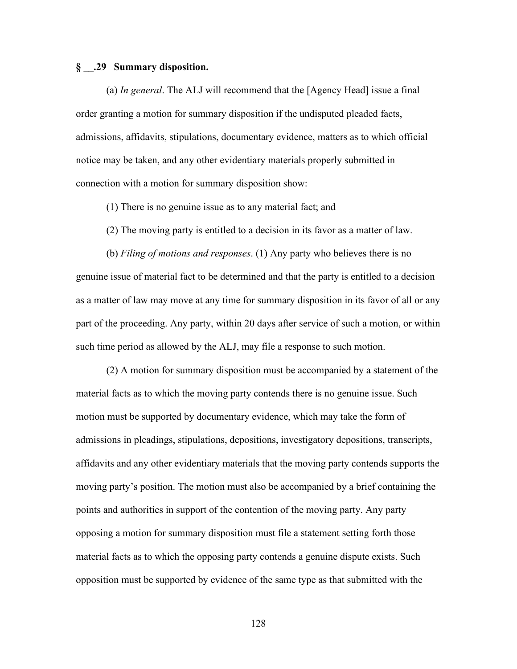## **§ \_\_.29 Summary disposition.**

(a) *In general*. The ALJ will recommend that the [Agency Head] issue a final order granting a motion for summary disposition if the undisputed pleaded facts, admissions, affidavits, stipulations, documentary evidence, matters as to which official notice may be taken, and any other evidentiary materials properly submitted in connection with a motion for summary disposition show:

(1) There is no genuine issue as to any material fact; and

(2) The moving party is entitled to a decision in its favor as a matter of law.

(b) *Filing of motions and responses*. (1) Any party who believes there is no genuine issue of material fact to be determined and that the party is entitled to a decision as a matter of law may move at any time for summary disposition in its favor of all or any part of the proceeding. Any party, within 20 days after service of such a motion, or within such time period as allowed by the ALJ, may file a response to such motion.

(2) A motion for summary disposition must be accompanied by a statement of the material facts as to which the moving party contends there is no genuine issue. Such motion must be supported by documentary evidence, which may take the form of admissions in pleadings, stipulations, depositions, investigatory depositions, transcripts, affidavits and any other evidentiary materials that the moving party contends supports the moving party's position. The motion must also be accompanied by a brief containing the points and authorities in support of the contention of the moving party. Any party opposing a motion for summary disposition must file a statement setting forth those material facts as to which the opposing party contends a genuine dispute exists. Such opposition must be supported by evidence of the same type as that submitted with the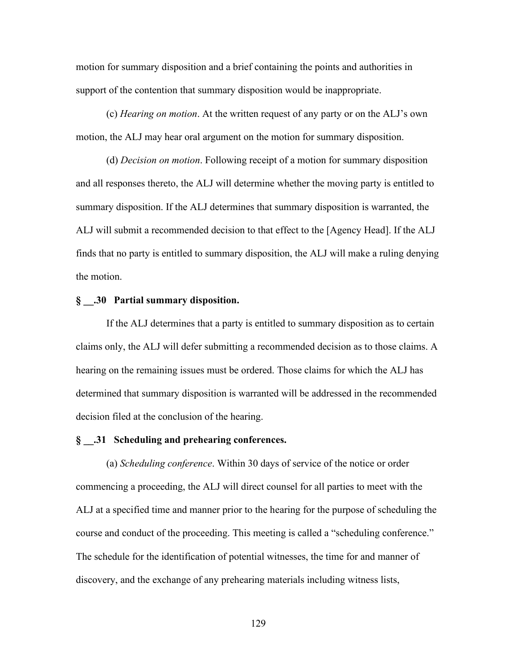motion for summary disposition and a brief containing the points and authorities in support of the contention that summary disposition would be inappropriate.

(c) *Hearing on motion*. At the written request of any party or on the ALJ's own motion, the ALJ may hear oral argument on the motion for summary disposition.

(d) *Decision on motion*. Following receipt of a motion for summary disposition and all responses thereto, the ALJ will determine whether the moving party is entitled to summary disposition. If the ALJ determines that summary disposition is warranted, the ALJ will submit a recommended decision to that effect to the [Agency Head]. If the ALJ finds that no party is entitled to summary disposition, the ALJ will make a ruling denying the motion.

#### **§ \_\_.30 Partial summary disposition.**

If the ALJ determines that a party is entitled to summary disposition as to certain claims only, the ALJ will defer submitting a recommended decision as to those claims. A hearing on the remaining issues must be ordered. Those claims for which the ALJ has determined that summary disposition is warranted will be addressed in the recommended decision filed at the conclusion of the hearing.

#### **§ \_\_.31 Scheduling and prehearing conferences.**

(a) *Scheduling conference*. Within 30 days of service of the notice or order commencing a proceeding, the ALJ will direct counsel for all parties to meet with the ALJ at a specified time and manner prior to the hearing for the purpose of scheduling the course and conduct of the proceeding. This meeting is called a "scheduling conference." The schedule for the identification of potential witnesses, the time for and manner of discovery, and the exchange of any prehearing materials including witness lists,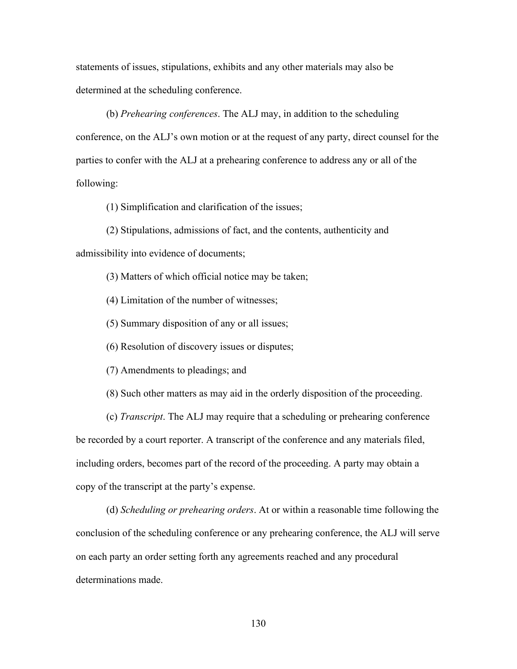statements of issues, stipulations, exhibits and any other materials may also be determined at the scheduling conference.

(b) *Prehearing conferences*. The ALJ may, in addition to the scheduling conference, on the ALJ's own motion or at the request of any party, direct counsel for the parties to confer with the ALJ at a prehearing conference to address any or all of the following:

(1) Simplification and clarification of the issues;

(2) Stipulations, admissions of fact, and the contents, authenticity and admissibility into evidence of documents;

(3) Matters of which official notice may be taken;

(4) Limitation of the number of witnesses;

(5) Summary disposition of any or all issues;

(6) Resolution of discovery issues or disputes;

(7) Amendments to pleadings; and

(8) Such other matters as may aid in the orderly disposition of the proceeding.

(c) *Transcript*. The ALJ may require that a scheduling or prehearing conference be recorded by a court reporter. A transcript of the conference and any materials filed, including orders, becomes part of the record of the proceeding. A party may obtain a copy of the transcript at the party's expense.

(d) *Scheduling or prehearing orders*. At or within a reasonable time following the conclusion of the scheduling conference or any prehearing conference, the ALJ will serve on each party an order setting forth any agreements reached and any procedural determinations made.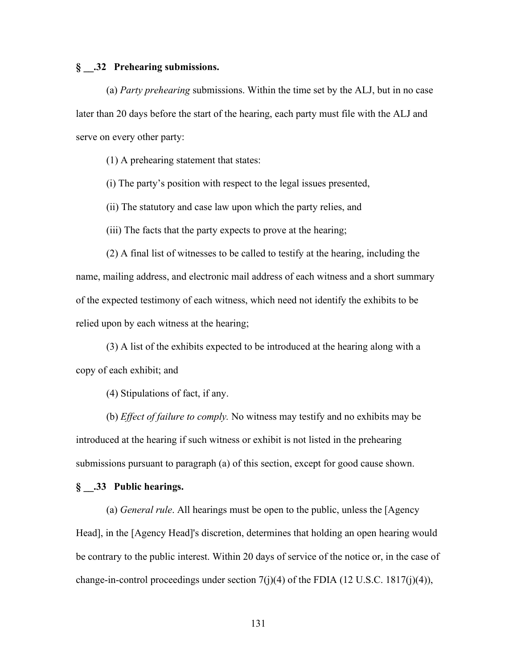# **§ \_\_.32 Prehearing submissions.**

(a) *Party prehearing* submissions. Within the time set by the ALJ, but in no case later than 20 days before the start of the hearing, each party must file with the ALJ and serve on every other party:

(1) A prehearing statement that states:

(i) The party's position with respect to the legal issues presented,

(ii) The statutory and case law upon which the party relies, and

(iii) The facts that the party expects to prove at the hearing;

(2) A final list of witnesses to be called to testify at the hearing, including the name, mailing address, and electronic mail address of each witness and a short summary of the expected testimony of each witness, which need not identify the exhibits to be relied upon by each witness at the hearing;

(3) A list of the exhibits expected to be introduced at the hearing along with a copy of each exhibit; and

(4) Stipulations of fact, if any.

(b) *Effect of failure to comply.* No witness may testify and no exhibits may be introduced at the hearing if such witness or exhibit is not listed in the prehearing submissions pursuant to paragraph (a) of this section, except for good cause shown.

### **§ \_\_.33 Public hearings.**

(a) *General rule*. All hearings must be open to the public, unless the [Agency Head], in the [Agency Head]'s discretion, determines that holding an open hearing would be contrary to the public interest. Within 20 days of service of the notice or, in the case of change-in-control proceedings under section  $7(i)(4)$  of the FDIA (12 U.S.C. 1817 $(i)(4)$ ),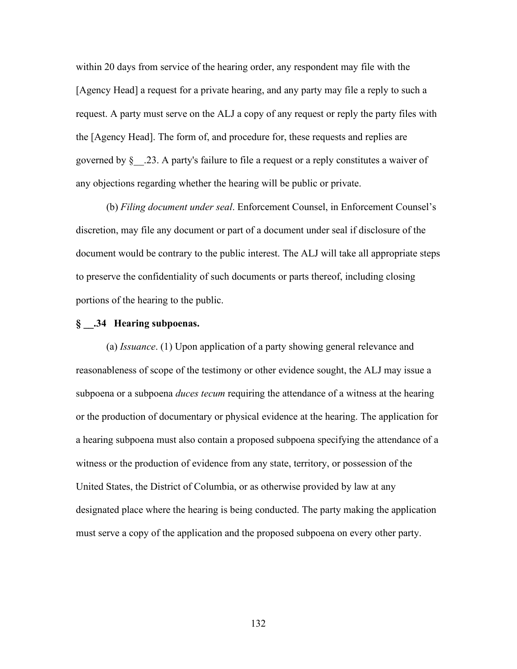within 20 days from service of the hearing order, any respondent may file with the [Agency Head] a request for a private hearing, and any party may file a reply to such a request. A party must serve on the ALJ a copy of any request or reply the party files with the [Agency Head]. The form of, and procedure for, these requests and replies are governed by  $\S$  . 23. A party's failure to file a request or a reply constitutes a waiver of any objections regarding whether the hearing will be public or private.

(b) *Filing document under seal*. Enforcement Counsel, in Enforcement Counsel's discretion, may file any document or part of a document under seal if disclosure of the document would be contrary to the public interest. The ALJ will take all appropriate steps to preserve the confidentiality of such documents or parts thereof, including closing portions of the hearing to the public.

# **§ \_\_.34 Hearing subpoenas.**

(a) *Issuance*. (1) Upon application of a party showing general relevance and reasonableness of scope of the testimony or other evidence sought, the ALJ may issue a subpoena or a subpoena *duces tecum* requiring the attendance of a witness at the hearing or the production of documentary or physical evidence at the hearing. The application for a hearing subpoena must also contain a proposed subpoena specifying the attendance of a witness or the production of evidence from any state, territory, or possession of the United States, the District of Columbia, or as otherwise provided by law at any designated place where the hearing is being conducted. The party making the application must serve a copy of the application and the proposed subpoena on every other party.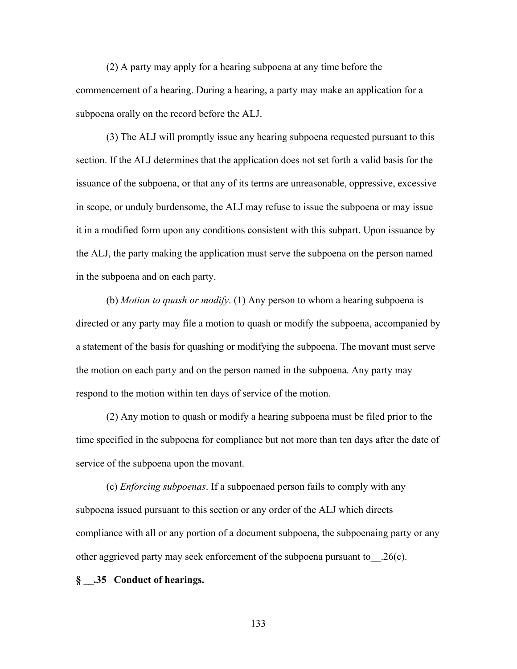(2) A party may apply for a hearing subpoena at any time before the commencement of a hearing. During a hearing, a party may make an application for a subpoena orally on the record before the ALJ.

(3) The ALJ will promptly issue any hearing subpoena requested pursuant to this section. If the ALJ determines that the application does not set forth a valid basis for the issuance of the subpoena, or that any of its terms are unreasonable, oppressive, excessive in scope, or unduly burdensome, the ALJ may refuse to issue the subpoena or may issue it in a modified form upon any conditions consistent with this subpart. Upon issuance by the ALJ, the party making the application must serve the subpoena on the person named in the subpoena and on each party.

(b) *Motion to quash or modify*. (1) Any person to whom a hearing subpoena is directed or any party may file a motion to quash or modify the subpoena, accompanied by a statement of the basis for quashing or modifying the subpoena. The movant must serve the motion on each party and on the person named in the subpoena. Any party may respond to the motion within ten days of service of the motion.

(2) Any motion to quash or modify a hearing subpoena must be filed prior to the time specified in the subpoena for compliance but not more than ten days after the date of service of the subpoena upon the movant.

(c) *Enforcing subpoenas*. If a subpoenaed person fails to comply with any subpoena issued pursuant to this section or any order of the ALJ which directs compliance with all or any portion of a document subpoena, the subpoenaing party or any other aggrieved party may seek enforcement of the subpoena pursuant to\_\_.26(c).

#### **§ \_\_.35 Conduct of hearings.**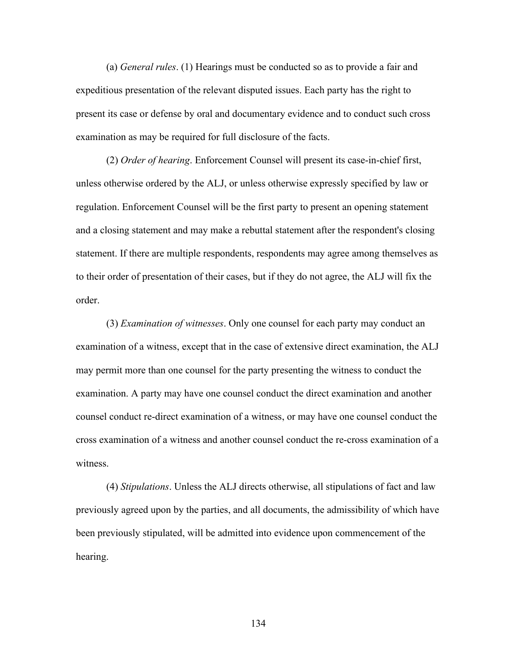(a) *General rules*. (1) Hearings must be conducted so as to provide a fair and expeditious presentation of the relevant disputed issues. Each party has the right to present its case or defense by oral and documentary evidence and to conduct such cross examination as may be required for full disclosure of the facts.

(2) *Order of hearing*. Enforcement Counsel will present its case-in-chief first, unless otherwise ordered by the ALJ, or unless otherwise expressly specified by law or regulation. Enforcement Counsel will be the first party to present an opening statement and a closing statement and may make a rebuttal statement after the respondent's closing statement. If there are multiple respondents, respondents may agree among themselves as to their order of presentation of their cases, but if they do not agree, the ALJ will fix the order.

(3) *Examination of witnesses*. Only one counsel for each party may conduct an examination of a witness, except that in the case of extensive direct examination, the ALJ may permit more than one counsel for the party presenting the witness to conduct the examination. A party may have one counsel conduct the direct examination and another counsel conduct re-direct examination of a witness, or may have one counsel conduct the cross examination of a witness and another counsel conduct the re-cross examination of a witness.

(4) *Stipulations*. Unless the ALJ directs otherwise, all stipulations of fact and law previously agreed upon by the parties, and all documents, the admissibility of which have been previously stipulated, will be admitted into evidence upon commencement of the hearing.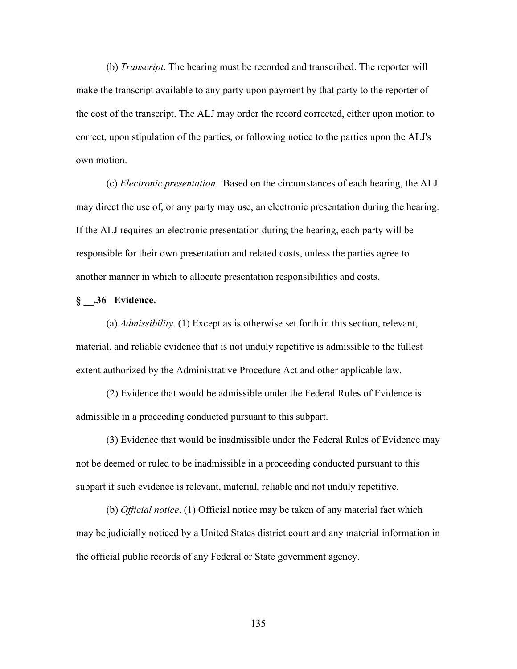(b) *Transcript*. The hearing must be recorded and transcribed. The reporter will make the transcript available to any party upon payment by that party to the reporter of the cost of the transcript. The ALJ may order the record corrected, either upon motion to correct, upon stipulation of the parties, or following notice to the parties upon the ALJ's own motion.

(c) *Electronic presentation*. Based on the circumstances of each hearing, the ALJ may direct the use of, or any party may use, an electronic presentation during the hearing. If the ALJ requires an electronic presentation during the hearing, each party will be responsible for their own presentation and related costs, unless the parties agree to another manner in which to allocate presentation responsibilities and costs.

# **§ \_\_.36 Evidence.**

(a) *Admissibility*. (1) Except as is otherwise set forth in this section, relevant, material, and reliable evidence that is not unduly repetitive is admissible to the fullest extent authorized by the Administrative Procedure Act and other applicable law.

(2) Evidence that would be admissible under the Federal Rules of Evidence is admissible in a proceeding conducted pursuant to this subpart.

(3) Evidence that would be inadmissible under the Federal Rules of Evidence may not be deemed or ruled to be inadmissible in a proceeding conducted pursuant to this subpart if such evidence is relevant, material, reliable and not unduly repetitive.

(b) *Official notice*. (1) Official notice may be taken of any material fact which may be judicially noticed by a United States district court and any material information in the official public records of any Federal or State government agency.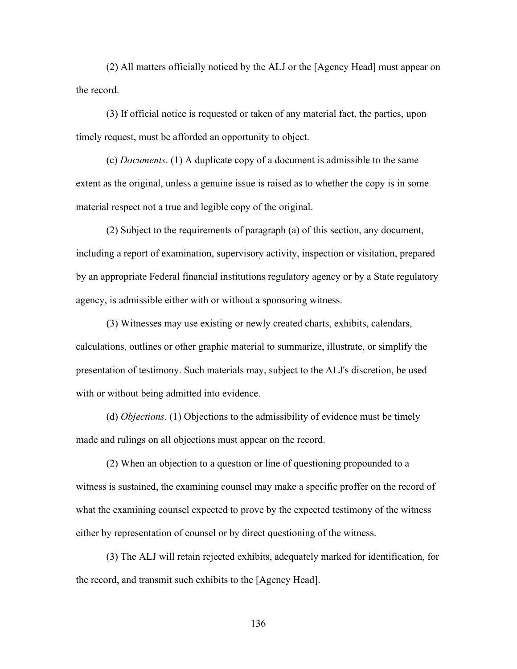(2) All matters officially noticed by the ALJ or the [Agency Head] must appear on the record.

(3) If official notice is requested or taken of any material fact, the parties, upon timely request, must be afforded an opportunity to object.

(c) *Documents*. (1) A duplicate copy of a document is admissible to the same extent as the original, unless a genuine issue is raised as to whether the copy is in some material respect not a true and legible copy of the original.

(2) Subject to the requirements of paragraph (a) of this section, any document, including a report of examination, supervisory activity, inspection or visitation, prepared by an appropriate Federal financial institutions regulatory agency or by a State regulatory agency, is admissible either with or without a sponsoring witness.

(3) Witnesses may use existing or newly created charts, exhibits, calendars, calculations, outlines or other graphic material to summarize, illustrate, or simplify the presentation of testimony. Such materials may, subject to the ALJ's discretion, be used with or without being admitted into evidence.

(d) *Objections*. (1) Objections to the admissibility of evidence must be timely made and rulings on all objections must appear on the record.

(2) When an objection to a question or line of questioning propounded to a witness is sustained, the examining counsel may make a specific proffer on the record of what the examining counsel expected to prove by the expected testimony of the witness either by representation of counsel or by direct questioning of the witness.

(3) The ALJ will retain rejected exhibits, adequately marked for identification, for the record, and transmit such exhibits to the [Agency Head].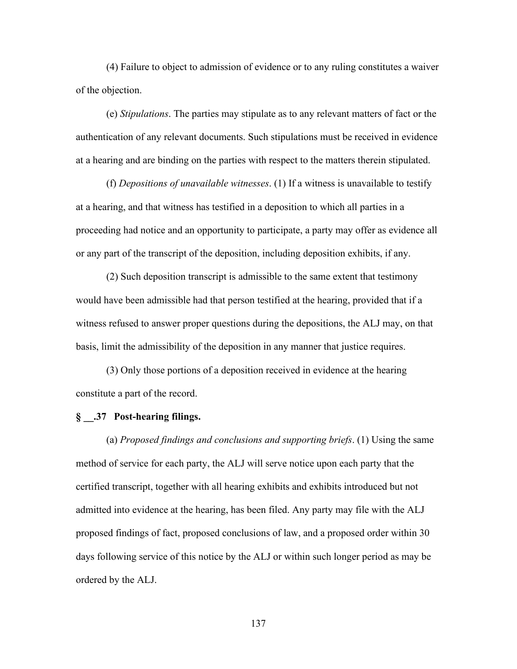(4) Failure to object to admission of evidence or to any ruling constitutes a waiver of the objection.

(e) *Stipulations*. The parties may stipulate as to any relevant matters of fact or the authentication of any relevant documents. Such stipulations must be received in evidence at a hearing and are binding on the parties with respect to the matters therein stipulated.

(f) *Depositions of unavailable witnesses*. (1) If a witness is unavailable to testify at a hearing, and that witness has testified in a deposition to which all parties in a proceeding had notice and an opportunity to participate, a party may offer as evidence all or any part of the transcript of the deposition, including deposition exhibits, if any.

(2) Such deposition transcript is admissible to the same extent that testimony would have been admissible had that person testified at the hearing, provided that if a witness refused to answer proper questions during the depositions, the ALJ may, on that basis, limit the admissibility of the deposition in any manner that justice requires.

(3) Only those portions of a deposition received in evidence at the hearing constitute a part of the record.

# **§ \_\_.37 Post-hearing filings.**

(a) *Proposed findings and conclusions and supporting briefs*. (1) Using the same method of service for each party, the ALJ will serve notice upon each party that the certified transcript, together with all hearing exhibits and exhibits introduced but not admitted into evidence at the hearing, has been filed. Any party may file with the ALJ proposed findings of fact, proposed conclusions of law, and a proposed order within 30 days following service of this notice by the ALJ or within such longer period as may be ordered by the ALJ.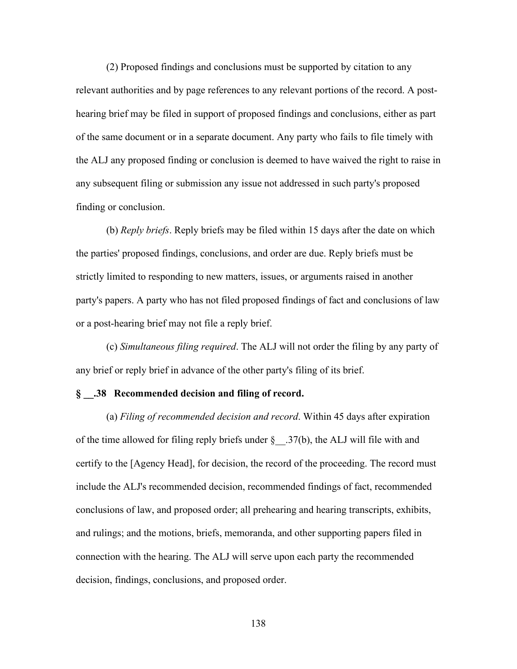(2) Proposed findings and conclusions must be supported by citation to any relevant authorities and by page references to any relevant portions of the record. A posthearing brief may be filed in support of proposed findings and conclusions, either as part of the same document or in a separate document. Any party who fails to file timely with the ALJ any proposed finding or conclusion is deemed to have waived the right to raise in any subsequent filing or submission any issue not addressed in such party's proposed finding or conclusion.

(b) *Reply briefs*. Reply briefs may be filed within 15 days after the date on which the parties' proposed findings, conclusions, and order are due. Reply briefs must be strictly limited to responding to new matters, issues, or arguments raised in another party's papers. A party who has not filed proposed findings of fact and conclusions of law or a post-hearing brief may not file a reply brief.

(c) *Simultaneous filing required*. The ALJ will not order the filing by any party of any brief or reply brief in advance of the other party's filing of its brief.

#### **§ \_\_.38 Recommended decision and filing of record.**

(a) *Filing of recommended decision and record*. Within 45 days after expiration of the time allowed for filing reply briefs under  $\S$  ... 37(b), the ALJ will file with and certify to the [Agency Head], for decision, the record of the proceeding. The record must include the ALJ's recommended decision, recommended findings of fact, recommended conclusions of law, and proposed order; all prehearing and hearing transcripts, exhibits, and rulings; and the motions, briefs, memoranda, and other supporting papers filed in connection with the hearing. The ALJ will serve upon each party the recommended decision, findings, conclusions, and proposed order.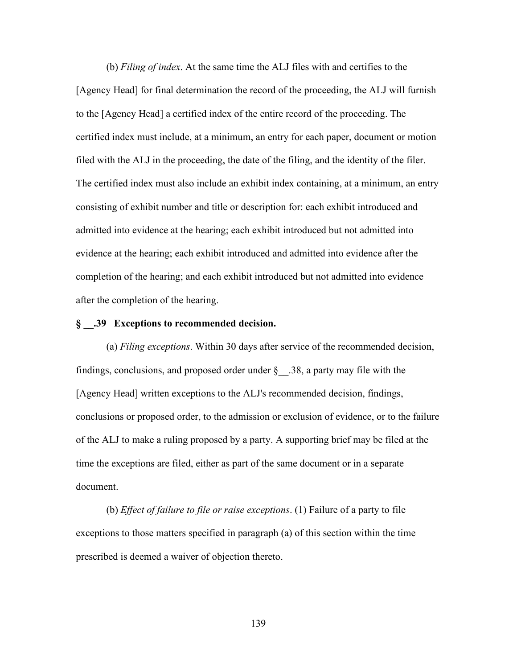(b) *Filing of index*. At the same time the ALJ files with and certifies to the [Agency Head] for final determination the record of the proceeding, the ALJ will furnish to the [Agency Head] a certified index of the entire record of the proceeding. The certified index must include, at a minimum, an entry for each paper, document or motion filed with the ALJ in the proceeding, the date of the filing, and the identity of the filer. The certified index must also include an exhibit index containing, at a minimum, an entry consisting of exhibit number and title or description for: each exhibit introduced and admitted into evidence at the hearing; each exhibit introduced but not admitted into evidence at the hearing; each exhibit introduced and admitted into evidence after the completion of the hearing; and each exhibit introduced but not admitted into evidence after the completion of the hearing.

## **§ \_\_.39 Exceptions to recommended decision.**

(a) *Filing exceptions*. Within 30 days after service of the recommended decision, findings, conclusions, and proposed order under  $\S$  38, a party may file with the [Agency Head] written exceptions to the ALJ's recommended decision, findings, conclusions or proposed order, to the admission or exclusion of evidence, or to the failure of the ALJ to make a ruling proposed by a party. A supporting brief may be filed at the time the exceptions are filed, either as part of the same document or in a separate document.

(b) *Effect of failure to file or raise exceptions*. (1) Failure of a party to file exceptions to those matters specified in paragraph (a) of this section within the time prescribed is deemed a waiver of objection thereto.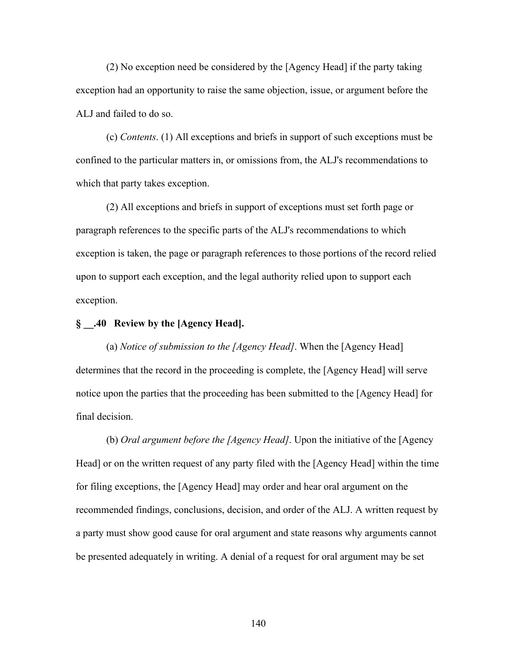(2) No exception need be considered by the [Agency Head] if the party taking exception had an opportunity to raise the same objection, issue, or argument before the ALJ and failed to do so.

(c) *Contents*. (1) All exceptions and briefs in support of such exceptions must be confined to the particular matters in, or omissions from, the ALJ's recommendations to which that party takes exception.

(2) All exceptions and briefs in support of exceptions must set forth page or paragraph references to the specific parts of the ALJ's recommendations to which exception is taken, the page or paragraph references to those portions of the record relied upon to support each exception, and the legal authority relied upon to support each exception.

# **§ \_\_.40 Review by the [Agency Head].**

(a) *Notice of submission to the [Agency Head]*. When the [Agency Head] determines that the record in the proceeding is complete, the [Agency Head] will serve notice upon the parties that the proceeding has been submitted to the [Agency Head] for final decision.

(b) *Oral argument before the [Agency Head]*. Upon the initiative of the [Agency Head] or on the written request of any party filed with the [Agency Head] within the time for filing exceptions, the [Agency Head] may order and hear oral argument on the recommended findings, conclusions, decision, and order of the ALJ. A written request by a party must show good cause for oral argument and state reasons why arguments cannot be presented adequately in writing. A denial of a request for oral argument may be set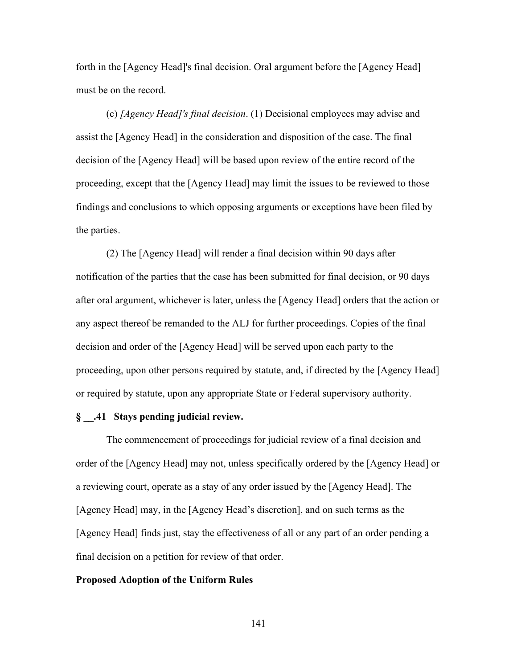forth in the [Agency Head]'s final decision. Oral argument before the [Agency Head] must be on the record.

(c) *[Agency Head]'s final decision*. (1) Decisional employees may advise and assist the [Agency Head] in the consideration and disposition of the case. The final decision of the [Agency Head] will be based upon review of the entire record of the proceeding, except that the [Agency Head] may limit the issues to be reviewed to those findings and conclusions to which opposing arguments or exceptions have been filed by the parties.

(2) The [Agency Head] will render a final decision within 90 days after notification of the parties that the case has been submitted for final decision, or 90 days after oral argument, whichever is later, unless the [Agency Head] orders that the action or any aspect thereof be remanded to the ALJ for further proceedings. Copies of the final decision and order of the [Agency Head] will be served upon each party to the proceeding, upon other persons required by statute, and, if directed by the [Agency Head] or required by statute, upon any appropriate State or Federal supervisory authority.

# **§ \_\_.41 Stays pending judicial review.**

The commencement of proceedings for judicial review of a final decision and order of the [Agency Head] may not, unless specifically ordered by the [Agency Head] or a reviewing court, operate as a stay of any order issued by the [Agency Head]. The [Agency Head] may, in the [Agency Head's discretion], and on such terms as the [Agency Head] finds just, stay the effectiveness of all or any part of an order pending a final decision on a petition for review of that order.

#### **Proposed Adoption of the Uniform Rules**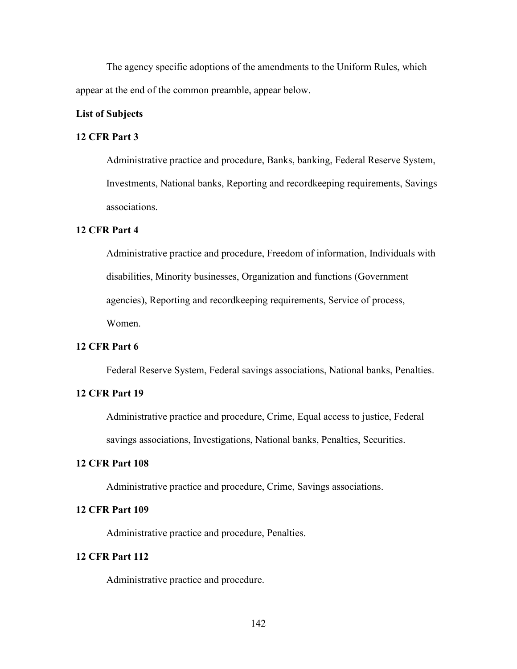The agency specific adoptions of the amendments to the Uniform Rules, which appear at the end of the common preamble, appear below.

# **List of Subjects**

# **12 CFR Part 3**

Administrative practice and procedure, Banks, banking, Federal Reserve System, Investments, National banks, Reporting and recordkeeping requirements, Savings associations.

# **12 CFR Part 4**

Administrative practice and procedure, Freedom of information, Individuals with disabilities, Minority businesses, Organization and functions (Government agencies), Reporting and recordkeeping requirements, Service of process, Women.

# **12 CFR Part 6**

Federal Reserve System, Federal savings associations, National banks, Penalties.

## **12 CFR Part 19**

Administrative practice and procedure, Crime, Equal access to justice, Federal savings associations, Investigations, National banks, Penalties, Securities.

# **12 CFR Part 108**

Administrative practice and procedure, Crime, Savings associations.

# **12 CFR Part 109**

Administrative practice and procedure, Penalties.

# **12 CFR Part 112**

Administrative practice and procedure.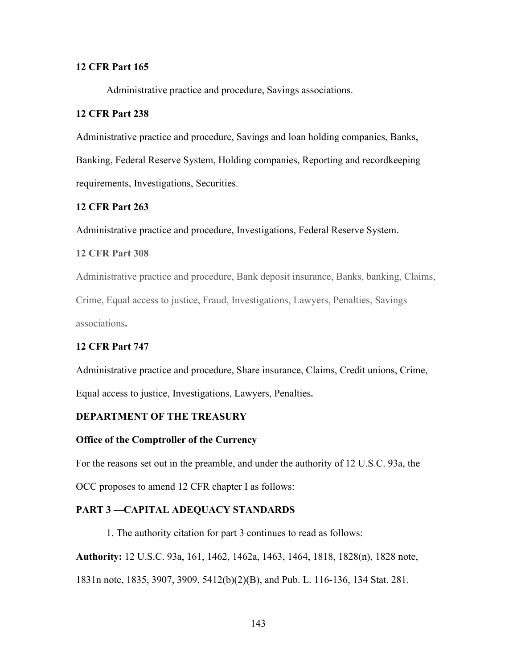# **12 CFR Part 165**

Administrative practice and procedure, Savings associations.

# **12 CFR Part 238**

Administrative practice and procedure, Savings and loan holding companies, Banks, Banking, Federal Reserve System, Holding companies, Reporting and recordkeeping requirements, Investigations, Securities.

# **12 CFR Part 263**

Administrative practice and procedure, Investigations, Federal Reserve System.

# **12 CFR Part 308**

Administrative practice and procedure, Bank deposit insurance, Banks, banking, Claims, Crime, Equal access to justice, Fraud, Investigations, Lawyers, Penalties, Savings associations**.** 

# **12 CFR Part 747**

Administrative practice and procedure, Share insurance, Claims, Credit unions, Crime, Equal access to justice, Investigations, Lawyers, Penalties**.** 

## **DEPARTMENT OF THE TREASURY**

# **Office of the Comptroller of the Currency**

For the reasons set out in the preamble, and under the authority of 12 U.S.C. 93a, the

OCC proposes to amend 12 CFR chapter I as follows:

# **PART 3 —CAPITAL ADEQUACY STANDARDS**

1. The authority citation for part 3 continues to read as follows:

**Authority:** 12 U.S.C. 93a, 161, 1462, 1462a, 1463, 1464, 1818, 1828(n), 1828 note, 1831n note, 1835, 3907, 3909, 5412(b)(2)(B), and Pub. L. 116-136, 134 Stat. 281.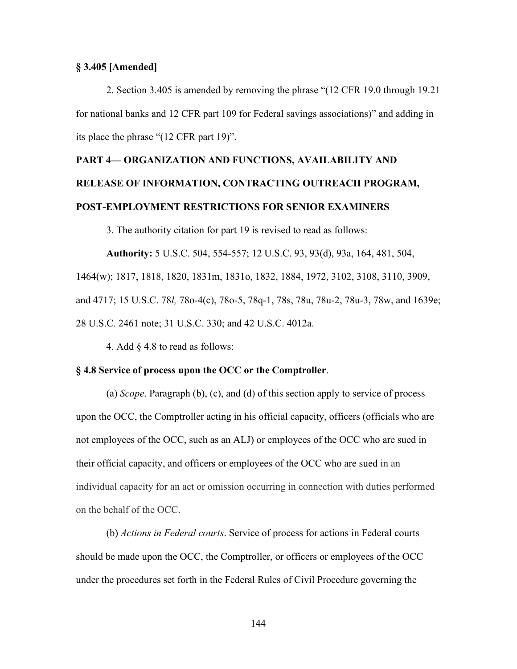# **§ 3.405 [Amended]**

 2. Section 3.405 is amended by removing the phrase "(12 CFR 19.0 through 19.21 for national banks and 12 CFR part 109 for Federal savings associations)" and adding in its place the phrase "(12 CFR part 19)".

## **PART 4— ORGANIZATION AND FUNCTIONS, AVAILABILITY AND**

# **RELEASE OF INFORMATION, CONTRACTING OUTREACH PROGRAM, POST-EMPLOYMENT RESTRICTIONS FOR SENIOR EXAMINERS**

3. The authority citation for part 19 is revised to read as follows:

**Authority:** 5 U.S.C. 504, 554-557; 12 U.S.C. 93, 93(d), 93a, 164, 481, 504, 1464(w); 1817, 1818, 1820, 1831m, 1831o, 1832, 1884, 1972, 3102, 3108, 3110, 3909, and 4717; 15 U.S.C. 78*l,* 78o-4(c), 78o-5, 78q-1, 78s, 78u, 78u-2, 78u-3, 78w, and 1639e; 28 U.S.C. 2461 note; 31 U.S.C. 330; and 42 U.S.C. 4012a.

4. Add § 4.8 to read as follows:

#### **§ 4.8 Service of process upon the OCC or the Comptroller**.

(a) *Scope*. Paragraph (b), (c), and (d) of this section apply to service of process upon the OCC, the Comptroller acting in his official capacity, officers (officials who are not employees of the OCC, such as an ALJ) or employees of the OCC who are sued in their official capacity, and officers or employees of the OCC who are sued in an individual capacity for an act or omission occurring in connection with duties performed on the behalf of the OCC.

(b) *Actions in Federal courts*. Service of process for actions in Federal courts should be made upon the OCC, the Comptroller, or officers or employees of the OCC under the procedures set forth in the Federal Rules of Civil Procedure governing the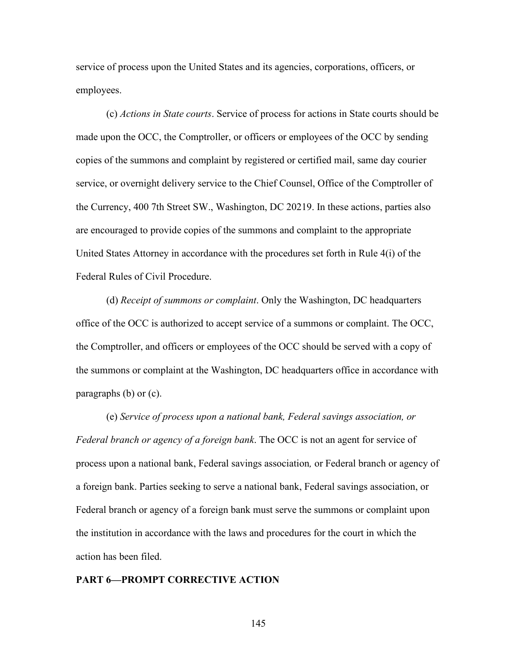service of process upon the United States and its agencies, corporations, officers, or employees.

(c) *Actions in State courts*. Service of process for actions in State courts should be made upon the OCC, the Comptroller, or officers or employees of the OCC by sending copies of the summons and complaint by registered or certified mail, same day courier service, or overnight delivery service to the Chief Counsel, Office of the Comptroller of the Currency, 400 7th Street SW., Washington, DC 20219. In these actions, parties also are encouraged to provide copies of the summons and complaint to the appropriate United States Attorney in accordance with the procedures set forth in Rule 4(i) of the Federal Rules of Civil Procedure.

(d) *Receipt of summons or complaint*. Only the Washington, DC headquarters office of the OCC is authorized to accept service of a summons or complaint. The OCC, the Comptroller, and officers or employees of the OCC should be served with a copy of the summons or complaint at the Washington, DC headquarters office in accordance with paragraphs (b) or (c).

(e) *Service of process upon a national bank, Federal savings association, or Federal branch or agency of a foreign bank*. The OCC is not an agent for service of process upon a national bank, Federal savings association*,* or Federal branch or agency of a foreign bank. Parties seeking to serve a national bank, Federal savings association, or Federal branch or agency of a foreign bank must serve the summons or complaint upon the institution in accordance with the laws and procedures for the court in which the action has been filed.

#### **PART 6—PROMPT CORRECTIVE ACTION**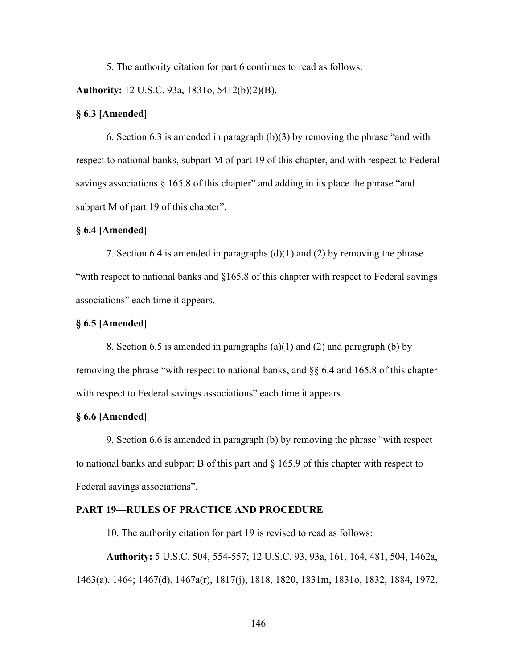5. The authority citation for part 6 continues to read as follows:

**Authority:** 12 U.S.C. 93a, 1831o, 5412(b)(2)(B).

## **§ 6.3 [Amended]**

 6. Section 6.3 is amended in paragraph (b)(3) by removing the phrase "and with respect to national banks, subpart M of part 19 of this chapter, and with respect to Federal savings associations  $\S$  165.8 of this chapter" and adding in its place the phrase "and subpart M of part 19 of this chapter".

# **§ 6.4 [Amended]**

7. Section 6.4 is amended in paragraphs (d)(1) and (2) by removing the phrase "with respect to national banks and §165.8 of this chapter with respect to Federal savings associations" each time it appears.

## **§ 6.5 [Amended]**

8. Section 6.5 is amended in paragraphs  $(a)(1)$  and  $(2)$  and paragraph  $(b)$  by removing the phrase "with respect to national banks, and §§ 6.4 and 165.8 of this chapter with respect to Federal savings associations" each time it appears.

## **§ 6.6 [Amended]**

9. Section 6.6 is amended in paragraph (b) by removing the phrase "with respect to national banks and subpart B of this part and  $\S$  165.9 of this chapter with respect to Federal savings associations".

# **PART 19—RULES OF PRACTICE AND PROCEDURE**

10. The authority citation for part 19 is revised to read as follows:

**Authority:** 5 U.S.C. 504, 554-557; 12 U.S.C. 93, 93a, 161, 164, 481, 504, 1462a, 1463(a), 1464; 1467(d), 1467a(r), 1817(j), 1818, 1820, 1831m, 1831o, 1832, 1884, 1972,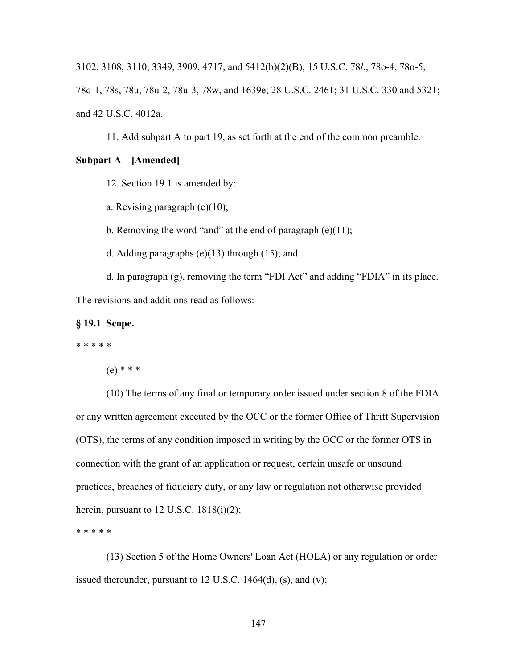3102, 3108, 3110, 3349, 3909, 4717, and 5412(b)(2)(B); 15 U.S.C. 78*l*,, 78o-4, 78o-5,

78q-1, 78s, 78u, 78u-2, 78u-3, 78w, and 1639e; 28 U.S.C. 2461; 31 U.S.C. 330 and 5321; and 42 U.S.C. 4012a.

11. Add subpart A to part 19, as set forth at the end of the common preamble.

## **Subpart A—[Amended]**

12. Section 19.1 is amended by:

a. Revising paragraph (e)(10);

b. Removing the word "and" at the end of paragraph  $(e)(11)$ ;

d. Adding paragraphs (e)(13) through (15); and

d. In paragraph (g), removing the term "FDI Act" and adding "FDIA" in its place. The revisions and additions read as follows:

**§ 19.1 Scope.**

\* \* \* \* \*

 $(e)$  \* \* \*

(10) The terms of any final or temporary order issued under section 8 of the FDIA or any written agreement executed by the OCC or the former Office of Thrift Supervision (OTS), the terms of any condition imposed in writing by the OCC or the former OTS in connection with the grant of an application or request, certain unsafe or unsound practices, breaches of fiduciary duty, or any law or regulation not otherwise provided herein, pursuant to 12 U.S.C. 1818(i)(2);

\* \* \* \* \*

(13) Section 5 of the Home Owners' Loan Act (HOLA) or any regulation or order issued thereunder, pursuant to  $12$  U.S.C.  $1464(d)$ , (s), and (v);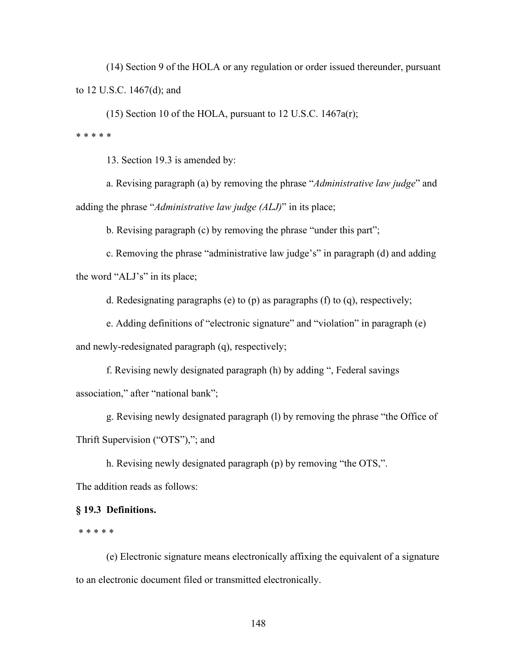(14) Section 9 of the HOLA or any regulation or order issued thereunder, pursuant to 12 U.S.C. 1467(d); and

 $(15)$  Section 10 of the HOLA, pursuant to 12 U.S.C. 1467a(r);

\* \* \* \* \*

13. Section 19.3 is amended by:

a. Revising paragraph (a) by removing the phrase "*Administrative law judge*" and adding the phrase "*Administrative law judge (ALJ)*" in its place;

b. Revising paragraph (c) by removing the phrase "under this part";

c. Removing the phrase "administrative law judge's" in paragraph (d) and adding the word "ALJ's" in its place;

d. Redesignating paragraphs (e) to (p) as paragraphs (f) to (q), respectively;

e. Adding definitions of "electronic signature" and "violation" in paragraph (e)

and newly-redesignated paragraph (q), respectively;

f. Revising newly designated paragraph (h) by adding ", Federal savings association," after "national bank";

g. Revising newly designated paragraph (l) by removing the phrase "the Office of Thrift Supervision ("OTS"),"; and

h. Revising newly designated paragraph (p) by removing "the OTS,".

The addition reads as follows:

## **§ 19.3 Definitions.**

\* \* \* \* \*

(e) Electronic signature means electronically affixing the equivalent of a signature to an electronic document filed or transmitted electronically.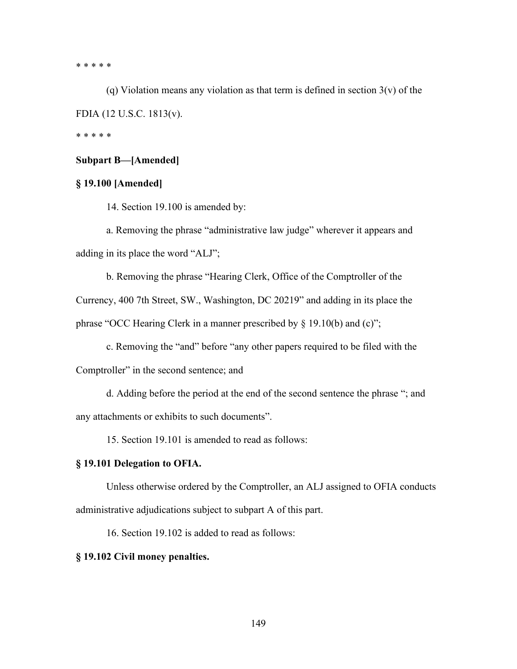\* \* \* \* \*

(q) Violation means any violation as that term is defined in section  $3(v)$  of the FDIA (12 U.S.C. 1813(v).

\* \* \* \* \*

# **Subpart B—[Amended]**

# **§ 19.100 [Amended]**

14. Section 19.100 is amended by:

a. Removing the phrase "administrative law judge" wherever it appears and adding in its place the word "ALJ";

b. Removing the phrase "Hearing Clerk, Office of the Comptroller of the

Currency, 400 7th Street, SW., Washington, DC 20219" and adding in its place the phrase "OCC Hearing Clerk in a manner prescribed by  $\S$  19.10(b) and (c)";

c. Removing the "and" before "any other papers required to be filed with the

Comptroller" in the second sentence; and

d. Adding before the period at the end of the second sentence the phrase "; and any attachments or exhibits to such documents".

15. Section 19.101 is amended to read as follows:

#### **§ 19.101 Delegation to OFIA.**

Unless otherwise ordered by the Comptroller, an ALJ assigned to OFIA conducts administrative adjudications subject to subpart A of this part.

16. Section 19.102 is added to read as follows:

# **§ 19.102 Civil money penalties.**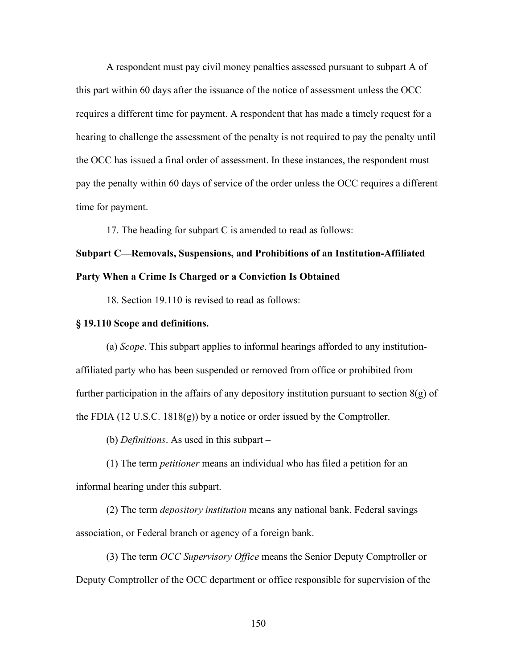A respondent must pay civil money penalties assessed pursuant to subpart A of this part within 60 days after the issuance of the notice of assessment unless the OCC requires a different time for payment. A respondent that has made a timely request for a hearing to challenge the assessment of the penalty is not required to pay the penalty until the OCC has issued a final order of assessment. In these instances, the respondent must pay the penalty within 60 days of service of the order unless the OCC requires a different time for payment.

17. The heading for subpart C is amended to read as follows:

# **Subpart C—Removals, Suspensions, and Prohibitions of an Institution-Affiliated Party When a Crime Is Charged or a Conviction Is Obtained**

18. Section 19.110 is revised to read as follows:

#### **§ 19.110 Scope and definitions.**

(a) *Scope*. This subpart applies to informal hearings afforded to any institutionaffiliated party who has been suspended or removed from office or prohibited from further participation in the affairs of any depository institution pursuant to section  $8(g)$  of the FDIA (12 U.S.C. 1818(g)) by a notice or order issued by the Comptroller.

(b) *Definitions*. As used in this subpart –

(1) The term *petitioner* means an individual who has filed a petition for an informal hearing under this subpart.

(2) The term *depository institution* means any national bank, Federal savings association, or Federal branch or agency of a foreign bank.

(3) The term *OCC Supervisory Office* means the Senior Deputy Comptroller or Deputy Comptroller of the OCC department or office responsible for supervision of the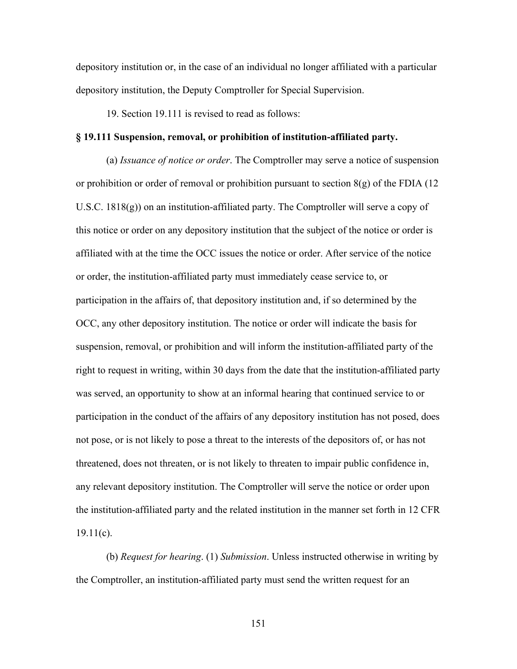depository institution or, in the case of an individual no longer affiliated with a particular depository institution, the Deputy Comptroller for Special Supervision.

19. Section 19.111 is revised to read as follows:

## **§ 19.111 Suspension, removal, or prohibition of institution-affiliated party.**

(a) *Issuance of notice or order*. The Comptroller may serve a notice of suspension or prohibition or order of removal or prohibition pursuant to section  $8(g)$  of the FDIA (12) U.S.C. 1818 $(g)$ ) on an institution-affiliated party. The Comptroller will serve a copy of this notice or order on any depository institution that the subject of the notice or order is affiliated with at the time the OCC issues the notice or order. After service of the notice or order, the institution-affiliated party must immediately cease service to, or participation in the affairs of, that depository institution and, if so determined by the OCC, any other depository institution. The notice or order will indicate the basis for suspension, removal, or prohibition and will inform the institution-affiliated party of the right to request in writing, within 30 days from the date that the institution-affiliated party was served, an opportunity to show at an informal hearing that continued service to or participation in the conduct of the affairs of any depository institution has not posed, does not pose, or is not likely to pose a threat to the interests of the depositors of, or has not threatened, does not threaten, or is not likely to threaten to impair public confidence in, any relevant depository institution. The Comptroller will serve the notice or order upon the institution-affiliated party and the related institution in the manner set forth in 12 CFR  $19.11(c)$ .

(b) *Request for hearing*. (1) *Submission*. Unless instructed otherwise in writing by the Comptroller, an institution-affiliated party must send the written request for an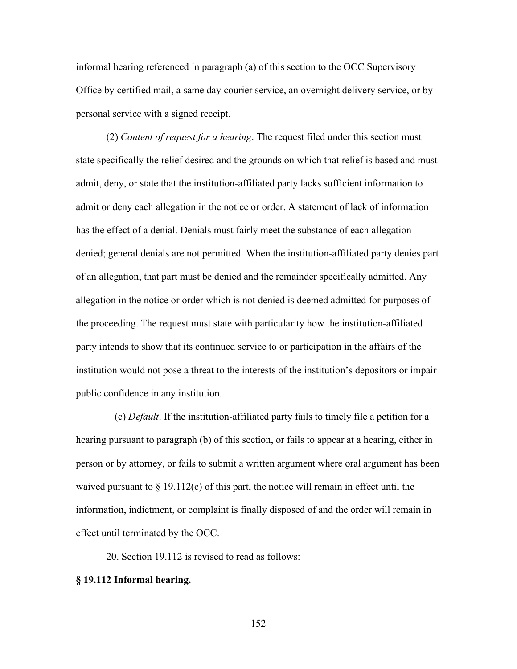informal hearing referenced in paragraph (a) of this section to the OCC Supervisory Office by certified mail, a same day courier service, an overnight delivery service, or by personal service with a signed receipt.

(2) *Content of request for a hearing*. The request filed under this section must state specifically the relief desired and the grounds on which that relief is based and must admit, deny, or state that the institution-affiliated party lacks sufficient information to admit or deny each allegation in the notice or order. A statement of lack of information has the effect of a denial. Denials must fairly meet the substance of each allegation denied; general denials are not permitted. When the institution-affiliated party denies part of an allegation, that part must be denied and the remainder specifically admitted. Any allegation in the notice or order which is not denied is deemed admitted for purposes of the proceeding. The request must state with particularity how the institution-affiliated party intends to show that its continued service to or participation in the affairs of the institution would not pose a threat to the interests of the institution's depositors or impair public confidence in any institution.

(c) *Default*. If the institution-affiliated party fails to timely file a petition for a hearing pursuant to paragraph (b) of this section, or fails to appear at a hearing, either in person or by attorney, or fails to submit a written argument where oral argument has been waived pursuant to  $\S 19.112(c)$  of this part, the notice will remain in effect until the information, indictment, or complaint is finally disposed of and the order will remain in effect until terminated by the OCC.

20. Section 19.112 is revised to read as follows:

#### **§ 19.112 Informal hearing.**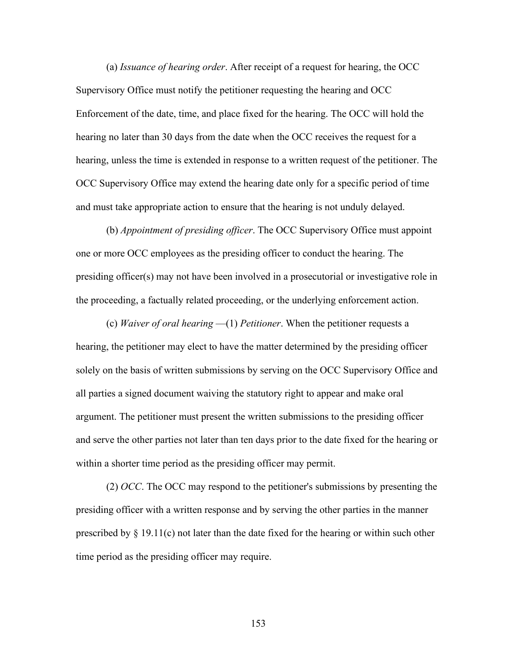(a) *Issuance of hearing order*. After receipt of a request for hearing, the OCC Supervisory Office must notify the petitioner requesting the hearing and OCC Enforcement of the date, time, and place fixed for the hearing. The OCC will hold the hearing no later than 30 days from the date when the OCC receives the request for a hearing, unless the time is extended in response to a written request of the petitioner. The OCC Supervisory Office may extend the hearing date only for a specific period of time and must take appropriate action to ensure that the hearing is not unduly delayed.

(b) *Appointment of presiding officer*. The OCC Supervisory Office must appoint one or more OCC employees as the presiding officer to conduct the hearing. The presiding officer(s) may not have been involved in a prosecutorial or investigative role in the proceeding, a factually related proceeding, or the underlying enforcement action.

(c) *Waiver of oral hearing* —(1) *Petitioner*. When the petitioner requests a hearing, the petitioner may elect to have the matter determined by the presiding officer solely on the basis of written submissions by serving on the OCC Supervisory Office and all parties a signed document waiving the statutory right to appear and make oral argument. The petitioner must present the written submissions to the presiding officer and serve the other parties not later than ten days prior to the date fixed for the hearing or within a shorter time period as the presiding officer may permit.

(2) *OCC*. The OCC may respond to the petitioner's submissions by presenting the presiding officer with a written response and by serving the other parties in the manner prescribed by § 19.11(c) not later than the date fixed for the hearing or within such other time period as the presiding officer may require.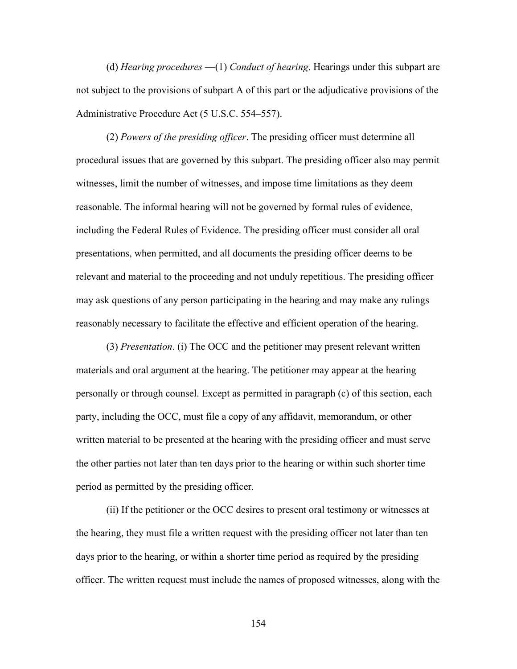(d) *Hearing procedures* —(1) *Conduct of hearing*. Hearings under this subpart are not subject to the provisions of subpart A of this part or the adjudicative provisions of the Administrative Procedure Act (5 U.S.C. 554–557).

(2) *Powers of the presiding officer*. The presiding officer must determine all procedural issues that are governed by this subpart. The presiding officer also may permit witnesses, limit the number of witnesses, and impose time limitations as they deem reasonable. The informal hearing will not be governed by formal rules of evidence, including the Federal Rules of Evidence. The presiding officer must consider all oral presentations, when permitted, and all documents the presiding officer deems to be relevant and material to the proceeding and not unduly repetitious. The presiding officer may ask questions of any person participating in the hearing and may make any rulings reasonably necessary to facilitate the effective and efficient operation of the hearing.

(3) *Presentation*. (i) The OCC and the petitioner may present relevant written materials and oral argument at the hearing. The petitioner may appear at the hearing personally or through counsel. Except as permitted in paragraph (c) of this section, each party, including the OCC, must file a copy of any affidavit, memorandum, or other written material to be presented at the hearing with the presiding officer and must serve the other parties not later than ten days prior to the hearing or within such shorter time period as permitted by the presiding officer.

(ii) If the petitioner or the OCC desires to present oral testimony or witnesses at the hearing, they must file a written request with the presiding officer not later than ten days prior to the hearing, or within a shorter time period as required by the presiding officer. The written request must include the names of proposed witnesses, along with the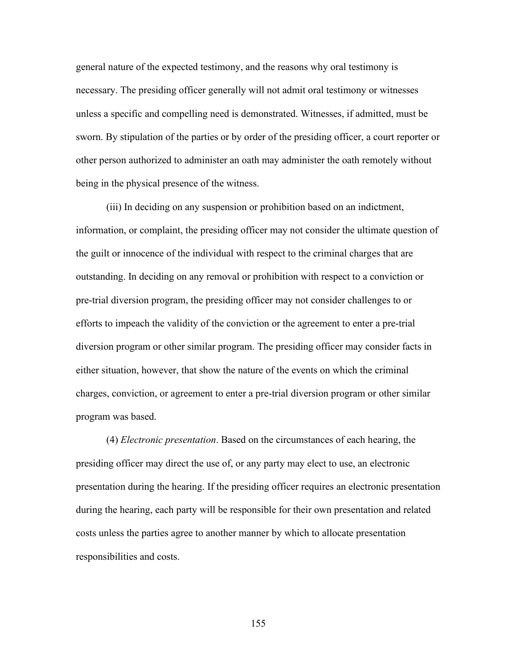general nature of the expected testimony, and the reasons why oral testimony is necessary. The presiding officer generally will not admit oral testimony or witnesses unless a specific and compelling need is demonstrated. Witnesses, if admitted, must be sworn. By stipulation of the parties or by order of the presiding officer, a court reporter or other person authorized to administer an oath may administer the oath remotely without being in the physical presence of the witness.

(iii) In deciding on any suspension or prohibition based on an indictment, information, or complaint, the presiding officer may not consider the ultimate question of the guilt or innocence of the individual with respect to the criminal charges that are outstanding. In deciding on any removal or prohibition with respect to a conviction or pre-trial diversion program, the presiding officer may not consider challenges to or efforts to impeach the validity of the conviction or the agreement to enter a pre-trial diversion program or other similar program. The presiding officer may consider facts in either situation, however, that show the nature of the events on which the criminal charges, conviction, or agreement to enter a pre-trial diversion program or other similar program was based.

(4) *Electronic presentation*. Based on the circumstances of each hearing, the presiding officer may direct the use of, or any party may elect to use, an electronic presentation during the hearing. If the presiding officer requires an electronic presentation during the hearing, each party will be responsible for their own presentation and related costs unless the parties agree to another manner by which to allocate presentation responsibilities and costs.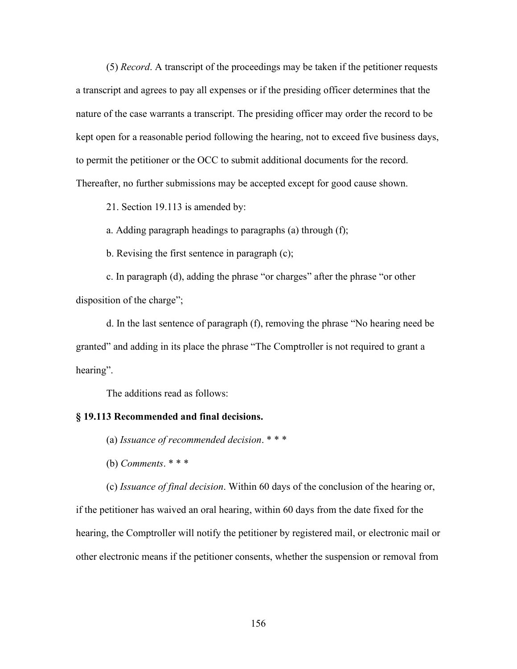(5) *Record*. A transcript of the proceedings may be taken if the petitioner requests a transcript and agrees to pay all expenses or if the presiding officer determines that the nature of the case warrants a transcript. The presiding officer may order the record to be kept open for a reasonable period following the hearing, not to exceed five business days, to permit the petitioner or the OCC to submit additional documents for the record. Thereafter, no further submissions may be accepted except for good cause shown.

21. Section 19.113 is amended by:

a. Adding paragraph headings to paragraphs (a) through (f);

b. Revising the first sentence in paragraph (c);

c. In paragraph (d), adding the phrase "or charges" after the phrase "or other disposition of the charge";

d. In the last sentence of paragraph (f), removing the phrase "No hearing need be granted" and adding in its place the phrase "The Comptroller is not required to grant a hearing".

The additions read as follows:

#### **§ 19.113 Recommended and final decisions.**

- (a) *Issuance of recommended decision*. \* \* \*
- (b) *Comments*. \* \* \*

(c) *Issuance of final decision*. Within 60 days of the conclusion of the hearing or, if the petitioner has waived an oral hearing, within 60 days from the date fixed for the hearing, the Comptroller will notify the petitioner by registered mail, or electronic mail or other electronic means if the petitioner consents, whether the suspension or removal from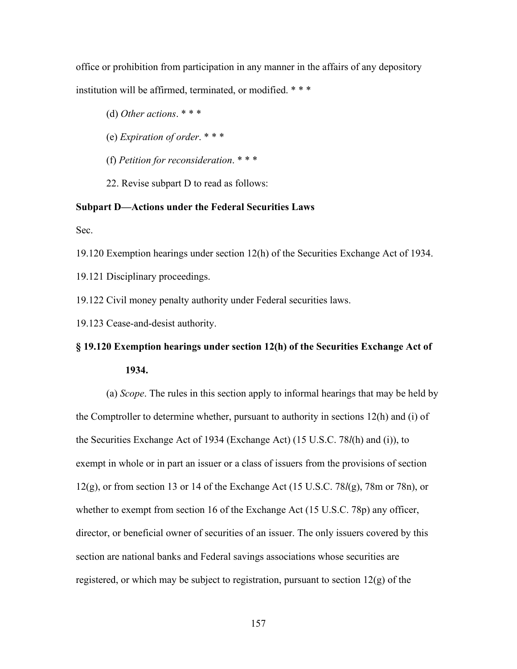office or prohibition from participation in any manner in the affairs of any depository institution will be affirmed, terminated, or modified. \* \* \*

- (d) *Other actions*. \* \* \*
- (e) *Expiration of order*. \* \* \*
- (f) *Petition for reconsideration*. \* \* \*
- 22. Revise subpart D to read as follows:

## **Subpart D—Actions under the Federal Securities Laws**

Sec.

19.120 Exemption hearings under section 12(h) of the Securities Exchange Act of 1934.

19.121 Disciplinary proceedings.

19.122 Civil money penalty authority under Federal securities laws.

19.123 Cease-and-desist authority.

# **§ 19.120 Exemption hearings under section 12(h) of the Securities Exchange Act of 1934.**

(a) *Scope*. The rules in this section apply to informal hearings that may be held by the Comptroller to determine whether, pursuant to authority in sections 12(h) and (i) of the Securities Exchange Act of 1934 (Exchange Act) (15 U.S.C. 78*l*(h) and (i)), to exempt in whole or in part an issuer or a class of issuers from the provisions of section 12(g), or from section 13 or 14 of the Exchange Act (15 U.S.C. 78*l*(g), 78m or 78n), or whether to exempt from section 16 of the Exchange Act (15 U.S.C. 78p) any officer, director, or beneficial owner of securities of an issuer. The only issuers covered by this section are national banks and Federal savings associations whose securities are registered, or which may be subject to registration, pursuant to section  $12(g)$  of the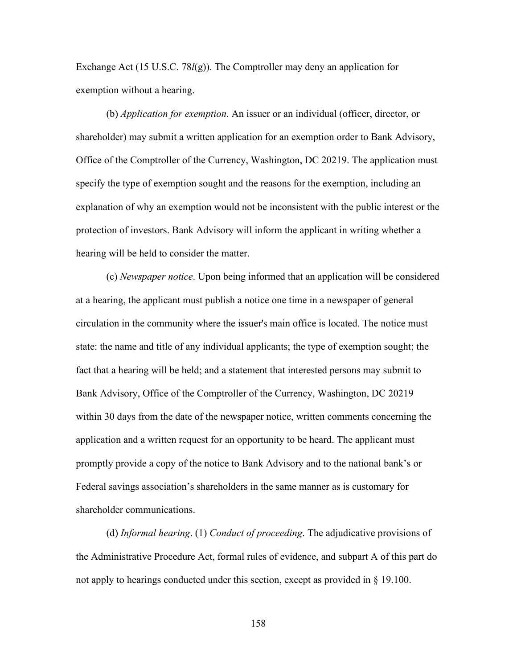Exchange Act (15 U.S.C. 78*l*(g)). The Comptroller may deny an application for exemption without a hearing.

(b) *Application for exemption*. An issuer or an individual (officer, director, or shareholder) may submit a written application for an exemption order to Bank Advisory, Office of the Comptroller of the Currency, Washington, DC 20219. The application must specify the type of exemption sought and the reasons for the exemption, including an explanation of why an exemption would not be inconsistent with the public interest or the protection of investors. Bank Advisory will inform the applicant in writing whether a hearing will be held to consider the matter.

(c) *Newspaper notice*. Upon being informed that an application will be considered at a hearing, the applicant must publish a notice one time in a newspaper of general circulation in the community where the issuer's main office is located. The notice must state: the name and title of any individual applicants; the type of exemption sought; the fact that a hearing will be held; and a statement that interested persons may submit to Bank Advisory, Office of the Comptroller of the Currency, Washington, DC 20219 within 30 days from the date of the newspaper notice, written comments concerning the application and a written request for an opportunity to be heard. The applicant must promptly provide a copy of the notice to Bank Advisory and to the national bank's or Federal savings association's shareholders in the same manner as is customary for shareholder communications.

(d) *Informal hearing*. (1) *Conduct of proceeding*. The adjudicative provisions of the Administrative Procedure Act, formal rules of evidence, and subpart A of this part do not apply to hearings conducted under this section, except as provided in § 19.100.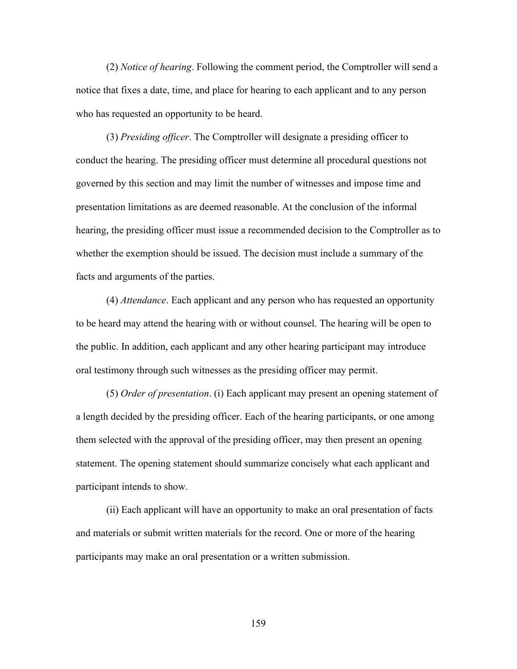(2) *Notice of hearing*. Following the comment period, the Comptroller will send a notice that fixes a date, time, and place for hearing to each applicant and to any person who has requested an opportunity to be heard.

(3) *Presiding officer*. The Comptroller will designate a presiding officer to conduct the hearing. The presiding officer must determine all procedural questions not governed by this section and may limit the number of witnesses and impose time and presentation limitations as are deemed reasonable. At the conclusion of the informal hearing, the presiding officer must issue a recommended decision to the Comptroller as to whether the exemption should be issued. The decision must include a summary of the facts and arguments of the parties.

(4) *Attendance*. Each applicant and any person who has requested an opportunity to be heard may attend the hearing with or without counsel. The hearing will be open to the public. In addition, each applicant and any other hearing participant may introduce oral testimony through such witnesses as the presiding officer may permit.

(5) *Order of presentation*. (i) Each applicant may present an opening statement of a length decided by the presiding officer. Each of the hearing participants, or one among them selected with the approval of the presiding officer, may then present an opening statement. The opening statement should summarize concisely what each applicant and participant intends to show.

(ii) Each applicant will have an opportunity to make an oral presentation of facts and materials or submit written materials for the record. One or more of the hearing participants may make an oral presentation or a written submission.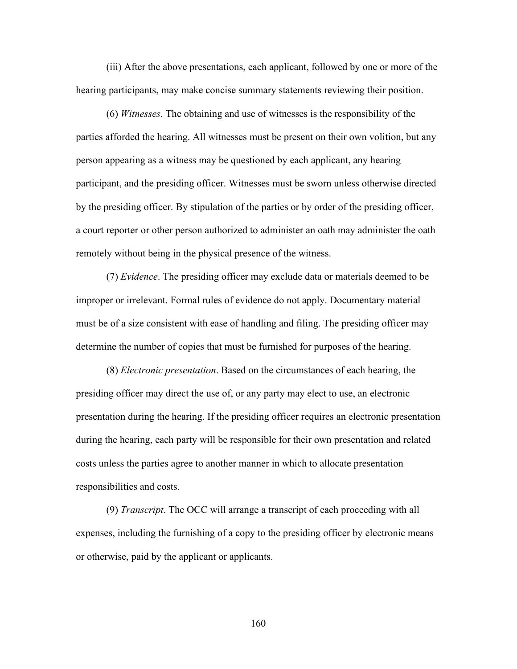(iii) After the above presentations, each applicant, followed by one or more of the hearing participants, may make concise summary statements reviewing their position.

(6) *Witnesses*. The obtaining and use of witnesses is the responsibility of the parties afforded the hearing. All witnesses must be present on their own volition, but any person appearing as a witness may be questioned by each applicant, any hearing participant, and the presiding officer. Witnesses must be sworn unless otherwise directed by the presiding officer. By stipulation of the parties or by order of the presiding officer, a court reporter or other person authorized to administer an oath may administer the oath remotely without being in the physical presence of the witness.

(7) *Evidence*. The presiding officer may exclude data or materials deemed to be improper or irrelevant. Formal rules of evidence do not apply. Documentary material must be of a size consistent with ease of handling and filing. The presiding officer may determine the number of copies that must be furnished for purposes of the hearing.

(8) *Electronic presentation*. Based on the circumstances of each hearing, the presiding officer may direct the use of, or any party may elect to use, an electronic presentation during the hearing. If the presiding officer requires an electronic presentation during the hearing, each party will be responsible for their own presentation and related costs unless the parties agree to another manner in which to allocate presentation responsibilities and costs.

(9) *Transcript*. The OCC will arrange a transcript of each proceeding with all expenses, including the furnishing of a copy to the presiding officer by electronic means or otherwise, paid by the applicant or applicants.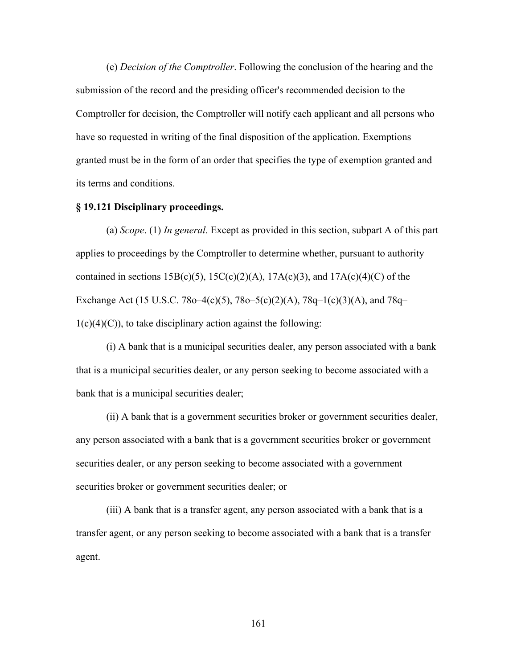(e) *Decision of the Comptroller*. Following the conclusion of the hearing and the submission of the record and the presiding officer's recommended decision to the Comptroller for decision, the Comptroller will notify each applicant and all persons who have so requested in writing of the final disposition of the application. Exemptions granted must be in the form of an order that specifies the type of exemption granted and its terms and conditions.

# **§ 19.121 Disciplinary proceedings.**

(a) *Scope*. (1) *In general*. Except as provided in this section, subpart A of this part applies to proceedings by the Comptroller to determine whether, pursuant to authority contained in sections  $15B(c)(5)$ ,  $15C(c)(2)(A)$ ,  $17A(c)(3)$ , and  $17A(c)(4)(C)$  of the Exchange Act (15 U.S.C. 78o–4(c)(5), 78o–5(c)(2)(A), 78q–1(c)(3)(A), and 78q–  $1(c)(4)(C)$ , to take disciplinary action against the following:

(i) A bank that is a municipal securities dealer, any person associated with a bank that is a municipal securities dealer, or any person seeking to become associated with a bank that is a municipal securities dealer;

(ii) A bank that is a government securities broker or government securities dealer, any person associated with a bank that is a government securities broker or government securities dealer, or any person seeking to become associated with a government securities broker or government securities dealer; or

(iii) A bank that is a transfer agent, any person associated with a bank that is a transfer agent, or any person seeking to become associated with a bank that is a transfer agent.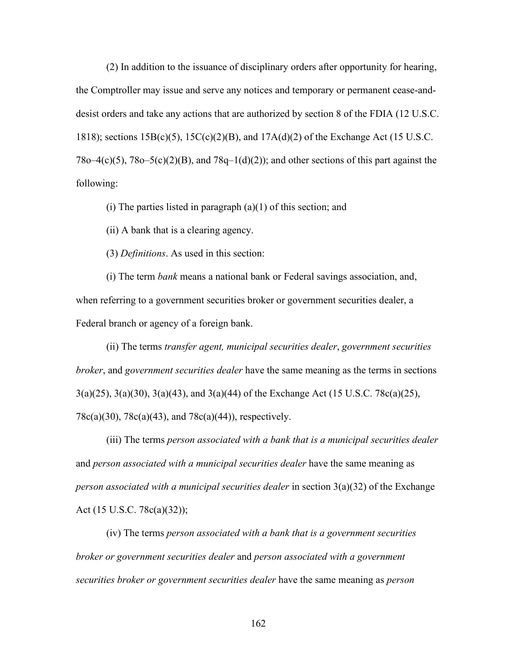(2) In addition to the issuance of disciplinary orders after opportunity for hearing, the Comptroller may issue and serve any notices and temporary or permanent cease-anddesist orders and take any actions that are authorized by section 8 of the FDIA (12 U.S.C. 1818); sections 15B(c)(5), 15C(c)(2)(B), and 17A(d)(2) of the Exchange Act (15 U.S.C.  $78o-4(c)(5)$ ,  $78o-5(c)(2)(B)$ , and  $78q-1(d)(2)$ ; and other sections of this part against the following:

(i) The parties listed in paragraph  $(a)(1)$  of this section; and

(ii) A bank that is a clearing agency.

(3) *Definitions*. As used in this section:

(i) The term *bank* means a national bank or Federal savings association, and, when referring to a government securities broker or government securities dealer, a Federal branch or agency of a foreign bank.

(ii) The terms *transfer agent, municipal securities dealer*, *government securities broker*, and *government securities dealer* have the same meaning as the terms in sections 3(a)(25), 3(a)(30), 3(a)(43), and 3(a)(44) of the Exchange Act (15 U.S.C. 78c(a)(25), 78c(a)(30), 78c(a)(43), and 78c(a)(44)), respectively.

(iii) The terms *person associated with a bank that is a municipal securities dealer*  and *person associated with a municipal securities dealer* have the same meaning as *person associated with a municipal securities dealer* in section 3(a)(32) of the Exchange Act (15 U.S.C. 78c(a)(32));

(iv) The terms *person associated with a bank that is a government securities broker or government securities dealer* and *person associated with a government securities broker or government securities dealer* have the same meaning as *person*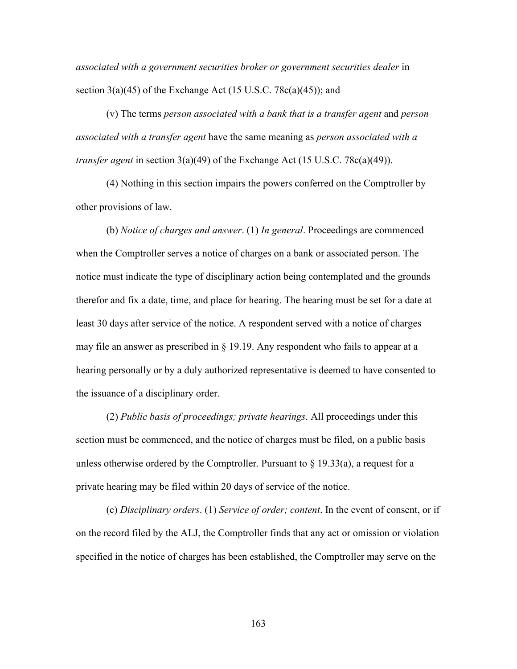*associated with a government securities broker or government securities dealer* in section  $3(a)(45)$  of the Exchange Act (15 U.S.C. 78 $c(a)(45)$ ); and

(v) The terms *person associated with a bank that is a transfer agent* and *person associated with a transfer agent* have the same meaning as *person associated with a transfer agent* in section 3(a)(49) of the Exchange Act (15 U.S.C. 78c(a)(49)).

(4) Nothing in this section impairs the powers conferred on the Comptroller by other provisions of law.

(b) *Notice of charges and answer*. (1) *In general*. Proceedings are commenced when the Comptroller serves a notice of charges on a bank or associated person. The notice must indicate the type of disciplinary action being contemplated and the grounds therefor and fix a date, time, and place for hearing. The hearing must be set for a date at least 30 days after service of the notice. A respondent served with a notice of charges may file an answer as prescribed in § 19.19. Any respondent who fails to appear at a hearing personally or by a duly authorized representative is deemed to have consented to the issuance of a disciplinary order.

(2) *Public basis of proceedings; private hearings*. All proceedings under this section must be commenced, and the notice of charges must be filed, on a public basis unless otherwise ordered by the Comptroller. Pursuant to  $\S$  19.33(a), a request for a private hearing may be filed within 20 days of service of the notice.

(c) *Disciplinary orders*. (1) *Service of order; content*. In the event of consent, or if on the record filed by the ALJ, the Comptroller finds that any act or omission or violation specified in the notice of charges has been established, the Comptroller may serve on the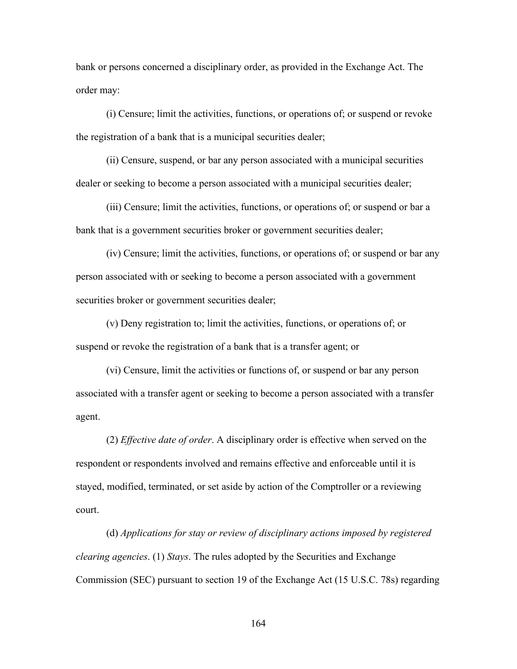bank or persons concerned a disciplinary order, as provided in the Exchange Act. The order may:

(i) Censure; limit the activities, functions, or operations of; or suspend or revoke the registration of a bank that is a municipal securities dealer;

(ii) Censure, suspend, or bar any person associated with a municipal securities dealer or seeking to become a person associated with a municipal securities dealer;

(iii) Censure; limit the activities, functions, or operations of; or suspend or bar a bank that is a government securities broker or government securities dealer;

(iv) Censure; limit the activities, functions, or operations of; or suspend or bar any person associated with or seeking to become a person associated with a government securities broker or government securities dealer;

(v) Deny registration to; limit the activities, functions, or operations of; or suspend or revoke the registration of a bank that is a transfer agent; or

(vi) Censure, limit the activities or functions of, or suspend or bar any person associated with a transfer agent or seeking to become a person associated with a transfer agent.

(2) *Effective date of order*. A disciplinary order is effective when served on the respondent or respondents involved and remains effective and enforceable until it is stayed, modified, terminated, or set aside by action of the Comptroller or a reviewing court.

(d) *Applications for stay or review of disciplinary actions imposed by registered clearing agencies*. (1) *Stays*. The rules adopted by the Securities and Exchange Commission (SEC) pursuant to section 19 of the Exchange Act (15 U.S.C. 78s) regarding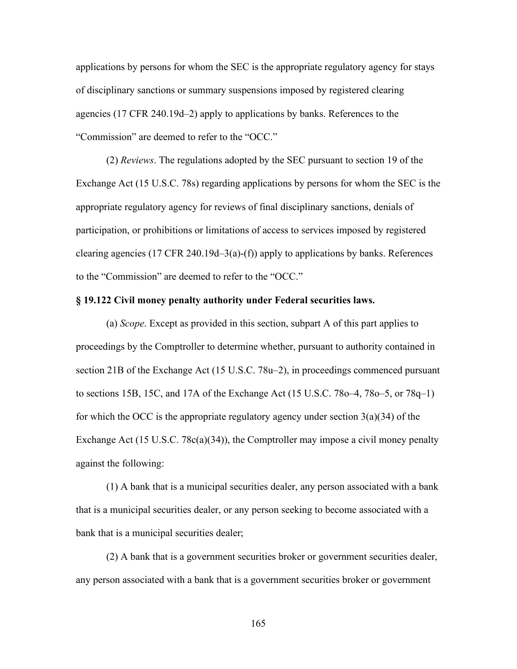applications by persons for whom the SEC is the appropriate regulatory agency for stays of disciplinary sanctions or summary suspensions imposed by registered clearing agencies (17 CFR 240.19d–2) apply to applications by banks. References to the "Commission" are deemed to refer to the "OCC."

(2) *Reviews*. The regulations adopted by the SEC pursuant to section 19 of the Exchange Act (15 U.S.C. 78s) regarding applications by persons for whom the SEC is the appropriate regulatory agency for reviews of final disciplinary sanctions, denials of participation, or prohibitions or limitations of access to services imposed by registered clearing agencies (17 CFR 240.19d-3(a)-(f)) apply to applications by banks. References to the "Commission" are deemed to refer to the "OCC."

# **§ 19.122 Civil money penalty authority under Federal securities laws.**

(a) *Scope*. Except as provided in this section, subpart A of this part applies to proceedings by the Comptroller to determine whether, pursuant to authority contained in section 21B of the Exchange Act (15 U.S.C. 78u–2), in proceedings commenced pursuant to sections 15B, 15C, and 17A of the Exchange Act (15 U.S.C. 78o–4, 78o–5, or 78q–1) for which the OCC is the appropriate regulatory agency under section  $3(a)(34)$  of the Exchange Act (15 U.S.C. 78c(a)(34)), the Comptroller may impose a civil money penalty against the following:

(1) A bank that is a municipal securities dealer, any person associated with a bank that is a municipal securities dealer, or any person seeking to become associated with a bank that is a municipal securities dealer;

(2) A bank that is a government securities broker or government securities dealer, any person associated with a bank that is a government securities broker or government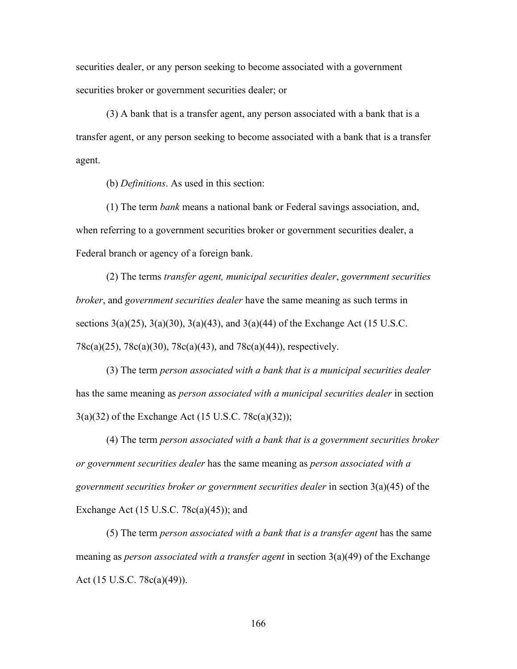securities dealer, or any person seeking to become associated with a government securities broker or government securities dealer; or

(3) A bank that is a transfer agent, any person associated with a bank that is a transfer agent, or any person seeking to become associated with a bank that is a transfer agent.

(b) *Definitions*. As used in this section:

(1) The term *bank* means a national bank or Federal savings association, and, when referring to a government securities broker or government securities dealer, a Federal branch or agency of a foreign bank.

(2) The terms *transfer agent, municipal securities dealer*, *government securities broker*, and *government securities dealer* have the same meaning as such terms in sections  $3(a)(25)$ ,  $3(a)(30)$ ,  $3(a)(43)$ , and  $3(a)(44)$  of the Exchange Act (15 U.S.C. 78c(a)(25), 78c(a)(30), 78c(a)(43), and 78c(a)(44)), respectively.

(3) The term *person associated with a bank that is a municipal securities dealer*  has the same meaning as *person associated with a municipal securities dealer* in section 3(a)(32) of the Exchange Act (15 U.S.C. 78c(a)(32));

(4) The term *person associated with a bank that is a government securities broker or government securities dealer* has the same meaning as *person associated with a government securities broker or government securities dealer* in section 3(a)(45) of the Exchange Act  $(15 \text{ U.S.C. } 78c(a)(45))$ ; and

(5) The term *person associated with a bank that is a transfer agent* has the same meaning as *person associated with a transfer agent* in section 3(a)(49) of the Exchange Act (15 U.S.C. 78c(a)(49)).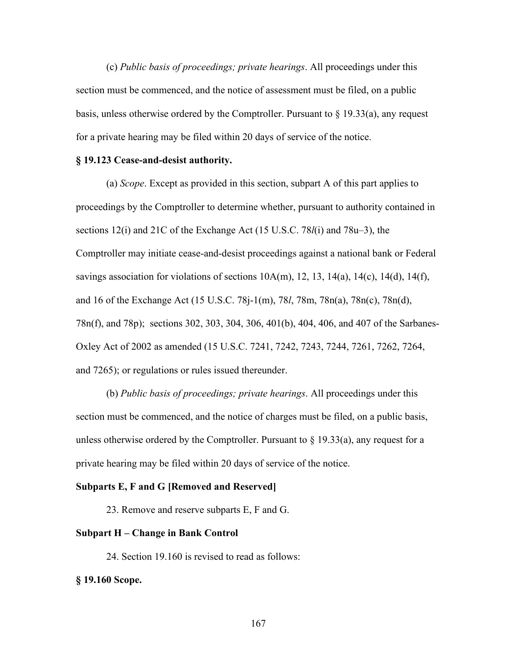(c) *Public basis of proceedings; private hearings*. All proceedings under this section must be commenced, and the notice of assessment must be filed, on a public basis, unless otherwise ordered by the Comptroller. Pursuant to  $\S$  19.33(a), any request for a private hearing may be filed within 20 days of service of the notice.

#### **§ 19.123 Cease-and-desist authority.**

(a) *Scope*. Except as provided in this section, subpart A of this part applies to proceedings by the Comptroller to determine whether, pursuant to authority contained in sections 12(i) and 21C of the Exchange Act (15 U.S.C. 78*l*(i) and 78u–3), the Comptroller may initiate cease-and-desist proceedings against a national bank or Federal savings association for violations of sections  $10A(m)$ ,  $12$ ,  $13$ ,  $14(a)$ ,  $14(c)$ ,  $14(d)$ ,  $14(f)$ , and 16 of the Exchange Act (15 U.S.C. 78j-1(m), 78*l*, 78m, 78n(a), 78n(c), 78n(d), 78n(f), and 78p); sections 302, 303, 304, 306, 401(b), 404, 406, and 407 of the Sarbanes-Oxley Act of 2002 as amended (15 U.S.C. 7241, 7242, 7243, 7244, 7261, 7262, 7264, and 7265); or regulations or rules issued thereunder.

(b) *Public basis of proceedings; private hearings*. All proceedings under this section must be commenced, and the notice of charges must be filed, on a public basis, unless otherwise ordered by the Comptroller. Pursuant to  $\S$  19.33(a), any request for a private hearing may be filed within 20 days of service of the notice.

#### **Subparts E, F and G [Removed and Reserved]**

23. Remove and reserve subparts E, F and G.

### **Subpart H – Change in Bank Control**

24. Section 19.160 is revised to read as follows:

#### **§ 19.160 Scope.**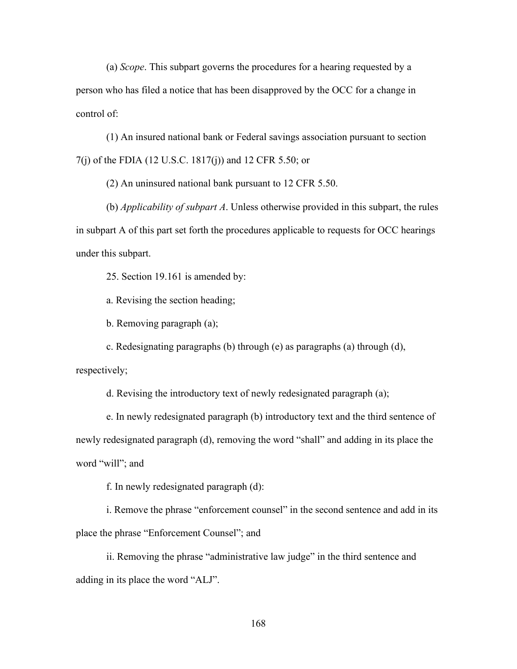(a) *Scope*. This subpart governs the procedures for a hearing requested by a person who has filed a notice that has been disapproved by the OCC for a change in control of:

(1) An insured national bank or Federal savings association pursuant to section 7(j) of the FDIA (12 U.S.C. 1817(j)) and 12 CFR 5.50; or

(2) An uninsured national bank pursuant to 12 CFR 5.50.

(b) *Applicability of subpart A*. Unless otherwise provided in this subpart, the rules in subpart A of this part set forth the procedures applicable to requests for OCC hearings under this subpart.

25. Section 19.161 is amended by:

a. Revising the section heading;

b. Removing paragraph (a);

c. Redesignating paragraphs (b) through (e) as paragraphs (a) through (d),

respectively;

d. Revising the introductory text of newly redesignated paragraph (a);

e. In newly redesignated paragraph (b) introductory text and the third sentence of newly redesignated paragraph (d), removing the word "shall" and adding in its place the word "will"; and

f. In newly redesignated paragraph (d):

i. Remove the phrase "enforcement counsel" in the second sentence and add in its place the phrase "Enforcement Counsel"; and

ii. Removing the phrase "administrative law judge" in the third sentence and adding in its place the word "ALJ".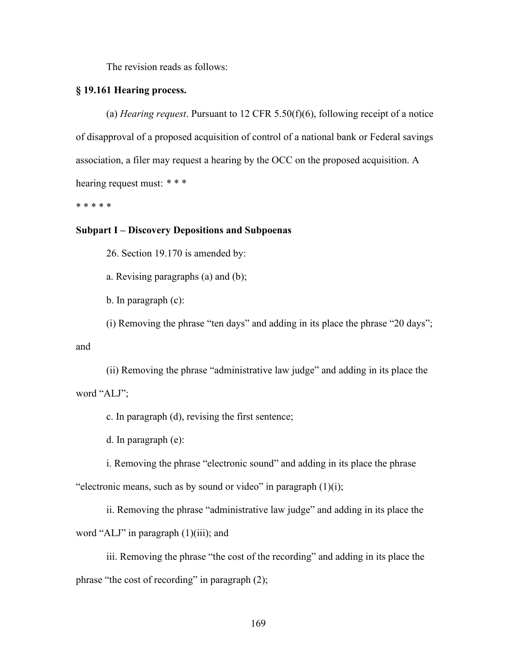The revision reads as follows:

## **§ 19.161 Hearing process.**

(a) *Hearing request*. Pursuant to 12 CFR 5.50(f)(6), following receipt of a notice of disapproval of a proposed acquisition of control of a national bank or Federal savings association, a filer may request a hearing by the OCC on the proposed acquisition. A hearing request must: *\* \* \**

\* \* \* \* \*

## **Subpart I – Discovery Depositions and Subpoenas**

26. Section 19.170 is amended by:

a. Revising paragraphs (a) and (b);

b. In paragraph (c):

(i) Removing the phrase "ten days" and adding in its place the phrase "20 days";

and

(ii) Removing the phrase "administrative law judge" and adding in its place the word "ALJ";

c. In paragraph (d), revising the first sentence;

d. In paragraph (e):

i. Removing the phrase "electronic sound" and adding in its place the phrase "electronic means, such as by sound or video" in paragraph  $(1)(i)$ ;

ii. Removing the phrase "administrative law judge" and adding in its place the word "ALJ" in paragraph (1)(iii); and

iii. Removing the phrase "the cost of the recording" and adding in its place the phrase "the cost of recording" in paragraph (2);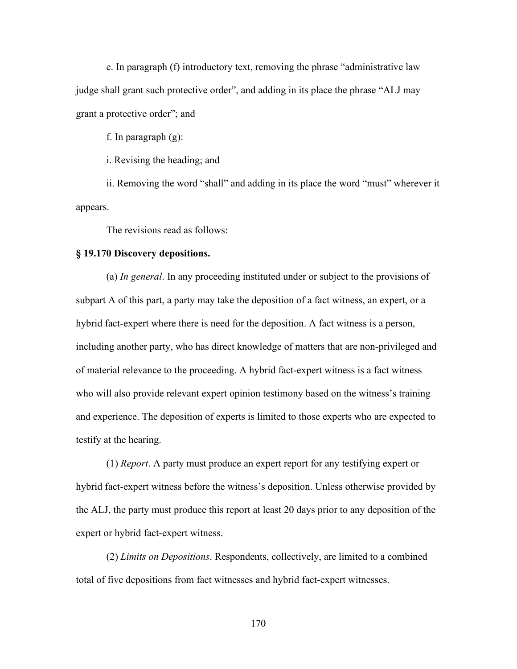e. In paragraph (f) introductory text, removing the phrase "administrative law judge shall grant such protective order", and adding in its place the phrase "ALJ may grant a protective order"; and

f. In paragraph (g):

i. Revising the heading; and

ii. Removing the word "shall" and adding in its place the word "must" wherever it appears.

The revisions read as follows:

## **§ 19.170 Discovery depositions.**

(a) *In general*. In any proceeding instituted under or subject to the provisions of subpart A of this part, a party may take the deposition of a fact witness, an expert, or a hybrid fact-expert where there is need for the deposition. A fact witness is a person, including another party, who has direct knowledge of matters that are non-privileged and of material relevance to the proceeding. A hybrid fact-expert witness is a fact witness who will also provide relevant expert opinion testimony based on the witness's training and experience. The deposition of experts is limited to those experts who are expected to testify at the hearing.

(1) *Report*. A party must produce an expert report for any testifying expert or hybrid fact-expert witness before the witness's deposition. Unless otherwise provided by the ALJ, the party must produce this report at least 20 days prior to any deposition of the expert or hybrid fact-expert witness.

(2) *Limits on Depositions*. Respondents, collectively, are limited to a combined total of five depositions from fact witnesses and hybrid fact-expert witnesses.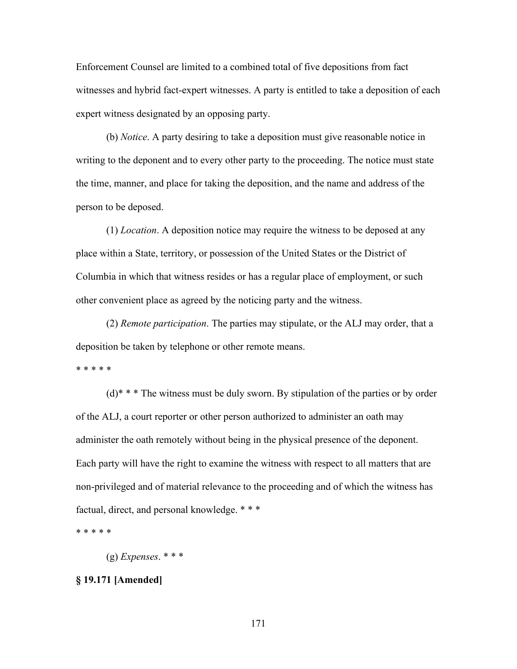Enforcement Counsel are limited to a combined total of five depositions from fact witnesses and hybrid fact-expert witnesses. A party is entitled to take a deposition of each expert witness designated by an opposing party.

(b) *Notice*. A party desiring to take a deposition must give reasonable notice in writing to the deponent and to every other party to the proceeding. The notice must state the time, manner, and place for taking the deposition, and the name and address of the person to be deposed.

(1) *Location*. A deposition notice may require the witness to be deposed at any place within a State, territory, or possession of the United States or the District of Columbia in which that witness resides or has a regular place of employment, or such other convenient place as agreed by the noticing party and the witness.

(2) *Remote participation*. The parties may stipulate, or the ALJ may order, that a deposition be taken by telephone or other remote means.

\* \* \* \* \*

 $(d)$ <sup>\*</sup> \* The witness must be duly sworn. By stipulation of the parties or by order of the ALJ, a court reporter or other person authorized to administer an oath may administer the oath remotely without being in the physical presence of the deponent. Each party will have the right to examine the witness with respect to all matters that are non-privileged and of material relevance to the proceeding and of which the witness has factual, direct, and personal knowledge. \* \* \*

\* \* \* \* \*

(g) *Expenses*. \* \* \*

# **§ 19.171 [Amended]**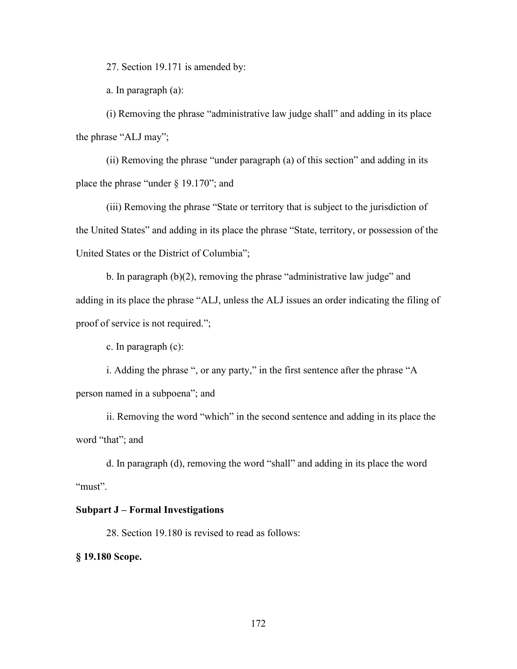27. Section 19.171 is amended by:

a. In paragraph (a):

(i) Removing the phrase "administrative law judge shall" and adding in its place the phrase "ALJ may";

(ii) Removing the phrase "under paragraph (a) of this section" and adding in its place the phrase "under § 19.170"; and

(iii) Removing the phrase "State or territory that is subject to the jurisdiction of the United States" and adding in its place the phrase "State, territory, or possession of the United States or the District of Columbia";

b. In paragraph  $(b)(2)$ , removing the phrase "administrative law judge" and adding in its place the phrase "ALJ, unless the ALJ issues an order indicating the filing of proof of service is not required.";

c. In paragraph (c):

i. Adding the phrase ", or any party," in the first sentence after the phrase "A person named in a subpoena"; and

ii. Removing the word "which" in the second sentence and adding in its place the word "that"; and

d. In paragraph (d), removing the word "shall" and adding in its place the word "must".

# **Subpart J – Formal Investigations**

28. Section 19.180 is revised to read as follows:

**§ 19.180 Scope.**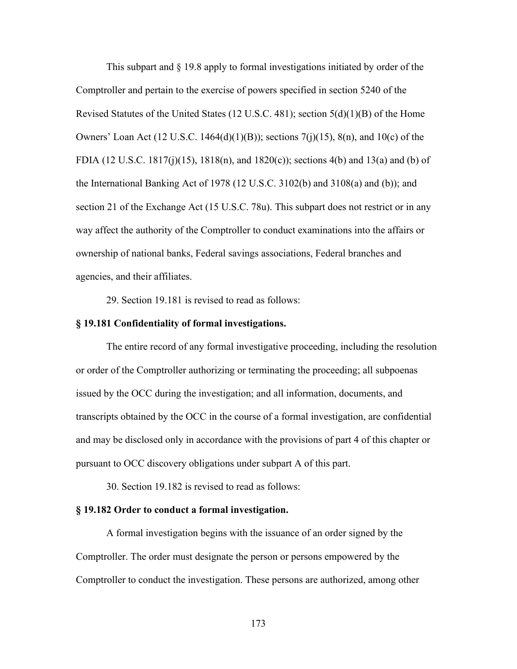This subpart and § 19.8 apply to formal investigations initiated by order of the Comptroller and pertain to the exercise of powers specified in section 5240 of the Revised Statutes of the United States (12 U.S.C. 481); section 5(d)(1)(B) of the Home Owners' Loan Act (12 U.S.C. 1464(d)(1)(B)); sections 7(j)(15), 8(n), and 10(c) of the FDIA (12 U.S.C. 1817(j)(15), 1818(n), and 1820(c)); sections 4(b) and 13(a) and (b) of the International Banking Act of 1978 (12 U.S.C. 3102(b) and 3108(a) and (b)); and section 21 of the Exchange Act (15 U.S.C. 78u). This subpart does not restrict or in any way affect the authority of the Comptroller to conduct examinations into the affairs or ownership of national banks, Federal savings associations, Federal branches and agencies, and their affiliates.

29. Section 19.181 is revised to read as follows:

#### **§ 19.181 Confidentiality of formal investigations.**

The entire record of any formal investigative proceeding, including the resolution or order of the Comptroller authorizing or terminating the proceeding; all subpoenas issued by the OCC during the investigation; and all information, documents, and transcripts obtained by the OCC in the course of a formal investigation, are confidential and may be disclosed only in accordance with the provisions of part 4 of this chapter or pursuant to OCC discovery obligations under subpart A of this part.

30. Section 19.182 is revised to read as follows:

### **§ 19.182 Order to conduct a formal investigation.**

A formal investigation begins with the issuance of an order signed by the Comptroller. The order must designate the person or persons empowered by the Comptroller to conduct the investigation. These persons are authorized, among other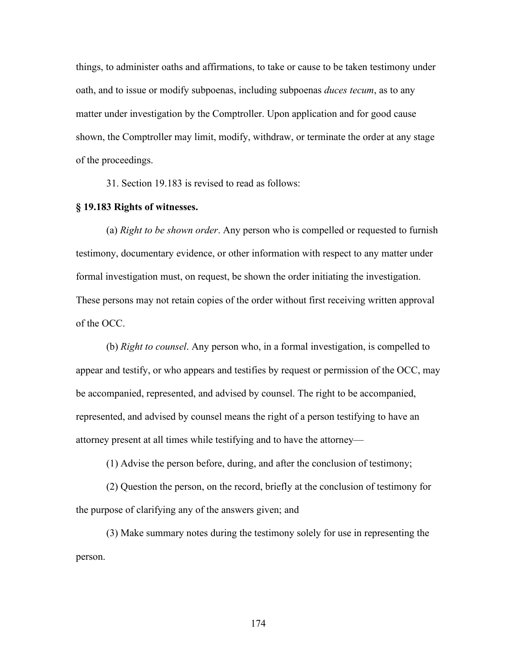things, to administer oaths and affirmations, to take or cause to be taken testimony under oath, and to issue or modify subpoenas, including subpoenas *duces tecum*, as to any matter under investigation by the Comptroller. Upon application and for good cause shown, the Comptroller may limit, modify, withdraw, or terminate the order at any stage of the proceedings.

31. Section 19.183 is revised to read as follows:

# **§ 19.183 Rights of witnesses.**

(a) *Right to be shown order*. Any person who is compelled or requested to furnish testimony, documentary evidence, or other information with respect to any matter under formal investigation must, on request, be shown the order initiating the investigation. These persons may not retain copies of the order without first receiving written approval of the OCC.

(b) *Right to counsel*. Any person who, in a formal investigation, is compelled to appear and testify, or who appears and testifies by request or permission of the OCC, may be accompanied, represented, and advised by counsel. The right to be accompanied, represented, and advised by counsel means the right of a person testifying to have an attorney present at all times while testifying and to have the attorney—

(1) Advise the person before, during, and after the conclusion of testimony;

(2) Question the person, on the record, briefly at the conclusion of testimony for the purpose of clarifying any of the answers given; and

(3) Make summary notes during the testimony solely for use in representing the person.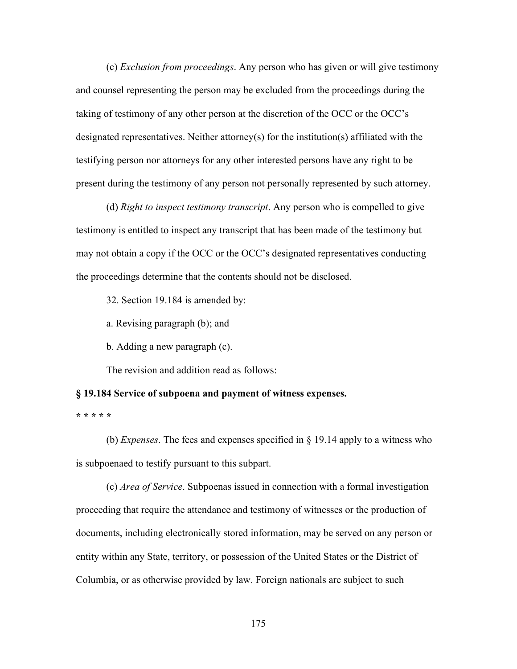(c) *Exclusion from proceedings*. Any person who has given or will give testimony and counsel representing the person may be excluded from the proceedings during the taking of testimony of any other person at the discretion of the OCC or the OCC's designated representatives. Neither attorney(s) for the institution(s) affiliated with the testifying person nor attorneys for any other interested persons have any right to be present during the testimony of any person not personally represented by such attorney.

(d) *Right to inspect testimony transcript*. Any person who is compelled to give testimony is entitled to inspect any transcript that has been made of the testimony but may not obtain a copy if the OCC or the OCC's designated representatives conducting the proceedings determine that the contents should not be disclosed.

32. Section 19.184 is amended by:

a. Revising paragraph (b); and

b. Adding a new paragraph (c).

The revision and addition read as follows:

## **§ 19.184 Service of subpoena and payment of witness expenses.**

**\* \* \* \* \***

(b) *Expenses*. The fees and expenses specified in § 19.14 apply to a witness who is subpoenaed to testify pursuant to this subpart.

(c) *Area of Service*. Subpoenas issued in connection with a formal investigation proceeding that require the attendance and testimony of witnesses or the production of documents, including electronically stored information, may be served on any person or entity within any State, territory, or possession of the United States or the District of Columbia, or as otherwise provided by law. Foreign nationals are subject to such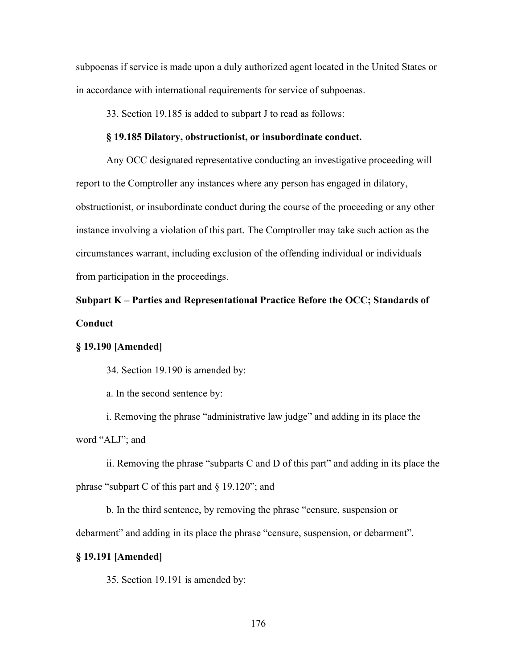subpoenas if service is made upon a duly authorized agent located in the United States or in accordance with international requirements for service of subpoenas.

33. Section 19.185 is added to subpart J to read as follows:

#### **§ 19.185 Dilatory, obstructionist, or insubordinate conduct.**

Any OCC designated representative conducting an investigative proceeding will report to the Comptroller any instances where any person has engaged in dilatory, obstructionist, or insubordinate conduct during the course of the proceeding or any other instance involving a violation of this part. The Comptroller may take such action as the circumstances warrant, including exclusion of the offending individual or individuals from participation in the proceedings.

# **Subpart K – Parties and Representational Practice Before the OCC; Standards of Conduct**

## **§ 19.190 [Amended]**

34. Section 19.190 is amended by:

a. In the second sentence by:

i. Removing the phrase "administrative law judge" and adding in its place the word "ALJ"; and

ii. Removing the phrase "subparts C and D of this part" and adding in its place the phrase "subpart C of this part and § 19.120"; and

b. In the third sentence, by removing the phrase "censure, suspension or debarment" and adding in its place the phrase "censure, suspension, or debarment".

## **§ 19.191 [Amended]**

35. Section 19.191 is amended by: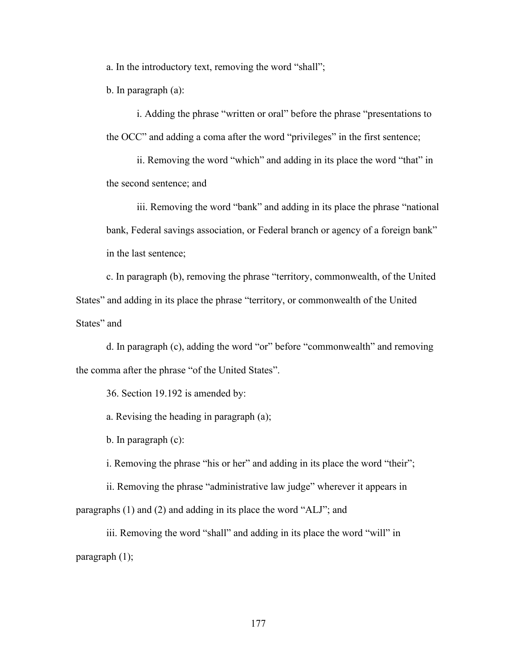a. In the introductory text, removing the word "shall";

b. In paragraph (a):

i. Adding the phrase "written or oral" before the phrase "presentations to the OCC" and adding a coma after the word "privileges" in the first sentence;

ii. Removing the word "which" and adding in its place the word "that" in the second sentence; and

iii. Removing the word "bank" and adding in its place the phrase "national bank, Federal savings association, or Federal branch or agency of a foreign bank" in the last sentence;

c. In paragraph (b), removing the phrase "territory, commonwealth, of the United States" and adding in its place the phrase "territory, or commonwealth of the United States" and

d. In paragraph (c), adding the word "or" before "commonwealth" and removing the comma after the phrase "of the United States".

36. Section 19.192 is amended by:

a. Revising the heading in paragraph (a);

b. In paragraph (c):

i. Removing the phrase "his or her" and adding in its place the word "their";

ii. Removing the phrase "administrative law judge" wherever it appears in paragraphs (1) and (2) and adding in its place the word "ALJ"; and

iii. Removing the word "shall" and adding in its place the word "will" in paragraph (1);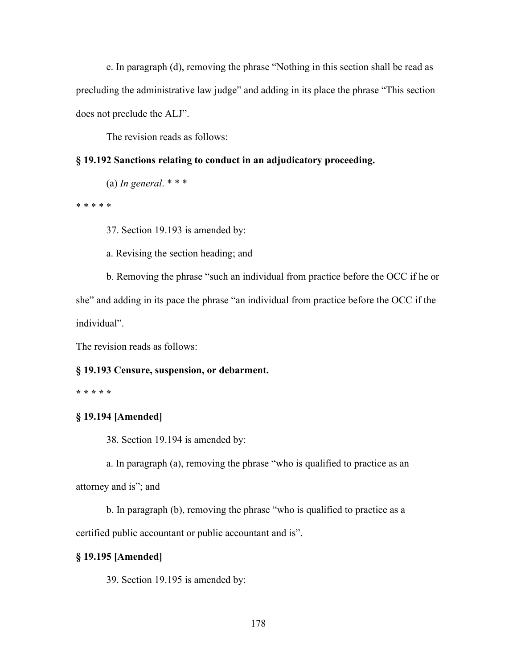e. In paragraph (d), removing the phrase "Nothing in this section shall be read as precluding the administrative law judge" and adding in its place the phrase "This section does not preclude the ALJ".

The revision reads as follows:

# **§ 19.192 Sanctions relating to conduct in an adjudicatory proceeding.**

(a) *In general*. \* \* \*

\* \* \* \* \*

37. Section 19.193 is amended by:

a. Revising the section heading; and

b. Removing the phrase "such an individual from practice before the OCC if he or

she" and adding in its pace the phrase "an individual from practice before the OCC if the individual".

The revision reads as follows:

# **§ 19.193 Censure, suspension, or debarment.**

**\* \* \* \* \***

# **§ 19.194 [Amended]**

38. Section 19.194 is amended by:

a. In paragraph (a), removing the phrase "who is qualified to practice as an attorney and is"; and

b. In paragraph (b), removing the phrase "who is qualified to practice as a certified public accountant or public accountant and is".

# **§ 19.195 [Amended]**

39. Section 19.195 is amended by: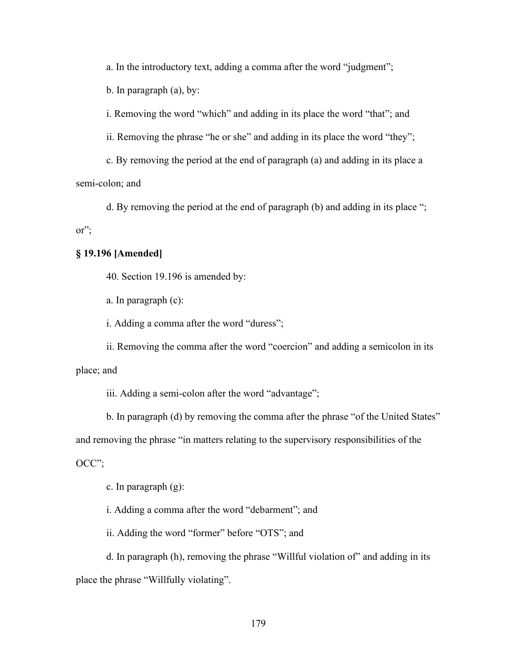a. In the introductory text, adding a comma after the word "judgment";

b. In paragraph (a), by:

i. Removing the word "which" and adding in its place the word "that"; and

ii. Removing the phrase "he or she" and adding in its place the word "they";

c. By removing the period at the end of paragraph (a) and adding in its place a semi-colon; and

d. By removing the period at the end of paragraph (b) and adding in its place "; or";

# **§ 19.196 [Amended]**

40. Section 19.196 is amended by:

a. In paragraph (c):

i. Adding a comma after the word "duress";

ii. Removing the comma after the word "coercion" and adding a semicolon in its place; and

iii. Adding a semi-colon after the word "advantage";

b. In paragraph (d) by removing the comma after the phrase "of the United States" and removing the phrase "in matters relating to the supervisory responsibilities of the OCC";

c. In paragraph (g):

i. Adding a comma after the word "debarment"; and

ii. Adding the word "former" before "OTS"; and

d. In paragraph (h), removing the phrase "Willful violation of" and adding in its place the phrase "Willfully violating".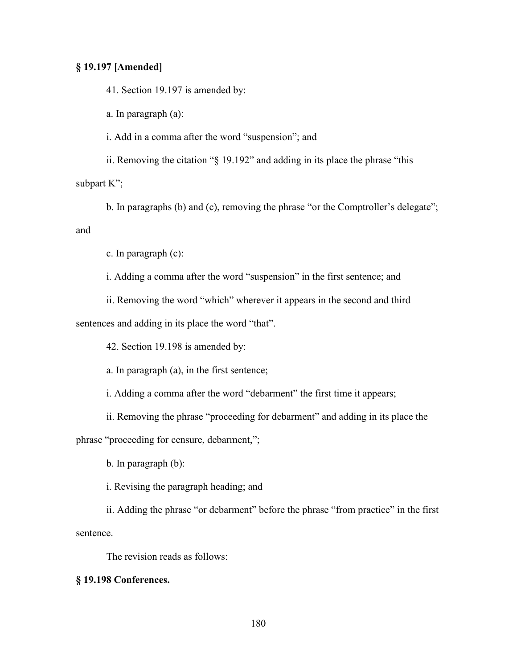# **§ 19.197 [Amended]**

41. Section 19.197 is amended by:

a. In paragraph (a):

i. Add in a comma after the word "suspension"; and

ii. Removing the citation "§ 19.192" and adding in its place the phrase "this subpart K";

b. In paragraphs (b) and (c), removing the phrase "or the Comptroller's delegate"; and

c. In paragraph (c):

i. Adding a comma after the word "suspension" in the first sentence; and

ii. Removing the word "which" wherever it appears in the second and third sentences and adding in its place the word "that".

42. Section 19.198 is amended by:

a. In paragraph (a), in the first sentence;

i. Adding a comma after the word "debarment" the first time it appears;

ii. Removing the phrase "proceeding for debarment" and adding in its place the

phrase "proceeding for censure, debarment,";

b. In paragraph (b):

i. Revising the paragraph heading; and

ii. Adding the phrase "or debarment" before the phrase "from practice" in the first sentence.

The revision reads as follows:

#### **§ 19.198 Conferences.**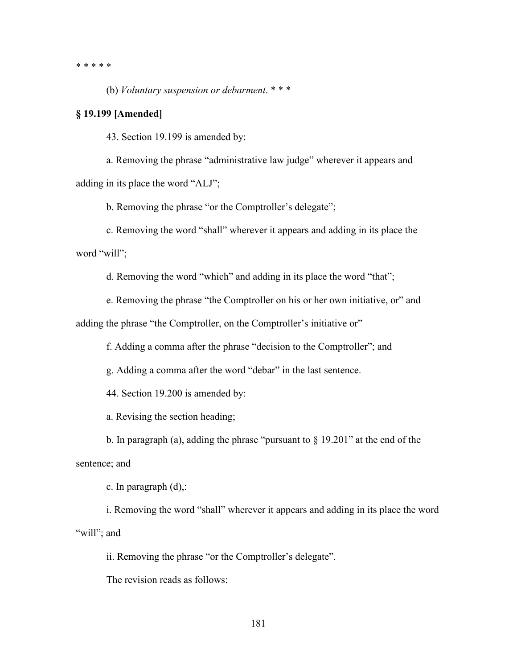\* \* \* \* \*

(b) *Voluntary suspension or debarment*. \* \* \*

## **§ 19.199 [Amended]**

43. Section 19.199 is amended by:

a. Removing the phrase "administrative law judge" wherever it appears and adding in its place the word "ALJ";

b. Removing the phrase "or the Comptroller's delegate";

c. Removing the word "shall" wherever it appears and adding in its place the word "will";

d. Removing the word "which" and adding in its place the word "that";

e. Removing the phrase "the Comptroller on his or her own initiative, or" and

adding the phrase "the Comptroller, on the Comptroller's initiative or"

f. Adding a comma after the phrase "decision to the Comptroller"; and

g. Adding a comma after the word "debar" in the last sentence.

44. Section 19.200 is amended by:

a. Revising the section heading;

b. In paragraph (a), adding the phrase "pursuant to § 19.201" at the end of the sentence; and

c. In paragraph (d),:

i. Removing the word "shall" wherever it appears and adding in its place the word "will"; and

ii. Removing the phrase "or the Comptroller's delegate".

The revision reads as follows: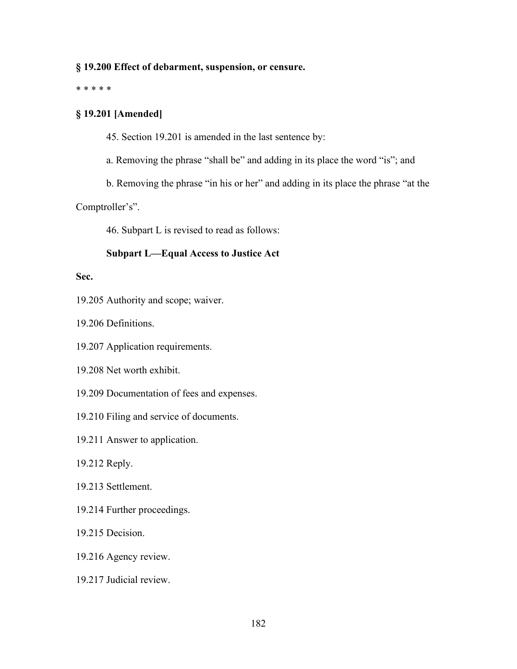## **§ 19.200 Effect of debarment, suspension, or censure.**

\* \* \* \* \*

## **§ 19.201 [Amended]**

45. Section 19.201 is amended in the last sentence by:

a. Removing the phrase "shall be" and adding in its place the word "is"; and

b. Removing the phrase "in his or her" and adding in its place the phrase "at the

Comptroller's".

46. Subpart L is revised to read as follows:

## **Subpart L—Equal Access to Justice Act**

## **Sec.**

19.205 Authority and scope; waiver.

19.206 Definitions.

- 19.207 Application requirements.
- 19.208 Net worth exhibit.
- 19.209 Documentation of fees and expenses.
- 19.210 Filing and service of documents.
- 19.211 Answer to application.
- 19.212 Reply.
- 19.213 Settlement.
- 19.214 Further proceedings.
- 19.215 Decision.
- 19.216 Agency review.
- 19.217 Judicial review.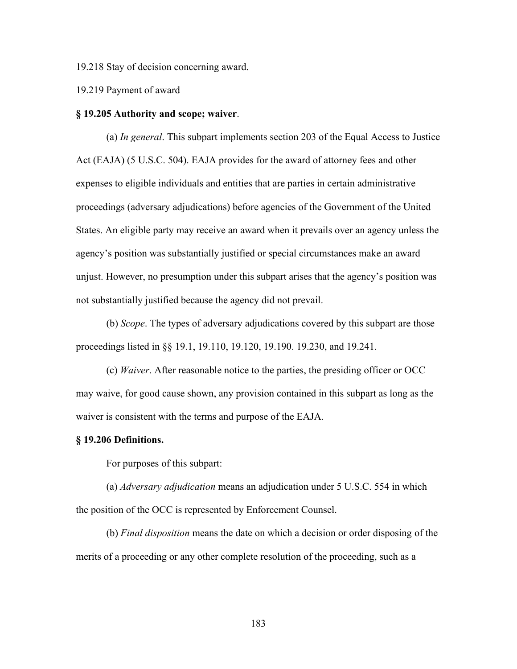19.218 Stay of decision concerning award.

19.219 Payment of award

#### **§ 19.205 Authority and scope; waiver**.

(a) *In general*. This subpart implements section 203 of the Equal Access to Justice Act (EAJA) (5 U.S.C. 504). EAJA provides for the award of attorney fees and other expenses to eligible individuals and entities that are parties in certain administrative proceedings (adversary adjudications) before agencies of the Government of the United States. An eligible party may receive an award when it prevails over an agency unless the agency's position was substantially justified or special circumstances make an award unjust. However, no presumption under this subpart arises that the agency's position was not substantially justified because the agency did not prevail.

(b) *Scope*. The types of adversary adjudications covered by this subpart are those proceedings listed in §§ 19.1, 19.110, 19.120, 19.190. 19.230, and 19.241.

(c) *Waiver*. After reasonable notice to the parties, the presiding officer or OCC may waive, for good cause shown, any provision contained in this subpart as long as the waiver is consistent with the terms and purpose of the EAJA.

#### **§ 19.206 Definitions.**

For purposes of this subpart:

(a) *Adversary adjudication* means an adjudication under 5 U.S.C. 554 in which the position of the OCC is represented by Enforcement Counsel.

(b) *Final disposition* means the date on which a decision or order disposing of the merits of a proceeding or any other complete resolution of the proceeding, such as a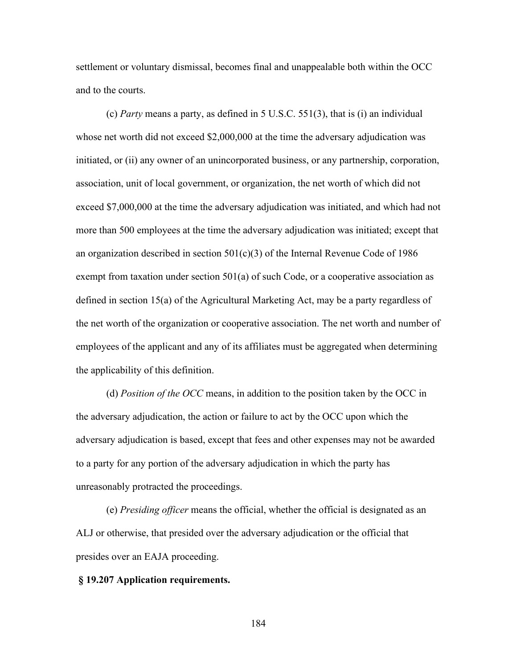settlement or voluntary dismissal, becomes final and unappealable both within the OCC and to the courts.

(c) *Party* means a party, as defined in 5 U.S.C. 551(3), that is (i) an individual whose net worth did not exceed \$2,000,000 at the time the adversary adjudication was initiated, or (ii) any owner of an unincorporated business, or any partnership, corporation, association, unit of local government, or organization, the net worth of which did not exceed \$7,000,000 at the time the adversary adjudication was initiated, and which had not more than 500 employees at the time the adversary adjudication was initiated; except that an organization described in section  $501(c)(3)$  of the Internal Revenue Code of 1986 exempt from taxation under section 501(a) of such Code, or a cooperative association as defined in section 15(a) of the Agricultural Marketing Act, may be a party regardless of the net worth of the organization or cooperative association. The net worth and number of employees of the applicant and any of its affiliates must be aggregated when determining the applicability of this definition.

(d) *Position of the OCC* means, in addition to the position taken by the OCC in the adversary adjudication, the action or failure to act by the OCC upon which the adversary adjudication is based, except that fees and other expenses may not be awarded to a party for any portion of the adversary adjudication in which the party has unreasonably protracted the proceedings.

(e) *Presiding officer* means the official, whether the official is designated as an ALJ or otherwise, that presided over the adversary adjudication or the official that presides over an EAJA proceeding.

#### **§ 19.207 Application requirements.**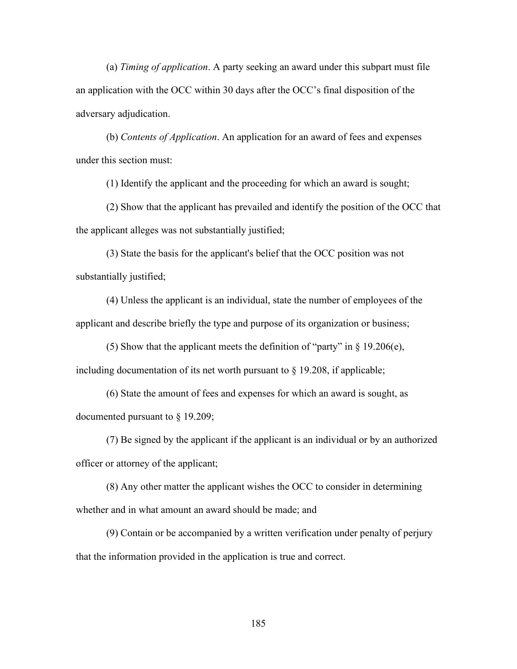(a) *Timing of application*. A party seeking an award under this subpart must file an application with the OCC within 30 days after the OCC's final disposition of the adversary adjudication.

(b) *Contents of Application*. An application for an award of fees and expenses under this section must:

(1) Identify the applicant and the proceeding for which an award is sought;

(2) Show that the applicant has prevailed and identify the position of the OCC that the applicant alleges was not substantially justified;

(3) State the basis for the applicant's belief that the OCC position was not substantially justified;

(4) Unless the applicant is an individual, state the number of employees of the applicant and describe briefly the type and purpose of its organization or business;

(5) Show that the applicant meets the definition of "party" in  $\S$  19.206(e), including documentation of its net worth pursuant to § 19.208, if applicable;

(6) State the amount of fees and expenses for which an award is sought, as documented pursuant to § 19.209;

(7) Be signed by the applicant if the applicant is an individual or by an authorized officer or attorney of the applicant;

(8) Any other matter the applicant wishes the OCC to consider in determining whether and in what amount an award should be made; and

(9) Contain or be accompanied by a written verification under penalty of perjury that the information provided in the application is true and correct.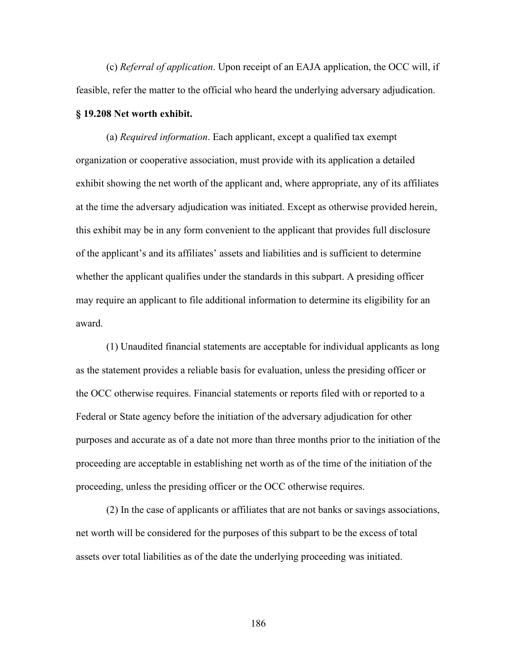(c) *Referral of application*. Upon receipt of an EAJA application, the OCC will, if feasible, refer the matter to the official who heard the underlying adversary adjudication. **§ 19.208 Net worth exhibit.**

(a) *Required information*. Each applicant, except a qualified tax exempt organization or cooperative association, must provide with its application a detailed exhibit showing the net worth of the applicant and, where appropriate, any of its affiliates at the time the adversary adjudication was initiated. Except as otherwise provided herein, this exhibit may be in any form convenient to the applicant that provides full disclosure of the applicant's and its affiliates' assets and liabilities and is sufficient to determine whether the applicant qualifies under the standards in this subpart. A presiding officer may require an applicant to file additional information to determine its eligibility for an award.

(1) Unaudited financial statements are acceptable for individual applicants as long as the statement provides a reliable basis for evaluation, unless the presiding officer or the OCC otherwise requires. Financial statements or reports filed with or reported to a Federal or State agency before the initiation of the adversary adjudication for other purposes and accurate as of a date not more than three months prior to the initiation of the proceeding are acceptable in establishing net worth as of the time of the initiation of the proceeding, unless the presiding officer or the OCC otherwise requires.

(2) In the case of applicants or affiliates that are not banks or savings associations, net worth will be considered for the purposes of this subpart to be the excess of total assets over total liabilities as of the date the underlying proceeding was initiated.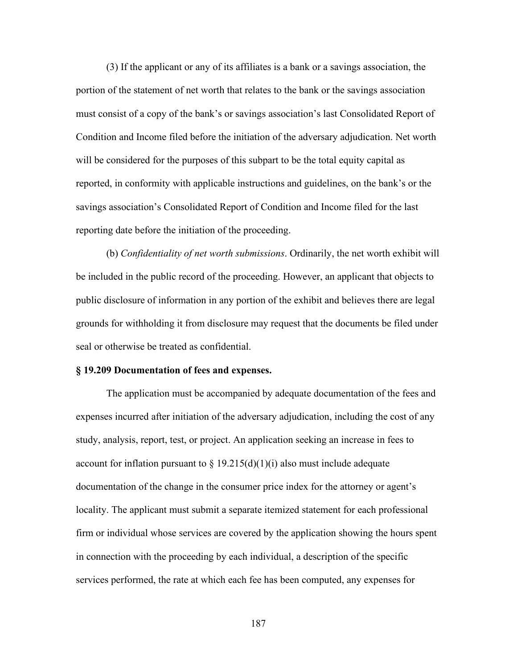(3) If the applicant or any of its affiliates is a bank or a savings association, the portion of the statement of net worth that relates to the bank or the savings association must consist of a copy of the bank's or savings association's last Consolidated Report of Condition and Income filed before the initiation of the adversary adjudication. Net worth will be considered for the purposes of this subpart to be the total equity capital as reported, in conformity with applicable instructions and guidelines, on the bank's or the savings association's Consolidated Report of Condition and Income filed for the last reporting date before the initiation of the proceeding.

(b) *Confidentiality of net worth submissions*. Ordinarily, the net worth exhibit will be included in the public record of the proceeding. However, an applicant that objects to public disclosure of information in any portion of the exhibit and believes there are legal grounds for withholding it from disclosure may request that the documents be filed under seal or otherwise be treated as confidential.

#### **§ 19.209 Documentation of fees and expenses.**

The application must be accompanied by adequate documentation of the fees and expenses incurred after initiation of the adversary adjudication, including the cost of any study, analysis, report, test, or project. An application seeking an increase in fees to account for inflation pursuant to  $\S 19.215(d)(1)(i)$  also must include adequate documentation of the change in the consumer price index for the attorney or agent's locality. The applicant must submit a separate itemized statement for each professional firm or individual whose services are covered by the application showing the hours spent in connection with the proceeding by each individual, a description of the specific services performed, the rate at which each fee has been computed, any expenses for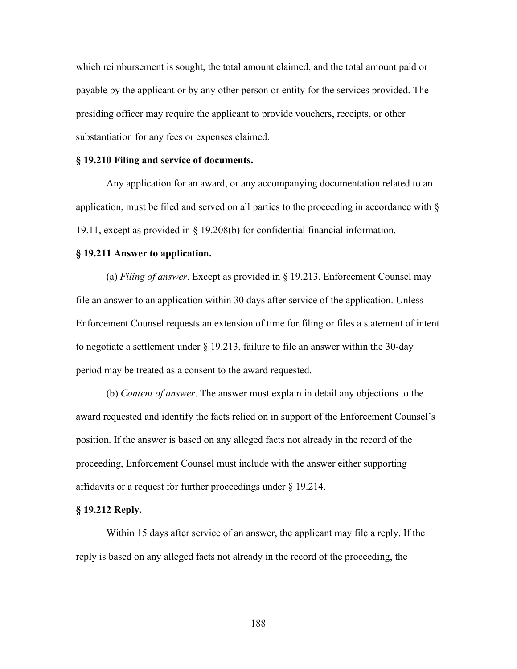which reimbursement is sought, the total amount claimed, and the total amount paid or payable by the applicant or by any other person or entity for the services provided. The presiding officer may require the applicant to provide vouchers, receipts, or other substantiation for any fees or expenses claimed.

#### **§ 19.210 Filing and service of documents.**

Any application for an award, or any accompanying documentation related to an application, must be filed and served on all parties to the proceeding in accordance with § 19.11, except as provided in § 19.208(b) for confidential financial information.

#### **§ 19.211 Answer to application.**

(a) *Filing of answer*. Except as provided in § 19.213, Enforcement Counsel may file an answer to an application within 30 days after service of the application. Unless Enforcement Counsel requests an extension of time for filing or files a statement of intent to negotiate a settlement under § 19.213, failure to file an answer within the 30-day period may be treated as a consent to the award requested.

(b) *Content of answer*. The answer must explain in detail any objections to the award requested and identify the facts relied on in support of the Enforcement Counsel's position. If the answer is based on any alleged facts not already in the record of the proceeding, Enforcement Counsel must include with the answer either supporting affidavits or a request for further proceedings under § 19.214.

#### **§ 19.212 Reply.**

Within 15 days after service of an answer, the applicant may file a reply. If the reply is based on any alleged facts not already in the record of the proceeding, the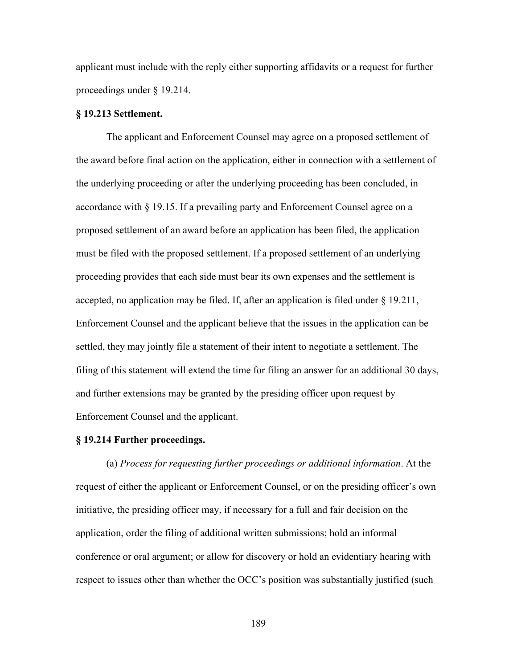applicant must include with the reply either supporting affidavits or a request for further proceedings under § 19.214.

## **§ 19.213 Settlement.**

The applicant and Enforcement Counsel may agree on a proposed settlement of the award before final action on the application, either in connection with a settlement of the underlying proceeding or after the underlying proceeding has been concluded, in accordance with § 19.15. If a prevailing party and Enforcement Counsel agree on a proposed settlement of an award before an application has been filed, the application must be filed with the proposed settlement. If a proposed settlement of an underlying proceeding provides that each side must bear its own expenses and the settlement is accepted, no application may be filed. If, after an application is filed under  $\S 19.211$ , Enforcement Counsel and the applicant believe that the issues in the application can be settled, they may jointly file a statement of their intent to negotiate a settlement. The filing of this statement will extend the time for filing an answer for an additional 30 days, and further extensions may be granted by the presiding officer upon request by Enforcement Counsel and the applicant.

## **§ 19.214 Further proceedings.**

(a) *Process for requesting further proceedings or additional information*. At the request of either the applicant or Enforcement Counsel, or on the presiding officer's own initiative, the presiding officer may, if necessary for a full and fair decision on the application, order the filing of additional written submissions; hold an informal conference or oral argument; or allow for discovery or hold an evidentiary hearing with respect to issues other than whether the OCC's position was substantially justified (such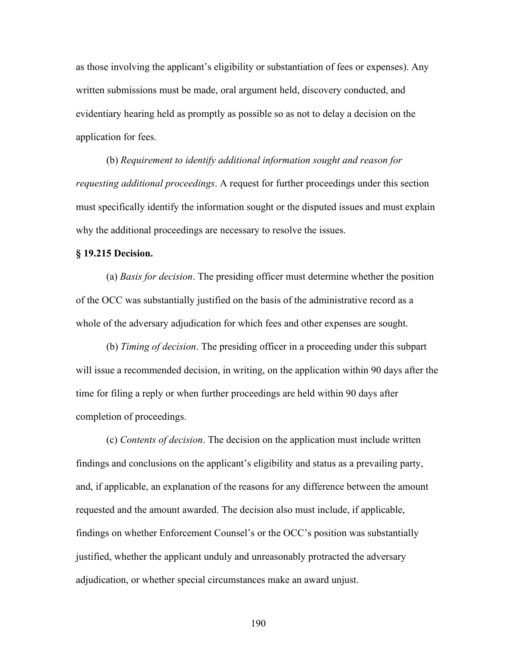as those involving the applicant's eligibility or substantiation of fees or expenses). Any written submissions must be made, oral argument held, discovery conducted, and evidentiary hearing held as promptly as possible so as not to delay a decision on the application for fees.

(b) *Requirement to identify additional information sought and reason for requesting additional proceedings*. A request for further proceedings under this section must specifically identify the information sought or the disputed issues and must explain why the additional proceedings are necessary to resolve the issues.

#### **§ 19.215 Decision.**

(a) *Basis for decision*. The presiding officer must determine whether the position of the OCC was substantially justified on the basis of the administrative record as a whole of the adversary adjudication for which fees and other expenses are sought.

(b) *Timing of decision*. The presiding officer in a proceeding under this subpart will issue a recommended decision, in writing, on the application within 90 days after the time for filing a reply or when further proceedings are held within 90 days after completion of proceedings.

(c) *Contents of decision*. The decision on the application must include written findings and conclusions on the applicant's eligibility and status as a prevailing party, and, if applicable, an explanation of the reasons for any difference between the amount requested and the amount awarded. The decision also must include, if applicable, findings on whether Enforcement Counsel's or the OCC's position was substantially justified, whether the applicant unduly and unreasonably protracted the adversary adjudication, or whether special circumstances make an award unjust.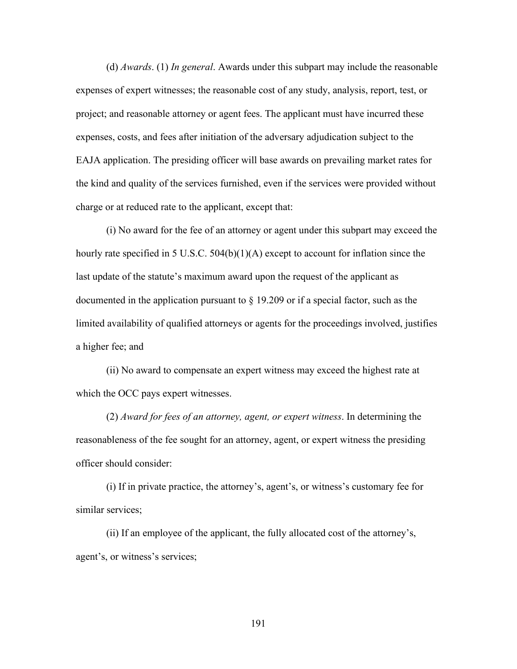(d) *Awards*. (1) *In general*. Awards under this subpart may include the reasonable expenses of expert witnesses; the reasonable cost of any study, analysis, report, test, or project; and reasonable attorney or agent fees. The applicant must have incurred these expenses, costs, and fees after initiation of the adversary adjudication subject to the EAJA application. The presiding officer will base awards on prevailing market rates for the kind and quality of the services furnished, even if the services were provided without charge or at reduced rate to the applicant, except that:

(i) No award for the fee of an attorney or agent under this subpart may exceed the hourly rate specified in 5 U.S.C. 504(b)(1)(A) except to account for inflation since the last update of the statute's maximum award upon the request of the applicant as documented in the application pursuant to § 19.209 or if a special factor, such as the limited availability of qualified attorneys or agents for the proceedings involved, justifies a higher fee; and

(ii) No award to compensate an expert witness may exceed the highest rate at which the OCC pays expert witnesses.

(2) *Award for fees of an attorney, agent, or expert witness*. In determining the reasonableness of the fee sought for an attorney, agent, or expert witness the presiding officer should consider:

(i) If in private practice, the attorney's, agent's, or witness's customary fee for similar services;

(ii) If an employee of the applicant, the fully allocated cost of the attorney's, agent's, or witness's services;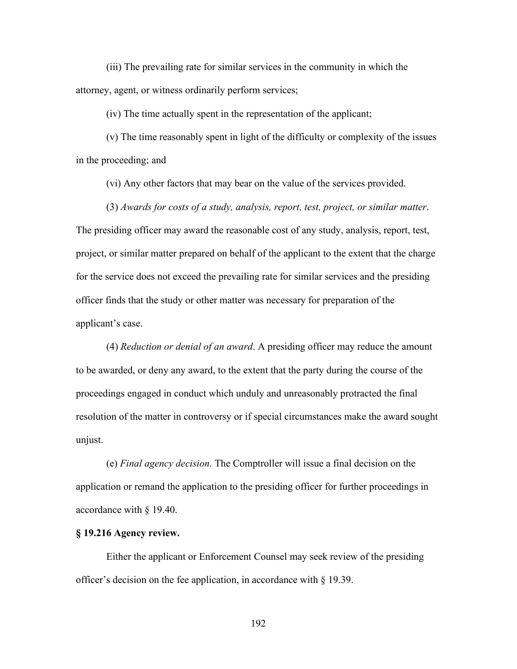(iii) The prevailing rate for similar services in the community in which the attorney, agent, or witness ordinarily perform services;

(iv) The time actually spent in the representation of the applicant;

(v) The time reasonably spent in light of the difficulty or complexity of the issues in the proceeding; and

(vi) Any other factors that may bear on the value of the services provided.

(3) *Awards for costs of a study, analysis, report, test, project, or similar matter*. The presiding officer may award the reasonable cost of any study, analysis, report, test, project, or similar matter prepared on behalf of the applicant to the extent that the charge for the service does not exceed the prevailing rate for similar services and the presiding officer finds that the study or other matter was necessary for preparation of the applicant's case.

(4) *Reduction or denial of an award*. A presiding officer may reduce the amount to be awarded, or deny any award, to the extent that the party during the course of the proceedings engaged in conduct which unduly and unreasonably protracted the final resolution of the matter in controversy or if special circumstances make the award sought unjust.

(e) *Final agency decision*. The Comptroller will issue a final decision on the application or remand the application to the presiding officer for further proceedings in accordance with § 19.40.

#### **§ 19.216 Agency review.**

Either the applicant or Enforcement Counsel may seek review of the presiding officer's decision on the fee application, in accordance with § 19.39.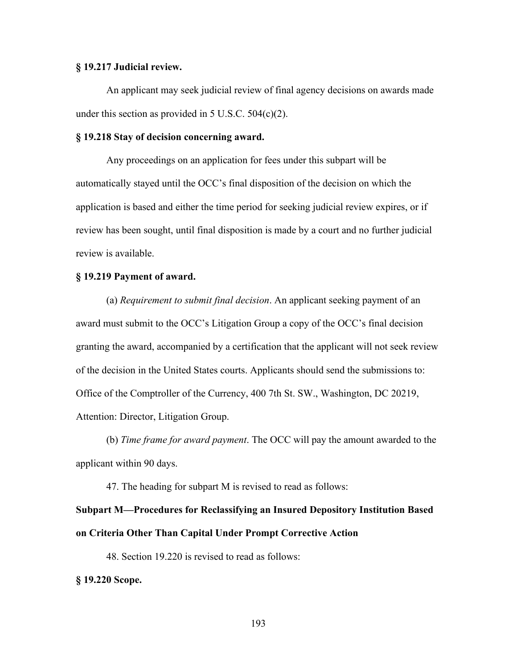## **§ 19.217 Judicial review.**

An applicant may seek judicial review of final agency decisions on awards made under this section as provided in  $5$  U.S.C.  $504(c)(2)$ .

## **§ 19.218 Stay of decision concerning award.**

Any proceedings on an application for fees under this subpart will be automatically stayed until the OCC's final disposition of the decision on which the application is based and either the time period for seeking judicial review expires, or if review has been sought, until final disposition is made by a court and no further judicial review is available.

### **§ 19.219 Payment of award.**

(a) *Requirement to submit final decision*. An applicant seeking payment of an award must submit to the OCC's Litigation Group a copy of the OCC's final decision granting the award, accompanied by a certification that the applicant will not seek review of the decision in the United States courts. Applicants should send the submissions to: Office of the Comptroller of the Currency, 400 7th St. SW., Washington, DC 20219, Attention: Director, Litigation Group.

(b) *Time frame for award payment*. The OCC will pay the amount awarded to the applicant within 90 days.

47. The heading for subpart M is revised to read as follows:

## **Subpart M—Procedures for Reclassifying an Insured Depository Institution Based on Criteria Other Than Capital Under Prompt Corrective Action**

48. Section 19.220 is revised to read as follows:

**§ 19.220 Scope.**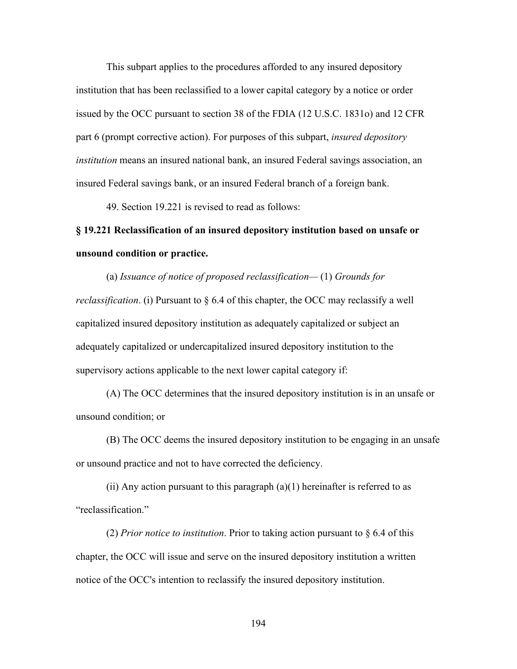This subpart applies to the procedures afforded to any insured depository institution that has been reclassified to a lower capital category by a notice or order issued by the OCC pursuant to section 38 of the FDIA (12 U.S.C. 1831o) and 12 CFR part 6 (prompt corrective action). For purposes of this subpart, *insured depository institution* means an insured national bank, an insured Federal savings association, an insured Federal savings bank, or an insured Federal branch of a foreign bank.

49. Section 19.221 is revised to read as follows:

## **§ 19.221 Reclassification of an insured depository institution based on unsafe or unsound condition or practice.**

(a) *Issuance of notice of proposed reclassification—* (1) *Grounds for reclassification*. (i) Pursuant to § 6.4 of this chapter, the OCC may reclassify a well capitalized insured depository institution as adequately capitalized or subject an adequately capitalized or undercapitalized insured depository institution to the supervisory actions applicable to the next lower capital category if:

(A) The OCC determines that the insured depository institution is in an unsafe or unsound condition; or

(B) The OCC deems the insured depository institution to be engaging in an unsafe or unsound practice and not to have corrected the deficiency.

(ii) Any action pursuant to this paragraph  $(a)(1)$  hereinafter is referred to as "reclassification."

(2) *Prior notice to institution*. Prior to taking action pursuant to § 6.4 of this chapter, the OCC will issue and serve on the insured depository institution a written notice of the OCC's intention to reclassify the insured depository institution.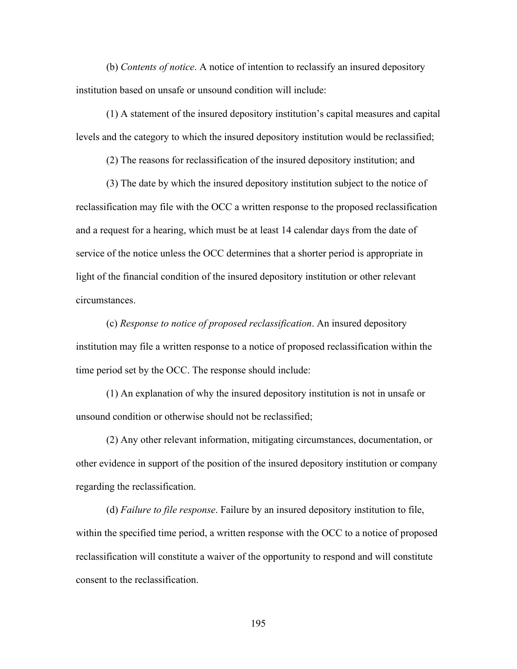(b) *Contents of notice*. A notice of intention to reclassify an insured depository institution based on unsafe or unsound condition will include:

(1) A statement of the insured depository institution's capital measures and capital levels and the category to which the insured depository institution would be reclassified;

(2) The reasons for reclassification of the insured depository institution; and

(3) The date by which the insured depository institution subject to the notice of reclassification may file with the OCC a written response to the proposed reclassification and a request for a hearing, which must be at least 14 calendar days from the date of service of the notice unless the OCC determines that a shorter period is appropriate in light of the financial condition of the insured depository institution or other relevant circumstances.

(c) *Response to notice of proposed reclassification*. An insured depository institution may file a written response to a notice of proposed reclassification within the time period set by the OCC. The response should include:

(1) An explanation of why the insured depository institution is not in unsafe or unsound condition or otherwise should not be reclassified;

(2) Any other relevant information, mitigating circumstances, documentation, or other evidence in support of the position of the insured depository institution or company regarding the reclassification.

(d) *Failure to file response*. Failure by an insured depository institution to file, within the specified time period, a written response with the OCC to a notice of proposed reclassification will constitute a waiver of the opportunity to respond and will constitute consent to the reclassification.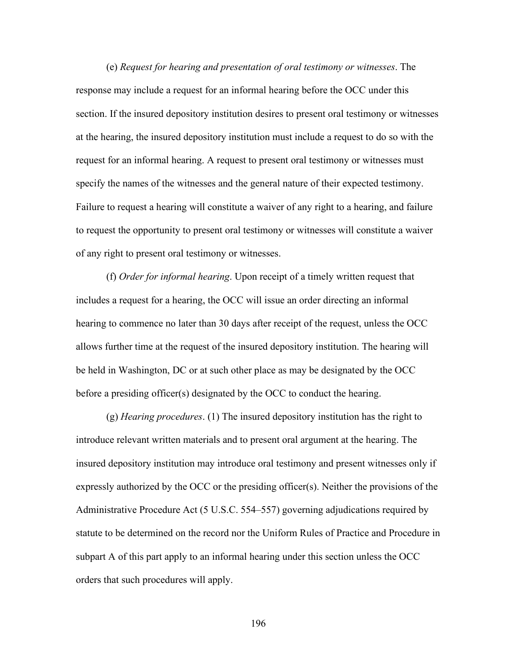(e) *Request for hearing and presentation of oral testimony or witnesses*. The response may include a request for an informal hearing before the OCC under this section. If the insured depository institution desires to present oral testimony or witnesses at the hearing, the insured depository institution must include a request to do so with the request for an informal hearing. A request to present oral testimony or witnesses must specify the names of the witnesses and the general nature of their expected testimony. Failure to request a hearing will constitute a waiver of any right to a hearing, and failure to request the opportunity to present oral testimony or witnesses will constitute a waiver of any right to present oral testimony or witnesses.

(f) *Order for informal hearing*. Upon receipt of a timely written request that includes a request for a hearing, the OCC will issue an order directing an informal hearing to commence no later than 30 days after receipt of the request, unless the OCC allows further time at the request of the insured depository institution. The hearing will be held in Washington, DC or at such other place as may be designated by the OCC before a presiding officer(s) designated by the OCC to conduct the hearing.

(g) *Hearing procedures*. (1) The insured depository institution has the right to introduce relevant written materials and to present oral argument at the hearing. The insured depository institution may introduce oral testimony and present witnesses only if expressly authorized by the OCC or the presiding officer(s). Neither the provisions of the Administrative Procedure Act (5 U.S.C. 554–557) governing adjudications required by statute to be determined on the record nor the Uniform Rules of Practice and Procedure in subpart A of this part apply to an informal hearing under this section unless the OCC orders that such procedures will apply.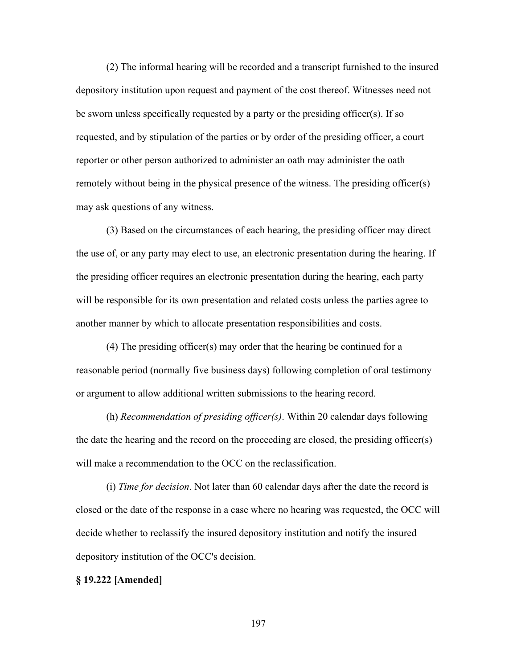(2) The informal hearing will be recorded and a transcript furnished to the insured depository institution upon request and payment of the cost thereof. Witnesses need not be sworn unless specifically requested by a party or the presiding officer(s). If so requested, and by stipulation of the parties or by order of the presiding officer, a court reporter or other person authorized to administer an oath may administer the oath remotely without being in the physical presence of the witness. The presiding officer(s) may ask questions of any witness.

(3) Based on the circumstances of each hearing, the presiding officer may direct the use of, or any party may elect to use, an electronic presentation during the hearing. If the presiding officer requires an electronic presentation during the hearing, each party will be responsible for its own presentation and related costs unless the parties agree to another manner by which to allocate presentation responsibilities and costs.

(4) The presiding officer(s) may order that the hearing be continued for a reasonable period (normally five business days) following completion of oral testimony or argument to allow additional written submissions to the hearing record.

(h) *Recommendation of presiding officer(s)*. Within 20 calendar days following the date the hearing and the record on the proceeding are closed, the presiding officer(s) will make a recommendation to the OCC on the reclassification.

(i) *Time for decision*. Not later than 60 calendar days after the date the record is closed or the date of the response in a case where no hearing was requested, the OCC will decide whether to reclassify the insured depository institution and notify the insured depository institution of the OCC's decision.

#### **§ 19.222 [Amended]**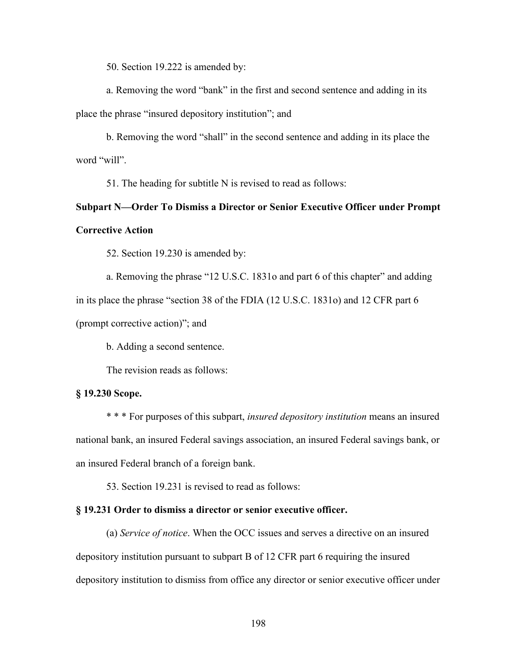50. Section 19.222 is amended by:

a. Removing the word "bank" in the first and second sentence and adding in its place the phrase "insured depository institution"; and

b. Removing the word "shall" in the second sentence and adding in its place the word "will".

51. The heading for subtitle N is revised to read as follows:

## **Subpart N—Order To Dismiss a Director or Senior Executive Officer under Prompt Corrective Action**

52. Section 19.230 is amended by:

a. Removing the phrase "12 U.S.C. 1831o and part 6 of this chapter" and adding in its place the phrase "section 38 of the FDIA (12 U.S.C. 1831o) and 12 CFR part 6 (prompt corrective action)"; and

b. Adding a second sentence.

The revision reads as follows:

### **§ 19.230 Scope.**

\* \* \* For purposes of this subpart, *insured depository institution* means an insured national bank, an insured Federal savings association, an insured Federal savings bank, or an insured Federal branch of a foreign bank.

53. Section 19.231 is revised to read as follows:

#### **§ 19.231 Order to dismiss a director or senior executive officer.**

(a) *Service of notice*. When the OCC issues and serves a directive on an insured depository institution pursuant to subpart B of 12 CFR part 6 requiring the insured depository institution to dismiss from office any director or senior executive officer under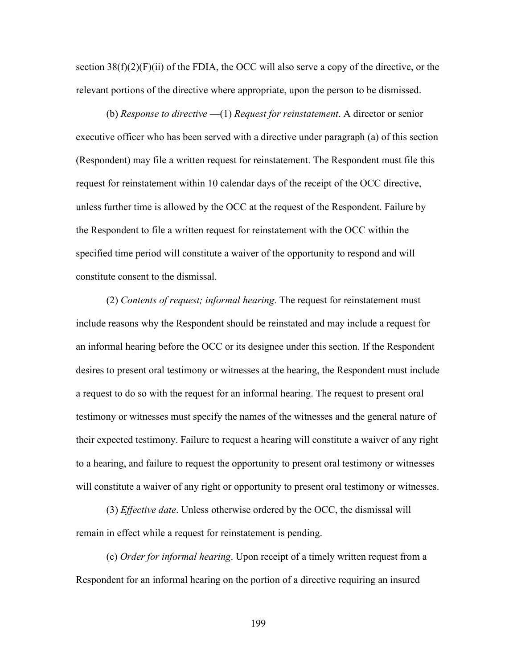section  $38(f)(2)(F)(ii)$  of the FDIA, the OCC will also serve a copy of the directive, or the relevant portions of the directive where appropriate, upon the person to be dismissed.

(b) *Response to directive* —(1) *Request for reinstatement*. A director or senior executive officer who has been served with a directive under paragraph (a) of this section (Respondent) may file a written request for reinstatement. The Respondent must file this request for reinstatement within 10 calendar days of the receipt of the OCC directive, unless further time is allowed by the OCC at the request of the Respondent. Failure by the Respondent to file a written request for reinstatement with the OCC within the specified time period will constitute a waiver of the opportunity to respond and will constitute consent to the dismissal.

(2) *Contents of request; informal hearing*. The request for reinstatement must include reasons why the Respondent should be reinstated and may include a request for an informal hearing before the OCC or its designee under this section. If the Respondent desires to present oral testimony or witnesses at the hearing, the Respondent must include a request to do so with the request for an informal hearing. The request to present oral testimony or witnesses must specify the names of the witnesses and the general nature of their expected testimony. Failure to request a hearing will constitute a waiver of any right to a hearing, and failure to request the opportunity to present oral testimony or witnesses will constitute a waiver of any right or opportunity to present oral testimony or witnesses.

(3) *Effective date*. Unless otherwise ordered by the OCC, the dismissal will remain in effect while a request for reinstatement is pending.

(c) *Order for informal hearing*. Upon receipt of a timely written request from a Respondent for an informal hearing on the portion of a directive requiring an insured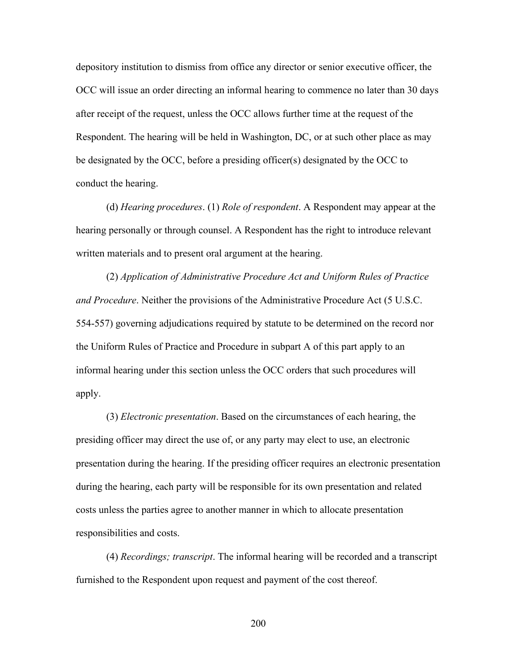depository institution to dismiss from office any director or senior executive officer, the OCC will issue an order directing an informal hearing to commence no later than 30 days after receipt of the request, unless the OCC allows further time at the request of the Respondent. The hearing will be held in Washington, DC, or at such other place as may be designated by the OCC, before a presiding officer(s) designated by the OCC to conduct the hearing.

(d) *Hearing procedures*. (1) *Role of respondent*. A Respondent may appear at the hearing personally or through counsel. A Respondent has the right to introduce relevant written materials and to present oral argument at the hearing.

(2) *Application of Administrative Procedure Act and Uniform Rules of Practice and Procedure*. Neither the provisions of the Administrative Procedure Act (5 U.S.C. 554-557) governing adjudications required by statute to be determined on the record nor the Uniform Rules of Practice and Procedure in subpart A of this part apply to an informal hearing under this section unless the OCC orders that such procedures will apply.

(3) *Electronic presentation*. Based on the circumstances of each hearing, the presiding officer may direct the use of, or any party may elect to use, an electronic presentation during the hearing. If the presiding officer requires an electronic presentation during the hearing, each party will be responsible for its own presentation and related costs unless the parties agree to another manner in which to allocate presentation responsibilities and costs.

(4) *Recordings; transcript*. The informal hearing will be recorded and a transcript furnished to the Respondent upon request and payment of the cost thereof.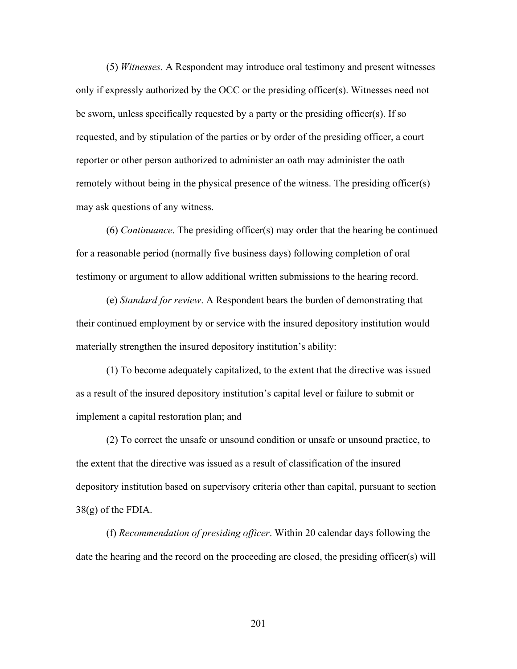(5) *Witnesses*. A Respondent may introduce oral testimony and present witnesses only if expressly authorized by the OCC or the presiding officer(s). Witnesses need not be sworn, unless specifically requested by a party or the presiding officer(s). If so requested, and by stipulation of the parties or by order of the presiding officer, a court reporter or other person authorized to administer an oath may administer the oath remotely without being in the physical presence of the witness. The presiding officer(s) may ask questions of any witness.

(6) *Continuance*. The presiding officer(s) may order that the hearing be continued for a reasonable period (normally five business days) following completion of oral testimony or argument to allow additional written submissions to the hearing record.

(e) *Standard for review*. A Respondent bears the burden of demonstrating that their continued employment by or service with the insured depository institution would materially strengthen the insured depository institution's ability:

(1) To become adequately capitalized, to the extent that the directive was issued as a result of the insured depository institution's capital level or failure to submit or implement a capital restoration plan; and

(2) To correct the unsafe or unsound condition or unsafe or unsound practice, to the extent that the directive was issued as a result of classification of the insured depository institution based on supervisory criteria other than capital, pursuant to section 38(g) of the FDIA.

(f) *Recommendation of presiding officer*. Within 20 calendar days following the date the hearing and the record on the proceeding are closed, the presiding officer(s) will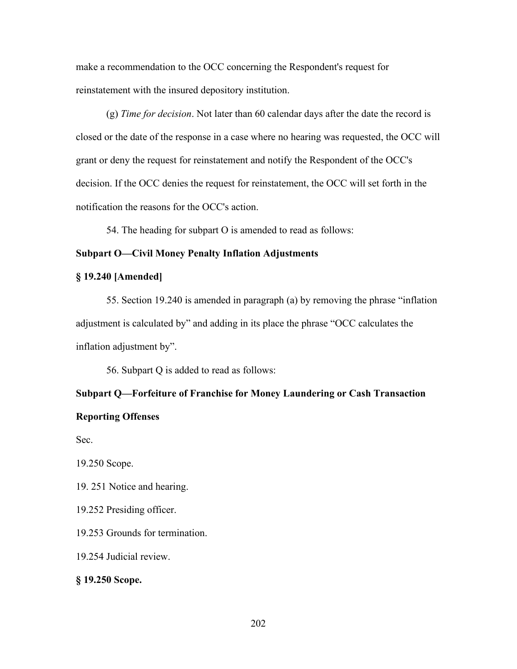make a recommendation to the OCC concerning the Respondent's request for reinstatement with the insured depository institution.

(g) *Time for decision*. Not later than 60 calendar days after the date the record is closed or the date of the response in a case where no hearing was requested, the OCC will grant or deny the request for reinstatement and notify the Respondent of the OCC's decision. If the OCC denies the request for reinstatement, the OCC will set forth in the notification the reasons for the OCC's action.

54. The heading for subpart O is amended to read as follows:

## **Subpart O—Civil Money Penalty Inflation Adjustments**

## **§ 19.240 [Amended]**

55. Section 19.240 is amended in paragraph (a) by removing the phrase "inflation adjustment is calculated by" and adding in its place the phrase "OCC calculates the inflation adjustment by".

56. Subpart Q is added to read as follows:

## **Subpart Q—Forfeiture of Franchise for Money Laundering or Cash Transaction**

## **Reporting Offenses**

Sec.

19.250 Scope.

19. 251 Notice and hearing.

19.252 Presiding officer.

19.253 Grounds for termination.

19.254 Judicial review.

#### **§ 19.250 Scope.**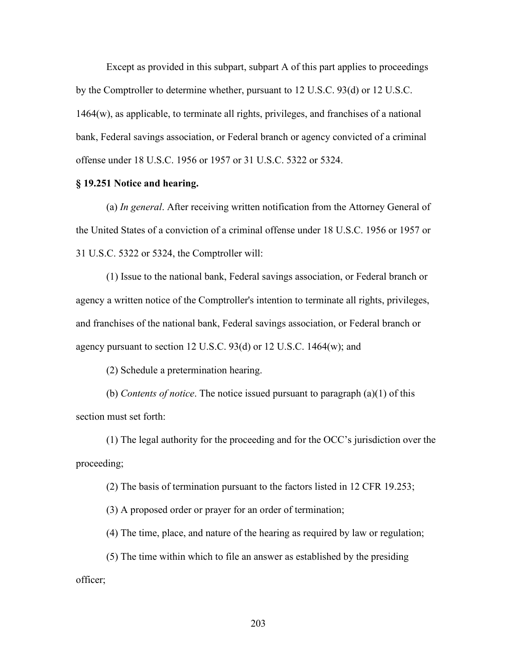Except as provided in this subpart, subpart A of this part applies to proceedings by the Comptroller to determine whether, pursuant to 12 U.S.C. 93(d) or 12 U.S.C. 1464(w), as applicable, to terminate all rights, privileges, and franchises of a national bank, Federal savings association, or Federal branch or agency convicted of a criminal offense under 18 U.S.C. 1956 or 1957 or 31 U.S.C. 5322 or 5324.

## **§ 19.251 Notice and hearing.**

(a) *In general*. After receiving written notification from the Attorney General of the United States of a conviction of a criminal offense under 18 U.S.C. 1956 or 1957 or 31 U.S.C. 5322 or 5324, the Comptroller will:

(1) Issue to the national bank, Federal savings association, or Federal branch or agency a written notice of the Comptroller's intention to terminate all rights, privileges, and franchises of the national bank, Federal savings association, or Federal branch or agency pursuant to section 12 U.S.C. 93(d) or 12 U.S.C. 1464(w); and

(2) Schedule a pretermination hearing.

(b) *Contents of notice*. The notice issued pursuant to paragraph (a)(1) of this section must set forth:

(1) The legal authority for the proceeding and for the OCC's jurisdiction over the proceeding;

(2) The basis of termination pursuant to the factors listed in 12 CFR 19.253;

(3) A proposed order or prayer for an order of termination;

(4) The time, place, and nature of the hearing as required by law or regulation;

(5) The time within which to file an answer as established by the presiding officer;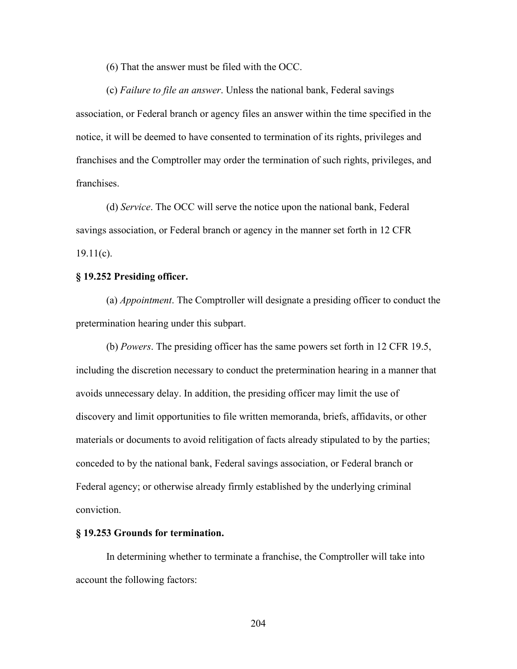(6) That the answer must be filed with the OCC.

(c) *Failure to file an answer*. Unless the national bank, Federal savings association, or Federal branch or agency files an answer within the time specified in the notice, it will be deemed to have consented to termination of its rights, privileges and franchises and the Comptroller may order the termination of such rights, privileges, and franchises.

(d) *Service*. The OCC will serve the notice upon the national bank, Federal savings association, or Federal branch or agency in the manner set forth in 12 CFR  $19.11(c)$ .

#### **§ 19.252 Presiding officer.**

(a) *Appointment*. The Comptroller will designate a presiding officer to conduct the pretermination hearing under this subpart.

(b) *Powers*. The presiding officer has the same powers set forth in 12 CFR 19.5, including the discretion necessary to conduct the pretermination hearing in a manner that avoids unnecessary delay. In addition, the presiding officer may limit the use of discovery and limit opportunities to file written memoranda, briefs, affidavits, or other materials or documents to avoid relitigation of facts already stipulated to by the parties; conceded to by the national bank, Federal savings association, or Federal branch or Federal agency; or otherwise already firmly established by the underlying criminal conviction.

#### **§ 19.253 Grounds for termination.**

In determining whether to terminate a franchise, the Comptroller will take into account the following factors: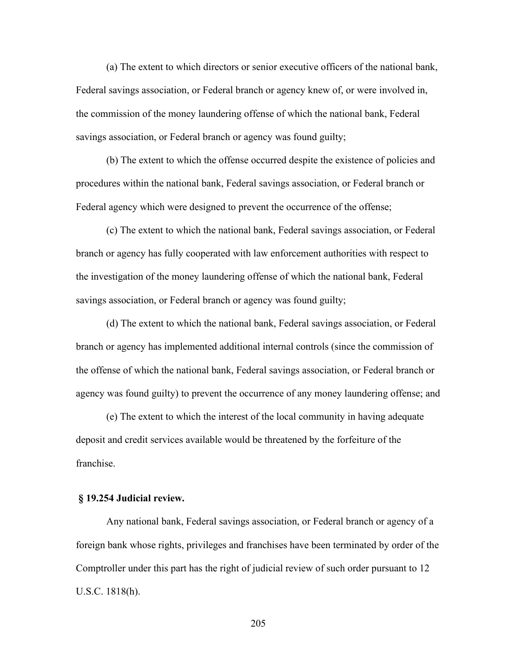(a) The extent to which directors or senior executive officers of the national bank, Federal savings association, or Federal branch or agency knew of, or were involved in, the commission of the money laundering offense of which the national bank, Federal savings association, or Federal branch or agency was found guilty;

(b) The extent to which the offense occurred despite the existence of policies and procedures within the national bank, Federal savings association, or Federal branch or Federal agency which were designed to prevent the occurrence of the offense;

(c) The extent to which the national bank, Federal savings association, or Federal branch or agency has fully cooperated with law enforcement authorities with respect to the investigation of the money laundering offense of which the national bank, Federal savings association, or Federal branch or agency was found guilty;

(d) The extent to which the national bank, Federal savings association, or Federal branch or agency has implemented additional internal controls (since the commission of the offense of which the national bank, Federal savings association, or Federal branch or agency was found guilty) to prevent the occurrence of any money laundering offense; and

(e) The extent to which the interest of the local community in having adequate deposit and credit services available would be threatened by the forfeiture of the franchise.

## **§ 19.254 Judicial review.**

Any national bank, Federal savings association, or Federal branch or agency of a foreign bank whose rights, privileges and franchises have been terminated by order of the Comptroller under this part has the right of judicial review of such order pursuant to 12 U.S.C. 1818(h).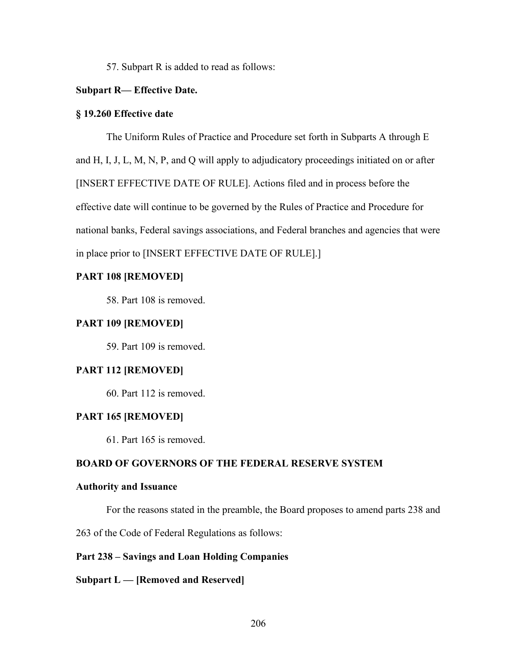57. Subpart R is added to read as follows:

## **Subpart R— Effective Date.**

### **§ 19.260 Effective date**

The Uniform Rules of Practice and Procedure set forth in Subparts A through E and H, I, J, L, M, N, P, and Q will apply to adjudicatory proceedings initiated on or after [INSERT EFFECTIVE DATE OF RULE]. Actions filed and in process before the effective date will continue to be governed by the Rules of Practice and Procedure for national banks, Federal savings associations, and Federal branches and agencies that were in place prior to [INSERT EFFECTIVE DATE OF RULE].]

## **PART 108 [REMOVED]**

58. Part 108 is removed.

## **PART 109 [REMOVED]**

59. Part 109 is removed.

## **PART 112 [REMOVED]**

60. Part 112 is removed.

## **PART 165 [REMOVED]**

61. Part 165 is removed.

## **BOARD OF GOVERNORS OF THE FEDERAL RESERVE SYSTEM**

## **Authority and Issuance**

For the reasons stated in the preamble, the Board proposes to amend parts 238 and

263 of the Code of Federal Regulations as follows:

## **Part 238 – Savings and Loan Holding Companies**

#### **Subpart L — [Removed and Reserved]**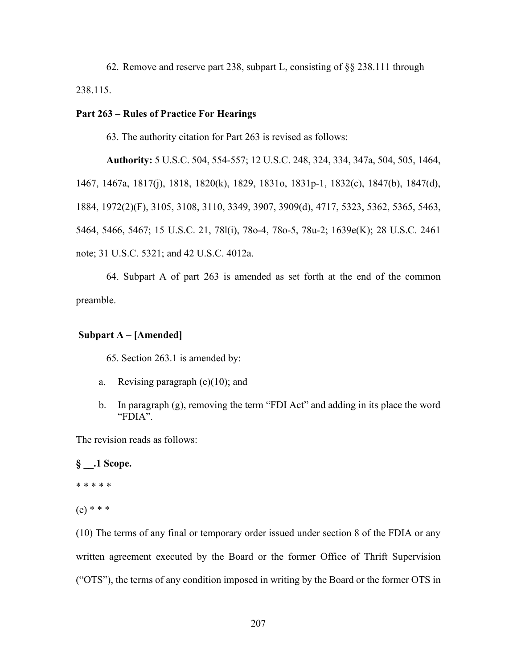62. Remove and reserve part 238, subpart L, consisting of §§ 238.111 through 238.115.

## **Part 263 – Rules of Practice For Hearings**

63. The authority citation for Part 263 is revised as follows:

**Authority:** 5 U.S.C. 504, 554-557; 12 U.S.C. 248, 324, 334, 347a, 504, 505, 1464, 1467, 1467a, 1817(j), 1818, 1820(k), 1829, 1831o, 1831p-1, 1832(c), 1847(b), 1847(d), 1884, 1972(2)(F), 3105, 3108, 3110, 3349, 3907, 3909(d), 4717, 5323, 5362, 5365, 5463, 5464, 5466, 5467; 15 U.S.C. 21, 78l(i), 78o-4, 78o-5, 78u-2; 1639e(K); 28 U.S.C. 2461 note; 31 U.S.C. 5321; and 42 U.S.C. 4012a.

64. Subpart A of part 263 is amended as set forth at the end of the common preamble.

## **Subpart A – [Amended]**

65. Section 263.1 is amended by:

- a. Revising paragraph (e)(10); and
- b. In paragraph (g), removing the term "FDI Act" and adding in its place the word "FDIA".

The revision reads as follows:

# **§ \_\_.1 Scope.** \* \* \* \* \*  $(e)$  \* \* \*

(10) The terms of any final or temporary order issued under section 8 of the FDIA or any written agreement executed by the Board or the former Office of Thrift Supervision ("OTS"), the terms of any condition imposed in writing by the Board or the former OTS in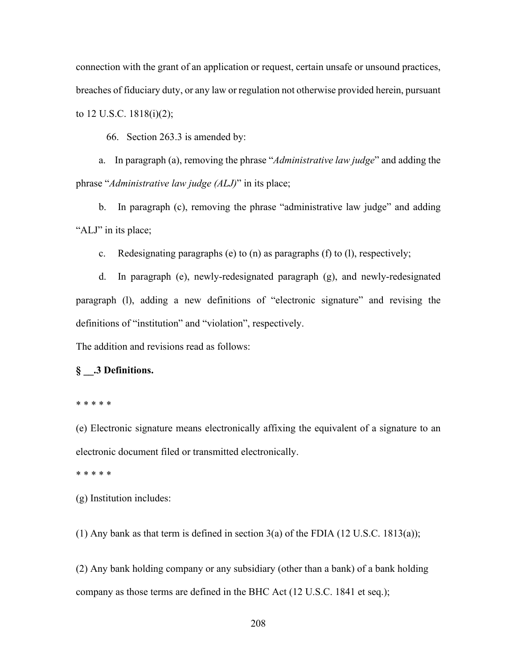connection with the grant of an application or request, certain unsafe or unsound practices, breaches of fiduciary duty, or any law or regulation not otherwise provided herein, pursuant to 12 U.S.C. 1818(i)(2);

66. Section 263.3 is amended by:

a. In paragraph (a), removing the phrase "*Administrative law judge*" and adding the phrase "*Administrative law judge (ALJ)*" in its place;

b. In paragraph (c), removing the phrase "administrative law judge" and adding "ALJ" in its place;

c. Redesignating paragraphs (e) to  $(n)$  as paragraphs  $(f)$  to  $(l)$ , respectively;

d. In paragraph (e), newly-redesignated paragraph (g), and newly-redesignated paragraph (l), adding a new definitions of "electronic signature" and revising the definitions of "institution" and "violation", respectively.

The addition and revisions read as follows:

#### **§ \_\_.3 Definitions.**

\* \* \* \* \*

(e) Electronic signature means electronically affixing the equivalent of a signature to an electronic document filed or transmitted electronically.

\* \* \* \* \*

(g) Institution includes:

(1) Any bank as that term is defined in section  $3(a)$  of the FDIA (12 U.S.C. 1813(a));

(2) Any bank holding company or any subsidiary (other than a bank) of a bank holding company as those terms are defined in the BHC Act (12 U.S.C. 1841 et seq.);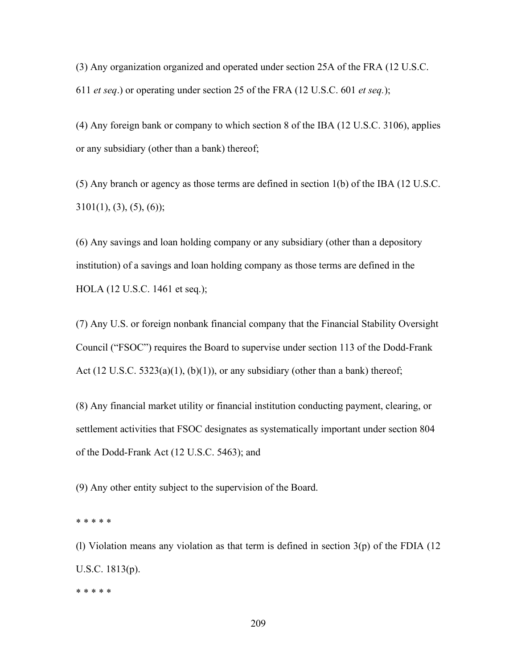(3) Any organization organized and operated under section 25A of the FRA (12 U.S.C. 611 *et seq*.) or operating under section 25 of the FRA (12 U.S.C. 601 *et seq.*);

(4) Any foreign bank or company to which section 8 of the IBA (12 U.S.C. 3106), applies or any subsidiary (other than a bank) thereof;

(5) Any branch or agency as those terms are defined in section 1(b) of the IBA (12 U.S.C.  $3101(1)$ ,  $(3)$ ,  $(5)$ ,  $(6)$ );

(6) Any savings and loan holding company or any subsidiary (other than a depository institution) of a savings and loan holding company as those terms are defined in the HOLA (12 U.S.C. 1461 et seq.);

(7) Any U.S. or foreign nonbank financial company that the Financial Stability Oversight Council ("FSOC") requires the Board to supervise under section 113 of the Dodd-Frank Act  $(12 \text{ U.S.C. } 5323(a)(1), (b)(1))$ , or any subsidiary (other than a bank) thereof;

(8) Any financial market utility or financial institution conducting payment, clearing, or settlement activities that FSOC designates as systematically important under section 804 of the Dodd-Frank Act (12 U.S.C. 5463); and

(9) Any other entity subject to the supervision of the Board.

\* \* \* \* \*

(1) Violation means any violation as that term is defined in section  $3(p)$  of the FDIA (12) U.S.C. 1813(p).

\* \* \* \* \*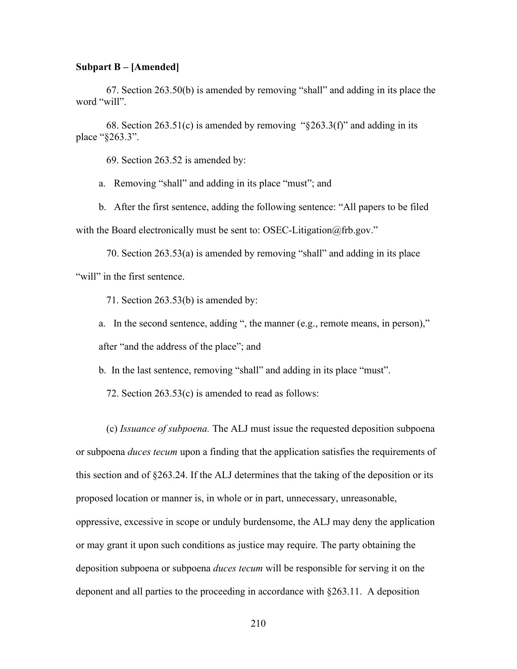## **Subpart B – [Amended]**

67. Section 263.50(b) is amended by removing "shall" and adding in its place the word "will".

68. Section 263.51(c) is amended by removing " $\S$ 263.3(f)" and adding in its place "§263.3".

69. Section 263.52 is amended by:

a. Removing "shall" and adding in its place "must"; and

b. After the first sentence, adding the following sentence: "All papers to be filed with the Board electronically must be sent to: OSEC-Litigation@frb.gov."

70. Section 263.53(a) is amended by removing "shall" and adding in its place "will" in the first sentence.

71. Section 263.53(b) is amended by:

a. In the second sentence, adding ", the manner (e.g., remote means, in person)," after "and the address of the place"; and

b. In the last sentence, removing "shall" and adding in its place "must".

72. Section 263.53(c) is amended to read as follows:

(c) *Issuance of subpoena.* The ALJ must issue the requested deposition subpoena or subpoena *duces tecum* upon a finding that the application satisfies the requirements of this section and of §263.24. If the ALJ determines that the taking of the deposition or its proposed location or manner is, in whole or in part, unnecessary, unreasonable, oppressive, excessive in scope or unduly burdensome, the ALJ may deny the application or may grant it upon such conditions as justice may require. The party obtaining the deposition subpoena or subpoena *duces tecum* will be responsible for serving it on the deponent and all parties to the proceeding in accordance with §263.11. A deposition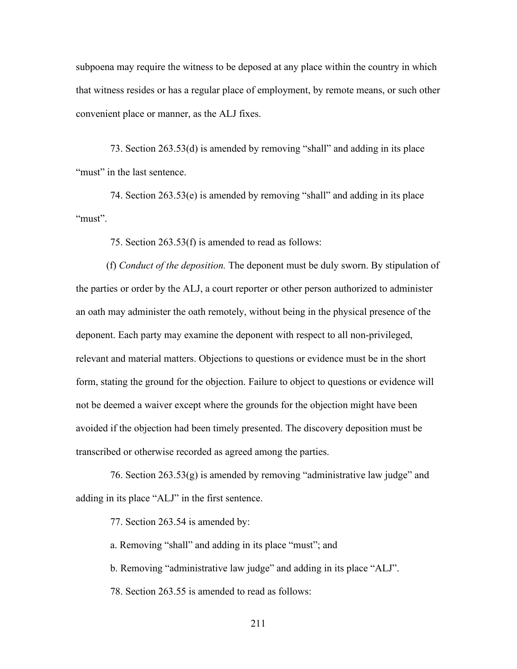subpoena may require the witness to be deposed at any place within the country in which that witness resides or has a regular place of employment, by remote means, or such other convenient place or manner, as the ALJ fixes.

73. Section 263.53(d) is amended by removing "shall" and adding in its place "must" in the last sentence.

74. Section 263.53(e) is amended by removing "shall" and adding in its place "must".

75. Section 263.53(f) is amended to read as follows:

(f) *Conduct of the deposition.* The deponent must be duly sworn. By stipulation of the parties or order by the ALJ, a court reporter or other person authorized to administer an oath may administer the oath remotely, without being in the physical presence of the deponent. Each party may examine the deponent with respect to all non-privileged, relevant and material matters. Objections to questions or evidence must be in the short form, stating the ground for the objection. Failure to object to questions or evidence will not be deemed a waiver except where the grounds for the objection might have been avoided if the objection had been timely presented. The discovery deposition must be transcribed or otherwise recorded as agreed among the parties.

76. Section  $263.53(g)$  is amended by removing "administrative law judge" and adding in its place "ALJ" in the first sentence.

77. Section 263.54 is amended by:

a. Removing "shall" and adding in its place "must"; and

b. Removing "administrative law judge" and adding in its place "ALJ".

78. Section 263.55 is amended to read as follows: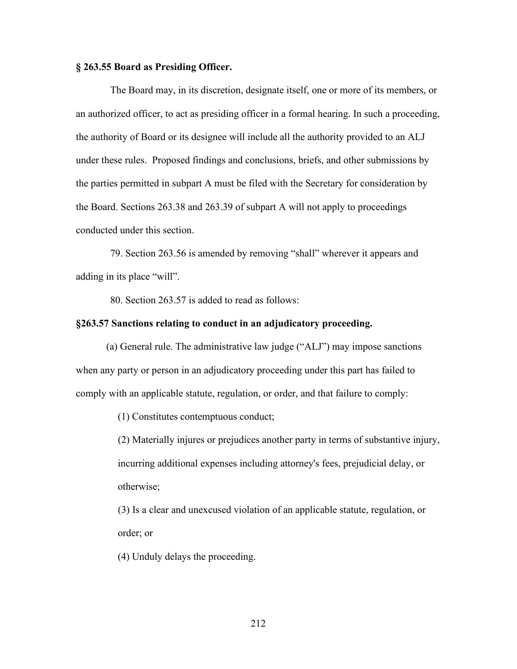## **§ 263.55 Board as Presiding Officer.**

The Board may, in its discretion, designate itself, one or more of its members, or an authorized officer, to act as presiding officer in a formal hearing. In such a proceeding, the authority of Board or its designee will include all the authority provided to an ALJ under these rules. Proposed findings and conclusions, briefs, and other submissions by the parties permitted in subpart A must be filed with the Secretary for consideration by the Board. Sections 263.38 and 263.39 of subpart A will not apply to proceedings conducted under this section.

79. Section 263.56 is amended by removing "shall" wherever it appears and adding in its place "will".

80. Section 263.57 is added to read as follows:

## **§263.57 Sanctions relating to conduct in an adjudicatory proceeding.**

(a) General rule. The administrative law judge ("ALJ") may impose sanctions when any party or person in an adjudicatory proceeding under this part has failed to comply with an applicable statute, regulation, or order, and that failure to comply:

(1) Constitutes contemptuous conduct;

(2) Materially injures or prejudices another party in terms of substantive injury, incurring additional expenses including attorney's fees, prejudicial delay, or otherwise;

(3) Is a clear and unexcused violation of an applicable statute, regulation, or order; or

(4) Unduly delays the proceeding.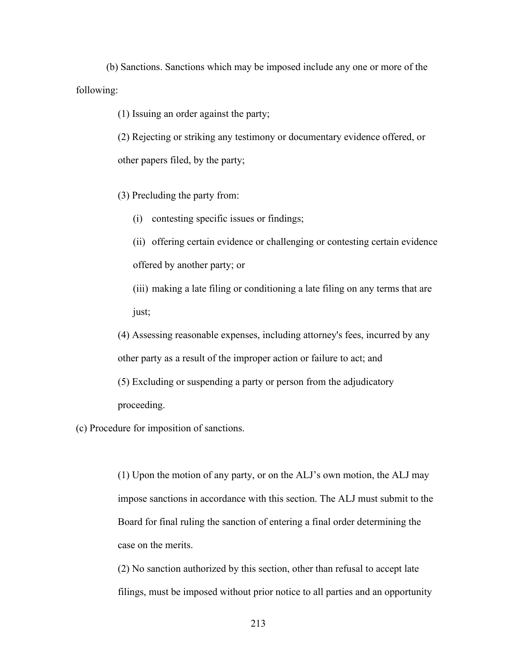(b) Sanctions. Sanctions which may be imposed include any one or more of the following:

(1) Issuing an order against the party;

(2) Rejecting or striking any testimony or documentary evidence offered, or other papers filed, by the party;

(3) Precluding the party from:

(i) contesting specific issues or findings;

(ii) offering certain evidence or challenging or contesting certain evidence offered by another party; or

(iii) making a late filing or conditioning a late filing on any terms that are just;

(4) Assessing reasonable expenses, including attorney's fees, incurred by any other party as a result of the improper action or failure to act; and (5) Excluding or suspending a party or person from the adjudicatory proceeding.

(c) Procedure for imposition of sanctions.

(1) Upon the motion of any party, or on the ALJ's own motion, the ALJ may impose sanctions in accordance with this section. The ALJ must submit to the Board for final ruling the sanction of entering a final order determining the case on the merits.

(2) No sanction authorized by this section, other than refusal to accept late filings, must be imposed without prior notice to all parties and an opportunity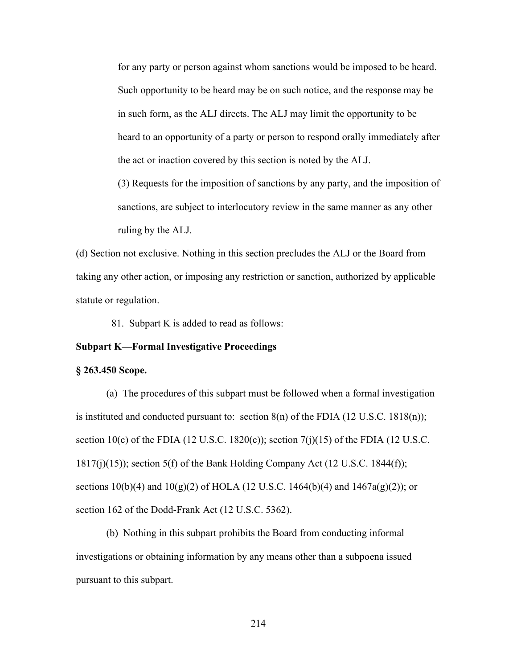for any party or person against whom sanctions would be imposed to be heard. Such opportunity to be heard may be on such notice, and the response may be in such form, as the ALJ directs. The ALJ may limit the opportunity to be heard to an opportunity of a party or person to respond orally immediately after the act or inaction covered by this section is noted by the ALJ.

(3) Requests for the imposition of sanctions by any party, and the imposition of sanctions, are subject to interlocutory review in the same manner as any other ruling by the ALJ.

(d) Section not exclusive. Nothing in this section precludes the ALJ or the Board from taking any other action, or imposing any restriction or sanction, authorized by applicable statute or regulation.

81. Subpart K is added to read as follows:

## **Subpart K—Formal Investigative Proceedings**

#### **§ 263.450 Scope.**

(a) The procedures of this subpart must be followed when a formal investigation is instituted and conducted pursuant to: section  $8(n)$  of the FDIA (12 U.S.C. 1818 $(n)$ ); section 10(c) of the FDIA (12 U.S.C. 1820(c)); section 7(j)(15) of the FDIA (12 U.S.C.  $1817(j)(15)$ ; section 5(f) of the Bank Holding Company Act (12 U.S.C. 1844(f)); sections 10(b)(4) and 10(g)(2) of HOLA (12 U.S.C. 1464(b)(4) and 1467a(g)(2)); or section 162 of the Dodd-Frank Act (12 U.S.C. 5362).

(b) Nothing in this subpart prohibits the Board from conducting informal investigations or obtaining information by any means other than a subpoena issued pursuant to this subpart.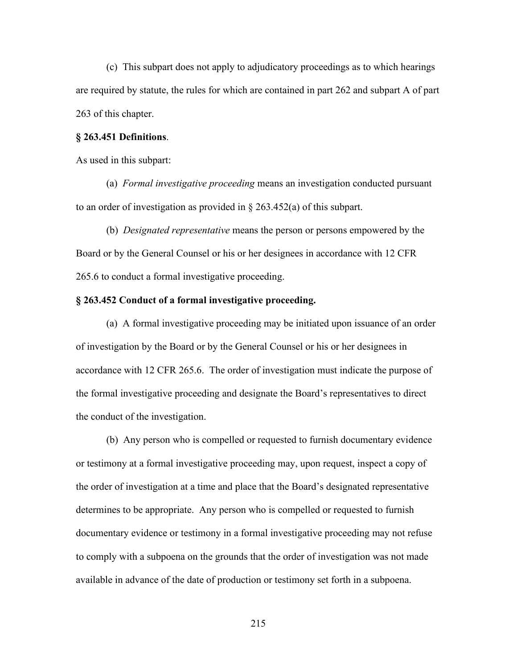(c) This subpart does not apply to adjudicatory proceedings as to which hearings are required by statute, the rules for which are contained in part 262 and subpart A of part 263 of this chapter.

## **§ 263.451 Definitions**.

As used in this subpart:

(a) *Formal investigative proceeding* means an investigation conducted pursuant to an order of investigation as provided in § 263.452(a) of this subpart.

(b) *Designated representative* means the person or persons empowered by the Board or by the General Counsel or his or her designees in accordance with 12 CFR 265.6 to conduct a formal investigative proceeding.

## **§ 263.452 Conduct of a formal investigative proceeding.**

(a) A formal investigative proceeding may be initiated upon issuance of an order of investigation by the Board or by the General Counsel or his or her designees in accordance with 12 CFR 265.6. The order of investigation must indicate the purpose of the formal investigative proceeding and designate the Board's representatives to direct the conduct of the investigation.

(b) Any person who is compelled or requested to furnish documentary evidence or testimony at a formal investigative proceeding may, upon request, inspect a copy of the order of investigation at a time and place that the Board's designated representative determines to be appropriate. Any person who is compelled or requested to furnish documentary evidence or testimony in a formal investigative proceeding may not refuse to comply with a subpoena on the grounds that the order of investigation was not made available in advance of the date of production or testimony set forth in a subpoena.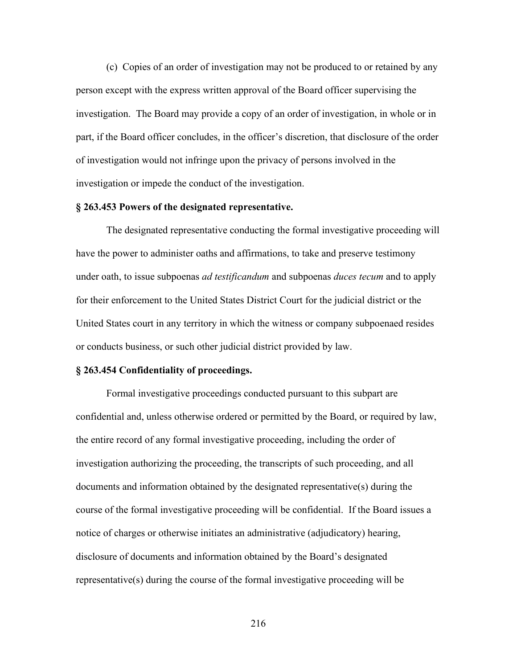(c) Copies of an order of investigation may not be produced to or retained by any person except with the express written approval of the Board officer supervising the investigation. The Board may provide a copy of an order of investigation, in whole or in part, if the Board officer concludes, in the officer's discretion, that disclosure of the order of investigation would not infringe upon the privacy of persons involved in the investigation or impede the conduct of the investigation.

### **§ 263.453 Powers of the designated representative.**

The designated representative conducting the formal investigative proceeding will have the power to administer oaths and affirmations, to take and preserve testimony under oath, to issue subpoenas *ad testificandum* and subpoenas *duces tecum* and to apply for their enforcement to the United States District Court for the judicial district or the United States court in any territory in which the witness or company subpoenaed resides or conducts business, or such other judicial district provided by law.

#### **§ 263.454 Confidentiality of proceedings.**

Formal investigative proceedings conducted pursuant to this subpart are confidential and, unless otherwise ordered or permitted by the Board, or required by law, the entire record of any formal investigative proceeding, including the order of investigation authorizing the proceeding, the transcripts of such proceeding, and all documents and information obtained by the designated representative(s) during the course of the formal investigative proceeding will be confidential. If the Board issues a notice of charges or otherwise initiates an administrative (adjudicatory) hearing, disclosure of documents and information obtained by the Board's designated representative(s) during the course of the formal investigative proceeding will be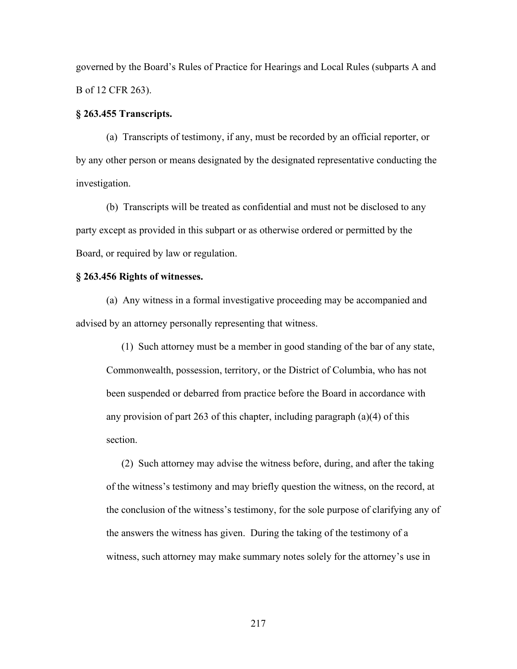governed by the Board's Rules of Practice for Hearings and Local Rules (subparts A and B of 12 CFR 263).

#### **§ 263.455 Transcripts.**

(a) Transcripts of testimony, if any, must be recorded by an official reporter, or by any other person or means designated by the designated representative conducting the investigation.

(b) Transcripts will be treated as confidential and must not be disclosed to any party except as provided in this subpart or as otherwise ordered or permitted by the Board, or required by law or regulation.

#### **§ 263.456 Rights of witnesses.**

(a) Any witness in a formal investigative proceeding may be accompanied and advised by an attorney personally representing that witness.

(1) Such attorney must be a member in good standing of the bar of any state, Commonwealth, possession, territory, or the District of Columbia, who has not been suspended or debarred from practice before the Board in accordance with any provision of part 263 of this chapter, including paragraph (a)(4) of this section.

(2) Such attorney may advise the witness before, during, and after the taking of the witness's testimony and may briefly question the witness, on the record, at the conclusion of the witness's testimony, for the sole purpose of clarifying any of the answers the witness has given. During the taking of the testimony of a witness, such attorney may make summary notes solely for the attorney's use in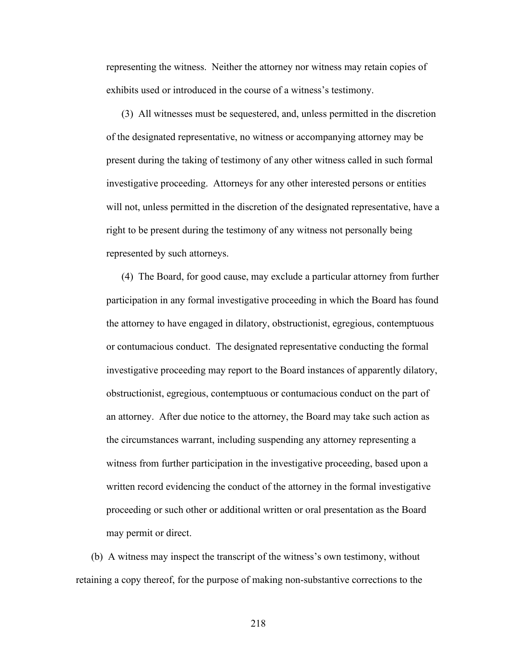representing the witness. Neither the attorney nor witness may retain copies of exhibits used or introduced in the course of a witness's testimony.

(3) All witnesses must be sequestered, and, unless permitted in the discretion of the designated representative, no witness or accompanying attorney may be present during the taking of testimony of any other witness called in such formal investigative proceeding. Attorneys for any other interested persons or entities will not, unless permitted in the discretion of the designated representative, have a right to be present during the testimony of any witness not personally being represented by such attorneys.

(4) The Board, for good cause, may exclude a particular attorney from further participation in any formal investigative proceeding in which the Board has found the attorney to have engaged in dilatory, obstructionist, egregious, contemptuous or contumacious conduct. The designated representative conducting the formal investigative proceeding may report to the Board instances of apparently dilatory, obstructionist, egregious, contemptuous or contumacious conduct on the part of an attorney. After due notice to the attorney, the Board may take such action as the circumstances warrant, including suspending any attorney representing a witness from further participation in the investigative proceeding, based upon a written record evidencing the conduct of the attorney in the formal investigative proceeding or such other or additional written or oral presentation as the Board may permit or direct.

(b) A witness may inspect the transcript of the witness's own testimony, without retaining a copy thereof, for the purpose of making non-substantive corrections to the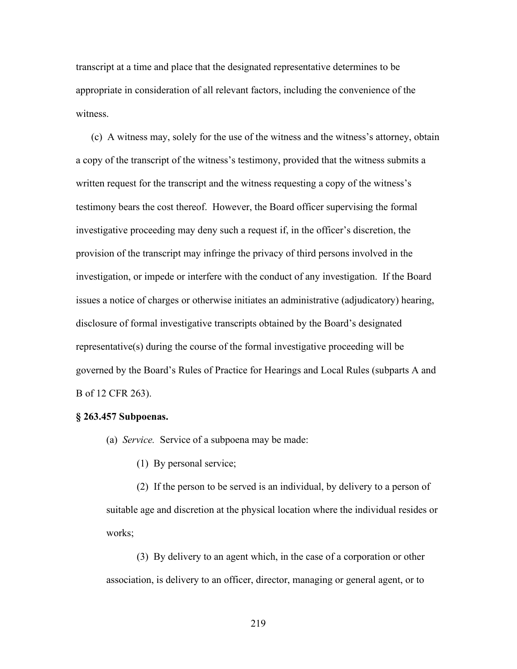transcript at a time and place that the designated representative determines to be appropriate in consideration of all relevant factors, including the convenience of the witness.

(c) A witness may, solely for the use of the witness and the witness's attorney, obtain a copy of the transcript of the witness's testimony, provided that the witness submits a written request for the transcript and the witness requesting a copy of the witness's testimony bears the cost thereof. However, the Board officer supervising the formal investigative proceeding may deny such a request if, in the officer's discretion, the provision of the transcript may infringe the privacy of third persons involved in the investigation, or impede or interfere with the conduct of any investigation. If the Board issues a notice of charges or otherwise initiates an administrative (adjudicatory) hearing, disclosure of formal investigative transcripts obtained by the Board's designated representative(s) during the course of the formal investigative proceeding will be governed by the Board's Rules of Practice for Hearings and Local Rules (subparts A and B of 12 CFR 263).

#### **§ 263.457 Subpoenas.**

- (a) *Service.* Service of a subpoena may be made:
	- (1) By personal service;

(2) If the person to be served is an individual, by delivery to a person of suitable age and discretion at the physical location where the individual resides or works;

(3) By delivery to an agent which, in the case of a corporation or other association, is delivery to an officer, director, managing or general agent, or to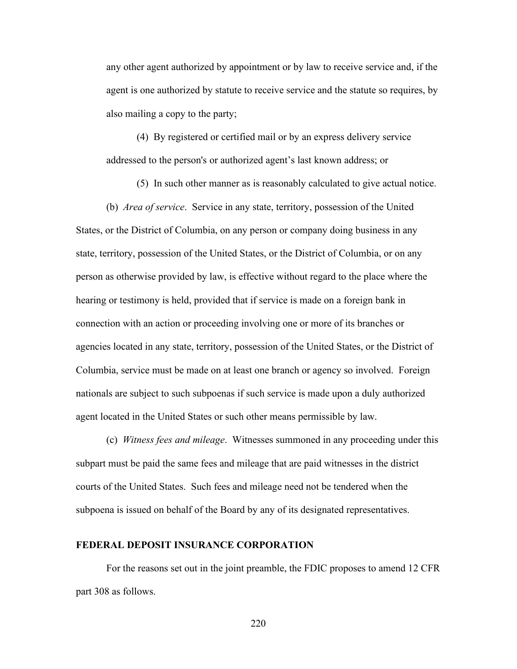any other agent authorized by appointment or by law to receive service and, if the agent is one authorized by statute to receive service and the statute so requires, by also mailing a copy to the party;

(4) By registered or certified mail or by an express delivery service addressed to the person's or authorized agent's last known address; or

(5) In such other manner as is reasonably calculated to give actual notice.

(b) *Area of service*. Service in any state, territory, possession of the United States, or the District of Columbia, on any person or company doing business in any state, territory, possession of the United States, or the District of Columbia, or on any person as otherwise provided by law, is effective without regard to the place where the hearing or testimony is held, provided that if service is made on a foreign bank in connection with an action or proceeding involving one or more of its branches or agencies located in any state, territory, possession of the United States, or the District of Columbia, service must be made on at least one branch or agency so involved. Foreign nationals are subject to such subpoenas if such service is made upon a duly authorized agent located in the United States or such other means permissible by law.

(c) *Witness fees and mileage*. Witnesses summoned in any proceeding under this subpart must be paid the same fees and mileage that are paid witnesses in the district courts of the United States. Such fees and mileage need not be tendered when the subpoena is issued on behalf of the Board by any of its designated representatives.

#### **FEDERAL DEPOSIT INSURANCE CORPORATION**

For the reasons set out in the joint preamble, the FDIC proposes to amend 12 CFR part 308 as follows.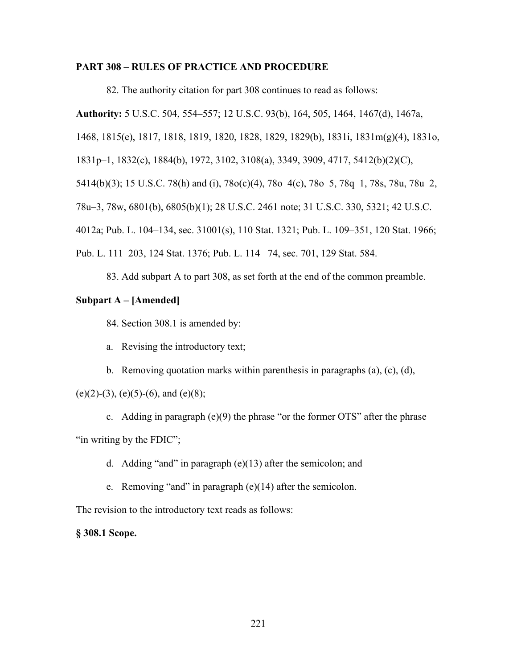#### **PART 308 – RULES OF PRACTICE AND PROCEDURE**

82. The authority citation for part 308 continues to read as follows:

**Authority:** 5 U.S.C. 504, 554–557; 12 U.S.C. 93(b), 164, 505, 1464, 1467(d), 1467a,

1468, 1815(e), 1817, 1818, 1819, 1820, 1828, 1829, 1829(b), 1831i, 1831m(g)(4), 1831o,

1831p–1, 1832(c), 1884(b), 1972, 3102, 3108(a), 3349, 3909, 4717, 5412(b)(2)(C),

5414(b)(3); 15 U.S.C. 78(h) and (i), 78o(c)(4), 78o–4(c), 78o–5, 78q–1, 78s, 78u, 78u–2,

78u–3, 78w, 6801(b), 6805(b)(1); 28 U.S.C. 2461 note; 31 U.S.C. 330, 5321; 42 U.S.C.

4012a; Pub. L. 104–134, sec. 31001(s), 110 Stat. 1321; Pub. L. 109–351, 120 Stat. 1966;

Pub. L. 111–203, 124 Stat. 1376; Pub. L. 114– 74, sec. 701, 129 Stat. 584.

83. Add subpart A to part 308, as set forth at the end of the common preamble.

#### **Subpart A – [Amended]**

84. Section 308.1 is amended by:

- a. Revising the introductory text;
- b. Removing quotation marks within parenthesis in paragraphs (a), (c), (d),

#### $(e)(2)-(3)$ ,  $(e)(5)-(6)$ , and  $(e)(8)$ ;

c. Adding in paragraph (e)(9) the phrase "or the former OTS" after the phrase "in writing by the FDIC";

d. Adding "and" in paragraph (e)(13) after the semicolon; and

e. Removing "and" in paragraph (e)(14) after the semicolon.

The revision to the introductory text reads as follows:

#### **§ 308.1 Scope.**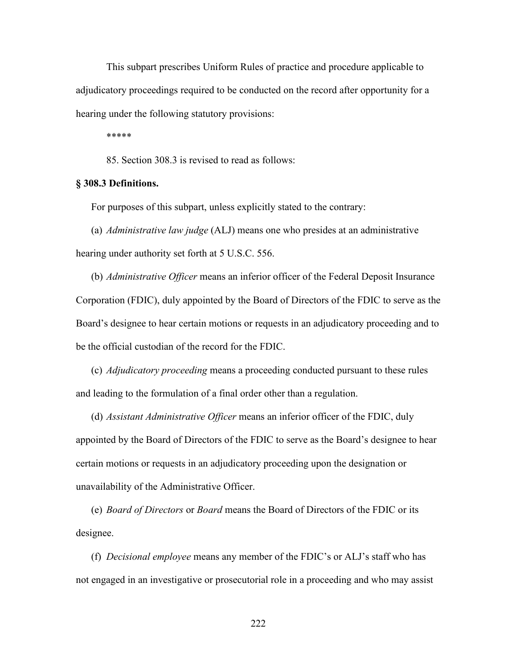This subpart prescribes Uniform Rules of practice and procedure applicable to adjudicatory proceedings required to be conducted on the record after opportunity for a hearing under the following statutory provisions:

\*\*\*\*\*

85. Section 308.3 is revised to read as follows:

#### **§ 308.3 Definitions.**

For purposes of this subpart, unless explicitly stated to the contrary:

(a) *Administrative law judge* (ALJ) means one who presides at an administrative hearing under authority set forth at 5 U.S.C. 556.

(b) *Administrative Officer* means an inferior officer of the Federal Deposit Insurance Corporation (FDIC), duly appointed by the Board of Directors of the FDIC to serve as the Board's designee to hear certain motions or requests in an adjudicatory proceeding and to be the official custodian of the record for the FDIC.

(c) *Adjudicatory proceeding* means a proceeding conducted pursuant to these rules and leading to the formulation of a final order other than a regulation.

(d) *Assistant Administrative Officer* means an inferior officer of the FDIC, duly appointed by the Board of Directors of the FDIC to serve as the Board's designee to hear certain motions or requests in an adjudicatory proceeding upon the designation or unavailability of the Administrative Officer.

(e) *Board of Directors* or *Board* means the Board of Directors of the FDIC or its designee.

(f) *Decisional employee* means any member of the FDIC's or ALJ's staff who has not engaged in an investigative or prosecutorial role in a proceeding and who may assist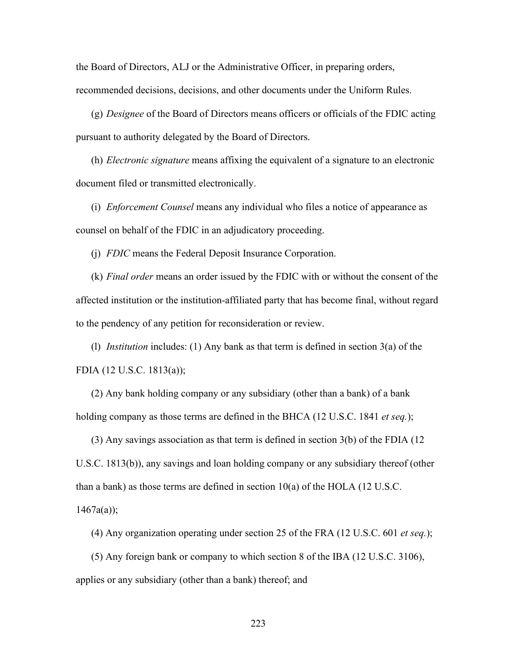the Board of Directors, ALJ or the Administrative Officer, in preparing orders, recommended decisions, decisions, and other documents under the Uniform Rules.

(g) *Designee* of the Board of Directors means officers or officials of the FDIC acting pursuant to authority delegated by the Board of Directors.

(h) *Electronic signature* means affixing the equivalent of a signature to an electronic document filed or transmitted electronically.

(i) *Enforcement Counsel* means any individual who files a notice of appearance as counsel on behalf of the FDIC in an adjudicatory proceeding.

(j) *FDIC* means the Federal Deposit Insurance Corporation.

(k) *Final order* means an order issued by the FDIC with or without the consent of the affected institution or the institution-affiliated party that has become final, without regard to the pendency of any petition for reconsideration or review.

(l) *Institution* includes: (1) Any bank as that term is defined in section 3(a) of the FDIA (12 U.S.C. 1813(a));

(2) Any bank holding company or any subsidiary (other than a bank) of a bank holding company as those terms are defined in the BHCA (12 U.S.C. 1841 *et seq.*);

(3) Any savings association as that term is defined in section 3(b) of the FDIA (12 U.S.C. 1813(b)), any savings and loan holding company or any subsidiary thereof (other than a bank) as those terms are defined in section  $10(a)$  of the HOLA (12 U.S.C.

 $1467a(a)$ ;

(4) Any organization operating under section 25 of the FRA (12 U.S.C. 601 *et seq.*);

(5) Any foreign bank or company to which section 8 of the IBA (12 U.S.C. 3106), applies or any subsidiary (other than a bank) thereof; and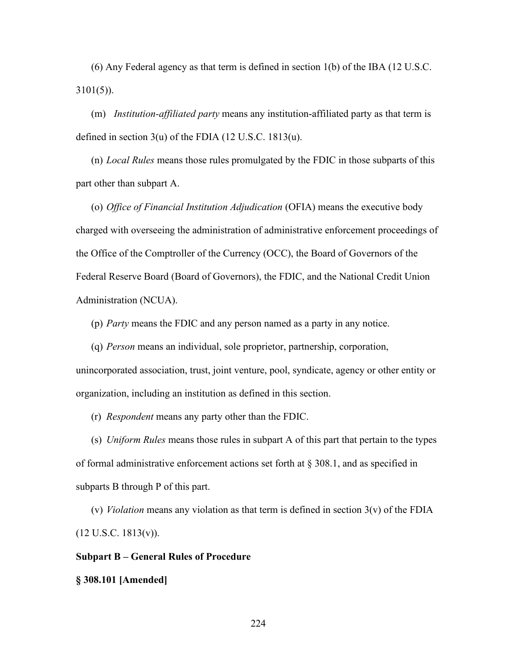(6) Any Federal agency as that term is defined in section 1(b) of the IBA (12 U.S.C.  $3101(5)$ ).

(m) *Institution-affiliated party* means any institution-affiliated party as that term is defined in section 3(u) of the FDIA (12 U.S.C. 1813(u).

(n) *Local Rules* means those rules promulgated by the FDIC in those subparts of this part other than subpart A.

(o) *Office of Financial Institution Adjudication* (OFIA) means the executive body charged with overseeing the administration of administrative enforcement proceedings of the Office of the Comptroller of the Currency (OCC), the Board of Governors of the Federal Reserve Board (Board of Governors), the FDIC, and the National Credit Union Administration (NCUA).

(p) *Party* means the FDIC and any person named as a party in any notice.

(q) *Person* means an individual, sole proprietor, partnership, corporation, unincorporated association, trust, joint venture, pool, syndicate, agency or other entity or organization, including an institution as defined in this section.

(r) *Respondent* means any party other than the FDIC.

(s) *Uniform Rules* means those rules in subpart A of this part that pertain to the types of formal administrative enforcement actions set forth at § 308.1, and as specified in subparts B through P of this part.

(v) *Violation* means any violation as that term is defined in section 3(v) of the FDIA  $(12 \text{ U.S.C. } 1813(v))$ .

#### **Subpart B – General Rules of Procedure**

#### **§ 308.101 [Amended]**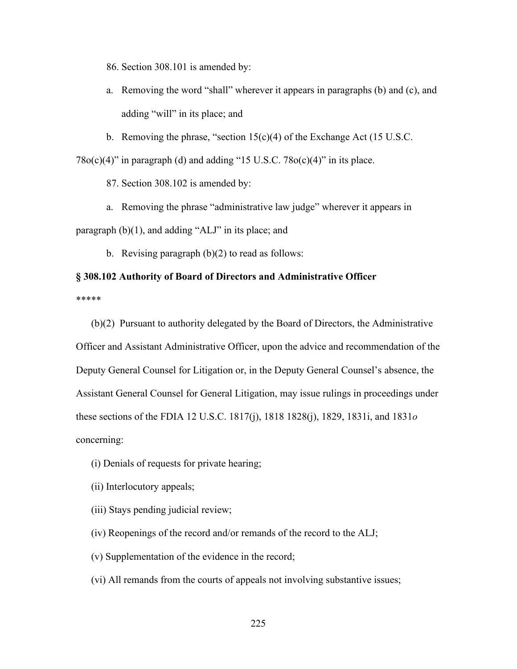86. Section 308.101 is amended by:

- a. Removing the word "shall" wherever it appears in paragraphs (b) and (c), and adding "will" in its place; and
- b. Removing the phrase, "section  $15(c)(4)$  of the Exchange Act (15 U.S.C.

 $78o(c)(4)$ " in paragraph (d) and adding "15 U.S.C.  $78o(c)(4)$ " in its place.

87. Section 308.102 is amended by:

a. Removing the phrase "administrative law judge" wherever it appears in paragraph (b)(1), and adding "ALJ" in its place; and

b. Revising paragraph (b)(2) to read as follows:

## **§ 308.102 Authority of Board of Directors and Administrative Officer** \*\*\*\*\*

(b)(2) Pursuant to authority delegated by the Board of Directors, the Administrative Officer and Assistant Administrative Officer, upon the advice and recommendation of the Deputy General Counsel for Litigation or, in the Deputy General Counsel's absence, the Assistant General Counsel for General Litigation, may issue rulings in proceedings under these sections of the FDIA 12 U.S.C. 1817(j), 1818 1828(j), 1829, 1831i, and 1831*o* concerning:

- (i) Denials of requests for private hearing;
- (ii) Interlocutory appeals;
- (iii) Stays pending judicial review;
- (iv) Reopenings of the record and/or remands of the record to the ALJ;
- (v) Supplementation of the evidence in the record;
- (vi) All remands from the courts of appeals not involving substantive issues;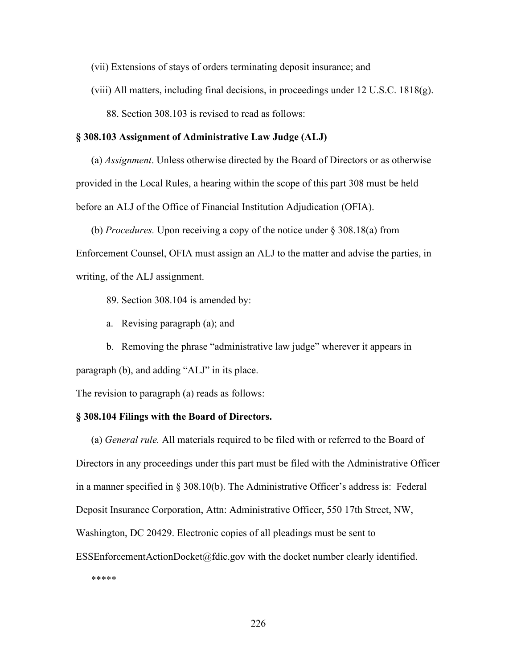- (vii) Extensions of stays of orders terminating deposit insurance; and
- (viii) All matters, including final decisions, in proceedings under  $12 \text{ U.S.C. } 1818(g)$ .

88. Section 308.103 is revised to read as follows:

#### **§ 308.103 Assignment of Administrative Law Judge (ALJ)**

(a) *Assignment*. Unless otherwise directed by the Board of Directors or as otherwise provided in the Local Rules, a hearing within the scope of this part 308 must be held before an ALJ of the Office of Financial Institution Adjudication (OFIA).

(b) *Procedures.* Upon receiving a copy of the notice under § 308.18(a) from Enforcement Counsel, OFIA must assign an ALJ to the matter and advise the parties, in writing, of the ALJ assignment.

- 89. Section 308.104 is amended by:
- a. Revising paragraph (a); and

b. Removing the phrase "administrative law judge" wherever it appears in paragraph (b), and adding "ALJ" in its place.

The revision to paragraph (a) reads as follows:

#### **§ 308.104 Filings with the Board of Directors.**

(a) *General rule.* All materials required to be filed with or referred to the Board of Directors in any proceedings under this part must be filed with the Administrative Officer in a manner specified in § 308.10(b). The Administrative Officer's address is: Federal Deposit Insurance Corporation, Attn: Administrative Officer, 550 17th Street, NW, Washington, DC 20429. Electronic copies of all pleadings must be sent to ESSEnforcementActionDocket@fdic.gov with the docket number clearly identified. \*\*\*\*\*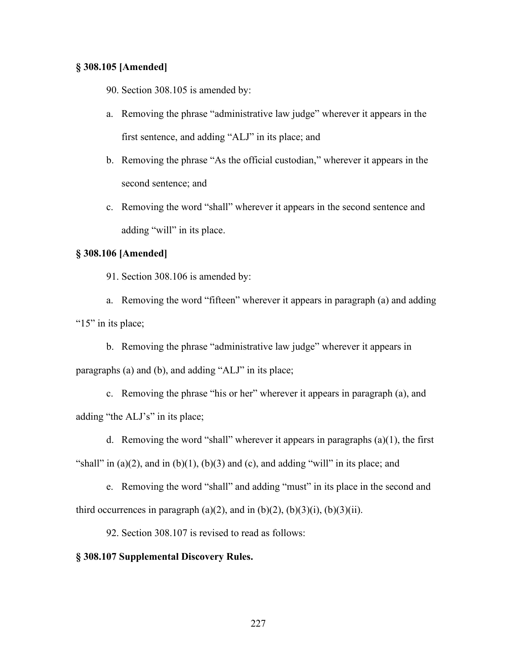#### **§ 308.105 [Amended]**

90. Section 308.105 is amended by:

- a. Removing the phrase "administrative law judge" wherever it appears in the first sentence, and adding "ALJ" in its place; and
- b. Removing the phrase "As the official custodian," wherever it appears in the second sentence; and
- c. Removing the word "shall" wherever it appears in the second sentence and adding "will" in its place.

#### **§ 308.106 [Amended]**

91. Section 308.106 is amended by:

a. Removing the word "fifteen" wherever it appears in paragraph (a) and adding "15" in its place;

b. Removing the phrase "administrative law judge" wherever it appears in paragraphs (a) and (b), and adding "ALJ" in its place;

c. Removing the phrase "his or her" wherever it appears in paragraph (a), and adding "the ALJ's" in its place;

d. Removing the word "shall" wherever it appears in paragraphs  $(a)(1)$ , the first "shall" in  $(a)(2)$ , and in  $(b)(1)$ ,  $(b)(3)$  and  $(c)$ , and adding "will" in its place; and

e. Removing the word "shall" and adding "must" in its place in the second and third occurrences in paragraph (a)(2), and in (b)(2), (b)(3)(i), (b)(3)(ii).

92. Section 308.107 is revised to read as follows:

#### **§ 308.107 Supplemental Discovery Rules.**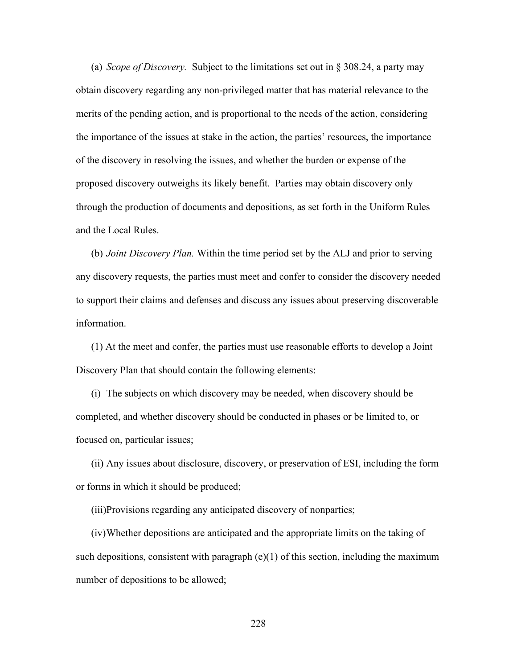(a) *Scope of Discovery.* Subject to the limitations set out in § 308.24, a party may obtain discovery regarding any non-privileged matter that has material relevance to the merits of the pending action, and is proportional to the needs of the action, considering the importance of the issues at stake in the action, the parties' resources, the importance of the discovery in resolving the issues, and whether the burden or expense of the proposed discovery outweighs its likely benefit. Parties may obtain discovery only through the production of documents and depositions, as set forth in the Uniform Rules and the Local Rules.

(b) *Joint Discovery Plan.* Within the time period set by the ALJ and prior to serving any discovery requests, the parties must meet and confer to consider the discovery needed to support their claims and defenses and discuss any issues about preserving discoverable information.

(1) At the meet and confer, the parties must use reasonable efforts to develop a Joint Discovery Plan that should contain the following elements:

(i) The subjects on which discovery may be needed, when discovery should be completed, and whether discovery should be conducted in phases or be limited to, or focused on, particular issues;

(ii) Any issues about disclosure, discovery, or preservation of ESI, including the form or forms in which it should be produced;

(iii)Provisions regarding any anticipated discovery of nonparties;

(iv) Whether depositions are anticipated and the appropriate limits on the taking of such depositions, consistent with paragraph  $(e)(1)$  of this section, including the maximum number of depositions to be allowed;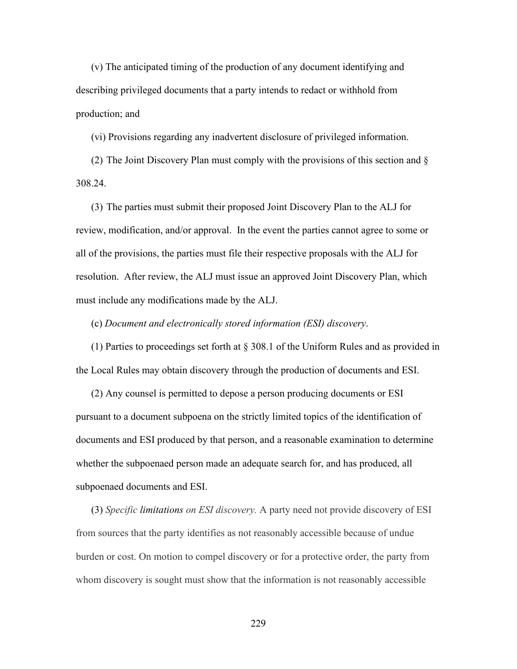(v) The anticipated timing of the production of any document identifying and describing privileged documents that a party intends to redact or withhold from production; and

(vi) Provisions regarding any inadvertent disclosure of privileged information.

(2) The Joint Discovery Plan must comply with the provisions of this section and § 308.24.

(3) The parties must submit their proposed Joint Discovery Plan to the ALJ for review, modification, and/or approval. In the event the parties cannot agree to some or all of the provisions, the parties must file their respective proposals with the ALJ for resolution. After review, the ALJ must issue an approved Joint Discovery Plan, which must include any modifications made by the ALJ.

(c) *Document and electronically stored information (ESI) discovery*.

(1) Parties to proceedings set forth at § 308.1 of the Uniform Rules and as provided in the Local Rules may obtain discovery through the production of documents and ESI.

(2) Any counsel is permitted to depose a person producing documents or ESI pursuant to a document subpoena on the strictly limited topics of the identification of documents and ESI produced by that person, and a reasonable examination to determine whether the subpoenaed person made an adequate search for, and has produced, all subpoenaed documents and ESI.

(3) *Specific limitations on ESI discovery.* A party need not provide discovery of ESI from sources that the party identifies as not reasonably accessible because of undue burden or cost. On motion to compel discovery or for a protective order, the party from whom discovery is sought must show that the information is not reasonably accessible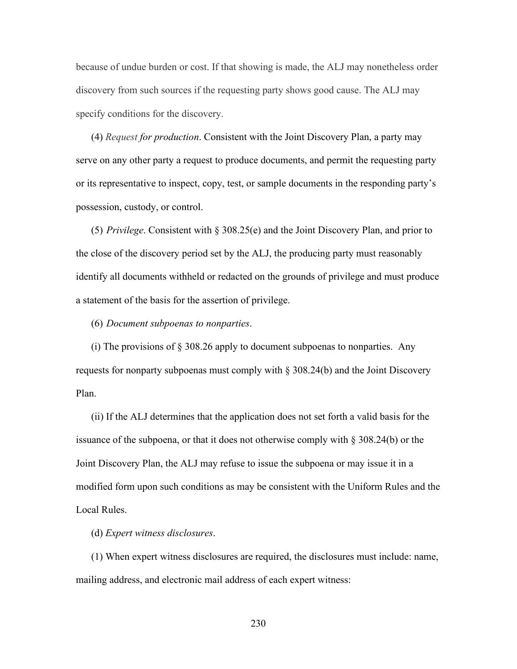because of undue burden or cost. If that showing is made, the ALJ may nonetheless order discovery from such sources if the requesting party shows good cause. The ALJ may specify conditions for the discovery.

(4) *Request for production*. Consistent with the Joint Discovery Plan, a party may serve on any other party a request to produce documents, and permit the requesting party or its representative to inspect, copy, test, or sample documents in the responding party's possession, custody, or control.

(5) *Privilege*. Consistent with § 308.25(e) and the Joint Discovery Plan, and prior to the close of the discovery period set by the ALJ, the producing party must reasonably identify all documents withheld or redacted on the grounds of privilege and must produce a statement of the basis for the assertion of privilege.

(6) *Document subpoenas to nonparties*.

(i) The provisions of § 308.26 apply to document subpoenas to nonparties. Any requests for nonparty subpoenas must comply with  $\S 308.24(b)$  and the Joint Discovery Plan.

(ii) If the ALJ determines that the application does not set forth a valid basis for the issuance of the subpoena, or that it does not otherwise comply with § 308.24(b) or the Joint Discovery Plan, the ALJ may refuse to issue the subpoena or may issue it in a modified form upon such conditions as may be consistent with the Uniform Rules and the Local Rules.

(d) *Expert witness disclosures*.

(1) When expert witness disclosures are required, the disclosures must include: name, mailing address, and electronic mail address of each expert witness: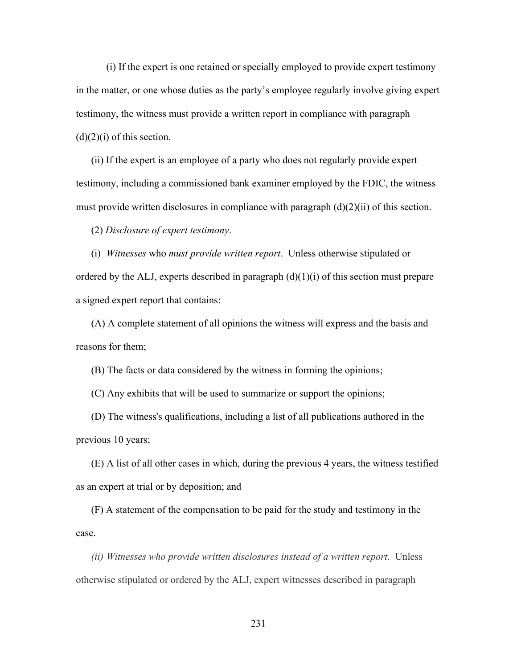(i) If the expert is one retained or specially employed to provide expert testimony in the matter, or one whose duties as the party's employee regularly involve giving expert testimony, the witness must provide a written report in compliance with paragraph  $(d)(2)(i)$  of this section.

(ii) If the expert is an employee of a party who does not regularly provide expert testimony, including a commissioned bank examiner employed by the FDIC, the witness must provide written disclosures in compliance with paragraph  $(d)(2)(ii)$  of this section.

(2) *Disclosure of expert testimony*.

(i) *Witnesses* who *must provide written report*. Unless otherwise stipulated or ordered by the ALJ, experts described in paragraph  $(d)(1)(i)$  of this section must prepare a signed expert report that contains:

(A) A complete statement of all opinions the witness will express and the basis and reasons for them;

(B) The facts or data considered by the witness in forming the opinions;

(C) Any exhibits that will be used to summarize or support the opinions;

(D) The witness's qualifications, including a list of all publications authored in the previous 10 years;

(E) A list of all other cases in which, during the previous 4 years, the witness testified as an expert at trial or by deposition; and

(F) A statement of the compensation to be paid for the study and testimony in the case.

*(ii) Witnesses who provide written disclosures instead of a written report.* Unless otherwise stipulated or ordered by the ALJ, expert witnesses described in paragraph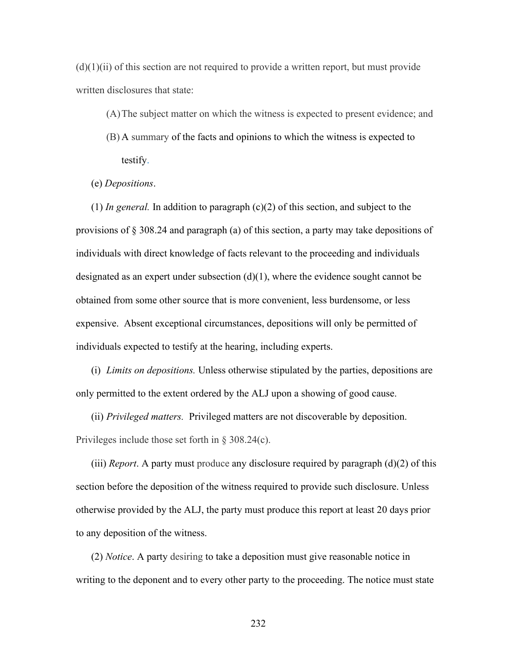$(d)(1)(ii)$  of this section are not required to provide a written report, but must provide written disclosures that state:

- (A)The subject matter on which the witness is expected to present evidence; and
- (B) A summary of the facts and opinions to which the witness is expected to testify.
- (e) *Depositions*.

 $(1)$  *In general.* In addition to paragraph  $(c)(2)$  of this section, and subject to the provisions of § 308.24 and paragraph (a) of this section, a party may take depositions of individuals with direct knowledge of facts relevant to the proceeding and individuals designated as an expert under subsection  $(d)(1)$ , where the evidence sought cannot be obtained from some other source that is more convenient, less burdensome, or less expensive. Absent exceptional circumstances, depositions will only be permitted of individuals expected to testify at the hearing, including experts.

(i) *Limits on depositions.* Unless otherwise stipulated by the parties, depositions are only permitted to the extent ordered by the ALJ upon a showing of good cause.

(ii) *Privileged matters.* Privileged matters are not discoverable by deposition. Privileges include those set forth in § 308.24(c).

(iii) *Report*. A party must produce any disclosure required by paragraph (d)(2) of this section before the deposition of the witness required to provide such disclosure. Unless otherwise provided by the ALJ, the party must produce this report at least 20 days prior to any deposition of the witness.

(2) *Notice*. A party desiring to take a deposition must give reasonable notice in writing to the deponent and to every other party to the proceeding. The notice must state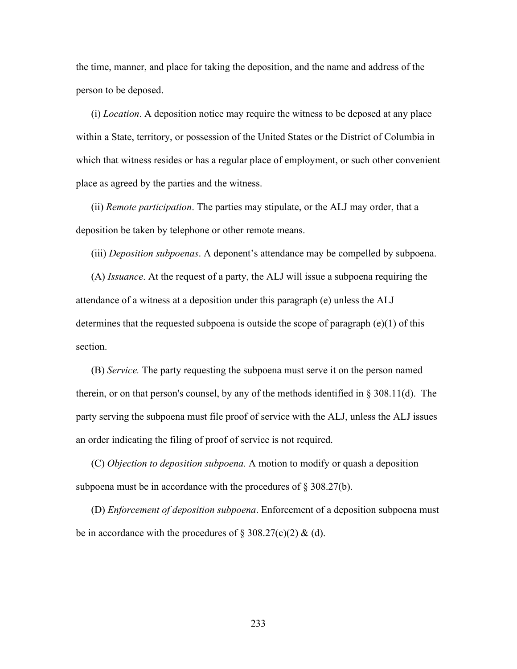the time, manner, and place for taking the deposition, and the name and address of the person to be deposed.

(i) *Location*. A deposition notice may require the witness to be deposed at any place within a State, territory, or possession of the United States or the District of Columbia in which that witness resides or has a regular place of employment, or such other convenient place as agreed by the parties and the witness.

(ii) *Remote participation*. The parties may stipulate, or the ALJ may order, that a deposition be taken by telephone or other remote means.

(iii) *Deposition subpoenas*. A deponent's attendance may be compelled by subpoena.

(A) *Issuance*. At the request of a party, the ALJ will issue a subpoena requiring the attendance of a witness at a deposition under this paragraph (e) unless the ALJ determines that the requested subpoena is outside the scope of paragraph (e)(1) of this section.

(B) *Service.* The party requesting the subpoena must serve it on the person named therein, or on that person's counsel, by any of the methods identified in § 308.11(d). The party serving the subpoena must file proof of service with the ALJ, unless the ALJ issues an order indicating the filing of proof of service is not required.

(C) *Objection to deposition subpoena.* A motion to modify or quash a deposition subpoena must be in accordance with the procedures of  $\S 308.27(b)$ .

(D) *Enforcement of deposition subpoena*. Enforcement of a deposition subpoena must be in accordance with the procedures of  $\S 308.27(c)(2) \&$  (d).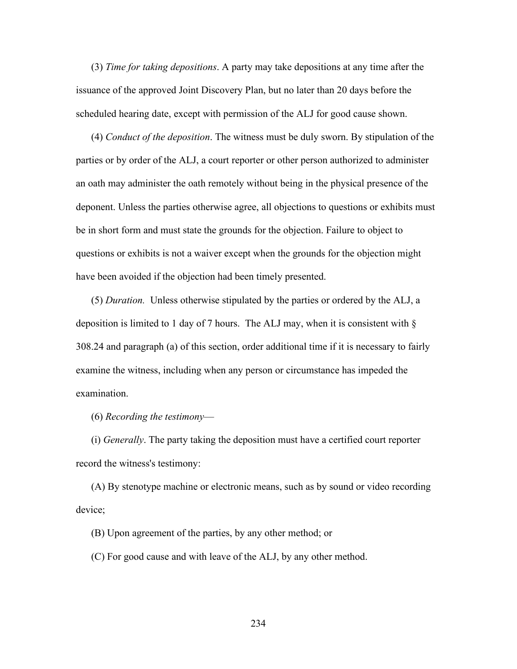(3) *Time for taking depositions*. A party may take depositions at any time after the issuance of the approved Joint Discovery Plan, but no later than 20 days before the scheduled hearing date, except with permission of the ALJ for good cause shown.

(4) *Conduct of the deposition*. The witness must be duly sworn. By stipulation of the parties or by order of the ALJ, a court reporter or other person authorized to administer an oath may administer the oath remotely without being in the physical presence of the deponent. Unless the parties otherwise agree, all objections to questions or exhibits must be in short form and must state the grounds for the objection. Failure to object to questions or exhibits is not a waiver except when the grounds for the objection might have been avoided if the objection had been timely presented.

(5) *Duration.* Unless otherwise stipulated by the parties or ordered by the ALJ, a deposition is limited to 1 day of 7 hours. The ALJ may, when it is consistent with  $\S$ 308.24 and paragraph (a) of this section, order additional time if it is necessary to fairly examine the witness, including when any person or circumstance has impeded the examination.

(6) *Recording the testimony*—

(i) *Generally*. The party taking the deposition must have a certified court reporter record the witness's testimony:

(A) By stenotype machine or electronic means, such as by sound or video recording device;

(B) Upon agreement of the parties, by any other method; or

(C) For good cause and with leave of the ALJ, by any other method.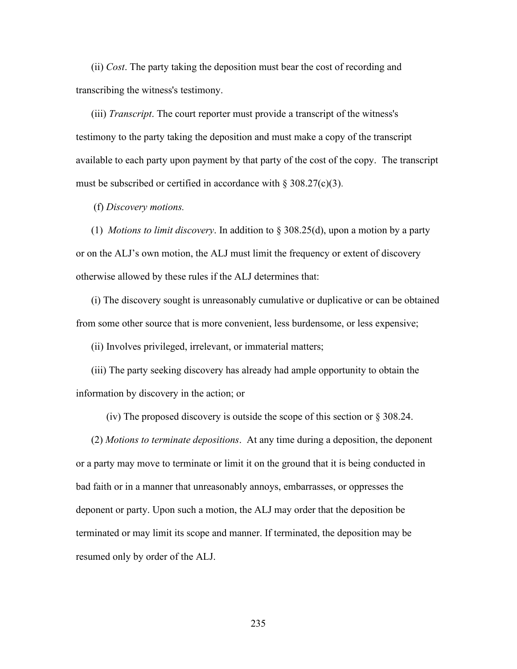(ii) *Cost*. The party taking the deposition must bear the cost of recording and transcribing the witness's testimony.

(iii) *Transcript*. The court reporter must provide a transcript of the witness's testimony to the party taking the deposition and must make a copy of the transcript available to each party upon payment by that party of the cost of the copy. The transcript must be subscribed or certified in accordance with  $\S 308.27(c)(3)$ .

(f) *Discovery motions.* 

(1) *Motions to limit discovery*. In addition to § 308.25(d), upon a motion by a party or on the ALJ's own motion, the ALJ must limit the frequency or extent of discovery otherwise allowed by these rules if the ALJ determines that:

(i) The discovery sought is unreasonably cumulative or duplicative or can be obtained from some other source that is more convenient, less burdensome, or less expensive;

(ii) Involves privileged, irrelevant, or immaterial matters;

(iii) The party seeking discovery has already had ample opportunity to obtain the information by discovery in the action; or

(iv) The proposed discovery is outside the scope of this section or § 308.24.

(2) *Motions to terminate depositions*. At any time during a deposition, the deponent or a party may move to terminate or limit it on the ground that it is being conducted in bad faith or in a manner that unreasonably annoys, embarrasses, or oppresses the deponent or party. Upon such a motion, the ALJ may order that the deposition be terminated or may limit its scope and manner. If terminated, the deposition may be resumed only by order of the ALJ.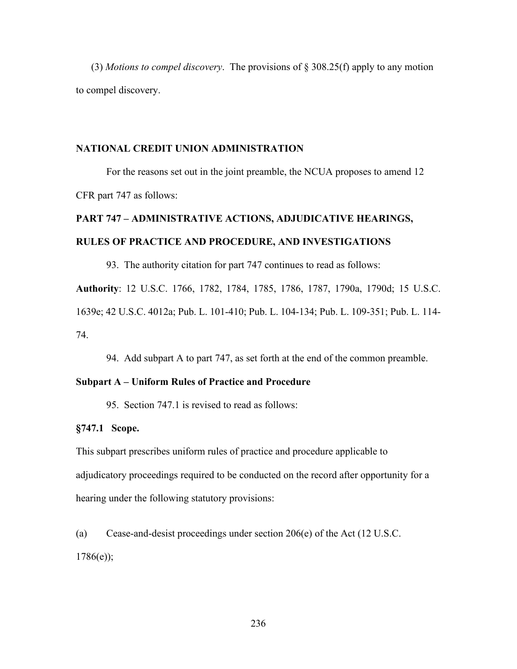(3) *Motions to compel discovery*. The provisions of § 308.25(f) apply to any motion to compel discovery.

#### **NATIONAL CREDIT UNION ADMINISTRATION**

 For the reasons set out in the joint preamble, the NCUA proposes to amend 12 CFR part 747 as follows:

# **PART 747 – ADMINISTRATIVE ACTIONS, ADJUDICATIVE HEARINGS, RULES OF PRACTICE AND PROCEDURE, AND INVESTIGATIONS**

93. The authority citation for part 747 continues to read as follows:

**Authority**: 12 U.S.C. 1766, 1782, 1784, 1785, 1786, 1787, 1790a, 1790d; 15 U.S.C. 1639e; 42 U.S.C. 4012a; Pub. L. 101-410; Pub. L. 104-134; Pub. L. 109-351; Pub. L. 114- 74.

94. Add subpart A to part 747, as set forth at the end of the common preamble.

#### **Subpart A – Uniform Rules of Practice and Procedure**

95. Section 747.1 is revised to read as follows:

#### **§747.1 Scope.**

This subpart prescribes uniform rules of practice and procedure applicable to adjudicatory proceedings required to be conducted on the record after opportunity for a hearing under the following statutory provisions:

(a) Cease-and-desist proceedings under section 206(e) of the Act (12 U.S.C.  $1786(e)$ ;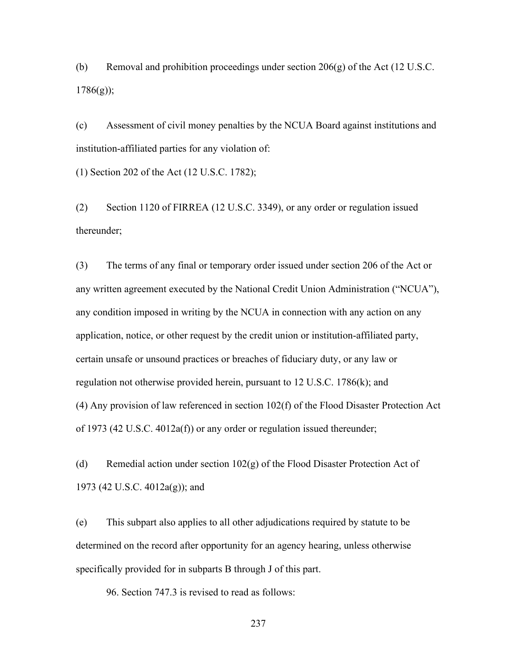(b) Removal and prohibition proceedings under section  $206(g)$  of the Act (12 U.S.C.  $1786(g)$ ;

(c) Assessment of civil money penalties by the NCUA Board against institutions and institution-affiliated parties for any violation of:

(1) Section 202 of the Act (12 U.S.C. 1782);

(2) Section 1120 of FIRREA (12 U.S.C. 3349), or any order or regulation issued thereunder;

(3) The terms of any final or temporary order issued under section 206 of the Act or any written agreement executed by the National Credit Union Administration ("NCUA"), any condition imposed in writing by the NCUA in connection with any action on any application, notice, or other request by the credit union or institution-affiliated party, certain unsafe or unsound practices or breaches of fiduciary duty, or any law or regulation not otherwise provided herein, pursuant to 12 U.S.C. 1786(k); and (4) Any provision of law referenced in section 102(f) of the Flood Disaster Protection Act of 1973 (42 U.S.C. 4012a(f)) or any order or regulation issued thereunder;

(d) Remedial action under section  $102(g)$  of the Flood Disaster Protection Act of 1973 (42 U.S.C. 4012a(g)); and

(e) This subpart also applies to all other adjudications required by statute to be determined on the record after opportunity for an agency hearing, unless otherwise specifically provided for in subparts B through J of this part.

96. Section 747.3 is revised to read as follows: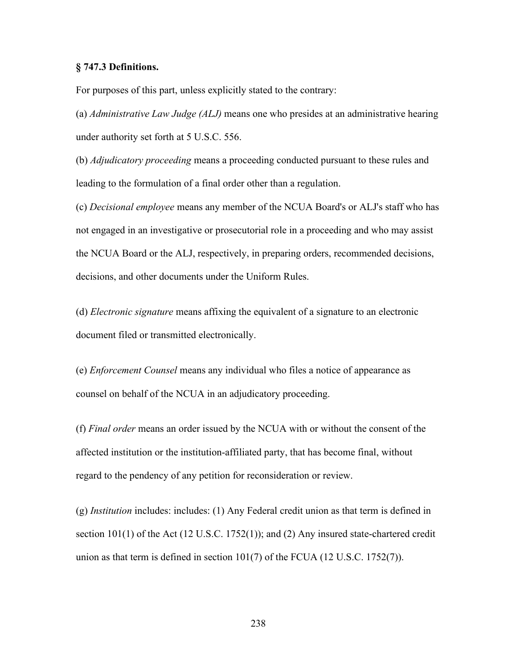#### **§ 747.3 Definitions.**

For purposes of this part, unless explicitly stated to the contrary:

(a) *Administrative Law Judge (ALJ)* means one who presides at an administrative hearing under authority set forth at 5 U.S.C. 556.

(b) *Adjudicatory proceeding* means a proceeding conducted pursuant to these rules and leading to the formulation of a final order other than a regulation.

(c) *Decisional employee* means any member of the NCUA Board's or ALJ's staff who has not engaged in an investigative or prosecutorial role in a proceeding and who may assist the NCUA Board or the ALJ, respectively, in preparing orders, recommended decisions, decisions, and other documents under the Uniform Rules.

(d) *Electronic signature* means affixing the equivalent of a signature to an electronic document filed or transmitted electronically.

(e) *Enforcement Counsel* means any individual who files a notice of appearance as counsel on behalf of the NCUA in an adjudicatory proceeding.

(f) *Final order* means an order issued by the NCUA with or without the consent of the affected institution or the institution-affiliated party, that has become final, without regard to the pendency of any petition for reconsideration or review.

(g) *Institution* includes: includes: (1) Any Federal credit union as that term is defined in section 101(1) of the Act (12 U.S.C. 1752(1)); and (2) Any insured state-chartered credit union as that term is defined in section 101(7) of the FCUA (12 U.S.C. 1752(7)).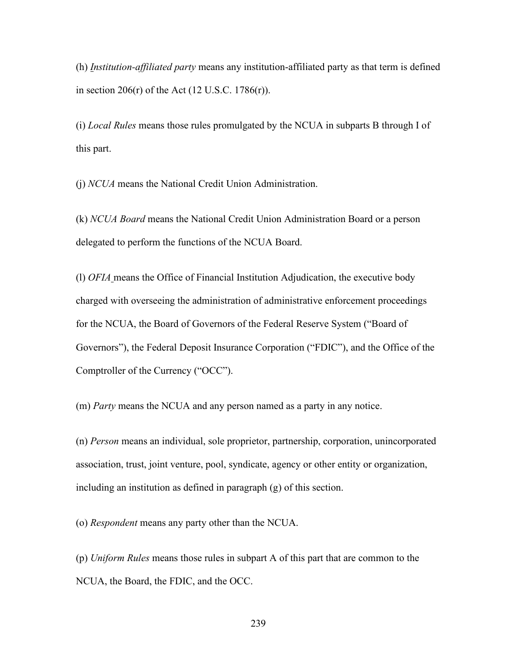(h) *Institution-affiliated party* means any institution-affiliated party as that term is defined in section 206 $(r)$  of the Act  $(12 \text{ U.S.C. } 1786(r))$ .

(i) *Local Rules* means those rules promulgated by the NCUA in subparts B through I of this part.

(j) *NCUA* means the National Credit Union Administration.

(k) *NCUA Board* means the National Credit Union Administration Board or a person delegated to perform the functions of the NCUA Board.

(l) *OFIA* means the Office of Financial Institution Adjudication, the executive body charged with overseeing the administration of administrative enforcement proceedings for the NCUA, the Board of Governors of the Federal Reserve System ("Board of Governors"), the Federal Deposit Insurance Corporation ("FDIC"), and the Office of the Comptroller of the Currency ("OCC").

(m) *Party* means the NCUA and any person named as a party in any notice.

(n) *Person* means an individual, sole proprietor, partnership, corporation, unincorporated association, trust, joint venture, pool, syndicate, agency or other entity or organization, including an institution as defined in paragraph (g) of this section.

(o) *Respondent* means any party other than the NCUA.

(p) *Uniform Rules* means those rules in subpart A of this part that are common to the NCUA, the Board, the FDIC, and the OCC.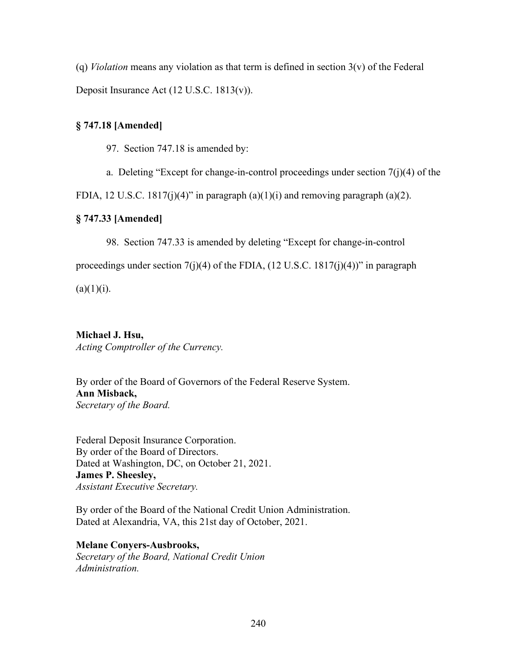(q) *Violation* means any violation as that term is defined in section 3(v) of the Federal Deposit Insurance Act (12 U.S.C. 1813(v)).

### **§ 747.18 [Amended]**

97. Section 747.18 is amended by:

a. Deleting "Except for change-in-control proceedings under section  $7(i)(4)$  of the

FDIA, 12 U.S.C. 1817(j)(4)" in paragraph  $(a)(1)(i)$  and removing paragraph  $(a)(2)$ .

#### **§ 747.33 [Amended]**

98. Section 747.33 is amended by deleting "Except for change-in-control

proceedings under section  $7(j)(4)$  of the FDIA,  $(12 \text{ U.S.C. } 1817(j)(4))$ " in paragraph

 $(a)(1)(i)$ .

## **Michael J. Hsu,**

*Acting Comptroller of the Currency.*

By order of the Board of Governors of the Federal Reserve System. **Ann Misback,** *Secretary of the Board.*

Federal Deposit Insurance Corporation. By order of the Board of Directors. Dated at Washington, DC, on October 21, 2021. **James P. Sheesley,** *Assistant Executive Secretary.*

By order of the Board of the National Credit Union Administration. Dated at Alexandria, VA, this 21st day of October, 2021.

**Melane Conyers-Ausbrooks,** *Secretary of the Board, National Credit Union Administration.*